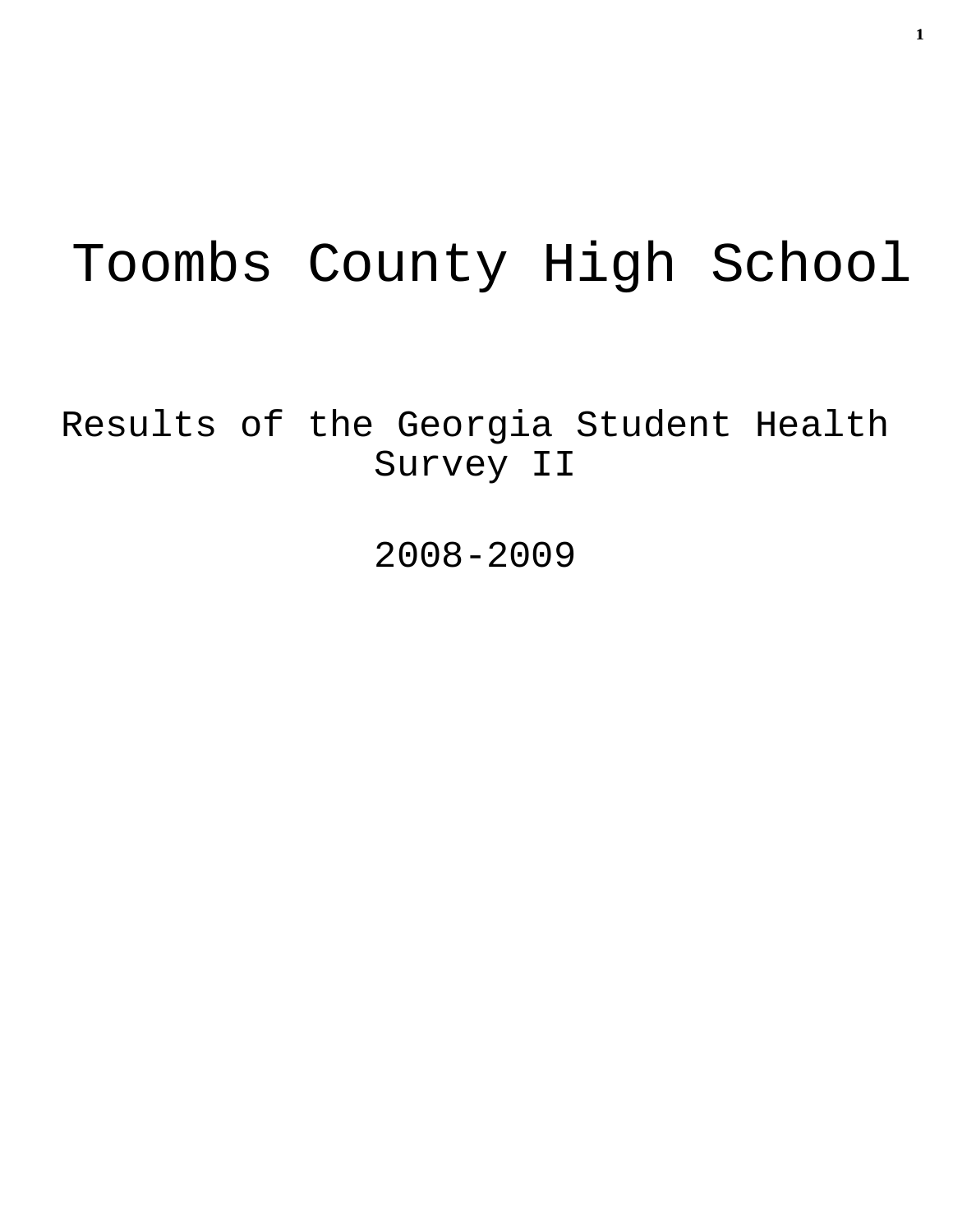# Toombs County High School

Results of the Georgia Student Health Survey II

2008-2009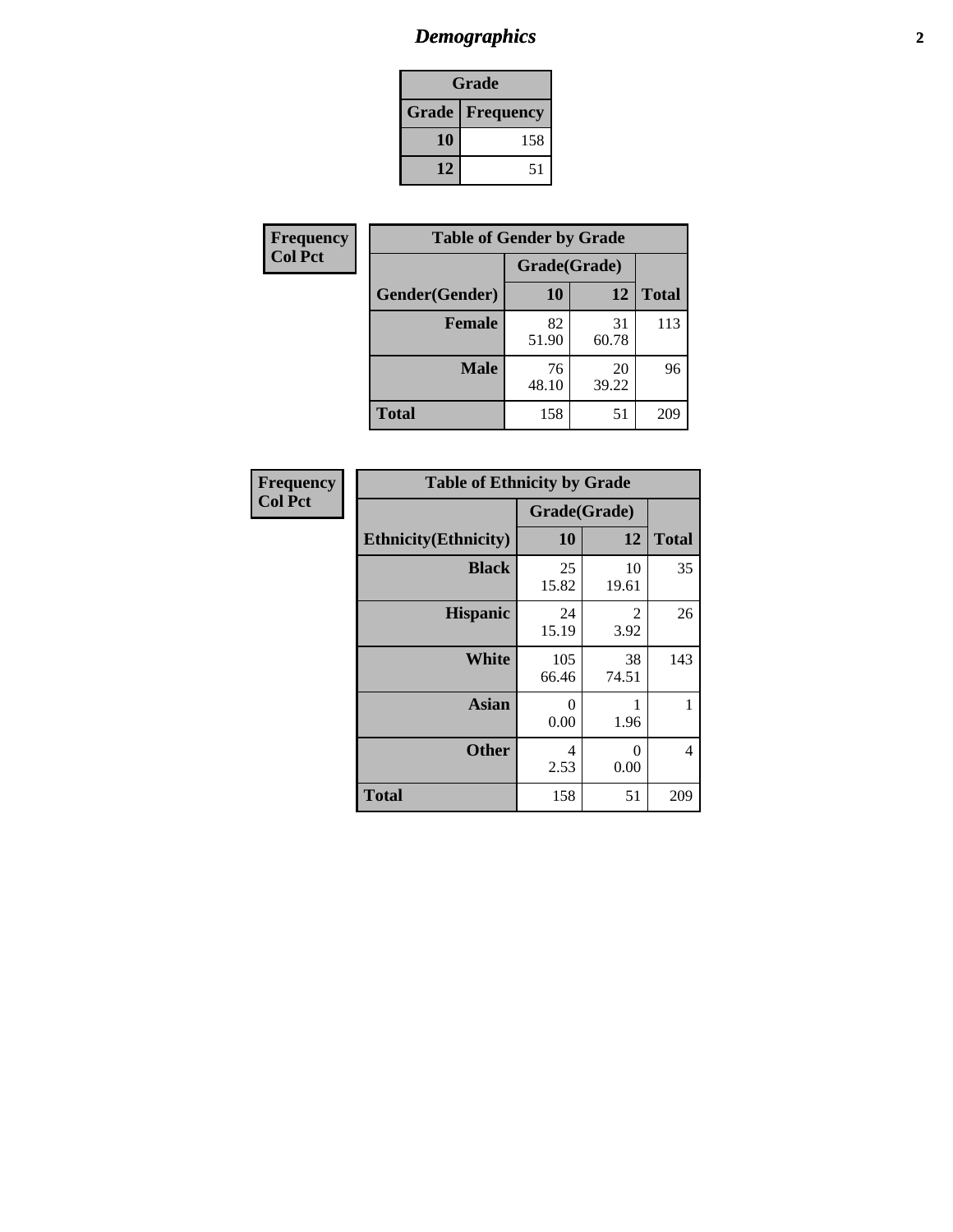# *Demographics* **2**

| Grade                  |     |  |  |
|------------------------|-----|--|--|
| <b>Grade Frequency</b> |     |  |  |
| 10                     | 158 |  |  |
| 12                     | 51  |  |  |

| Frequency      | <b>Table of Gender by Grade</b> |              |             |              |  |
|----------------|---------------------------------|--------------|-------------|--------------|--|
| <b>Col Pct</b> |                                 | Grade(Grade) |             |              |  |
|                | Gender(Gender)                  | 10           | 12          | <b>Total</b> |  |
|                | <b>Female</b>                   | 82<br>51.90  | 31<br>60.78 | 113          |  |
|                | <b>Male</b>                     | 76<br>48.10  | 20<br>39.22 | 96           |  |
|                | <b>Total</b>                    | 158          | 51          | 209          |  |

| <b>Frequency</b><br>Col Pct |
|-----------------------------|

| <b>Table of Ethnicity by Grade</b> |              |                  |              |  |  |
|------------------------------------|--------------|------------------|--------------|--|--|
|                                    | Grade(Grade) |                  |              |  |  |
| <b>Ethnicity</b> (Ethnicity)       | 10           | 12               | <b>Total</b> |  |  |
| <b>Black</b>                       | 25<br>15.82  | 10<br>19.61      | 35           |  |  |
| <b>Hispanic</b>                    | 24<br>15.19  | 2<br>3.92        | 26           |  |  |
| White                              | 105<br>66.46 | 38<br>74.51      | 143          |  |  |
| <b>Asian</b>                       | 0<br>0.00    | 1<br>1.96        | 1            |  |  |
| <b>Other</b>                       | 4<br>2.53    | $\Omega$<br>0.00 | 4            |  |  |
| <b>Total</b>                       | 158          | 51               | 209          |  |  |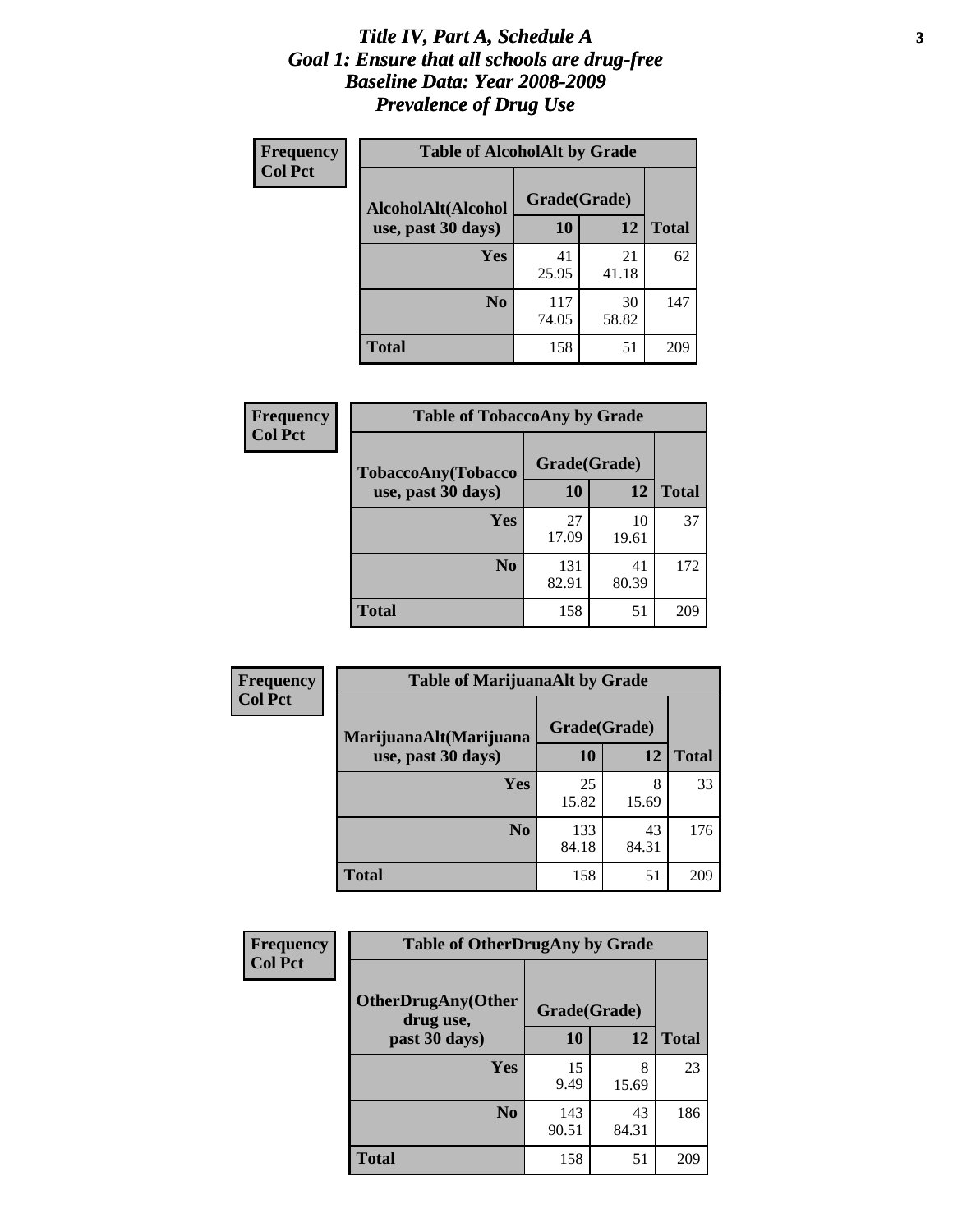### *Title IV, Part A, Schedule A* **3** *Goal 1: Ensure that all schools are drug-free Baseline Data: Year 2008-2009 Prevalence of Drug Use*

| Frequency<br><b>Col Pct</b> | <b>Table of AlcoholAlt by Grade</b> |              |             |              |  |
|-----------------------------|-------------------------------------|--------------|-------------|--------------|--|
|                             | AlcoholAlt(Alcohol                  | Grade(Grade) |             |              |  |
|                             | use, past 30 days)                  | <b>10</b>    | 12          | <b>Total</b> |  |
|                             | Yes                                 | 41<br>25.95  | 21<br>41.18 | 62           |  |
|                             | N <sub>0</sub>                      | 117<br>74.05 | 30<br>58.82 | 147          |  |
|                             | Total                               | 158          | 51          | 209          |  |

| Frequency<br><b>Col Pct</b> | <b>Table of TobaccoAny by Grade</b> |              |             |              |  |
|-----------------------------|-------------------------------------|--------------|-------------|--------------|--|
|                             | <b>TobaccoAny(Tobacco</b>           | Grade(Grade) |             |              |  |
|                             | use, past 30 days)                  | 10           | 12          | <b>Total</b> |  |
|                             | Yes                                 | 27<br>17.09  | 10<br>19.61 | 37           |  |
|                             | N <sub>0</sub>                      | 131<br>82.91 | 41<br>80.39 | 172          |  |
|                             | <b>Total</b>                        | 158          | 51          | 209          |  |

| Frequency<br><b>Col Pct</b> | <b>Table of MarijuanaAlt by Grade</b> |              |             |              |  |
|-----------------------------|---------------------------------------|--------------|-------------|--------------|--|
|                             | MarijuanaAlt(Marijuana                | Grade(Grade) |             |              |  |
|                             | use, past 30 days)                    | 10           | 12          | <b>Total</b> |  |
|                             | <b>Yes</b>                            | 25<br>15.82  | 8<br>15.69  | 33           |  |
|                             | N <sub>0</sub>                        | 133<br>84.18 | 43<br>84.31 | 176          |  |
|                             | <b>Total</b>                          | 158          | 51          | 209          |  |

| <b>Frequency</b> | <b>Table of OtherDrugAny by Grade</b>  |              |             |              |  |
|------------------|----------------------------------------|--------------|-------------|--------------|--|
| <b>Col Pct</b>   | <b>OtherDrugAny(Other</b><br>drug use, | Grade(Grade) |             |              |  |
|                  | past 30 days)                          | 10           | 12          | <b>Total</b> |  |
|                  | <b>Yes</b>                             | 15<br>9.49   | 8<br>15.69  | 23           |  |
|                  | N <sub>0</sub>                         | 143<br>90.51 | 43<br>84.31 | 186          |  |
|                  | <b>Total</b>                           | 158          | 51          | 209          |  |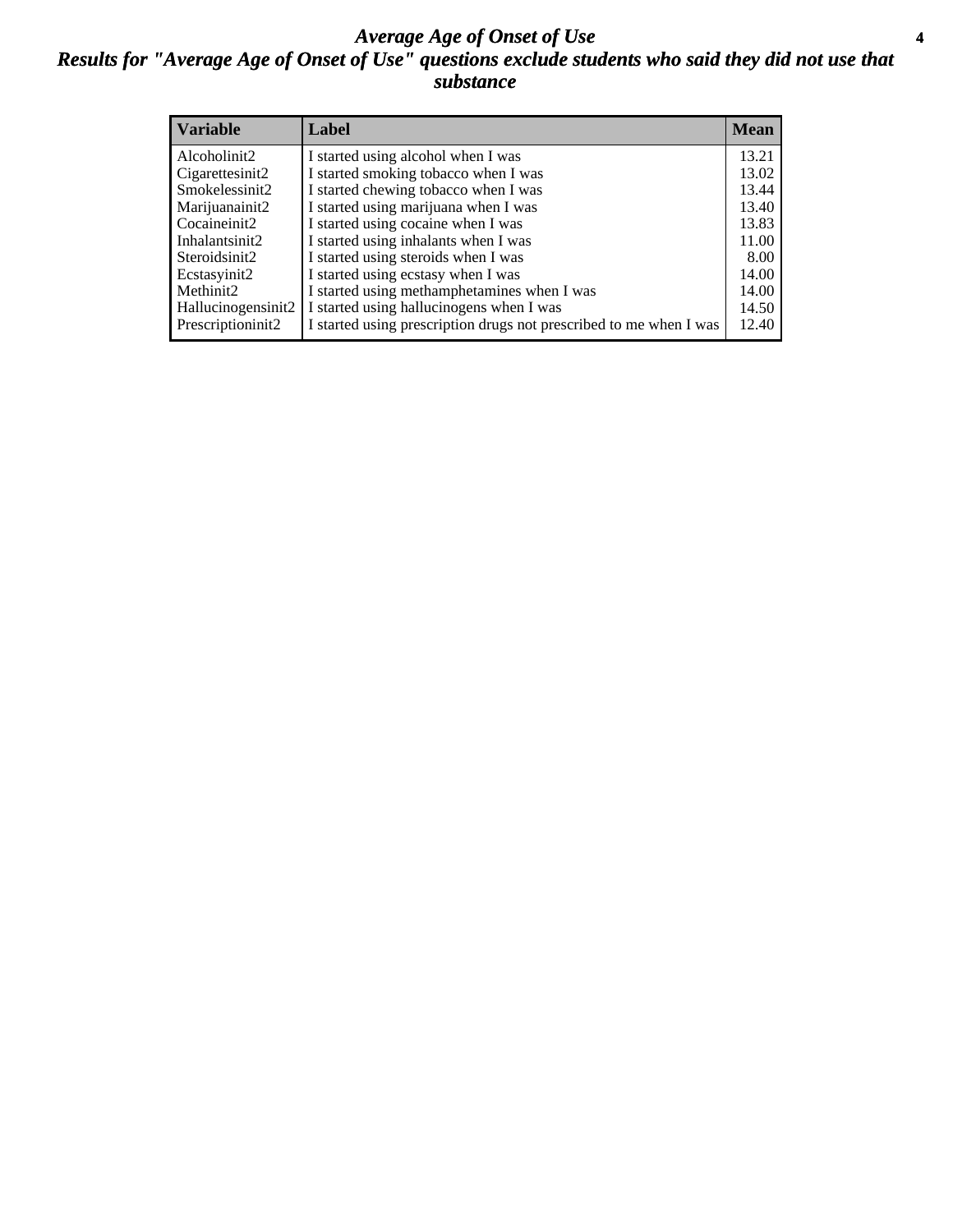### *Average Age of Onset of Use* **4** *Results for "Average Age of Onset of Use" questions exclude students who said they did not use that substance*

| <b>Variable</b>    | Label                                                              | <b>Mean</b> |
|--------------------|--------------------------------------------------------------------|-------------|
| Alcoholinit2       | I started using alcohol when I was                                 | 13.21       |
| Cigarettesinit2    | I started smoking tobacco when I was                               | 13.02       |
| Smokelessinit2     | I started chewing tobacco when I was                               | 13.44       |
| Marijuanainit2     | I started using marijuana when I was                               | 13.40       |
| Cocaineinit2       | I started using cocaine when I was                                 | 13.83       |
| Inhalantsinit2     | I started using inhalants when I was                               | 11.00       |
| Steroidsinit2      | I started using steroids when I was                                | 8.00        |
| Ecstasyinit2       | I started using ecstasy when I was                                 | 14.00       |
| Methinit2          | I started using methamphetamines when I was                        | 14.00       |
| Hallucinogensinit2 | I started using hallucinogens when I was                           | 14.50       |
| Prescriptioninit2  | I started using prescription drugs not prescribed to me when I was | 12.40       |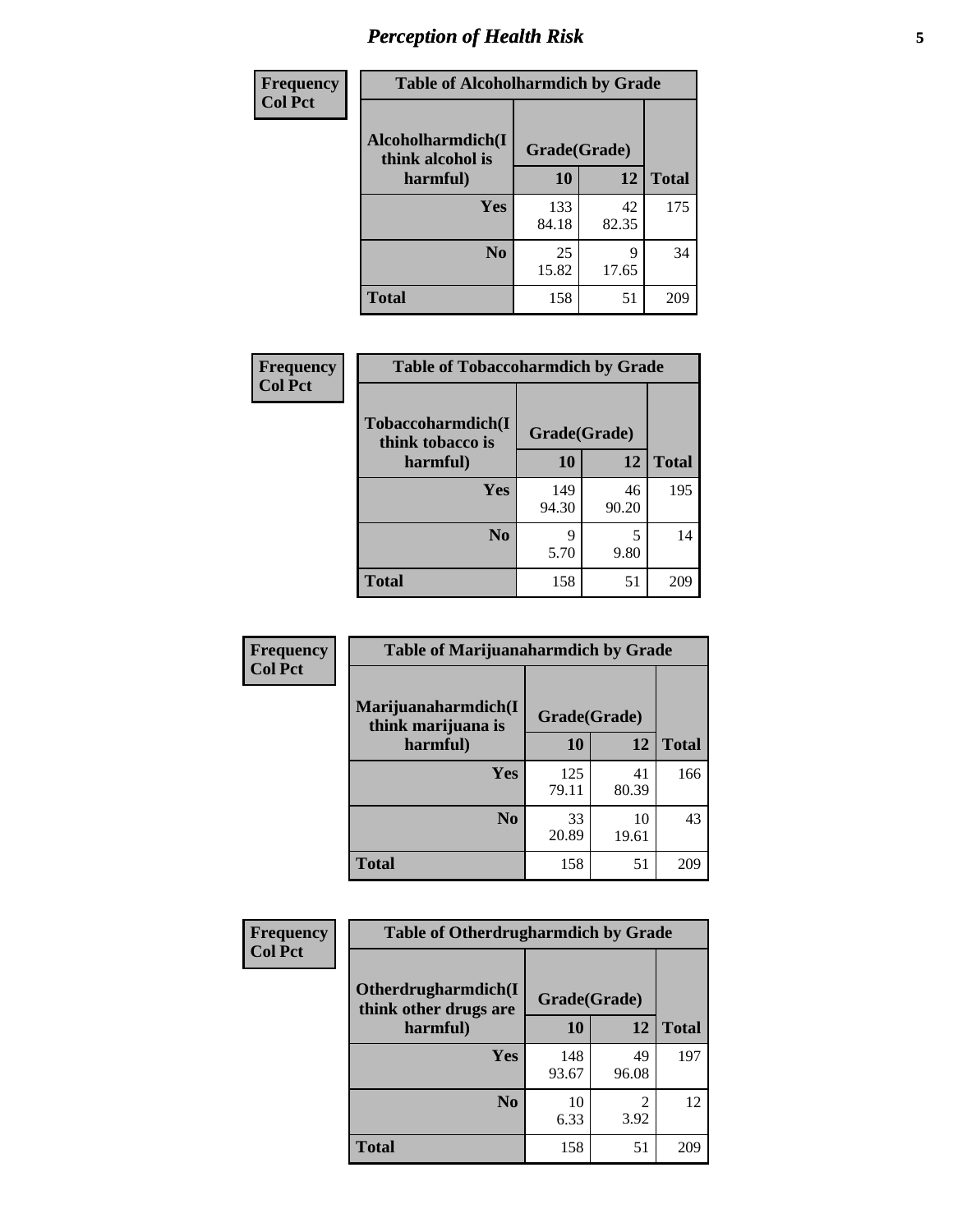# *Perception of Health Risk* **5**

| <b>Frequency</b> | <b>Table of Alcoholharmdich by Grade</b> |              |             |              |  |
|------------------|------------------------------------------|--------------|-------------|--------------|--|
| <b>Col Pct</b>   | Alcoholharmdich(I<br>think alcohol is    | Grade(Grade) |             |              |  |
|                  | harmful)                                 | 10           | 12          | <b>Total</b> |  |
|                  | <b>Yes</b>                               | 133<br>84.18 | 42<br>82.35 | 175          |  |
|                  | N <sub>0</sub>                           | 25<br>15.82  | Q<br>17.65  | 34           |  |
|                  | <b>Total</b>                             | 158          | 51          | 209          |  |

| Frequency      | <b>Table of Tobaccoharmdich by Grade</b> |              |             |              |  |
|----------------|------------------------------------------|--------------|-------------|--------------|--|
| <b>Col Pct</b> | Tobaccoharmdich(I<br>think tobacco is    | Grade(Grade) |             |              |  |
|                | harmful)                                 | 10           | 12          | <b>Total</b> |  |
|                | Yes                                      | 149<br>94.30 | 46<br>90.20 | 195          |  |
|                | N <sub>0</sub>                           | 9<br>5.70    | 5<br>9.80   | 14           |  |
|                | <b>Total</b>                             | 158          | 51          | 209          |  |

| <b>Frequency</b> | <b>Table of Marijuanaharmdich by Grade</b> |              |             |              |  |
|------------------|--------------------------------------------|--------------|-------------|--------------|--|
| <b>Col Pct</b>   | Marijuanaharmdich(I<br>think marijuana is  | Grade(Grade) |             |              |  |
|                  | harmful)                                   | 10           | 12          | <b>Total</b> |  |
|                  | Yes                                        | 125<br>79.11 | 41<br>80.39 | 166          |  |
|                  | N <sub>0</sub>                             | 33<br>20.89  | 10<br>19.61 | 43           |  |
|                  | <b>Total</b>                               | 158          | 51          | 209          |  |

| <b>Frequency</b> | <b>Table of Otherdrugharmdich by Grade</b>   |              |              |              |  |  |  |  |
|------------------|----------------------------------------------|--------------|--------------|--------------|--|--|--|--|
| <b>Col Pct</b>   | Otherdrugharmdich(I<br>think other drugs are |              | Grade(Grade) |              |  |  |  |  |
|                  | harmful)                                     | 10           | 12           | <b>Total</b> |  |  |  |  |
|                  | <b>Yes</b>                                   | 148<br>93.67 | 49<br>96.08  | 197          |  |  |  |  |
|                  | N <sub>0</sub>                               | 10<br>6.33   | 3.92         | 12           |  |  |  |  |
|                  | <b>Total</b>                                 | 158          | 51           | 209          |  |  |  |  |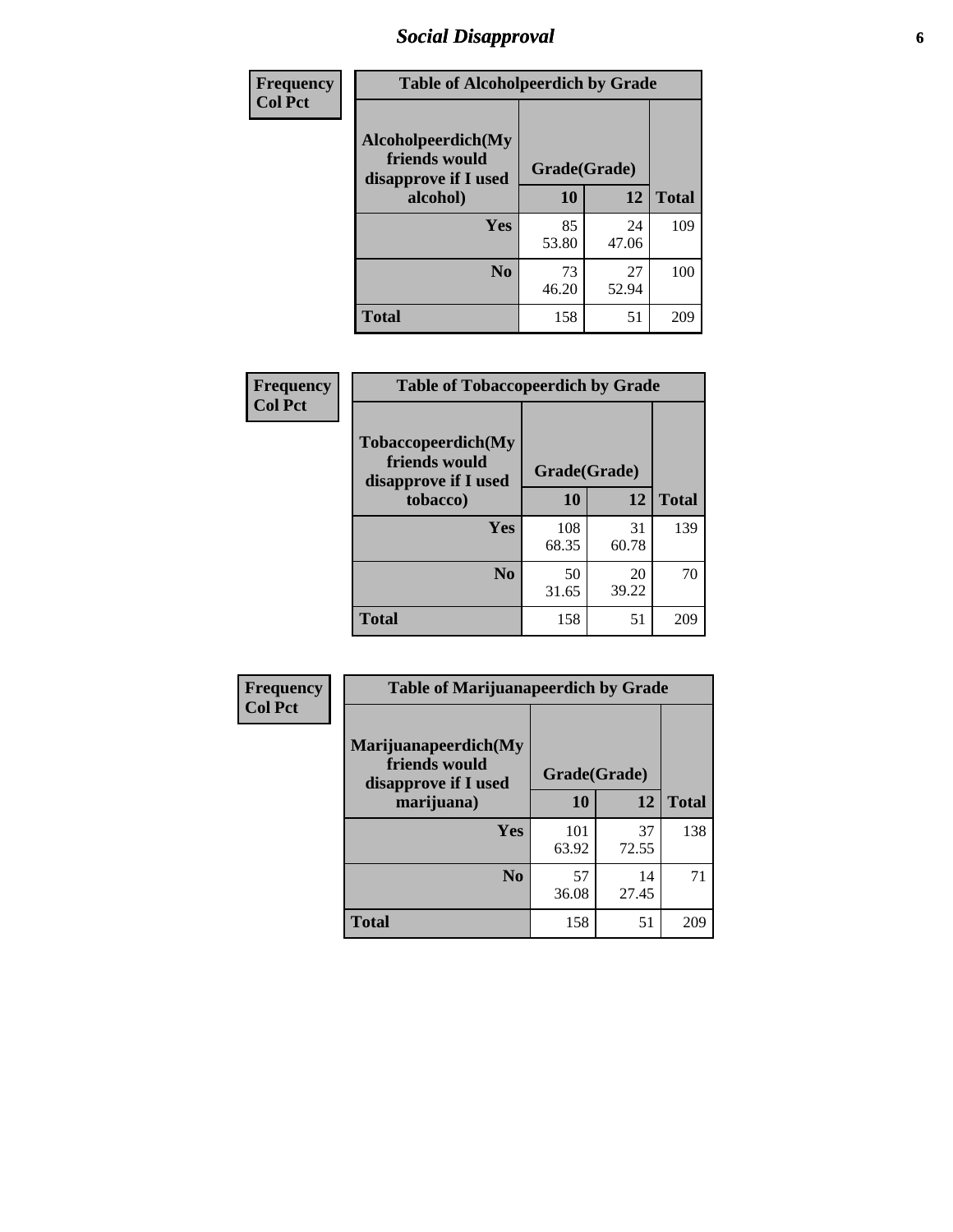# *Social Disapproval* **6**

| Frequency      | <b>Table of Alcoholpeerdich by Grade</b>                    |              |             |              |
|----------------|-------------------------------------------------------------|--------------|-------------|--------------|
| <b>Col Pct</b> | Alcoholpeerdich(My<br>friends would<br>disapprove if I used | Grade(Grade) |             |              |
|                | alcohol)                                                    | 10           | 12          | <b>Total</b> |
|                | <b>Yes</b>                                                  | 85<br>53.80  | 24<br>47.06 | 109          |
|                | N <sub>0</sub>                                              | 73<br>46.20  | 27<br>52.94 | 100          |
|                | <b>Total</b>                                                | 158          | 51          | 209          |

| <b>Frequency</b> |
|------------------|
| <b>Col Pct</b>   |

| <b>Table of Tobaccopeerdich by Grade</b>                            |              |             |              |  |  |  |  |
|---------------------------------------------------------------------|--------------|-------------|--------------|--|--|--|--|
| <b>Tobaccopeerdich</b> (My<br>friends would<br>disapprove if I used | Grade(Grade) |             |              |  |  |  |  |
| tobacco)                                                            | 10           | 12          | <b>Total</b> |  |  |  |  |
| Yes                                                                 | 108<br>68.35 | 31<br>60.78 | 139          |  |  |  |  |
| N <sub>0</sub>                                                      | 50<br>31.65  | 20<br>39.22 | 70           |  |  |  |  |
| <b>Total</b>                                                        | 158          | 51          |              |  |  |  |  |

| <b>Frequency</b> | <b>Table of Marijuanapeerdich by Grade</b>                    |              |             |              |  |  |  |  |
|------------------|---------------------------------------------------------------|--------------|-------------|--------------|--|--|--|--|
| <b>Col Pct</b>   | Marijuanapeerdich(My<br>friends would<br>disapprove if I used | Grade(Grade) |             |              |  |  |  |  |
|                  | marijuana)                                                    | 10           | 12          | <b>Total</b> |  |  |  |  |
|                  | <b>Yes</b>                                                    | 101<br>63.92 | 37<br>72.55 | 138          |  |  |  |  |
|                  | N <sub>0</sub>                                                | 57<br>36.08  | 14<br>27.45 | 71           |  |  |  |  |
|                  | <b>Total</b>                                                  | 158          | 51          | 209          |  |  |  |  |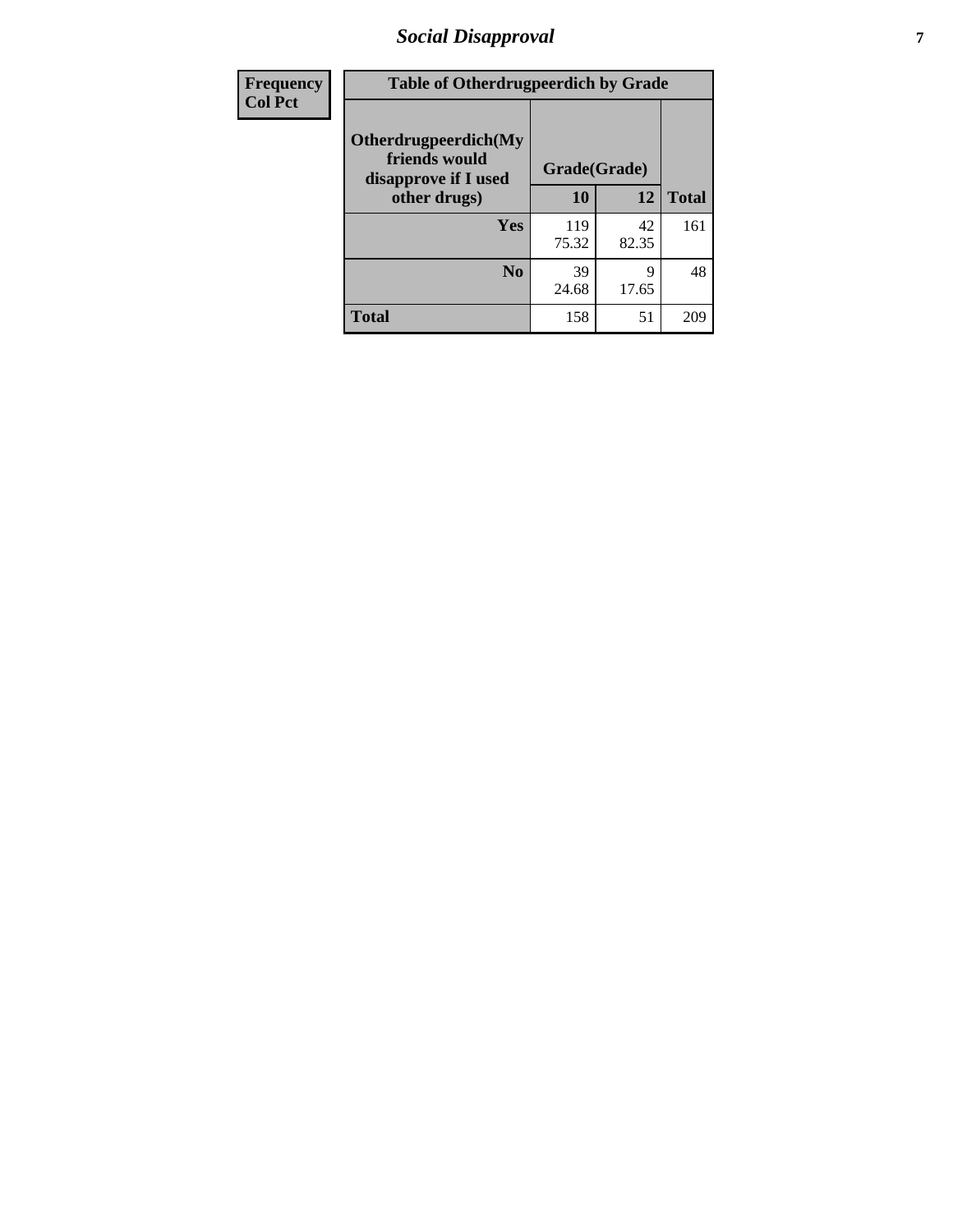# *Social Disapproval* **7**

| Frequency      | <b>Table of Otherdrugpeerdich by Grade</b>                    |              |             |              |  |  |  |  |
|----------------|---------------------------------------------------------------|--------------|-------------|--------------|--|--|--|--|
| <b>Col Pct</b> | Otherdrugpeerdich(My<br>friends would<br>disapprove if I used | Grade(Grade) |             |              |  |  |  |  |
|                | other drugs)                                                  | 10           | 12          | <b>Total</b> |  |  |  |  |
|                | Yes                                                           | 119<br>75.32 | 42<br>82.35 | 161          |  |  |  |  |
|                | N <sub>0</sub>                                                | 39<br>24.68  | 9<br>17.65  | 48           |  |  |  |  |
|                | <b>Total</b>                                                  | 158          | 51          | 209          |  |  |  |  |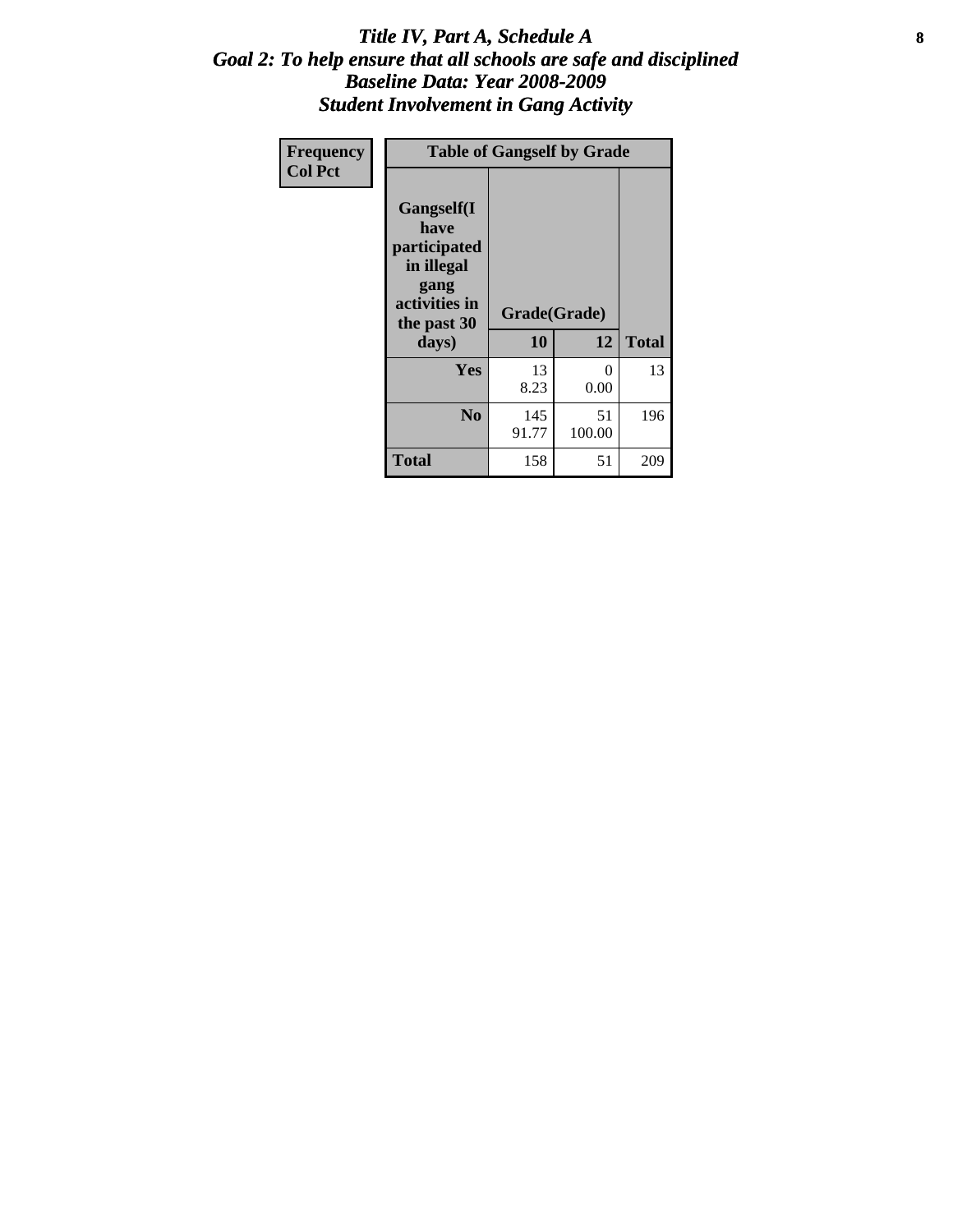### Title IV, Part A, Schedule A **8** *Goal 2: To help ensure that all schools are safe and disciplined Baseline Data: Year 2008-2009 Student Involvement in Gang Activity*

| Frequency      | <b>Table of Gangself by Grade</b>                                                                 |                    |                  |              |
|----------------|---------------------------------------------------------------------------------------------------|--------------------|------------------|--------------|
| <b>Col Pct</b> | Gangself(I<br>have<br>participated<br>in illegal<br>gang<br>activities in<br>the past 30<br>days) | Grade(Grade)<br>10 | 12               | <b>Total</b> |
|                | Yes                                                                                               | 13<br>8.23         | $\theta$<br>0.00 | 13           |
|                | N <sub>0</sub>                                                                                    | 145<br>91.77       | 51<br>100.00     | 196          |
|                | <b>Total</b>                                                                                      | 158                | 51               | 209          |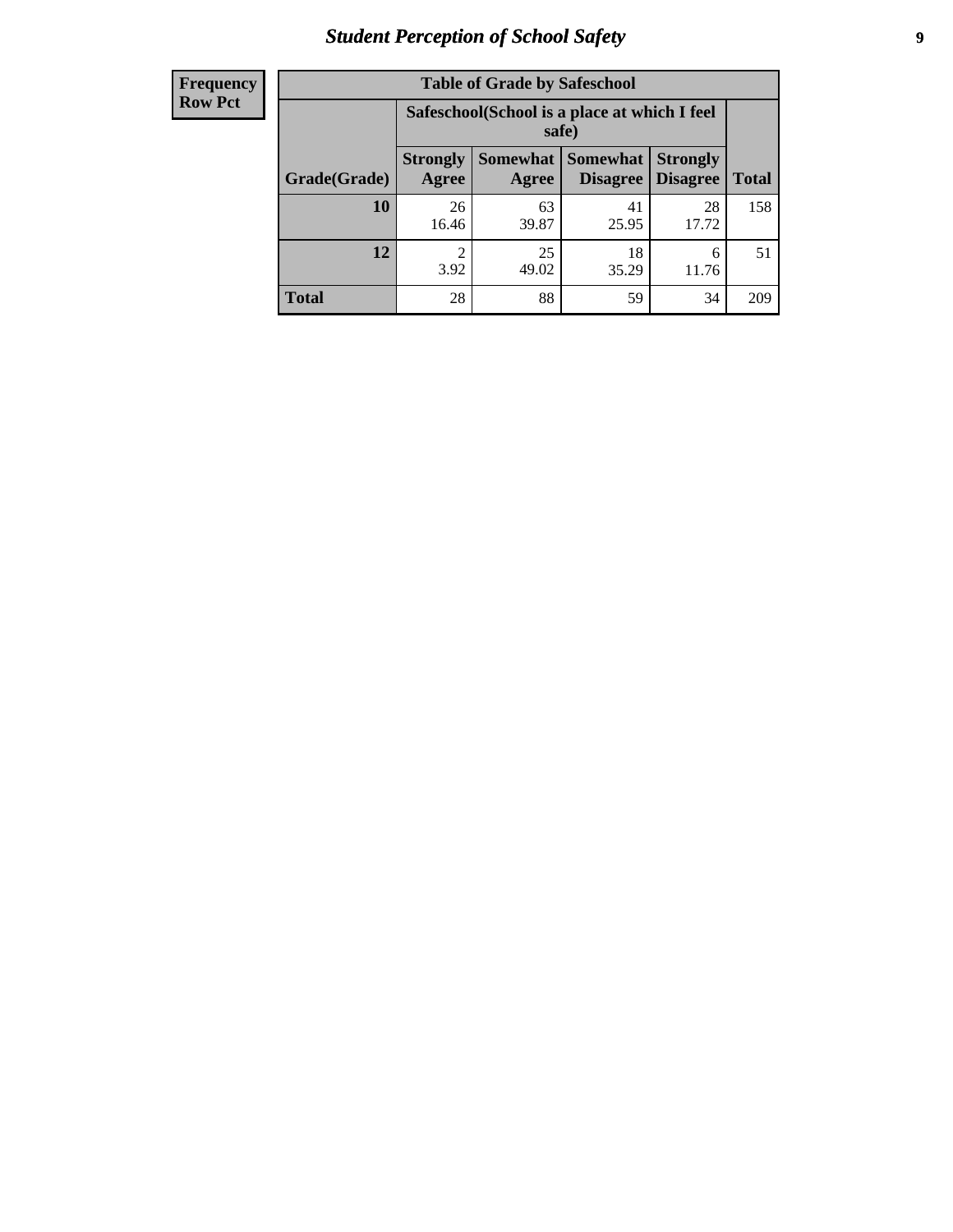# *Student Perception of School Safety* **9**

| <b>Frequency</b><br>Row Pct |
|-----------------------------|
|                             |

| <b>Table of Grade by Safeschool</b> |                                                        |             |                                 |                                    |              |  |  |
|-------------------------------------|--------------------------------------------------------|-------------|---------------------------------|------------------------------------|--------------|--|--|
|                                     | Safeschool (School is a place at which I feel<br>safe) |             |                                 |                                    |              |  |  |
| Grade(Grade)                        | <b>Strongly</b><br>Agree                               | Agree       | Somewhat   Somewhat<br>Disagree | <b>Strongly</b><br><b>Disagree</b> | <b>Total</b> |  |  |
| 10                                  | 26<br>16.46                                            | 63<br>39.87 | 41<br>25.95                     | 28<br>17.72                        | 158          |  |  |
| 12                                  | 2<br>3.92                                              | 25<br>49.02 | 18<br>35.29                     | 6<br>11.76                         | 51           |  |  |
| <b>Total</b>                        | 28                                                     | 88          | 59                              | 34                                 | 209          |  |  |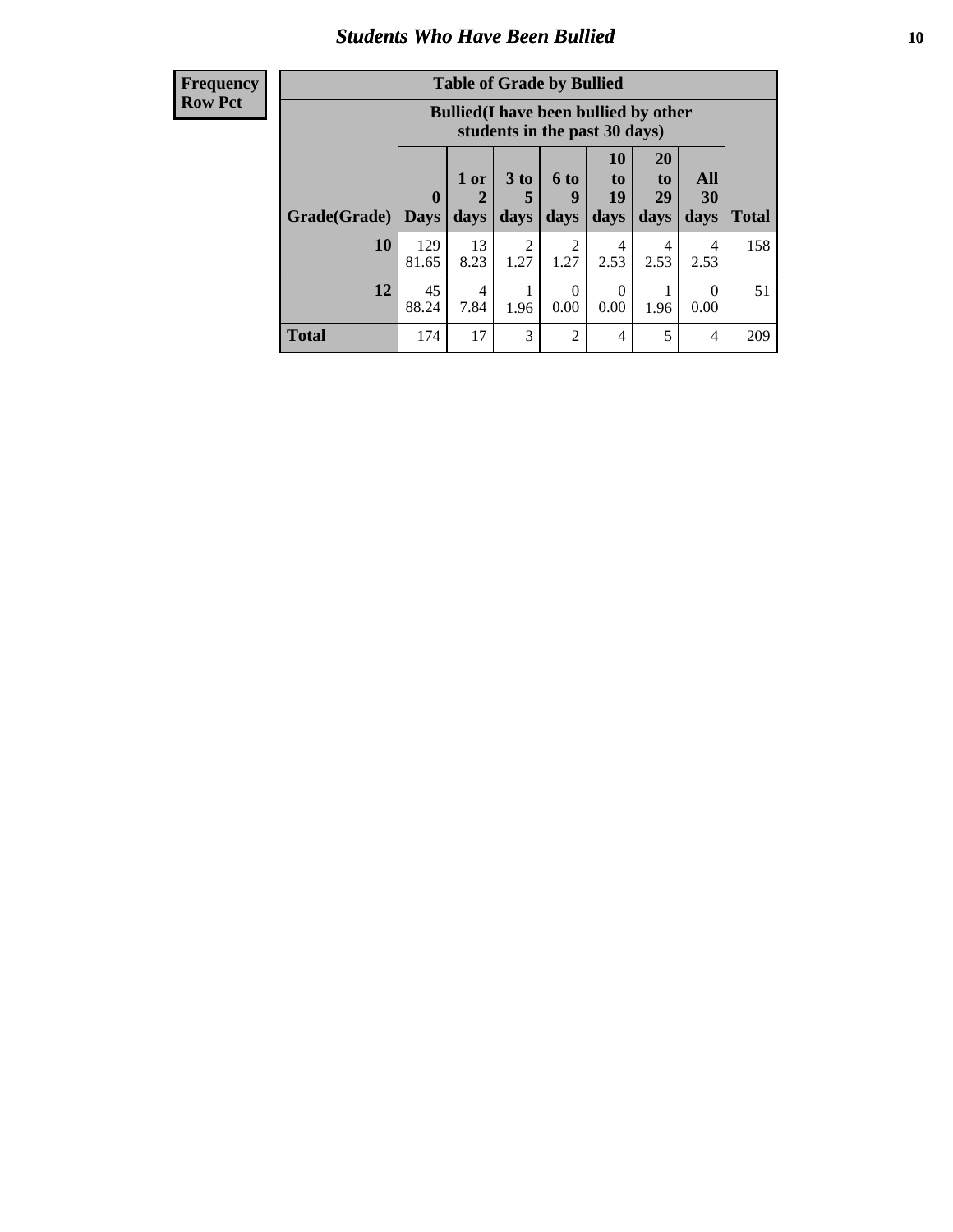### *Students Who Have Been Bullied* **10**

| <b>Frequency</b> |
|------------------|
| Row Pct          |

| <b>Table of Grade by Bullied</b> |                             |                                                                               |                              |                   |                               |                        |                       |              |
|----------------------------------|-----------------------------|-------------------------------------------------------------------------------|------------------------------|-------------------|-------------------------------|------------------------|-----------------------|--------------|
|                                  |                             | <b>Bullied</b> (I have been bullied by other<br>students in the past 30 days) |                              |                   |                               |                        |                       |              |
| Grade(Grade)                     | $\mathbf{0}$<br><b>Days</b> | 1 or<br>2<br>days                                                             | 3 <sub>to</sub><br>5<br>days | 6 to<br>9<br>days | <b>10</b><br>to<br>19<br>days | 20<br>to<br>29<br>days | All<br>30<br>days     | <b>Total</b> |
| 10                               | 129<br>81.65                | 13<br>8.23                                                                    | 2<br>1.27                    | 2<br>1.27         | 4<br>2.53                     | 4<br>2.53              | 4<br>2.53             | 158          |
| 12                               | 45<br>88.24                 | 4<br>7.84                                                                     | 1.96                         | $\Omega$<br>0.00  | $\Omega$<br>0.00              | 1.96                   | $\mathcal{O}$<br>0.00 | 51           |
| <b>Total</b>                     | 174                         | 17                                                                            | 3                            | $\overline{2}$    | 4                             | 5                      | 4                     | 209          |

 $\blacksquare$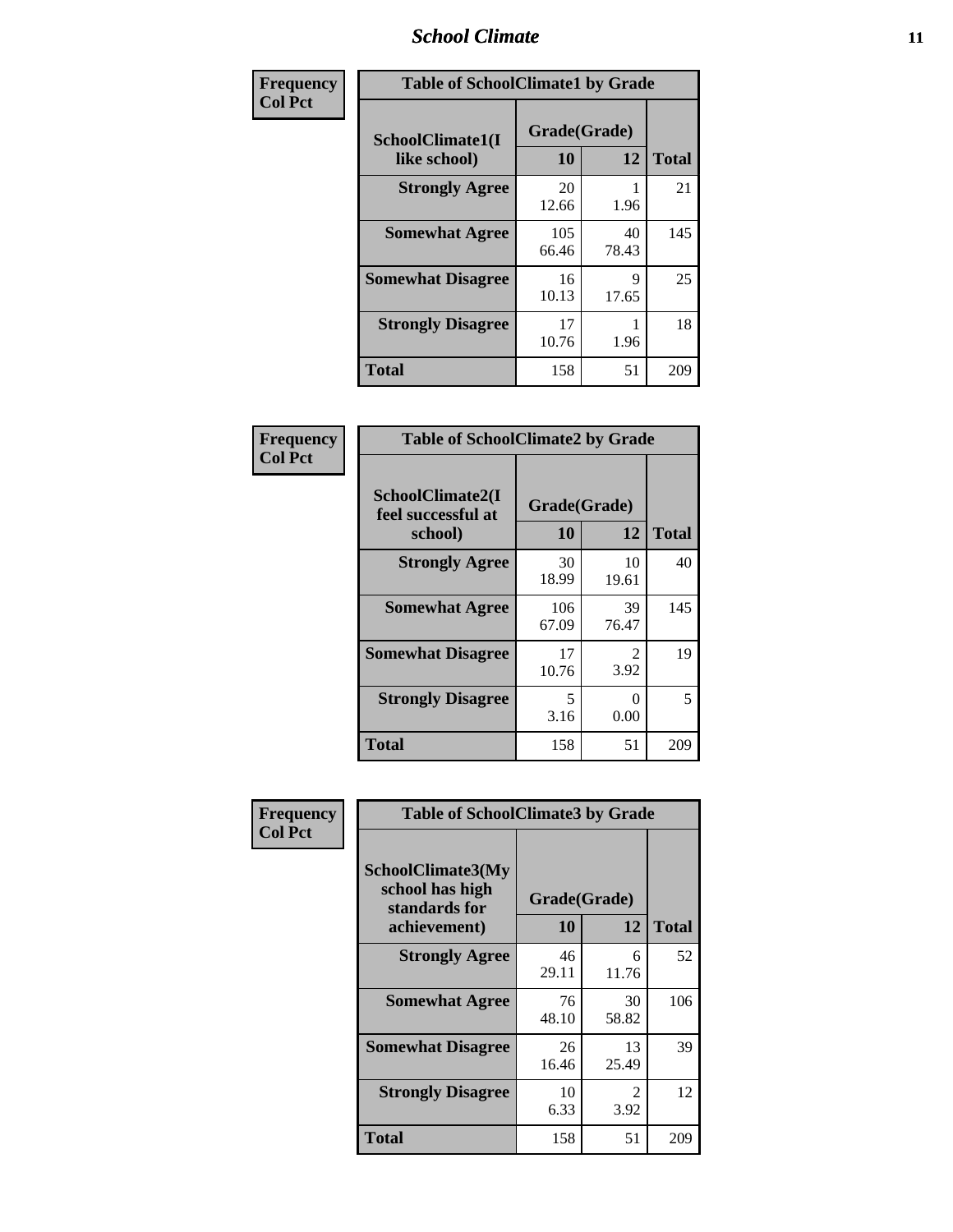### *School Climate* **11**

| Frequency      | <b>Table of SchoolClimate1 by Grade</b> |                    |             |              |  |  |  |
|----------------|-----------------------------------------|--------------------|-------------|--------------|--|--|--|
| <b>Col Pct</b> | SchoolClimate1(I<br>like school)        | Grade(Grade)<br>10 | 12          | <b>Total</b> |  |  |  |
|                | <b>Strongly Agree</b>                   | 20<br>12.66        | 1.96        | 21           |  |  |  |
|                | <b>Somewhat Agree</b>                   | 105<br>66.46       | 40<br>78.43 | 145          |  |  |  |
|                | <b>Somewhat Disagree</b>                | 16<br>10.13        | 9<br>17.65  | 25           |  |  |  |
|                | <b>Strongly Disagree</b>                | 17<br>10.76        | 1.96        | 18           |  |  |  |
|                | <b>Total</b>                            | 158                | 51          | 209          |  |  |  |

| Frequency      | <b>Table of SchoolClimate2 by Grade</b>           |                    |             |              |
|----------------|---------------------------------------------------|--------------------|-------------|--------------|
| <b>Col Pct</b> | SchoolClimate2(I<br>feel successful at<br>school) | Grade(Grade)<br>10 | 12          | <b>Total</b> |
|                | <b>Strongly Agree</b>                             | 30<br>18.99        | 10<br>19.61 | 40           |
|                | <b>Somewhat Agree</b>                             | 106<br>67.09       | 39<br>76.47 | 145          |
|                | <b>Somewhat Disagree</b>                          | 17<br>10.76        | 2<br>3.92   | 19           |
|                | <b>Strongly Disagree</b>                          | 5<br>3.16          | 0<br>0.00   | 5            |
|                | <b>Total</b>                                      | 158                | 51          | 209          |

| Frequency      | <b>Table of SchoolClimate3 by Grade</b>                      |              |             |              |  |
|----------------|--------------------------------------------------------------|--------------|-------------|--------------|--|
| <b>Col Pct</b> | <b>SchoolClimate3(My</b><br>school has high<br>standards for | Grade(Grade) |             |              |  |
|                | achievement)                                                 | <b>10</b>    | 12          | <b>Total</b> |  |
|                | <b>Strongly Agree</b>                                        | 46<br>29.11  | 6<br>11.76  | 52           |  |
|                | <b>Somewhat Agree</b>                                        | 76<br>48.10  | 30<br>58.82 | 106          |  |
|                | <b>Somewhat Disagree</b>                                     | 26<br>16.46  | 13<br>25.49 | 39           |  |
|                | <b>Strongly Disagree</b>                                     | 10<br>6.33   | 2<br>3.92   | 12           |  |
|                | Total                                                        | 158          | 51          | 209          |  |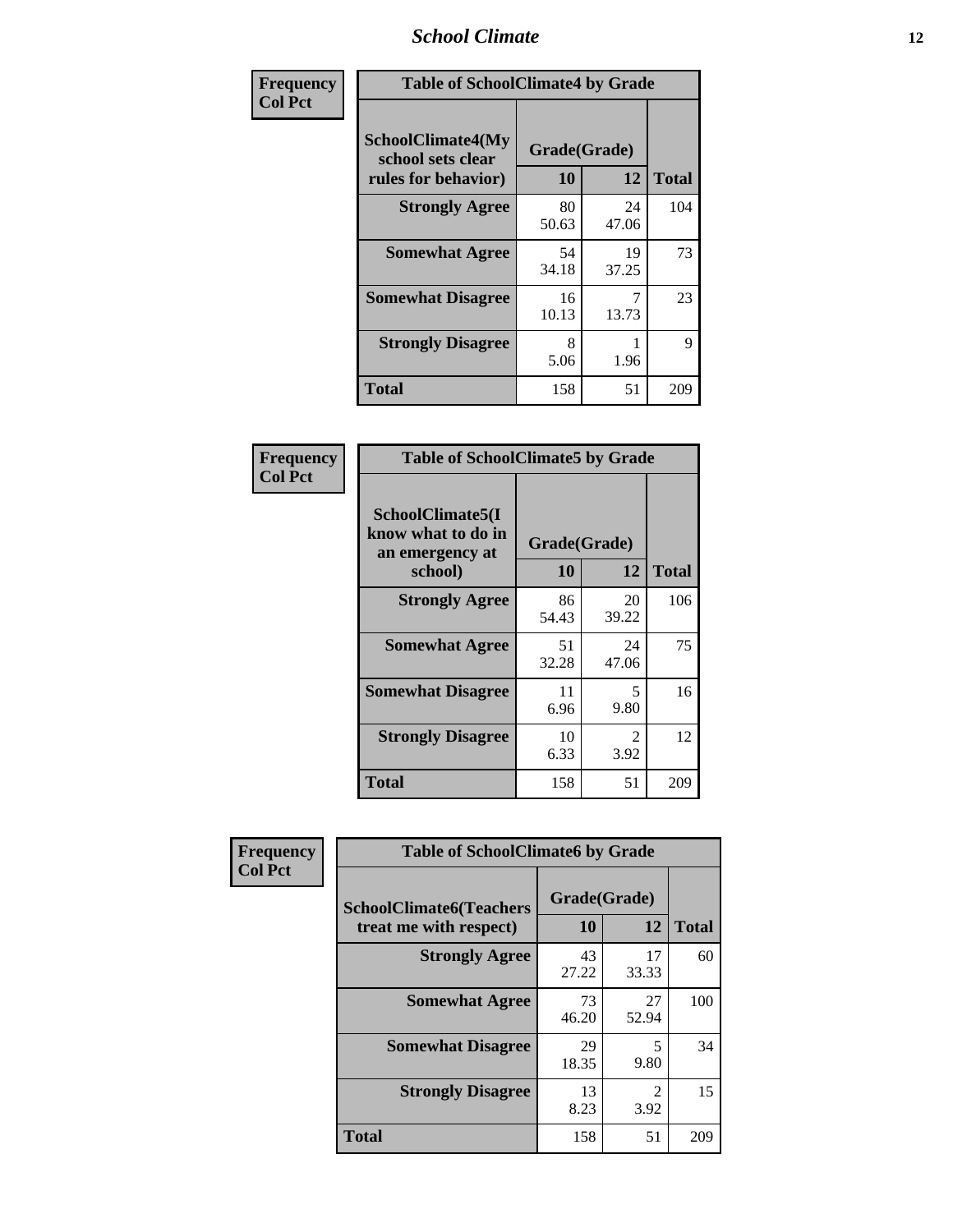### *School Climate* **12**

| Frequency      |                                                                      | <b>Table of SchoolClimate4 by Grade</b> |             |              |  |
|----------------|----------------------------------------------------------------------|-----------------------------------------|-------------|--------------|--|
| <b>Col Pct</b> | <b>SchoolClimate4(My</b><br>school sets clear<br>rules for behavior) | Grade(Grade)<br>10                      | 12          | <b>Total</b> |  |
|                | <b>Strongly Agree</b>                                                | 80<br>50.63                             | 24<br>47.06 | 104          |  |
|                | <b>Somewhat Agree</b>                                                | 54<br>34.18                             | 19<br>37.25 | 73           |  |
|                | <b>Somewhat Disagree</b>                                             | 16<br>10.13                             | 13.73       | 23           |  |
|                | <b>Strongly Disagree</b>                                             | 8<br>5.06                               | 1.96        | 9            |  |
|                | <b>Total</b>                                                         | 158                                     | 51          | 209          |  |

| <b>Table of SchoolClimate5 by Grade</b>                              |                    |             |              |  |
|----------------------------------------------------------------------|--------------------|-------------|--------------|--|
| SchoolClimate5(I<br>know what to do in<br>an emergency at<br>school) | Grade(Grade)<br>10 | 12          | <b>Total</b> |  |
| <b>Strongly Agree</b>                                                | 86<br>54.43        | 20<br>39.22 | 106          |  |
| <b>Somewhat Agree</b>                                                | 51<br>32.28        | 24<br>47.06 | 75           |  |
| <b>Somewhat Disagree</b>                                             | 11<br>6.96         | 5<br>9.80   | 16           |  |
| <b>Strongly Disagree</b>                                             | 10<br>6.33         | 2<br>3.92   | 12           |  |
| Total                                                                | 158                | 51          | 209          |  |

| Frequency      | <b>Table of SchoolClimate6 by Grade</b>                  |                    |                                     |              |
|----------------|----------------------------------------------------------|--------------------|-------------------------------------|--------------|
| <b>Col Pct</b> | <b>SchoolClimate6(Teachers</b><br>treat me with respect) | Grade(Grade)<br>10 | 12                                  | <b>Total</b> |
|                | <b>Strongly Agree</b>                                    | 43<br>27.22        | 17<br>33.33                         | 60           |
|                | <b>Somewhat Agree</b>                                    | 73<br>46.20        | 27<br>52.94                         | 100          |
|                | <b>Somewhat Disagree</b>                                 | 29<br>18.35        | 5<br>9.80                           | 34           |
|                | <b>Strongly Disagree</b>                                 | 13<br>8.23         | $\mathcal{D}_{\mathcal{L}}$<br>3.92 | 15           |
|                | <b>Total</b>                                             | 158                | 51                                  | 209          |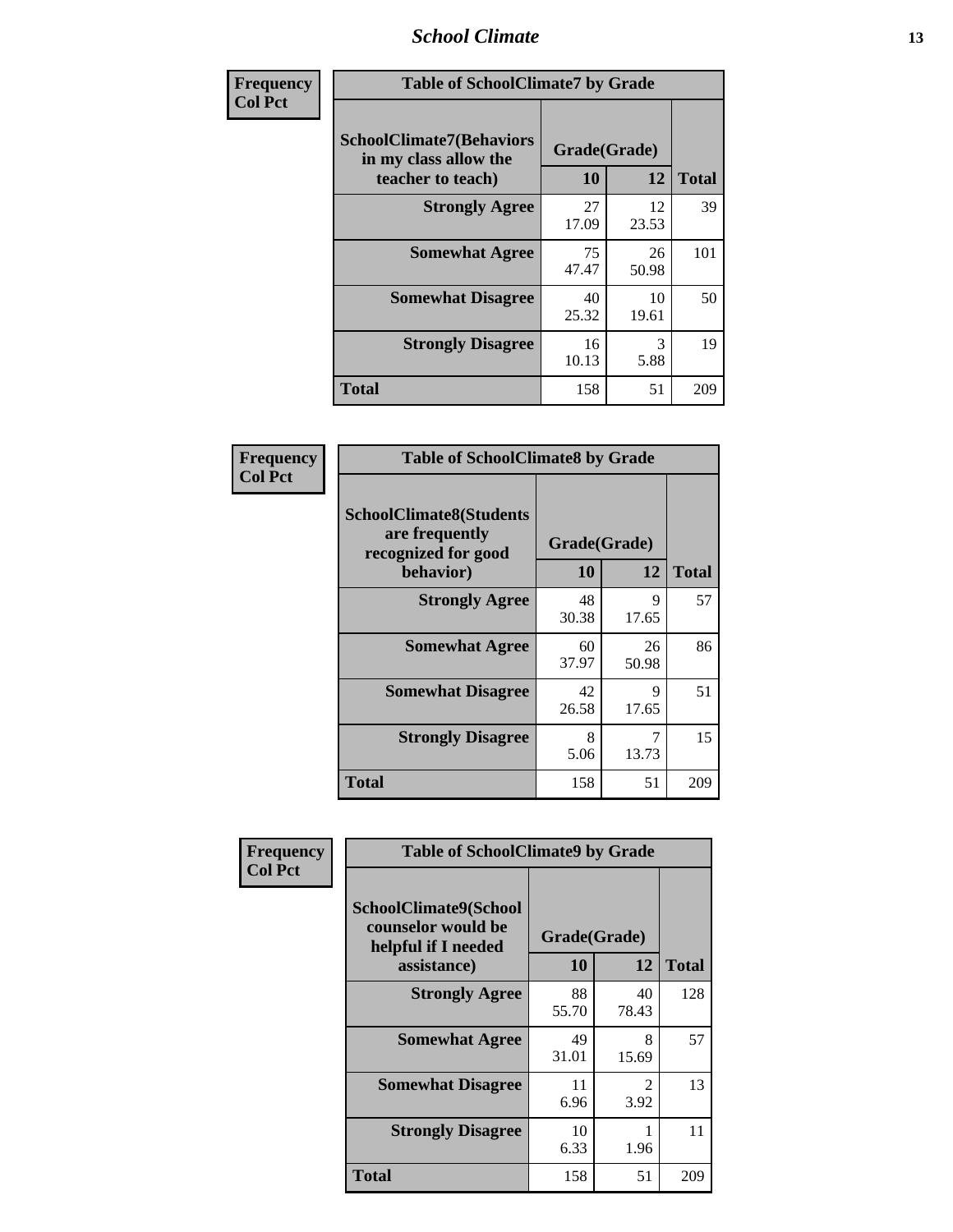### *School Climate* **13**

| Frequency      | <b>Table of SchoolClimate7 by Grade</b>                                       |                           |             |              |
|----------------|-------------------------------------------------------------------------------|---------------------------|-------------|--------------|
| <b>Col Pct</b> | <b>SchoolClimate7(Behaviors</b><br>in my class allow the<br>teacher to teach) | Grade(Grade)<br><b>10</b> | 12          | <b>Total</b> |
|                | <b>Strongly Agree</b>                                                         | 27<br>17.09               | 12<br>23.53 | 39           |
|                | <b>Somewhat Agree</b>                                                         | 75<br>47.47               | 26<br>50.98 | 101          |
|                | <b>Somewhat Disagree</b>                                                      | 40<br>25.32               | 10<br>19.61 | 50           |
|                | <b>Strongly Disagree</b>                                                      | 16<br>10.13               | 3<br>5.88   | 19           |
|                | <b>Total</b>                                                                  | 158                       | 51          | 209          |

| Frequency      | <b>Table of SchoolClimate8 by Grade</b>                                 |              |             |              |
|----------------|-------------------------------------------------------------------------|--------------|-------------|--------------|
| <b>Col Pct</b> | <b>SchoolClimate8(Students</b><br>are frequently<br>recognized for good | Grade(Grade) |             |              |
|                | behavior)                                                               | 10           | 12          | <b>Total</b> |
|                | <b>Strongly Agree</b>                                                   | 48<br>30.38  | 9<br>17.65  | 57           |
|                | <b>Somewhat Agree</b>                                                   | 60<br>37.97  | 26<br>50.98 | 86           |
|                | <b>Somewhat Disagree</b>                                                | 42<br>26.58  | 9<br>17.65  | 51           |
|                | <b>Strongly Disagree</b>                                                | 8<br>5.06    | 7<br>13.73  | 15           |
|                | <b>Total</b>                                                            | 158          | 51          | 209          |

| Frequency      | <b>Table of SchoolClimate9 by Grade</b>                                           |                    |                        |              |
|----------------|-----------------------------------------------------------------------------------|--------------------|------------------------|--------------|
| <b>Col Pct</b> | SchoolClimate9(School<br>counselor would be<br>helpful if I needed<br>assistance) | Grade(Grade)<br>10 | 12                     | <b>Total</b> |
|                | <b>Strongly Agree</b>                                                             | 88<br>55.70        | 40<br>78.43            | 128          |
|                | <b>Somewhat Agree</b>                                                             | 49<br>31.01        | 8<br>15.69             | 57           |
|                | <b>Somewhat Disagree</b>                                                          | 11<br>6.96         | $\mathfrak{D}$<br>3.92 | 13           |
|                | <b>Strongly Disagree</b>                                                          | 10<br>6.33         | 1.96                   | 11           |
|                | Total                                                                             | 158                | 51                     | 209          |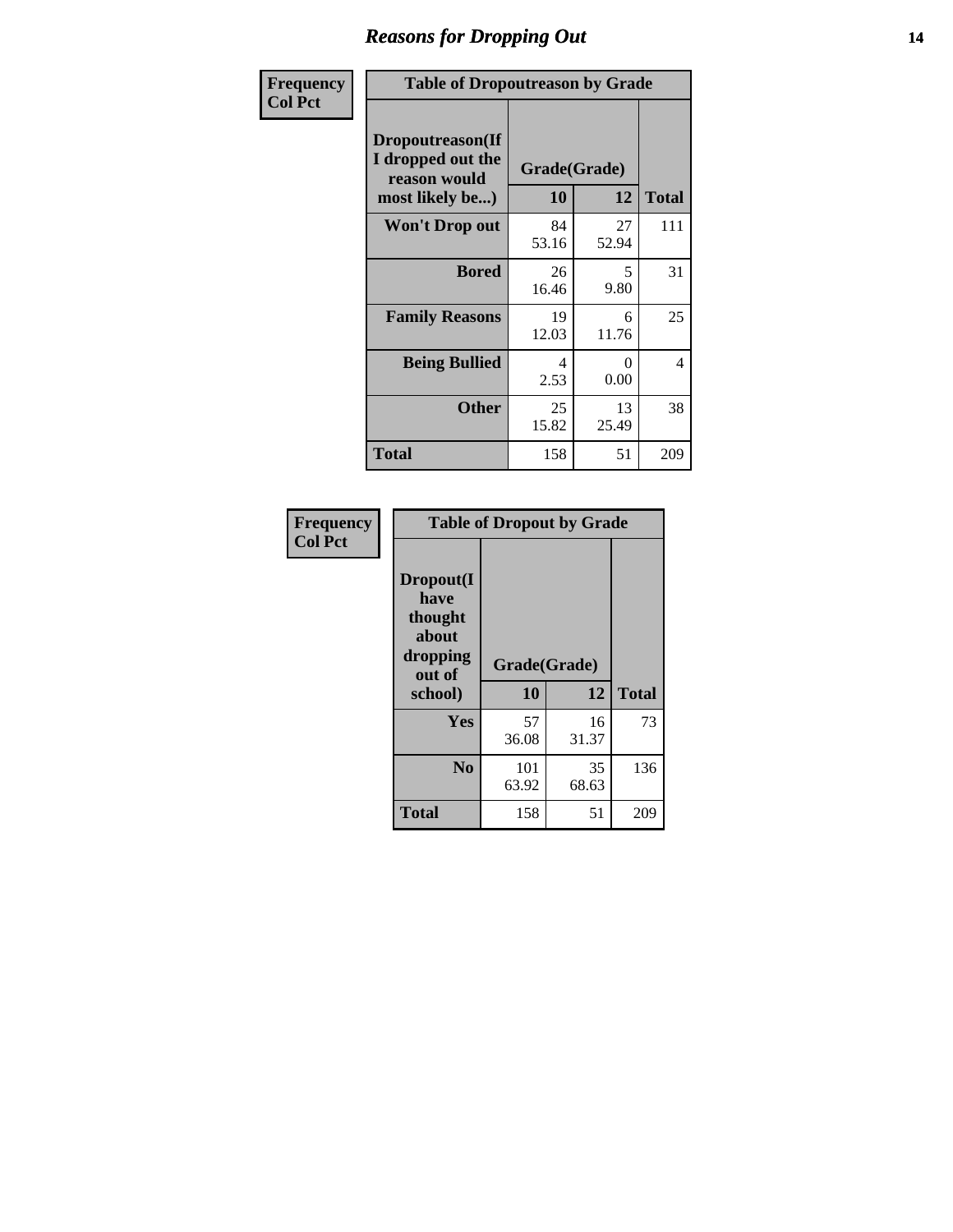### *Reasons for Dropping Out* **14**

| Frequency      | <b>Table of Dropoutreason by Grade</b>                                   |             |                    |              |
|----------------|--------------------------------------------------------------------------|-------------|--------------------|--------------|
| <b>Col Pct</b> | Dropoutreason(If<br>I dropped out the<br>reason would<br>most likely be) | 10          | Grade(Grade)<br>12 | <b>Total</b> |
|                | Won't Drop out                                                           | 84<br>53.16 | 27<br>52.94        | 111          |
|                | <b>Bored</b>                                                             | 26<br>16.46 | 5<br>9.80          | 31           |
|                | <b>Family Reasons</b>                                                    | 19<br>12.03 | 6<br>11.76         | 25           |
|                | <b>Being Bullied</b>                                                     | 4<br>2.53   | $\Omega$<br>0.00   | 4            |
|                | <b>Other</b>                                                             | 25<br>15.82 | 13<br>25.49        | 38           |
|                | <b>Total</b>                                                             | 158         | 51                 | 209          |

| Frequency      | <b>Table of Dropout by Grade</b>                                       |                    |             |              |  |
|----------------|------------------------------------------------------------------------|--------------------|-------------|--------------|--|
| <b>Col Pct</b> | Dropout(I<br>have<br>thought<br>about<br>dropping<br>out of<br>school) | Grade(Grade)<br>10 | 12          | <b>Total</b> |  |
|                | Yes                                                                    | 57<br>36.08        | 16<br>31.37 | 73           |  |
|                | N <sub>0</sub>                                                         | 101<br>63.92       | 35<br>68.63 | 136          |  |
|                | <b>Total</b>                                                           | 158                | 51          | 209          |  |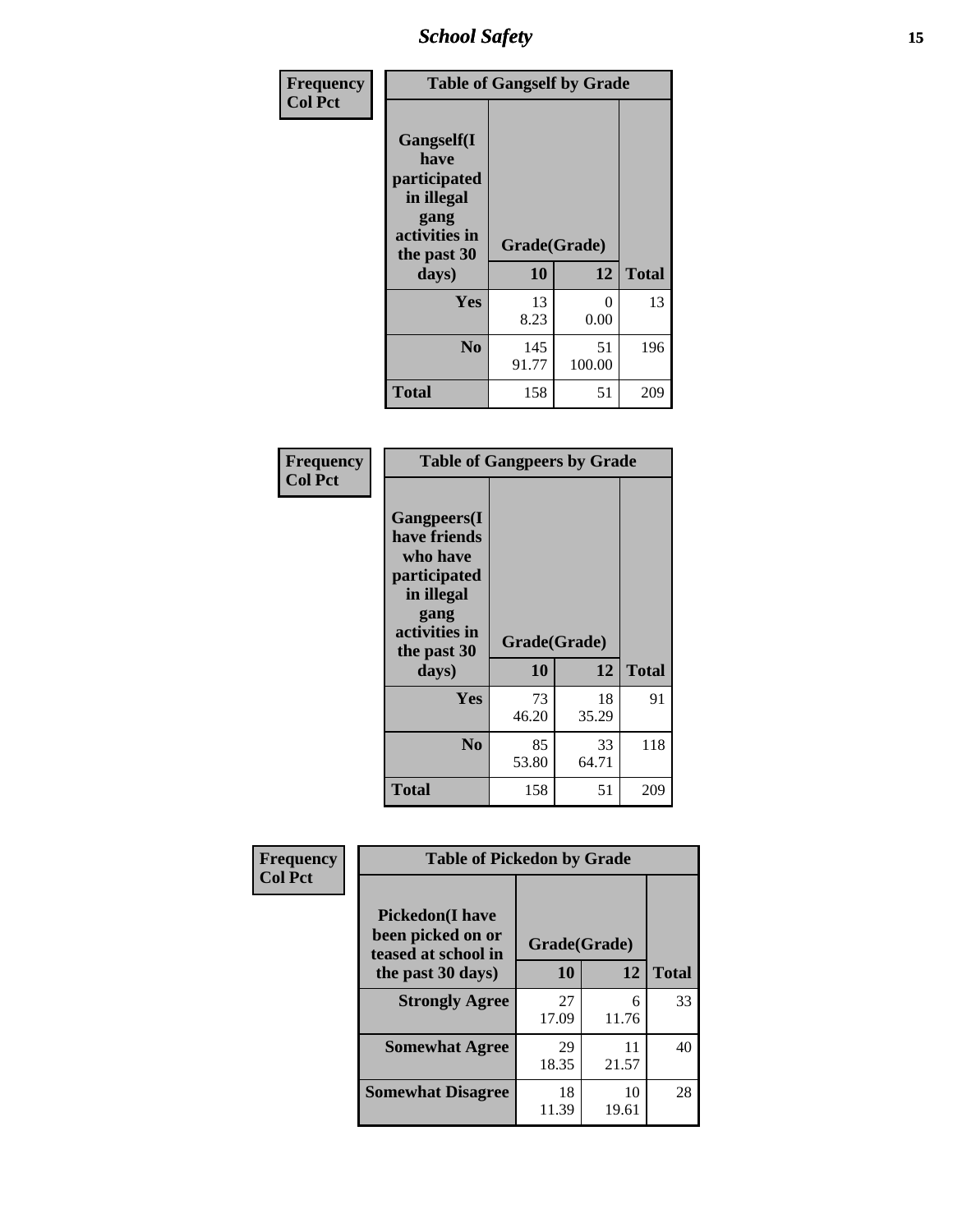*School Safety* **15**

| Frequency      | <b>Table of Gangself by Grade</b>                                                                 |                          |              |              |
|----------------|---------------------------------------------------------------------------------------------------|--------------------------|--------------|--------------|
| <b>Col Pct</b> | Gangself(I<br>have<br>participated<br>in illegal<br>gang<br>activities in<br>the past 30<br>days) | Grade(Grade)<br>10<br>12 |              | <b>Total</b> |
|                | Yes                                                                                               | 13<br>8.23               | 0<br>0.00    | 13           |
|                | N <sub>0</sub>                                                                                    | 145<br>91.77             | 51<br>100.00 | 196          |
|                | <b>Total</b>                                                                                      | 158                      | 51           | 209          |

| Frequency<br><b>Col Pct</b> | <b>Table of Gangpeers by Grade</b>                                                                                             |                    |             |              |  |
|-----------------------------|--------------------------------------------------------------------------------------------------------------------------------|--------------------|-------------|--------------|--|
|                             | <b>Gangpeers</b> (I<br>have friends<br>who have<br>participated<br>in illegal<br>gang<br>activities in<br>the past 30<br>days) | Grade(Grade)<br>10 | 12          | <b>Total</b> |  |
|                             | <b>Yes</b>                                                                                                                     | 73<br>46.20        | 18<br>35.29 | 91           |  |
|                             | N <sub>0</sub>                                                                                                                 | 85<br>53.80        | 33<br>64.71 | 118          |  |
|                             | <b>Total</b>                                                                                                                   | 158                | 51          | 209          |  |

| Frequency      | <b>Table of Pickedon by Grade</b>                                                        |                    |                  |    |
|----------------|------------------------------------------------------------------------------------------|--------------------|------------------|----|
| <b>Col Pct</b> | <b>Pickedon</b> (I have<br>been picked on or<br>teased at school in<br>the past 30 days) | Grade(Grade)<br>10 | <b>Total</b>     |    |
|                | <b>Strongly Agree</b>                                                                    | 27<br>17.09        | 12<br>6<br>11.76 | 33 |
|                | <b>Somewhat Agree</b>                                                                    | 29<br>18.35        | 11<br>21.57      | 40 |
|                | <b>Somewhat Disagree</b>                                                                 | 18<br>11.39        | 10<br>19.61      | 28 |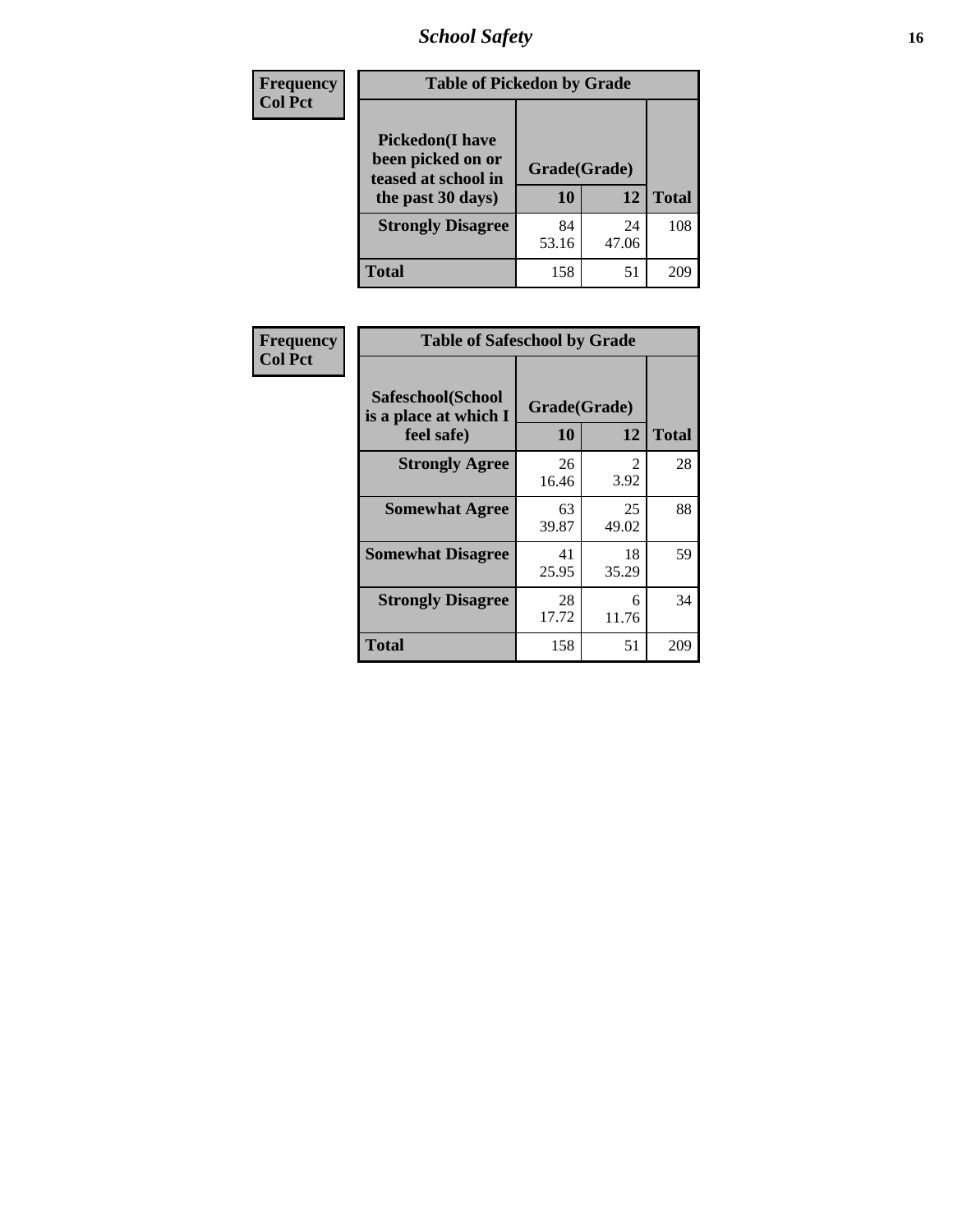*School Safety* **16**

| <b>Frequency</b> |                                                                                          | <b>Table of Pickedon by Grade</b> |             |              |  |  |  |  |  |  |
|------------------|------------------------------------------------------------------------------------------|-----------------------------------|-------------|--------------|--|--|--|--|--|--|
| <b>Col Pct</b>   | <b>Pickedon</b> (I have<br>been picked on or<br>teased at school in<br>the past 30 days) | Grade(Grade)<br>10                | 12          | <b>Total</b> |  |  |  |  |  |  |
|                  | <b>Strongly Disagree</b>                                                                 | 84<br>53.16                       | 24<br>47.06 | 108          |  |  |  |  |  |  |
|                  | <b>Total</b>                                                                             | 158                               | 51          | 209          |  |  |  |  |  |  |

| Frequency      | <b>Table of Safeschool by Grade</b>                      |                    |             |              |
|----------------|----------------------------------------------------------|--------------------|-------------|--------------|
| <b>Col Pct</b> | Safeschool(School<br>is a place at which I<br>feel safe) | Grade(Grade)<br>10 | 12          | <b>Total</b> |
|                | <b>Strongly Agree</b>                                    | 26<br>16.46        | 2<br>3.92   | 28           |
|                | <b>Somewhat Agree</b>                                    | 63<br>39.87        | 25<br>49.02 | 88           |
|                | <b>Somewhat Disagree</b>                                 | 41<br>25.95        | 18<br>35.29 | 59           |
|                | <b>Strongly Disagree</b>                                 | 28<br>17.72        | 6<br>11.76  | 34           |
|                | <b>Total</b>                                             | 158                | 51          | 209          |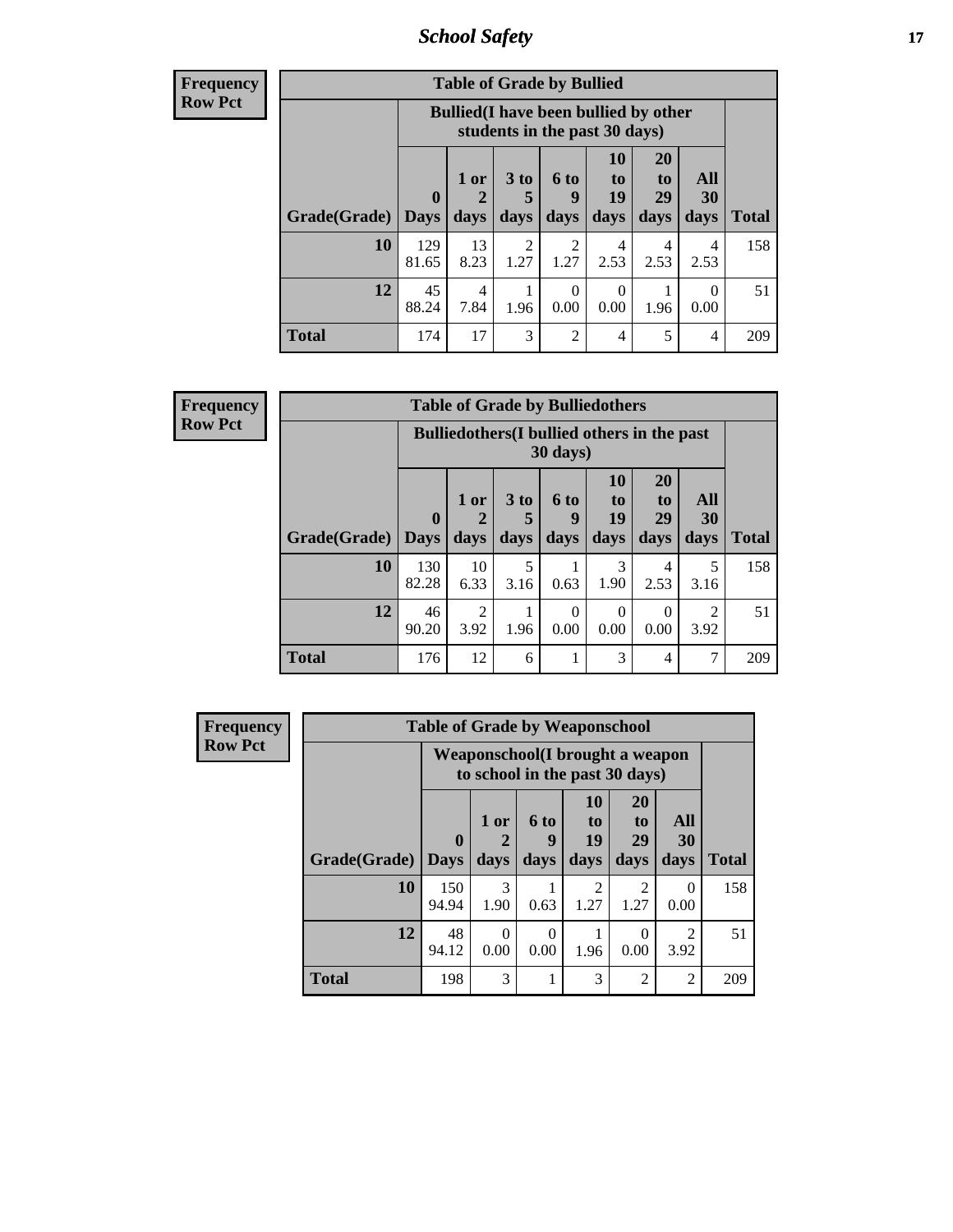*School Safety* **17**

| <b>Frequency</b> |
|------------------|
| Row Pct          |

| <b>Table of Grade by Bullied</b> |                             |                                                                               |                        |                          |                               |                               |                   |              |  |  |  |  |
|----------------------------------|-----------------------------|-------------------------------------------------------------------------------|------------------------|--------------------------|-------------------------------|-------------------------------|-------------------|--------------|--|--|--|--|
|                                  |                             | <b>Bullied</b> (I have been bullied by other<br>students in the past 30 days) |                        |                          |                               |                               |                   |              |  |  |  |  |
| Grade(Grade)                     | $\mathbf{0}$<br><b>Days</b> | $1$ or<br>days                                                                | 3 to<br>5<br>days      | <b>6 to</b><br>9<br>days | <b>10</b><br>to<br>19<br>days | <b>20</b><br>to<br>29<br>days | All<br>30<br>days | <b>Total</b> |  |  |  |  |
| 10                               | 129<br>81.65                | 13<br>8.23                                                                    | $\overline{c}$<br>1.27 | 2<br>1.27                | 4<br>2.53                     | 4<br>2.53                     | 4<br>2.53         | 158          |  |  |  |  |
| 12                               | 45<br>88.24                 | 4<br>7.84                                                                     | 1.96                   | $\theta$<br>0.00         | 0<br>0.00                     | 1.96                          | 0.00              | 51           |  |  |  |  |
| <b>Total</b>                     | 174                         | 17                                                                            | 3                      | $\overline{c}$           | 4                             | 5                             | $\overline{4}$    | 209          |  |  |  |  |

| Frequency      | <b>Table of Grade by Bulliedothers</b> |                                           |        |          |                |  |  |
|----------------|----------------------------------------|-------------------------------------------|--------|----------|----------------|--|--|
| <b>Row Pct</b> |                                        | <b>Bulliedothers</b> (I bullied others in |        | 30 days) |                |  |  |
|                |                                        | $1$ or $\vert$                            | $3$ to | 6 to     | 10<br>to<br>19 |  |  |

|              |                                 | <b>Bulliedothers</b> (I bullied others in the past<br>$30 \text{ days}$ |                              |                          |                        |                        |                        |       |  |  |  |  |  |
|--------------|---------------------------------|-------------------------------------------------------------------------|------------------------------|--------------------------|------------------------|------------------------|------------------------|-------|--|--|--|--|--|
| Grade(Grade) | $\boldsymbol{0}$<br><b>Days</b> | 1 or<br>2<br>days                                                       | 3 <sub>to</sub><br>5<br>days | <b>6 to</b><br>9<br>days | 10<br>to<br>19<br>days | 20<br>to<br>29<br>days | All<br>30<br>days      | Total |  |  |  |  |  |
| 10           | 130<br>82.28                    | 10<br>6.33                                                              | 5<br>3.16                    | 0.63                     | 3<br>1.90              | 4<br>2.53              | 5<br>3.16              | 158   |  |  |  |  |  |
| 12           | 46<br>90.20                     | $\overline{2}$<br>3.92                                                  | 1.96                         | $\Omega$<br>0.00         | 0<br>0.00              | 0<br>0.00              | $\mathfrak{D}$<br>3.92 | 51    |  |  |  |  |  |
| <b>Total</b> | 176                             | 12                                                                      | 6                            |                          | 3                      | 4                      | ℸ                      | 209   |  |  |  |  |  |

| <b>Frequency</b> |              | <b>Table of Grade by Weaponschool</b> |                                                                    |                   |                        |                               |                   |              |  |  |  |  |  |
|------------------|--------------|---------------------------------------|--------------------------------------------------------------------|-------------------|------------------------|-------------------------------|-------------------|--------------|--|--|--|--|--|
| <b>Row Pct</b>   |              |                                       | Weaponschool (I brought a weapon<br>to school in the past 30 days) |                   |                        |                               |                   |              |  |  |  |  |  |
|                  | Grade(Grade) | $\bf{0}$<br><b>Days</b>               | 1 or<br>days                                                       | 6 to<br>g<br>days | 10<br>to<br>19<br>days | <b>20</b><br>to<br>29<br>days | All<br>30<br>days | <b>Total</b> |  |  |  |  |  |
|                  | 10           | 150<br>94.94                          | 3<br>1.90                                                          | 0.63              | 2<br>1.27              | 2<br>1.27                     | $\Omega$<br>0.00  | 158          |  |  |  |  |  |
|                  | 12           | 48<br>94.12                           | $\Omega$<br>0.00                                                   | $\bigcap$<br>0.00 | 1.96                   | $\Omega$<br>0.00              | 2<br>3.92         | 51           |  |  |  |  |  |
|                  | <b>Total</b> | 198                                   | 3                                                                  |                   | 3                      | $\overline{2}$                | 2                 | 209          |  |  |  |  |  |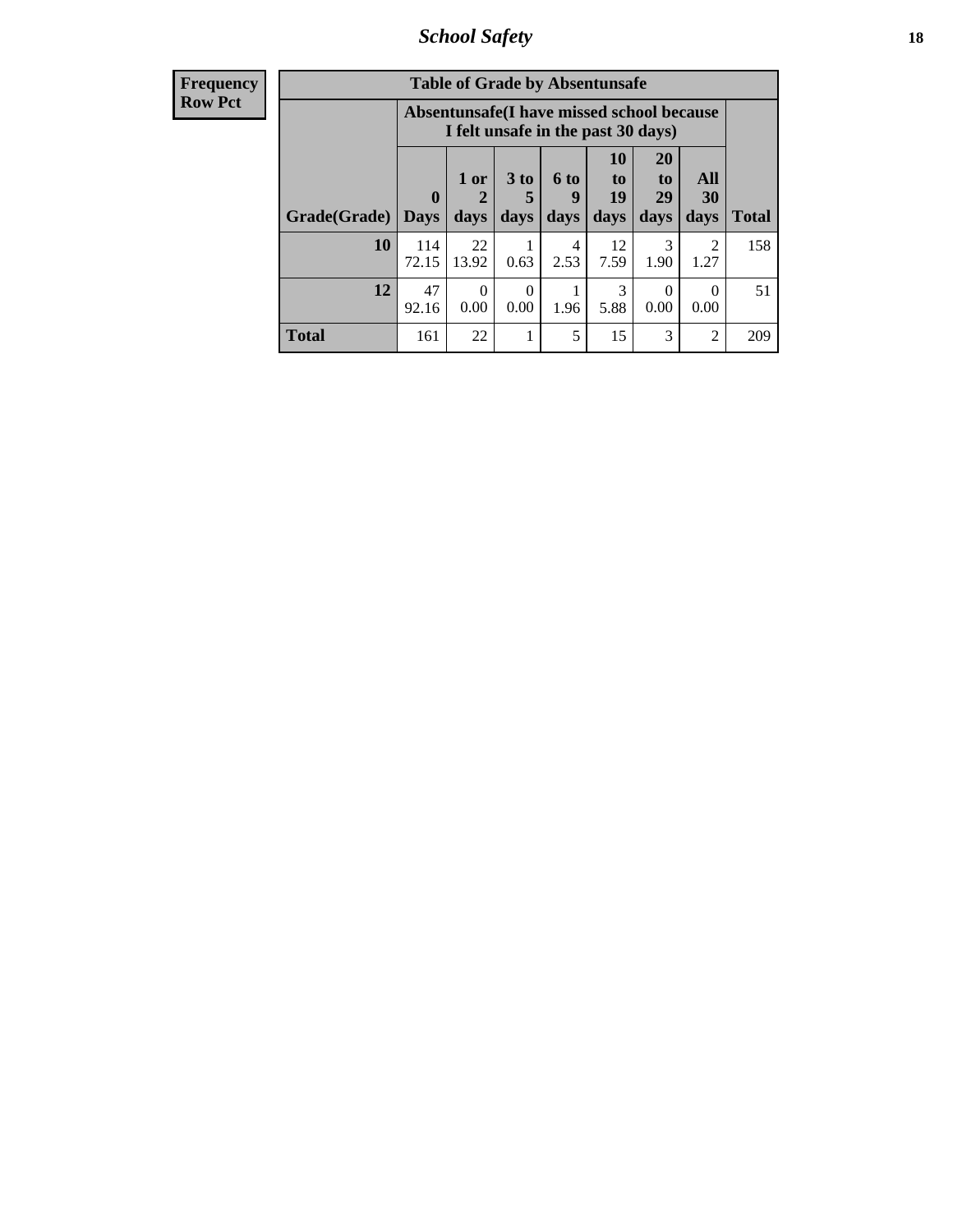*School Safety* **18**

| <b>Frequency</b> |              |              | <b>Table of Grade by Absentunsafe</b>                                           |                  |                  |                                 |                                   |                  |              |
|------------------|--------------|--------------|---------------------------------------------------------------------------------|------------------|------------------|---------------------------------|-----------------------------------|------------------|--------------|
| <b>Row Pct</b>   |              |              | Absentunsafe(I have missed school because<br>I felt unsafe in the past 30 days) |                  |                  |                                 |                                   |                  |              |
|                  |              | $\mathbf{0}$ | 1 or<br>2                                                                       | $3$ to<br>5      | <b>6 to</b><br>9 | <b>10</b><br>$\mathbf{t}$<br>19 | <b>20</b><br>t <sub>o</sub><br>29 | All<br>30        |              |
|                  | Grade(Grade) | Days         | days                                                                            | days             | days             | days                            | days                              | days             | <b>Total</b> |
|                  | 10           | 114<br>72.15 | 22<br>13.92                                                                     | 0.63             | 4<br>2.53        | 12<br>7.59                      | 3<br>1.90                         | 2<br>1.27        | 158          |
|                  | 12           | 47<br>92.16  | $\Omega$<br>0.00                                                                | $\Omega$<br>0.00 | 1.96             | 3<br>5.88                       | $\Omega$<br>0.00                  | $\Omega$<br>0.00 | 51           |
|                  | <b>Total</b> | 161          | 22                                                                              |                  | 5                | 15                              | 3                                 | $\overline{2}$   | 209          |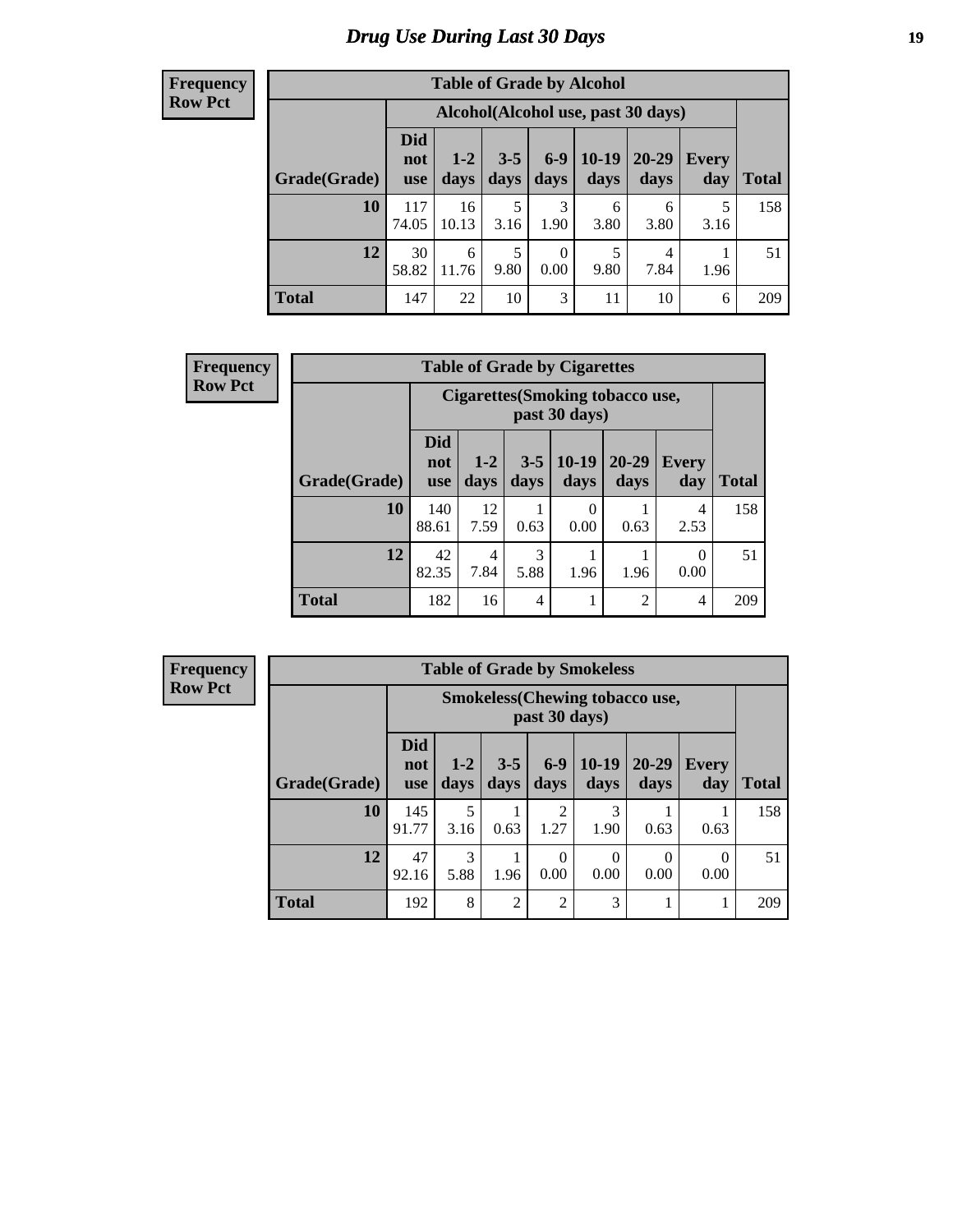# *Drug Use During Last 30 Days* **19**

#### **Frequency Row Pct**

| <b>Table of Grade by Alcohol</b> |                                 |                                     |                 |                  |                 |               |              |       |  |  |  |
|----------------------------------|---------------------------------|-------------------------------------|-----------------|------------------|-----------------|---------------|--------------|-------|--|--|--|
|                                  |                                 | Alcohol (Alcohol use, past 30 days) |                 |                  |                 |               |              |       |  |  |  |
| Grade(Grade)                     | <b>Did</b><br>not<br><b>use</b> | $1 - 2$<br>days                     | $3 - 5$<br>days | $6 - 9$<br>days  | $10-19$<br>days | 20-29<br>days | Every<br>day | Total |  |  |  |
| 10                               | 117<br>74.05                    | 16<br>10.13                         | 5<br>3.16       | 3<br>1.90        | 6<br>3.80       | 6<br>3.80     | 5<br>3.16    | 158   |  |  |  |
| 12                               | 30<br>58.82                     | 6<br>11.76                          | 5<br>9.80       | $\theta$<br>0.00 | 5<br>9.80       | 4<br>7.84     | 1.96         | 51    |  |  |  |
| <b>Total</b>                     | 147                             | 22                                  | 10              | 3                | 11              | 10            | 6            | 209   |  |  |  |

| <b>Frequency</b> |              | <b>Table of Grade by Cigarettes</b><br>Cigarettes (Smoking tobacco use,<br>past 30 days) |               |                 |                 |                   |                     |              |  |  |
|------------------|--------------|------------------------------------------------------------------------------------------|---------------|-----------------|-----------------|-------------------|---------------------|--------------|--|--|
| <b>Row Pct</b>   |              |                                                                                          |               |                 |                 |                   |                     |              |  |  |
|                  | Grade(Grade) | <b>Did</b><br>not<br><b>use</b>                                                          | $1-2$<br>days | $3 - 5$<br>days | $10-19$<br>days | $20 - 29$<br>days | <b>Every</b><br>day | <b>Total</b> |  |  |
|                  | 10           | 140<br>88.61                                                                             | 12<br>7.59    | 0.63            | 0<br>0.00       | 0.63              | 4<br>2.53           | 158          |  |  |
|                  | 12           | 42<br>82.35                                                                              | 4<br>7.84     | 3<br>5.88       | 1.96            | 1.96              | $\theta$<br>0.00    | 51           |  |  |
|                  | <b>Total</b> | 182                                                                                      | 16            | 4               | 1<br>н          | $\mathfrak{D}$    | $\overline{4}$      | 209          |  |  |

| <b>Table of Grade by Smokeless</b> |                                 |                                                        |                 |                        |                  |                   |                          |              |  |  |  |  |
|------------------------------------|---------------------------------|--------------------------------------------------------|-----------------|------------------------|------------------|-------------------|--------------------------|--------------|--|--|--|--|
|                                    |                                 | <b>Smokeless</b> (Chewing tobaccouse,<br>past 30 days) |                 |                        |                  |                   |                          |              |  |  |  |  |
| Grade(Grade)                       | <b>Did</b><br>not<br><b>use</b> | $1 - 2$<br>days                                        | $3 - 5$<br>days | $6-9$<br>days          | $10-19$<br>days  | $20 - 29$<br>days | <b>Every</b><br>day      | <b>Total</b> |  |  |  |  |
| 10                                 | 145<br>91.77                    | 5<br>3.16                                              | 0.63            | $\overline{2}$<br>1.27 | 3<br>1.90        | 0.63              | 0.63                     | 158          |  |  |  |  |
| 12                                 | 47<br>92.16                     | 3<br>5.88                                              | 1.96            | $\Omega$<br>0.00       | $\theta$<br>0.00 | $\theta$<br>0.00  | $\left( \right)$<br>0.00 | 51           |  |  |  |  |
| <b>Total</b>                       | 192                             | 8                                                      | $\overline{2}$  | $\overline{2}$         | 3                |                   |                          | 209          |  |  |  |  |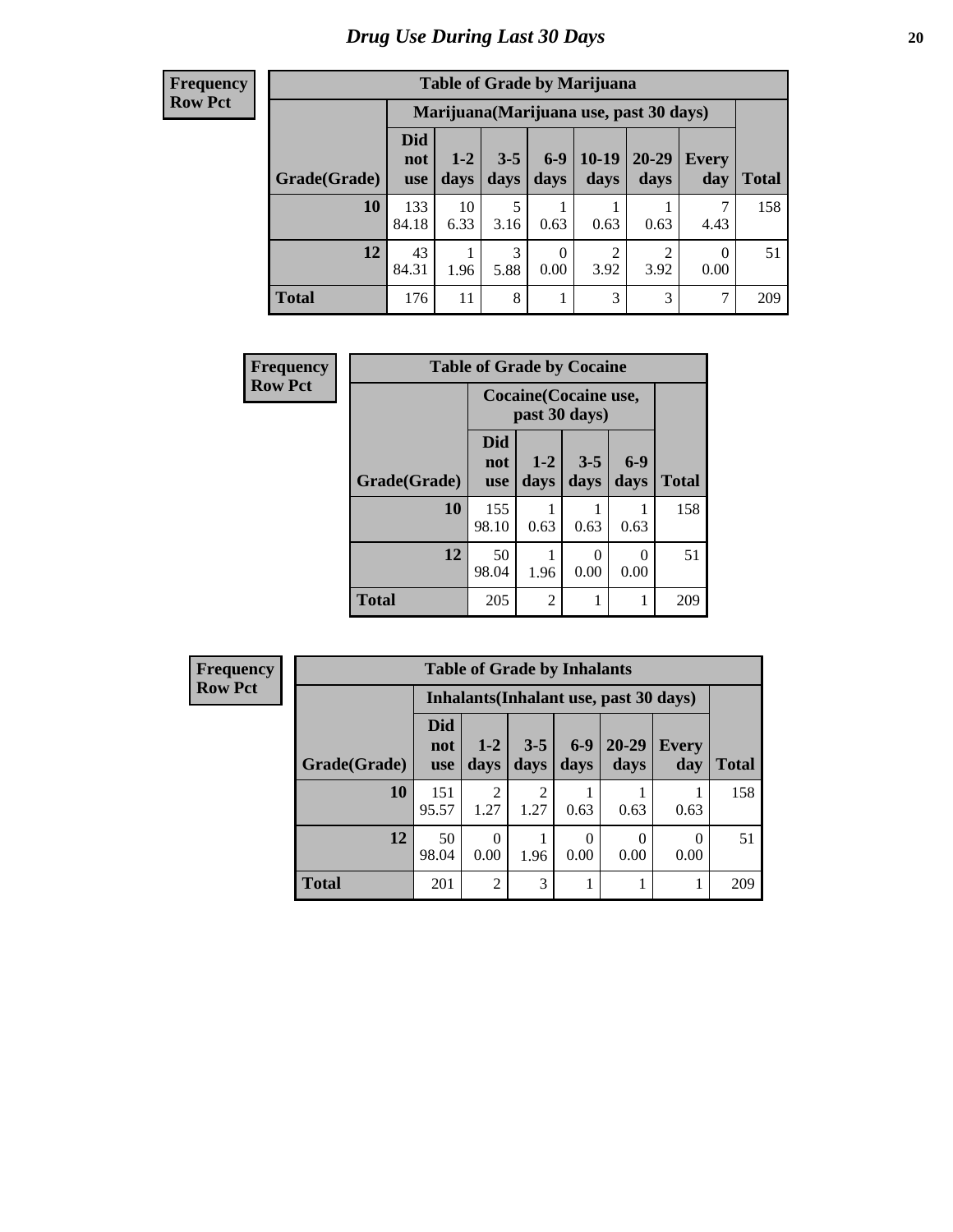| <b>Table of Grade by Marijuana</b> |                                 |                                         |                 |                  |                        |                        |              |       |
|------------------------------------|---------------------------------|-----------------------------------------|-----------------|------------------|------------------------|------------------------|--------------|-------|
|                                    |                                 | Marijuana (Marijuana use, past 30 days) |                 |                  |                        |                        |              |       |
| Grade(Grade)                       | <b>Did</b><br>not<br><b>use</b> | $1 - 2$<br>days                         | $3 - 5$<br>days | $6 - 9$<br>days  | $10-19$<br>days        | 20-29<br>days          | Every<br>day | Total |
| 10                                 | 133<br>84.18                    | 10<br>6.33                              | 5<br>3.16       | 0.63             | 0.63                   | 0.63                   | 4.43         | 158   |
| 12                                 | 43<br>84.31                     | 1.96                                    | 3<br>5.88       | $\theta$<br>0.00 | $\overline{c}$<br>3.92 | $\overline{2}$<br>3.92 | 0<br>0.00    | 51    |
| <b>Total</b>                       | 176                             | 11                                      | 8               | 1                | 3                      | 3                      | 7            | 209   |

| Frequency      | <b>Table of Grade by Cocaine</b> |                          |                                        |                 |                  |              |  |
|----------------|----------------------------------|--------------------------|----------------------------------------|-----------------|------------------|--------------|--|
| <b>Row Pct</b> |                                  |                          | Cocaine (Cocaine use,<br>past 30 days) |                 |                  |              |  |
|                | Grade(Grade)                     | Did<br>not<br><b>use</b> | $1 - 2$<br>days                        | $3 - 5$<br>days | $6-9$<br>days    | <b>Total</b> |  |
|                | 10                               | 155<br>98.10             | 0.63                                   | 0.63            | 0.63             | 158          |  |
|                | 12                               | 50<br>98.04              | 1.96                                   | 0.00            | $\theta$<br>0.00 | 51           |  |
|                | <b>Total</b>                     | 205                      | $\overline{c}$                         |                 | 1                | 209          |  |

| <b>Frequency</b> | <b>Table of Grade by Inhalants</b> |                                 |                                        |                 |                  |                   |                     |              |  |  |
|------------------|------------------------------------|---------------------------------|----------------------------------------|-----------------|------------------|-------------------|---------------------|--------------|--|--|
| <b>Row Pct</b>   |                                    |                                 | Inhalants (Inhalant use, past 30 days) |                 |                  |                   |                     |              |  |  |
|                  | Grade(Grade)                       | <b>Did</b><br>not<br><b>use</b> | $1-2$<br>days                          | $3 - 5$<br>days | $6-9$<br>days    | $20 - 29$<br>days | <b>Every</b><br>day | <b>Total</b> |  |  |
|                  | 10                                 | 151<br>95.57                    | $\mathfrak{D}$<br>1.27                 | ↑<br>1.27       | 0.63             | 0.63              | 0.63                | 158          |  |  |
|                  | 12                                 | 50<br>98.04                     | 0<br>0.00                              | 1.96            | $\theta$<br>0.00 | $\Omega$<br>0.00  | 0<br>0.00           | 51           |  |  |
|                  | <b>Total</b>                       | 201                             | $\mathfrak{D}$                         | 3               |                  |                   |                     | 209          |  |  |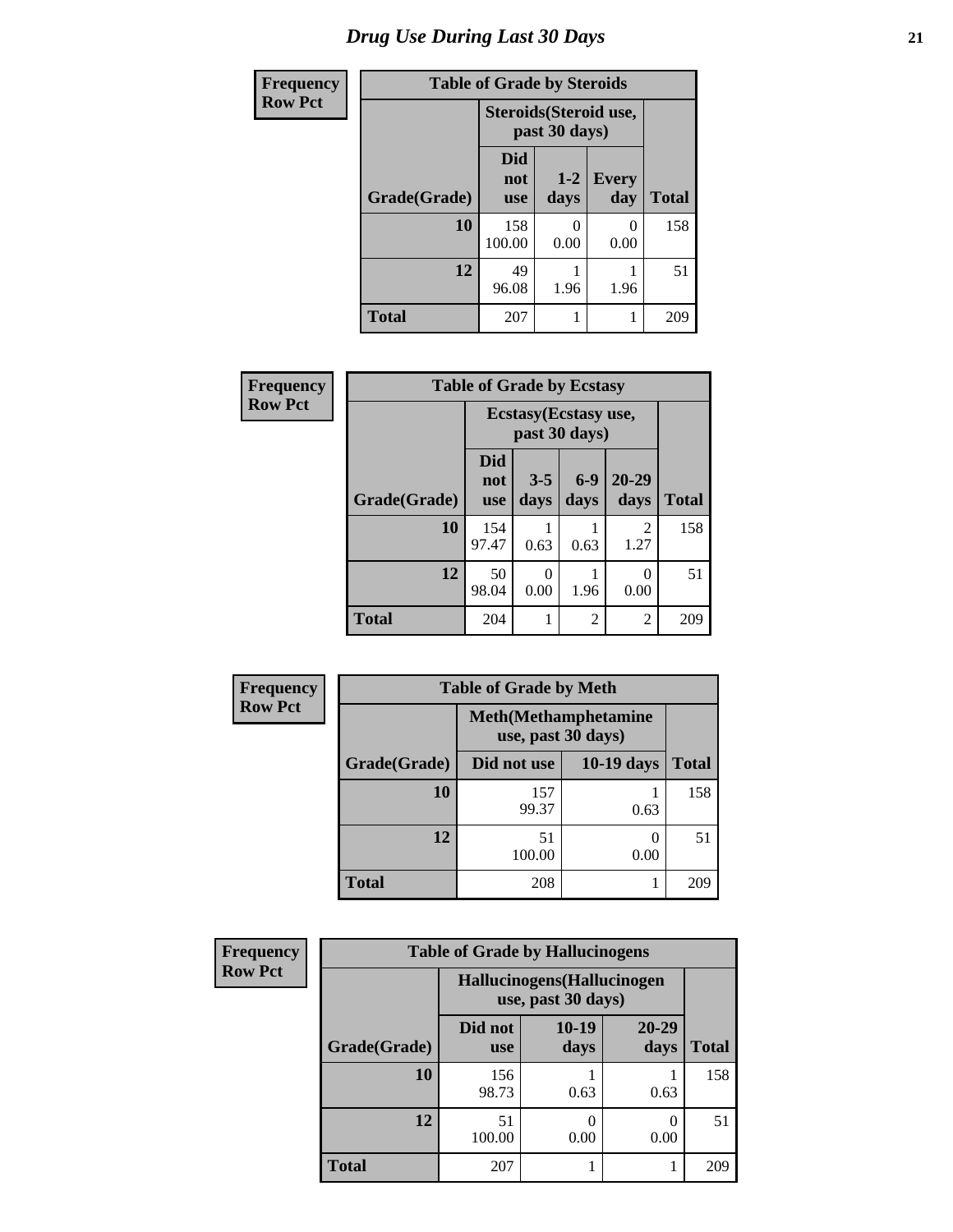| <b>Frequency</b> |              | <b>Table of Grade by Steroids</b> |                                         |                       |              |  |
|------------------|--------------|-----------------------------------|-----------------------------------------|-----------------------|--------------|--|
| <b>Row Pct</b>   |              |                                   | Steroids (Steroid use,<br>past 30 days) |                       |              |  |
|                  | Grade(Grade) | <b>Did</b><br>not<br><b>use</b>   | $1-2$<br>days                           | Every<br>day          | <b>Total</b> |  |
|                  | 10           | 158<br>100.00                     | ∩<br>0.00                               | $\mathcal{O}$<br>0.00 | 158          |  |
|                  | 12           | 49<br>96.08                       | 1.96                                    | 1.96                  | 51           |  |
|                  | <b>Total</b> | 207                               |                                         |                       | 209          |  |

| Frequency      | <b>Table of Grade by Ecstasy</b> |                          |                                        |               |                        |              |
|----------------|----------------------------------|--------------------------|----------------------------------------|---------------|------------------------|--------------|
| <b>Row Pct</b> |                                  |                          | Ecstasy (Ecstasy use,<br>past 30 days) |               |                        |              |
|                | Grade(Grade)                     | Did<br>not<br><b>use</b> | $3 - 5$<br>days                        | $6-9$<br>days | $20 - 29$<br>days      | <b>Total</b> |
|                | 10                               | 154<br>97.47             | 0.63                                   | 0.63          | $\overline{2}$<br>1.27 | 158          |
|                | 12                               | 50<br>98.04              | $\theta$<br>0.00                       | 1.96          | 0<br>0.00              | 51           |
|                | <b>Total</b>                     | 204                      | 1                                      | 2             | $\overline{c}$         | 209          |

| Frequency      |              | <b>Table of Grade by Meth</b>                      |              |              |  |  |  |
|----------------|--------------|----------------------------------------------------|--------------|--------------|--|--|--|
| <b>Row Pct</b> |              | <b>Meth</b> (Methamphetamine<br>use, past 30 days) |              |              |  |  |  |
|                | Grade(Grade) | Did not use                                        | $10-19$ days | <b>Total</b> |  |  |  |
|                | 10           | 157<br>99.37                                       | 0.63         | 158          |  |  |  |
|                | 12           | 51<br>100.00                                       | 0.00         | 51           |  |  |  |
|                | <b>Total</b> | 208                                                |              | 209          |  |  |  |

| Frequency      | <b>Table of Grade by Hallucinogens</b> |                                                   |                 |                  |              |  |
|----------------|----------------------------------------|---------------------------------------------------|-----------------|------------------|--------------|--|
| <b>Row Pct</b> |                                        | Hallucinogens (Hallucinogen<br>use, past 30 days) |                 |                  |              |  |
|                | Grade(Grade)                           | Did not<br><b>use</b>                             | $10-19$<br>days | 20-29<br>days    | <b>Total</b> |  |
|                | 10                                     | 156<br>98.73                                      | 0.63            | 0.63             | 158          |  |
|                | 12                                     | 51<br>100.00                                      | 0.00            | $\Omega$<br>0.00 | 51           |  |
|                | <b>Total</b>                           | 207                                               |                 |                  | 209          |  |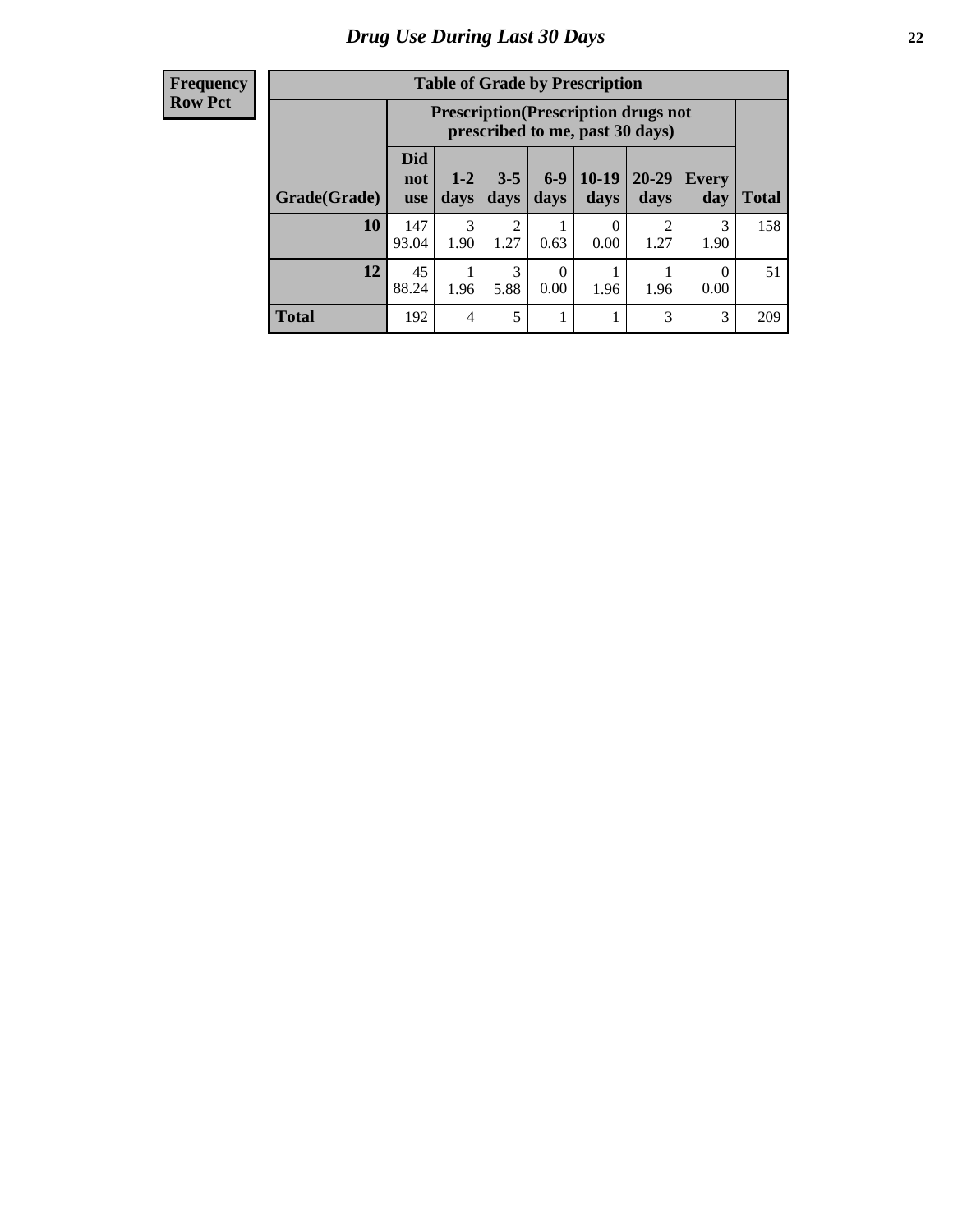| <b>Table of Grade by Prescription</b> |                                 |                                                                                                                                    |           |      |           |           |           |     |  |
|---------------------------------------|---------------------------------|------------------------------------------------------------------------------------------------------------------------------------|-----------|------|-----------|-----------|-----------|-----|--|
|                                       |                                 | <b>Prescription</b> (Prescription drugs not<br>prescribed to me, past 30 days)                                                     |           |      |           |           |           |     |  |
| Grade(Grade)                          | <b>Did</b><br>not<br><b>use</b> | $6-9$<br>$10-19$<br>$20 - 29$<br>$3 - 5$<br>$1 - 2$<br><b>Every</b><br>days<br><b>Total</b><br>days<br>days<br>days<br>day<br>days |           |      |           |           |           |     |  |
| 10                                    | 147<br>93.04                    | 3<br>1.90                                                                                                                          | 2<br>1.27 | 0.63 | 0<br>0.00 | റ<br>1.27 | 3<br>1.90 | 158 |  |
| 12                                    | 45<br>88.24                     | 3<br>0<br>0<br>1.96<br>5.88<br>1.96<br>1.96<br>0.00<br>0.00                                                                        |           |      |           |           |           |     |  |
| <b>Total</b>                          | 192                             | 4                                                                                                                                  | 5         |      |           | 3         | 3         | 209 |  |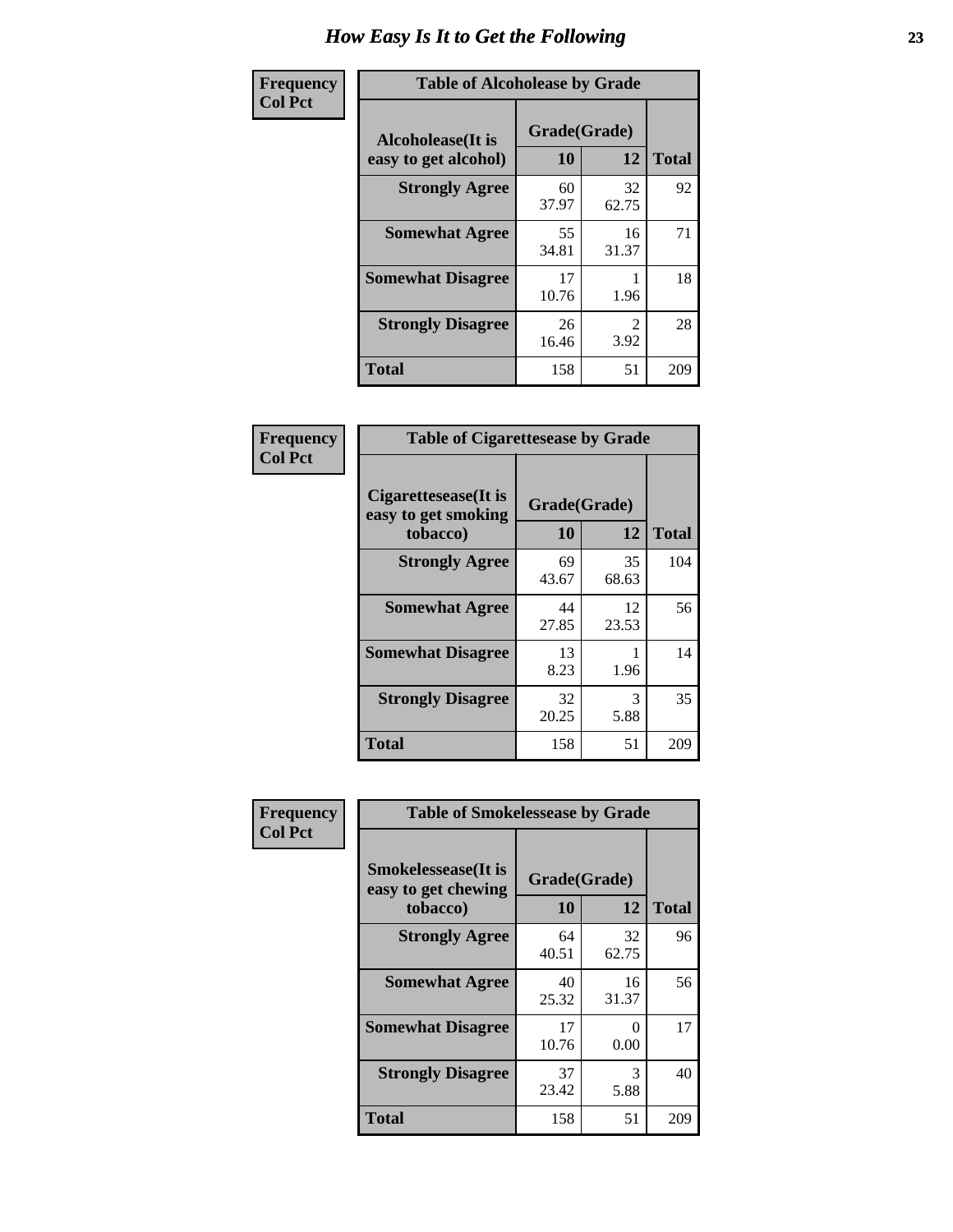| Frequency      | <b>Table of Alcoholease by Grade</b>              |                    |             |              |
|----------------|---------------------------------------------------|--------------------|-------------|--------------|
| <b>Col Pct</b> | <b>Alcoholease</b> (It is<br>easy to get alcohol) | Grade(Grade)<br>10 | 12          | <b>Total</b> |
|                | <b>Strongly Agree</b>                             | 60<br>37.97        | 32<br>62.75 | 92           |
|                | <b>Somewhat Agree</b>                             | 55<br>34.81        | 16<br>31.37 | 71           |
|                | <b>Somewhat Disagree</b>                          | 17<br>10.76        | 1.96        | 18           |
|                | <b>Strongly Disagree</b>                          | 26<br>16.46        | 2<br>3.92   | 28           |
|                | <b>Total</b>                                      | 158                | 51          | 209          |

| Frequency      | <b>Table of Cigarettesease by Grade</b>                  |                    |             |              |  |
|----------------|----------------------------------------------------------|--------------------|-------------|--------------|--|
| <b>Col Pct</b> | Cigarettesease (It is<br>easy to get smoking<br>tobacco) | Grade(Grade)<br>10 | 12          | <b>Total</b> |  |
|                | <b>Strongly Agree</b>                                    | 69<br>43.67        | 35<br>68.63 | 104          |  |
|                | <b>Somewhat Agree</b>                                    | 44<br>27.85        | 12<br>23.53 | 56           |  |
|                | <b>Somewhat Disagree</b>                                 | 13<br>8.23         | 1.96        | 14           |  |
|                | <b>Strongly Disagree</b>                                 | 32<br>20.25        | 3<br>5.88   | 35           |  |
|                | Total                                                    | 158                | 51          | 209          |  |

| Frequency      | <b>Table of Smokelessease by Grade</b>                         |                    |             |              |
|----------------|----------------------------------------------------------------|--------------------|-------------|--------------|
| <b>Col Pct</b> | <b>Smokelessease</b> (It is<br>easy to get chewing<br>tobacco) | Grade(Grade)<br>10 | 12          | <b>Total</b> |
|                | <b>Strongly Agree</b>                                          | 64<br>40.51        | 32<br>62.75 | 96           |
|                | <b>Somewhat Agree</b>                                          | 40<br>25.32        | 16<br>31.37 | 56           |
|                | <b>Somewhat Disagree</b>                                       | 17<br>10.76        | 0<br>0.00   | 17           |
|                | <b>Strongly Disagree</b>                                       | 37<br>23.42        | 3<br>5.88   | 40           |
|                | <b>Total</b>                                                   | 158                | 51          | 209          |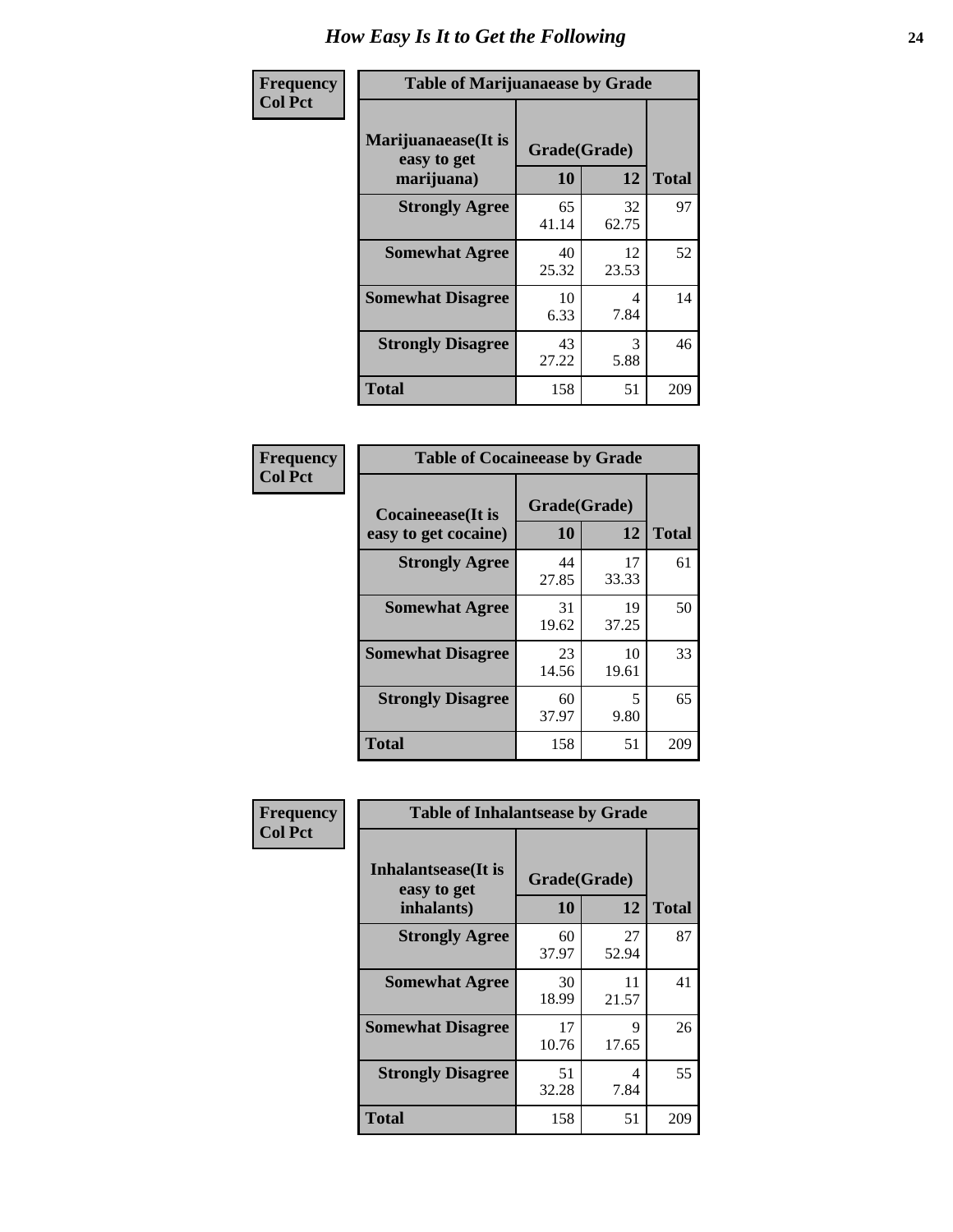| Frequency      | <b>Table of Marijuanaease by Grade</b>            |                           |             |              |  |  |
|----------------|---------------------------------------------------|---------------------------|-------------|--------------|--|--|
| <b>Col Pct</b> | Marijuanaease (It is<br>easy to get<br>marijuana) | Grade(Grade)<br><b>10</b> | 12          | <b>Total</b> |  |  |
|                | <b>Strongly Agree</b>                             | 65<br>41.14               | 32<br>62.75 | 97           |  |  |
|                | <b>Somewhat Agree</b>                             | 40<br>25.32               | 12<br>23.53 | 52           |  |  |
|                | <b>Somewhat Disagree</b>                          | 10<br>6.33                | 4<br>7.84   | 14           |  |  |
|                | <b>Strongly Disagree</b>                          | 43<br>27.22               | 3<br>5.88   | 46           |  |  |
|                | <b>Total</b>                                      | 158                       | 51          | 209          |  |  |

| <b>Table of Cocaineease by Grade</b>              |             |                    |     |  |  |  |  |  |  |
|---------------------------------------------------|-------------|--------------------|-----|--|--|--|--|--|--|
| <b>Cocaineease</b> (It is<br>easy to get cocaine) | 10          | Grade(Grade)<br>12 |     |  |  |  |  |  |  |
| <b>Strongly Agree</b>                             | 44<br>27.85 | 17<br>33.33        | 61  |  |  |  |  |  |  |
| <b>Somewhat Agree</b>                             | 31<br>19.62 | 19<br>37.25        | 50  |  |  |  |  |  |  |
| <b>Somewhat Disagree</b>                          | 23<br>14.56 | 10<br>19.61        | 33  |  |  |  |  |  |  |
| <b>Strongly Disagree</b>                          | 60<br>37.97 | 5<br>9.80          | 65  |  |  |  |  |  |  |
| <b>Total</b>                                      | 158         | 51                 | 209 |  |  |  |  |  |  |

| Frequency      | <b>Table of Inhalantsease by Grade</b>           |                    |              |     |  |  |  |  |  |  |
|----------------|--------------------------------------------------|--------------------|--------------|-----|--|--|--|--|--|--|
| <b>Col Pct</b> | Inhalantsease(It is<br>easy to get<br>inhalants) | Grade(Grade)<br>10 | <b>Total</b> |     |  |  |  |  |  |  |
|                | <b>Strongly Agree</b>                            | 60<br>37.97        | 27<br>52.94  | 87  |  |  |  |  |  |  |
|                | <b>Somewhat Agree</b>                            | 30<br>18.99        | 11<br>21.57  | 41  |  |  |  |  |  |  |
|                | <b>Somewhat Disagree</b>                         | 17<br>10.76        | 9<br>17.65   | 26  |  |  |  |  |  |  |
|                | <b>Strongly Disagree</b>                         | 51<br>32.28        | 4<br>7.84    | 55  |  |  |  |  |  |  |
|                | <b>Total</b>                                     | 158                | 51           | 209 |  |  |  |  |  |  |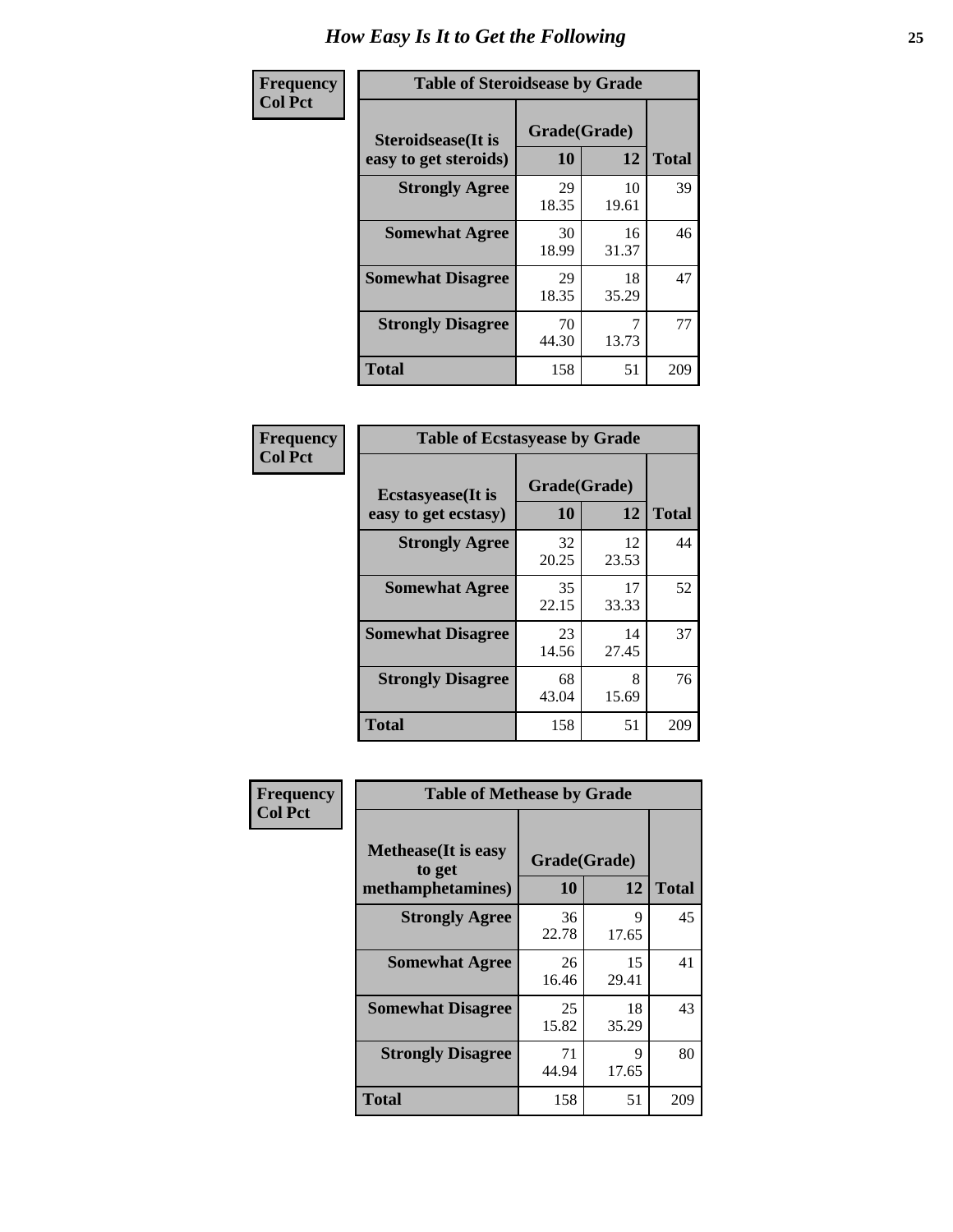| Frequency      | <b>Table of Steroidsease by Grade</b>               |                    |              |     |  |  |  |  |  |  |
|----------------|-----------------------------------------------------|--------------------|--------------|-----|--|--|--|--|--|--|
| <b>Col Pct</b> | <b>Steroidsease</b> (It is<br>easy to get steroids) | Grade(Grade)<br>10 | <b>Total</b> |     |  |  |  |  |  |  |
|                | <b>Strongly Agree</b>                               | 29<br>18.35        | 10<br>19.61  | 39  |  |  |  |  |  |  |
|                | <b>Somewhat Agree</b>                               | 30<br>18.99        | 16<br>31.37  | 46  |  |  |  |  |  |  |
|                | <b>Somewhat Disagree</b>                            | 29<br>18.35        | 18<br>35.29  | 47  |  |  |  |  |  |  |
|                | <b>Strongly Disagree</b>                            | 70<br>44.30        | 13.73        | 77  |  |  |  |  |  |  |
|                | <b>Total</b>                                        | 158                | 51           | 209 |  |  |  |  |  |  |

| Frequency      | <b>Table of Ecstasyease by Grade</b>              |                    |              |     |
|----------------|---------------------------------------------------|--------------------|--------------|-----|
| <b>Col Pct</b> | <b>Ecstasyease</b> (It is<br>easy to get ecstasy) | Grade(Grade)<br>10 | <b>Total</b> |     |
|                | <b>Strongly Agree</b>                             | 32<br>20.25        | 12<br>23.53  | 44  |
|                | <b>Somewhat Agree</b>                             | 35<br>22.15        | 17<br>33.33  | 52  |
|                | <b>Somewhat Disagree</b>                          | 23<br>14.56        | 14<br>27.45  | 37  |
|                | <b>Strongly Disagree</b>                          | 68<br>43.04        | 8<br>15.69   | 76  |
|                | <b>Total</b>                                      | 158                | 51           | 209 |

| Frequency      | <b>Table of Methease by Grade</b>                          |                    |              |     |
|----------------|------------------------------------------------------------|--------------------|--------------|-----|
| <b>Col Pct</b> | <b>Methease</b> (It is easy<br>to get<br>methamphetamines) | Grade(Grade)<br>12 | <b>Total</b> |     |
|                | <b>Strongly Agree</b>                                      | 36<br>22.78        | 9<br>17.65   | 45  |
|                | <b>Somewhat Agree</b>                                      | 26<br>16.46        | 15<br>29.41  | 41  |
|                | <b>Somewhat Disagree</b>                                   | 25<br>15.82        | 18<br>35.29  | 43  |
|                | <b>Strongly Disagree</b>                                   | 71<br>44.94        | 9<br>17.65   | 80  |
|                | Total                                                      | 158                | 51           | 209 |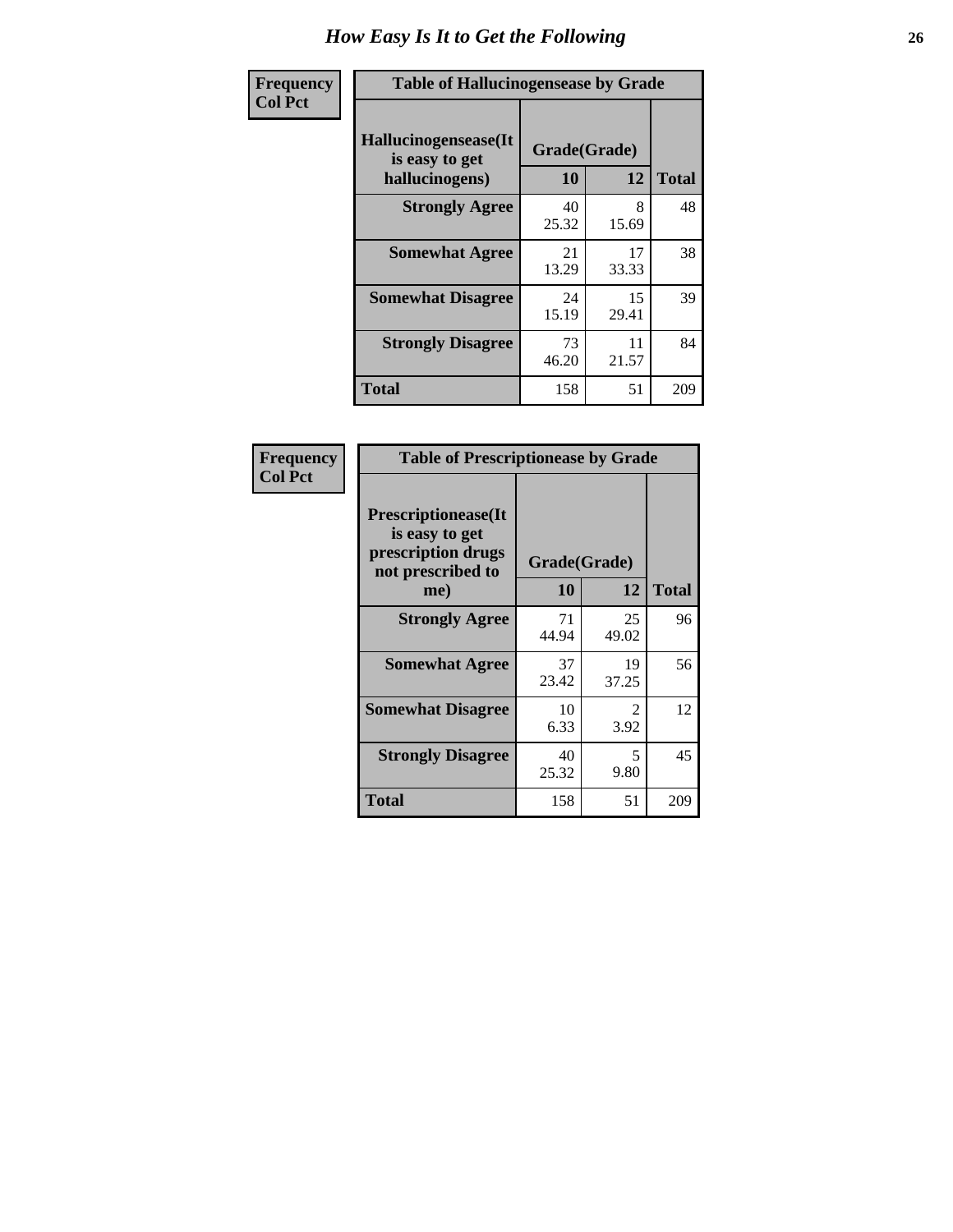| <b>Frequency</b> | <b>Table of Hallucinogensease by Grade</b>               |                    |             |              |  |  |  |  |  |  |
|------------------|----------------------------------------------------------|--------------------|-------------|--------------|--|--|--|--|--|--|
| <b>Col Pct</b>   | Hallucinogensease(It<br>is easy to get<br>hallucinogens) | Grade(Grade)<br>10 | 12          | <b>Total</b> |  |  |  |  |  |  |
|                  | <b>Strongly Agree</b>                                    | 40<br>25.32        | 8<br>15.69  | 48           |  |  |  |  |  |  |
|                  | <b>Somewhat Agree</b>                                    | 21<br>13.29        | 17<br>33.33 | 38           |  |  |  |  |  |  |
|                  | <b>Somewhat Disagree</b>                                 | 24<br>15.19        | 15<br>29.41 | 39           |  |  |  |  |  |  |
|                  | <b>Strongly Disagree</b>                                 | 73<br>46.20        | 11<br>21.57 | 84           |  |  |  |  |  |  |
|                  | <b>Total</b>                                             | 158                | 51          | 209          |  |  |  |  |  |  |

| Frequency<br>  Col Pct |
|------------------------|
|                        |

| <b>Table of Prescriptionease by Grade</b>                                                |             |              |              |  |  |  |  |  |
|------------------------------------------------------------------------------------------|-------------|--------------|--------------|--|--|--|--|--|
| <b>Prescriptionease</b> (It<br>is easy to get<br>prescription drugs<br>not prescribed to |             | Grade(Grade) |              |  |  |  |  |  |
| me)                                                                                      | 10          | 12           | <b>Total</b> |  |  |  |  |  |
| <b>Strongly Agree</b>                                                                    | 71<br>44.94 | 25<br>49.02  | 96           |  |  |  |  |  |
| <b>Somewhat Agree</b>                                                                    | 37<br>23.42 | 19<br>37.25  | 56           |  |  |  |  |  |
| <b>Somewhat Disagree</b>                                                                 | 10<br>6.33  | 2<br>3.92    | 12           |  |  |  |  |  |
| <b>Strongly Disagree</b>                                                                 | 40<br>25.32 | 5<br>9.80    | 45           |  |  |  |  |  |
| Total                                                                                    | 158         | 51           | 209          |  |  |  |  |  |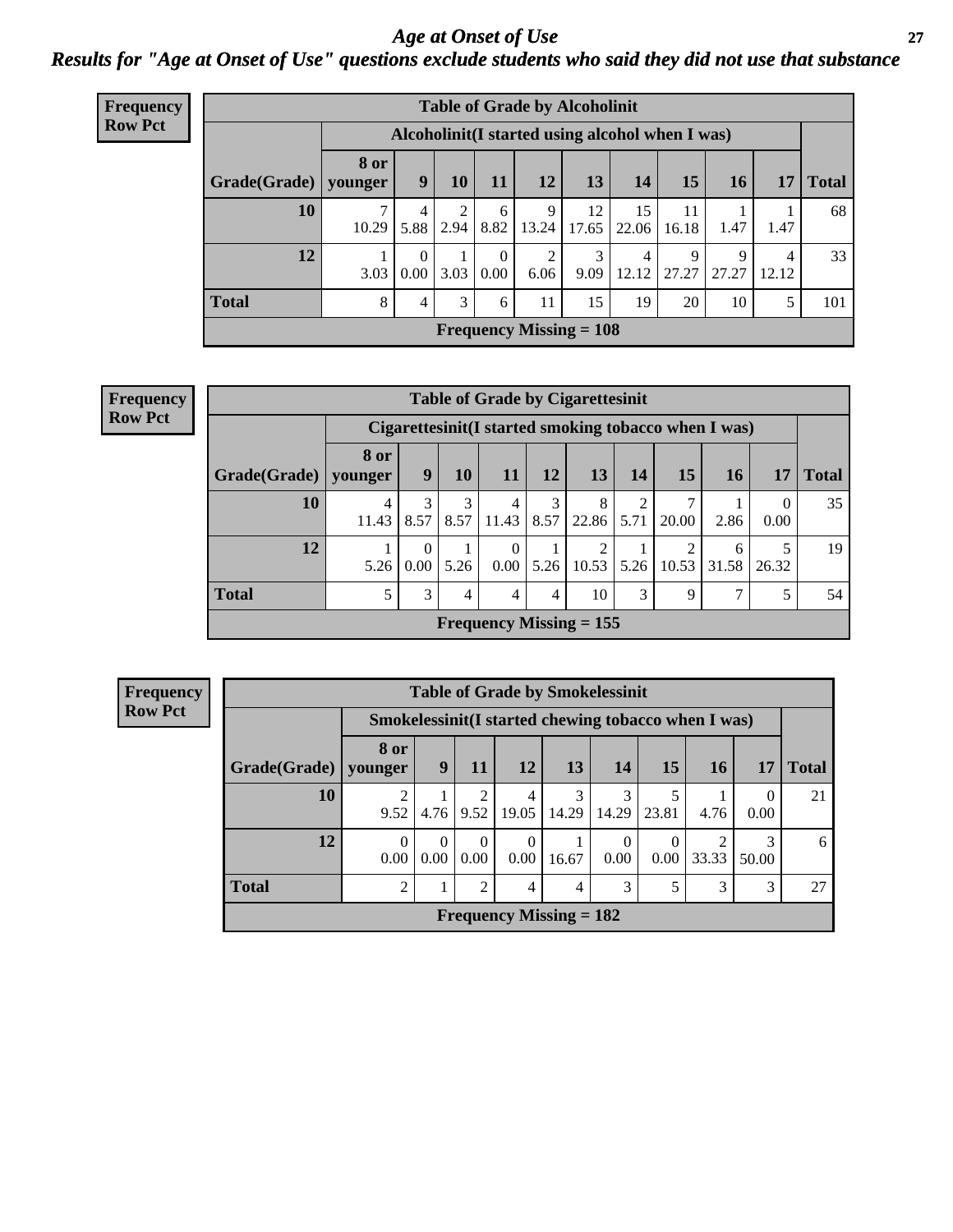### *Age at Onset of Use* **27** *Results for "Age at Onset of Use" questions exclude students who said they did not use that substance*

| <b>Frequency</b> | <b>Table of Grade by Alcoholinit</b>             |       |                      |                |                      |                                |             |             |             |                      |            |              |
|------------------|--------------------------------------------------|-------|----------------------|----------------|----------------------|--------------------------------|-------------|-------------|-------------|----------------------|------------|--------------|
| <b>Row Pct</b>   | Alcoholinit (I started using alcohol when I was) |       |                      |                |                      |                                |             |             |             |                      |            |              |
|                  | Grade(Grade)   younger                           | 8 or  | 9                    | 10             | 11                   | 12                             | 13          | 14          | 15          | 16                   | 17         | <b>Total</b> |
|                  | 10                                               | 10.29 | 4<br>5.88            | 2<br>2.94      | 6<br>8.82            | 9<br>13.24                     | 12<br>17.65 | 15<br>22.06 | 11<br>16.18 | 1.47                 | 1.47       | 68           |
|                  | 12                                               | 3.03  | $\Omega$<br>$0.00\,$ | 3.03           | $\theta$<br>$0.00\,$ | 2<br>6.06                      | 3<br>9.09   | 4<br>12.12  | 9<br>27.27  | $\mathbf Q$<br>27.27 | 4<br>12.12 | 33           |
|                  | <b>Total</b>                                     | 8     | 4                    | $\mathfrak{Z}$ | 6                    | 11                             | 15          | 19          | 20          | 10                   | 5          | 101          |
|                  |                                                  |       |                      |                |                      | <b>Frequency Missing = 108</b> |             |             |             |                      |            |              |

| <b>Frequency</b> |
|------------------|
| <b>Row Pct</b>   |

| <b>Table of Grade by Cigarettesinit</b> |                                                      |                       |           |                                |                |            |                        |                         |            |       |              |
|-----------------------------------------|------------------------------------------------------|-----------------------|-----------|--------------------------------|----------------|------------|------------------------|-------------------------|------------|-------|--------------|
|                                         | Cigarettesinit(I started smoking tobacco when I was) |                       |           |                                |                |            |                        |                         |            |       |              |
| Grade(Grade)   younger                  | 8 or                                                 | 9                     | 10        | 11                             | 12             | <b>13</b>  | 14                     | 15                      | 16         | 17    | <b>Total</b> |
| 10                                      | 4<br>11.43                                           | $\mathcal{F}$<br>8.57 | 3<br>8.57 | 4<br>11.43                     | 3<br>8.57      | 8<br>22.86 | $\overline{2}$<br>5.71 | 7<br>20.00              | 2.86       | 0.00  | 35           |
| 12                                      | 5.26                                                 | $\Omega$<br>0.00      | 5.26      | 0<br>0.00                      | 5.26           | 2<br>10.53 | 5.26                   | $\overline{2}$<br>10.53 | 6<br>31.58 | 26.32 | 19           |
| <b>Total</b>                            | 5                                                    | 3                     | 4         | 4                              | $\overline{4}$ | 10         | 3                      | 9                       | 7          |       | 54           |
|                                         |                                                      |                       |           | <b>Frequency Missing = 155</b> |                |            |                        |                         |            |       |              |

| <b>Table of Grade by Smokelessinit</b> |                                                     |                  |                        |                           |            |            |           |                         |            |              |  |  |
|----------------------------------------|-----------------------------------------------------|------------------|------------------------|---------------------------|------------|------------|-----------|-------------------------|------------|--------------|--|--|
|                                        | Smokelessinit(I started chewing tobacco when I was) |                  |                        |                           |            |            |           |                         |            |              |  |  |
| Grade(Grade)                           | 8 or<br>younger                                     | 9                | 11                     | <b>12</b>                 | <b>13</b>  | 14         | <b>15</b> | <b>16</b>               | 17         | <b>Total</b> |  |  |
| 10                                     | $\overline{c}$<br>9.52                              | 4.76             | $\mathfrak{D}$<br>9.52 | 4<br>19.05                | 3<br>14.29 | 3<br>14.29 | 23.81     | 4.76                    | 0.00       | 21           |  |  |
| 12                                     | $\Omega$<br>0.00                                    | $\Omega$<br>0.00 | $\Omega$<br>0.00       | 0<br>0.00                 | 16.67      | 0<br>0.00  | 0.00      | $\mathfrak{D}$<br>33.33 | 3<br>50.00 | 6            |  |  |
| <b>Total</b>                           | $\overline{2}$                                      |                  | $\overline{2}$         | $\overline{4}$            | 4          | 3          |           | 3                       | 3          | 27           |  |  |
|                                        |                                                     |                  |                        | Frequency Missing $= 182$ |            |            |           |                         |            |              |  |  |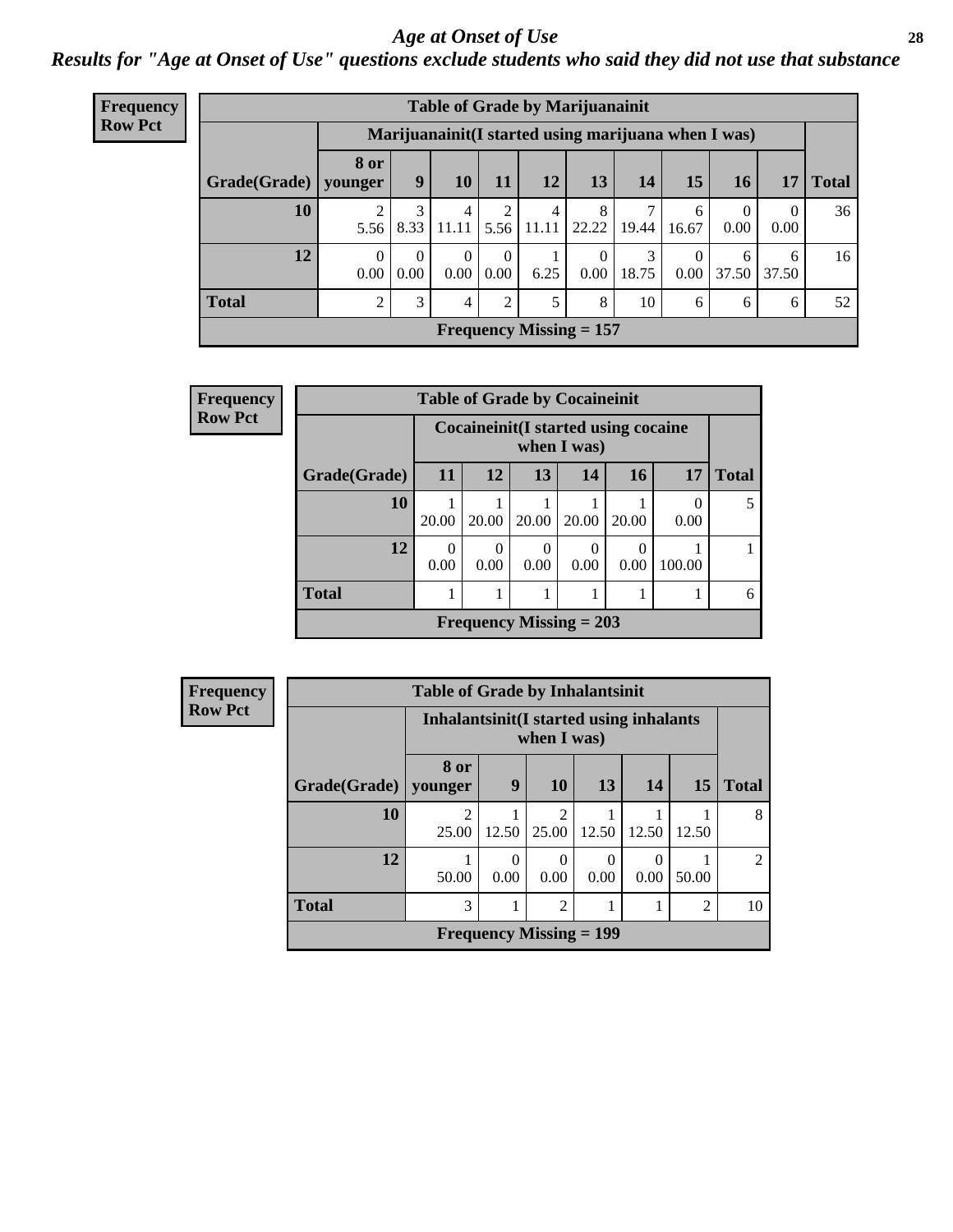#### *Age at Onset of Use* **28**

*Results for "Age at Onset of Use" questions exclude students who said they did not use that substance*

| Frequency      |              | <b>Table of Grade by Marijuanainit</b> |                  |                  |           |                         |                                                      |            |                  |                  |                  |              |
|----------------|--------------|----------------------------------------|------------------|------------------|-----------|-------------------------|------------------------------------------------------|------------|------------------|------------------|------------------|--------------|
| <b>Row Pct</b> |              |                                        |                  |                  |           |                         | Marijuanainit (I started using marijuana when I was) |            |                  |                  |                  |              |
|                | Grade(Grade) | <b>8 or</b><br>younger                 | 9                | 10               | 11        | 12                      | 13                                                   | 14         | 15               | <b>16</b>        | 17               | <b>Total</b> |
|                | 10           | 5.56                                   | 3<br>8.33        | 4<br>11.11       | 2<br>5.56 | $\overline{4}$<br>11.11 | 8<br>22.22                                           | 7<br>19.44 | 6<br>16.67       | $\Omega$<br>0.00 | $\Omega$<br>0.00 | 36           |
|                | 12           | 0.00                                   | $\Omega$<br>0.00 | $\Omega$<br>0.00 | 0<br>0.00 | 6.25                    | 0<br>$0.00\,$                                        | 3<br>18.75 | $\Omega$<br>0.00 | 6<br>37.50       | 6<br>37.50       | 16           |
|                | <b>Total</b> |                                        | 3                | 4                | 2         |                         | 8                                                    | 10         | 6                | 6                | 6                | 52           |
|                |              |                                        |                  |                  |           |                         | Frequency Missing $= 157$                            |            |                  |                  |                  |              |

| Frequency      |              |                                                      |                  | <b>Table of Grade by Cocaineinit</b> |           |                  |        |              |  |
|----------------|--------------|------------------------------------------------------|------------------|--------------------------------------|-----------|------------------|--------|--------------|--|
| <b>Row Pct</b> |              | Cocaine init (I started using cocaine<br>when I was) |                  |                                      |           |                  |        |              |  |
|                | Grade(Grade) | 11                                                   | <b>12</b>        | 13                                   | 14        | <b>16</b>        | 17     | <b>Total</b> |  |
|                | 10           | 20.00                                                | 20.00            | 20.00                                | 20.00     | 20.00            | 0.00   |              |  |
|                | 12           | 0.00                                                 | $\Omega$<br>0.00 | 0<br>0.00                            | 0<br>0.00 | $\Omega$<br>0.00 | 100.00 |              |  |
|                | <b>Total</b> |                                                      |                  |                                      |           |                  |        | 6            |  |
|                |              |                                                      |                  | Frequency Missing $= 203$            |           |                  |        |              |  |

| <b>Frequency</b> |              | <b>Table of Grade by Inhalantsinit</b>   |                  |                         |                                |                  |       |                |
|------------------|--------------|------------------------------------------|------------------|-------------------------|--------------------------------|------------------|-------|----------------|
| <b>Row Pct</b>   |              | Inhalantsinit (I started using inhalants |                  | when I was)             |                                |                  |       |                |
|                  | Grade(Grade) | 8 or<br>younger                          | 9                | 10                      | 13                             | 14               | 15    | <b>Total</b>   |
|                  | 10           | $\mathfrak{D}$<br>25.00                  | 12.50            | $\mathfrak{D}$<br>25.00 | 12.50                          | 12.50            | 12.50 | 8              |
|                  | 12           | 50.00                                    | $\Omega$<br>0.00 | 0.00                    | 0<br>0.00                      | $\Omega$<br>0.00 | 50.00 | $\overline{2}$ |
|                  | <b>Total</b> | 3                                        |                  | 2                       |                                |                  | 2     | 10             |
|                  |              |                                          |                  |                         | <b>Frequency Missing = 199</b> |                  |       |                |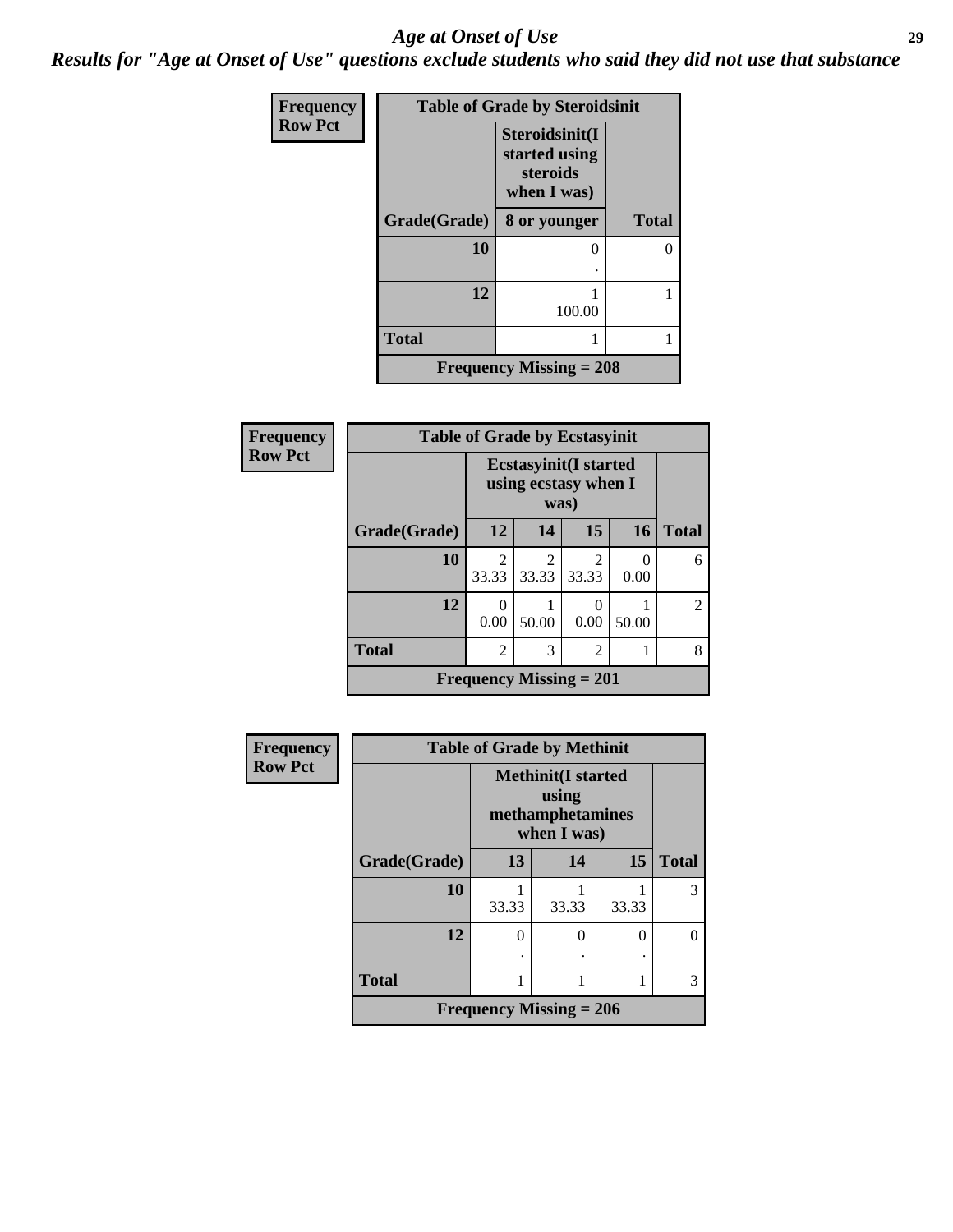#### *Age at Onset of Use* **29**

*Results for "Age at Onset of Use" questions exclude students who said they did not use that substance*

| <b>Frequency</b> | <b>Table of Grade by Steroidsinit</b> |                                                            |              |  |  |  |  |
|------------------|---------------------------------------|------------------------------------------------------------|--------------|--|--|--|--|
| <b>Row Pct</b>   |                                       | Steroidsinit(I<br>started using<br>steroids<br>when I was) |              |  |  |  |  |
|                  | Grade(Grade)                          | 8 or younger                                               | <b>Total</b> |  |  |  |  |
|                  | 10                                    |                                                            | 0            |  |  |  |  |
|                  |                                       |                                                            |              |  |  |  |  |
|                  | 12                                    |                                                            |              |  |  |  |  |
|                  |                                       | 100.00                                                     |              |  |  |  |  |
|                  | <b>Total</b>                          |                                                            |              |  |  |  |  |
|                  | <b>Frequency Missing = 208</b>        |                                                            |              |  |  |  |  |

| <b>Frequency</b> | <b>Table of Grade by Ecstasyinit</b> |                         |                                                               |                  |           |                |  |  |  |
|------------------|--------------------------------------|-------------------------|---------------------------------------------------------------|------------------|-----------|----------------|--|--|--|
| <b>Row Pct</b>   |                                      |                         | <b>Ecstasyinit</b> (I started<br>using ecstasy when I<br>was) |                  |           |                |  |  |  |
|                  | Grade(Grade)                         | 12                      | 14                                                            | 15               | 16        | <b>Total</b>   |  |  |  |
|                  | 10                                   | $\mathfrak{D}$<br>33.33 | 2<br>33.33                                                    | 2<br>33.33       | 0<br>0.00 | 6              |  |  |  |
|                  | 12                                   | 0<br>0.00               | 50.00                                                         | $\theta$<br>0.00 | 50.00     | $\overline{2}$ |  |  |  |
|                  | <b>Total</b>                         | $\mathfrak{D}$          | 3                                                             | $\overline{2}$   |           | 8              |  |  |  |
|                  |                                      |                         | <b>Frequency Missing = 201</b>                                |                  |           |                |  |  |  |

| Frequency      |              | <b>Table of Grade by Methinit</b> |                                                                       |       |              |  |  |  |  |  |
|----------------|--------------|-----------------------------------|-----------------------------------------------------------------------|-------|--------------|--|--|--|--|--|
| <b>Row Pct</b> |              |                                   | <b>Methinit(I started</b><br>using<br>methamphetamines<br>when I was) |       |              |  |  |  |  |  |
|                | Grade(Grade) | 13                                | 14                                                                    | 15    | <b>Total</b> |  |  |  |  |  |
|                | 10           | 33.33                             | 33.33                                                                 | 33.33 | 3            |  |  |  |  |  |
|                | 12           | 0                                 | 0                                                                     | 0     |              |  |  |  |  |  |
|                | <b>Total</b> |                                   |                                                                       |       | 3            |  |  |  |  |  |
|                |              | Frequency Missing $= 206$         |                                                                       |       |              |  |  |  |  |  |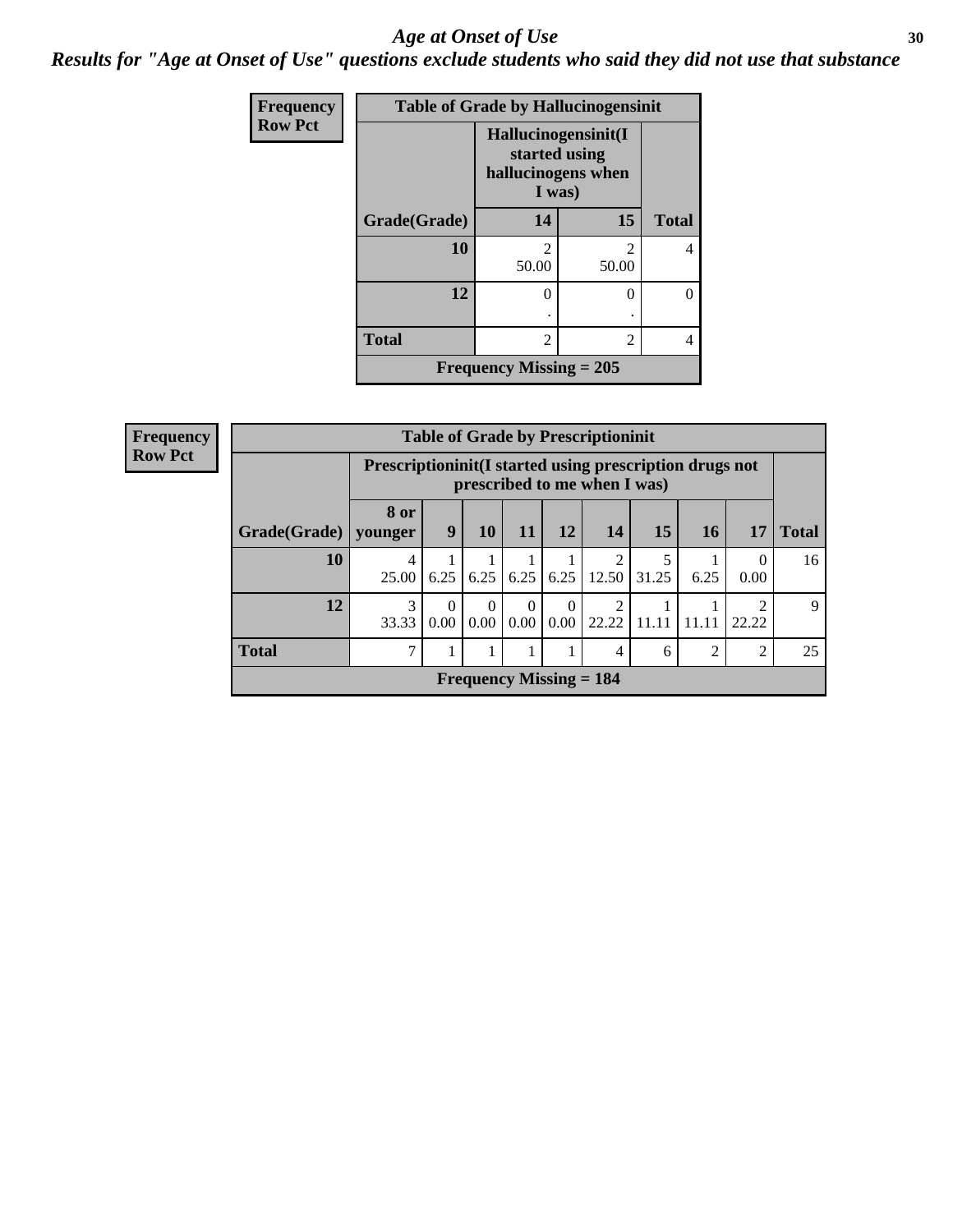#### Age at Onset of Use **30**

*Results for "Age at Onset of Use" questions exclude students who said they did not use that substance*

| Frequency      |              |                                                                      | <b>Table of Grade by Hallucinogensinit</b> |              |
|----------------|--------------|----------------------------------------------------------------------|--------------------------------------------|--------------|
| <b>Row Pct</b> |              | Hallucinogensinit(I<br>started using<br>hallucinogens when<br>I was) |                                            |              |
|                | Grade(Grade) | 14                                                                   | 15                                         | <b>Total</b> |
|                | 10           | $\overline{2}$<br>50.00                                              | $\mathfrak{D}$<br>50.00                    | 4            |
|                | 12           | 0                                                                    | 0                                          | $\Omega$     |
|                | <b>Total</b> | $\overline{c}$                                                       | $\overline{2}$                             | 4            |
|                |              | Frequency Missing $= 205$                                            |                                            |              |

| <b>Frequency</b> | <b>Table of Grade by Prescriptioninit</b> |                        |                                                                                         |                  |                          |                  |                           |       |                |                  |              |
|------------------|-------------------------------------------|------------------------|-----------------------------------------------------------------------------------------|------------------|--------------------------|------------------|---------------------------|-------|----------------|------------------|--------------|
| <b>Row Pct</b>   |                                           |                        | Prescriptioninit(I started using prescription drugs not<br>prescribed to me when I was) |                  |                          |                  |                           |       |                |                  |              |
|                  | Grade(Grade)                              | <b>8 or</b><br>younger | 9                                                                                       | 10               | <b>11</b>                | 12               | <b>14</b>                 | 15    | <b>16</b>      | 17               | <b>Total</b> |
|                  | 10                                        | 4<br>25.00             | 6.25                                                                                    | 6.25             | 6.25                     | 6.25             | 2<br>12.50                | 31.25 | 6.25           | $\Omega$<br>0.00 | 16           |
|                  | 12                                        | 33.33                  | $\Omega$<br>0.00                                                                        | $\theta$<br>0.00 | $\boldsymbol{0}$<br>0.00 | $\Omega$<br>0.00 | 2<br>22.22                | 11.11 | 11.11          | ↑<br>22.22       | $\mathbf Q$  |
|                  | <b>Total</b>                              | $\mathcal{I}$          |                                                                                         |                  |                          |                  | 4                         | 6     | $\overline{2}$ | 2                | 25           |
|                  |                                           |                        |                                                                                         |                  |                          |                  | Frequency Missing $= 184$ |       |                |                  |              |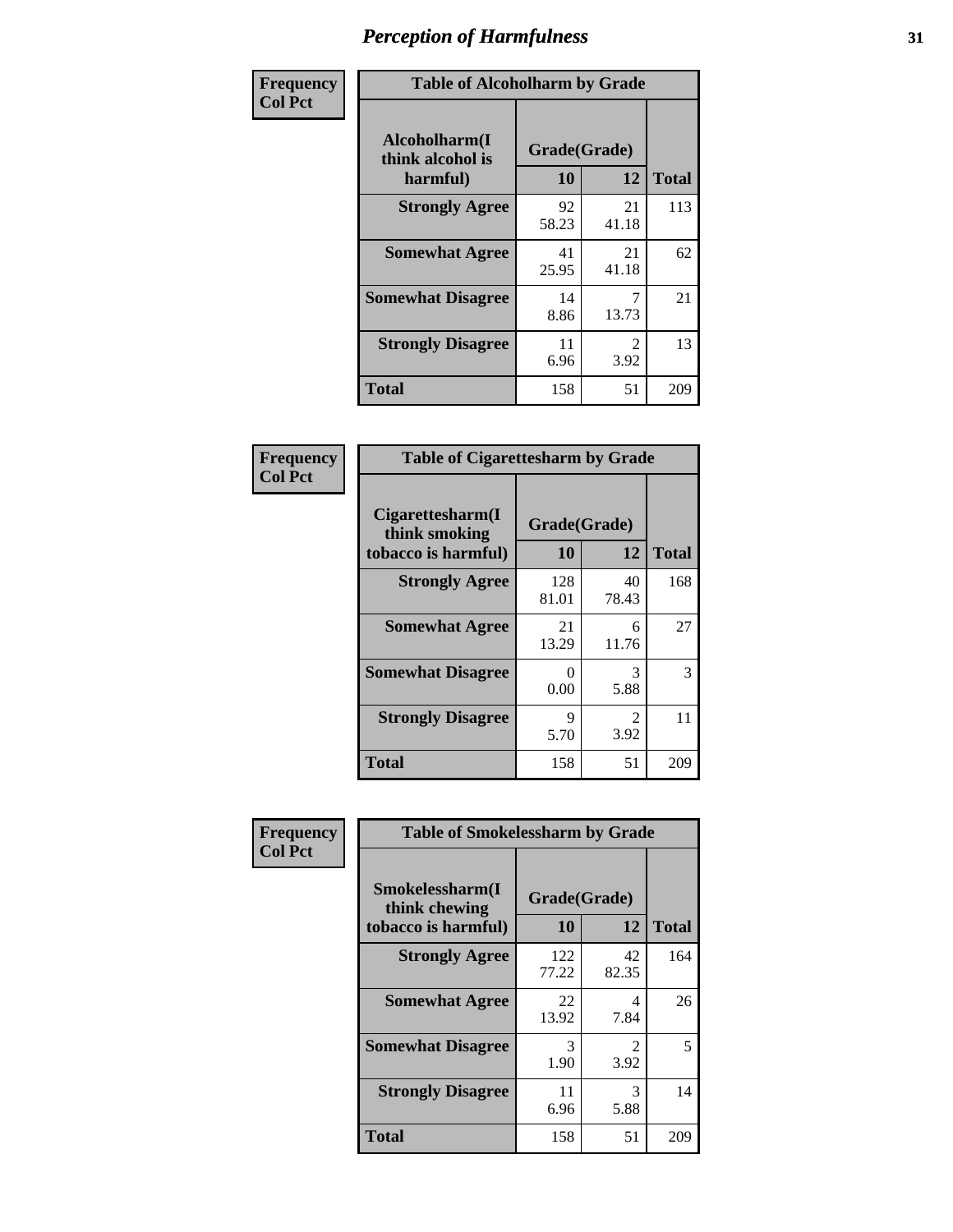| Frequency      | <b>Table of Alcoholharm by Grade</b>          |                    |                        |              |  |  |  |
|----------------|-----------------------------------------------|--------------------|------------------------|--------------|--|--|--|
| <b>Col Pct</b> | Alcoholharm(I<br>think alcohol is<br>harmful) | Grade(Grade)<br>10 | 12                     | <b>Total</b> |  |  |  |
|                | <b>Strongly Agree</b>                         | 92<br>58.23        | 21<br>41.18            | 113          |  |  |  |
|                | <b>Somewhat Agree</b>                         | 41<br>25.95        | 21<br>41.18            | 62           |  |  |  |
|                | <b>Somewhat Disagree</b>                      | 14<br>8.86         | 7<br>13.73             | 21           |  |  |  |
|                | <b>Strongly Disagree</b>                      | 11<br>6.96         | $\mathfrak{D}$<br>3.92 | 13           |  |  |  |
|                | <b>Total</b>                                  | 158                | 51                     | 209          |  |  |  |

| <b>Table of Cigarettesharm by Grade</b>                  |                    |                        |              |  |  |  |  |
|----------------------------------------------------------|--------------------|------------------------|--------------|--|--|--|--|
| Cigarettesharm(I<br>think smoking<br>tobacco is harmful) | Grade(Grade)<br>10 | 12                     | <b>Total</b> |  |  |  |  |
| <b>Strongly Agree</b>                                    | 128<br>81.01       | 40<br>78.43            | 168          |  |  |  |  |
| <b>Somewhat Agree</b>                                    | 21<br>13.29        | 6<br>11.76             | 27           |  |  |  |  |
| <b>Somewhat Disagree</b>                                 | 0<br>0.00          | 3<br>5.88              | 3            |  |  |  |  |
| <b>Strongly Disagree</b>                                 | 9<br>5.70          | $\mathfrak{D}$<br>3.92 | 11           |  |  |  |  |
| <b>Total</b>                                             | 158                | 51                     | 209          |  |  |  |  |

| Frequency      | <b>Table of Smokelessharm by Grade</b>                  |                    |                        |              |
|----------------|---------------------------------------------------------|--------------------|------------------------|--------------|
| <b>Col Pct</b> | Smokelessharm(I<br>think chewing<br>tobacco is harmful) | Grade(Grade)<br>10 | 12                     | <b>Total</b> |
|                | <b>Strongly Agree</b>                                   | 122<br>77.22       | 42<br>82.35            | 164          |
|                | <b>Somewhat Agree</b>                                   | 22<br>13.92        | 4<br>7.84              | 26           |
|                | <b>Somewhat Disagree</b>                                | 3<br>1.90          | $\mathfrak{D}$<br>3.92 | 5            |
|                | <b>Strongly Disagree</b>                                | 11<br>6.96         | 3<br>5.88              | 14           |
|                | <b>Total</b>                                            | 158                | 51                     | 209          |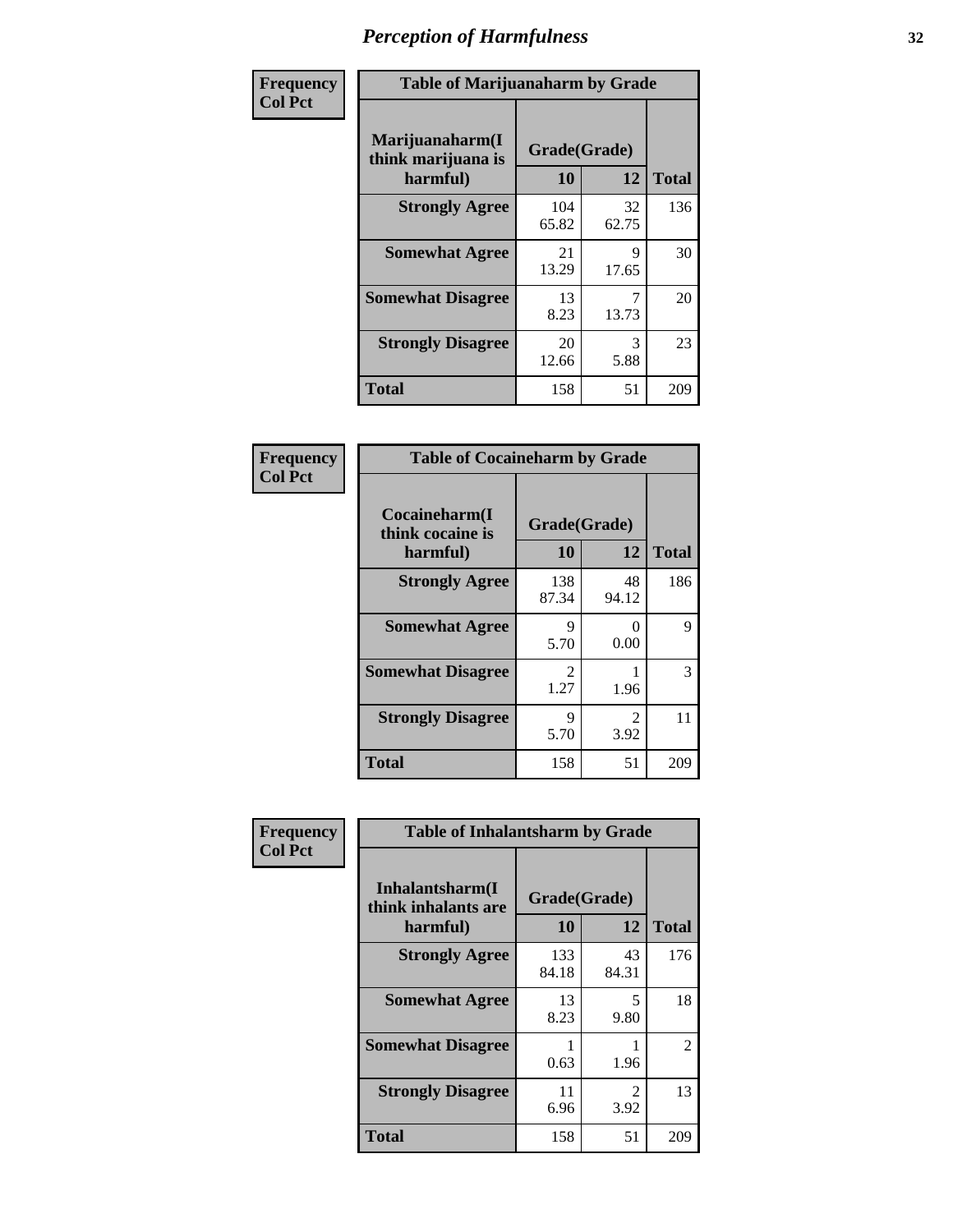| Frequency      | <b>Table of Marijuanaharm by Grade</b>            |                    |             |              |  |  |  |
|----------------|---------------------------------------------------|--------------------|-------------|--------------|--|--|--|
| <b>Col Pct</b> | Marijuanaharm(I<br>think marijuana is<br>harmful) | Grade(Grade)<br>10 | 12          | <b>Total</b> |  |  |  |
|                | <b>Strongly Agree</b>                             | 104<br>65.82       | 32<br>62.75 | 136          |  |  |  |
|                | <b>Somewhat Agree</b>                             | 21<br>13.29        | 9<br>17.65  | 30           |  |  |  |
|                | <b>Somewhat Disagree</b>                          | 13<br>8.23         | 13.73       | 20           |  |  |  |
|                | <b>Strongly Disagree</b>                          | 20<br>12.66        | 3<br>5.88   | 23           |  |  |  |
|                | <b>Total</b>                                      | 158                | 51          | 209          |  |  |  |

| <b>Table of Cocaineharm by Grade</b>          |                    |                        |              |  |  |
|-----------------------------------------------|--------------------|------------------------|--------------|--|--|
| Cocaineharm(I<br>think cocaine is<br>harmful) | Grade(Grade)<br>10 | 12                     | <b>Total</b> |  |  |
| <b>Strongly Agree</b>                         | 138<br>87.34       | 48<br>94.12            | 186          |  |  |
| <b>Somewhat Agree</b>                         | 9<br>5.70          | 0<br>0.00              | 9            |  |  |
| <b>Somewhat Disagree</b>                      | 2<br>1.27          | 1.96                   | 3            |  |  |
| <b>Strongly Disagree</b>                      | 9<br>5.70          | $\mathfrak{D}$<br>3.92 | 11           |  |  |
| <b>Total</b>                                  | 158                | 51                     | 209          |  |  |

| Frequency      | <b>Table of Inhalantsharm by Grade</b>              |                           |                       |                |
|----------------|-----------------------------------------------------|---------------------------|-----------------------|----------------|
| <b>Col Pct</b> | Inhalantsharm(I)<br>think inhalants are<br>harmful) | Grade(Grade)<br><b>10</b> | 12                    | <b>Total</b>   |
|                | <b>Strongly Agree</b>                               | 133<br>84.18              | 43<br>84.31           | 176            |
|                | <b>Somewhat Agree</b>                               | 13<br>8.23                | 5<br>9.80             | 18             |
|                | <b>Somewhat Disagree</b>                            | 0.63                      | 1.96                  | $\overline{2}$ |
|                | <b>Strongly Disagree</b>                            | 11<br>6.96                | $\mathcal{L}$<br>3.92 | 13             |
|                | Total                                               | 158                       | 51                    | 209            |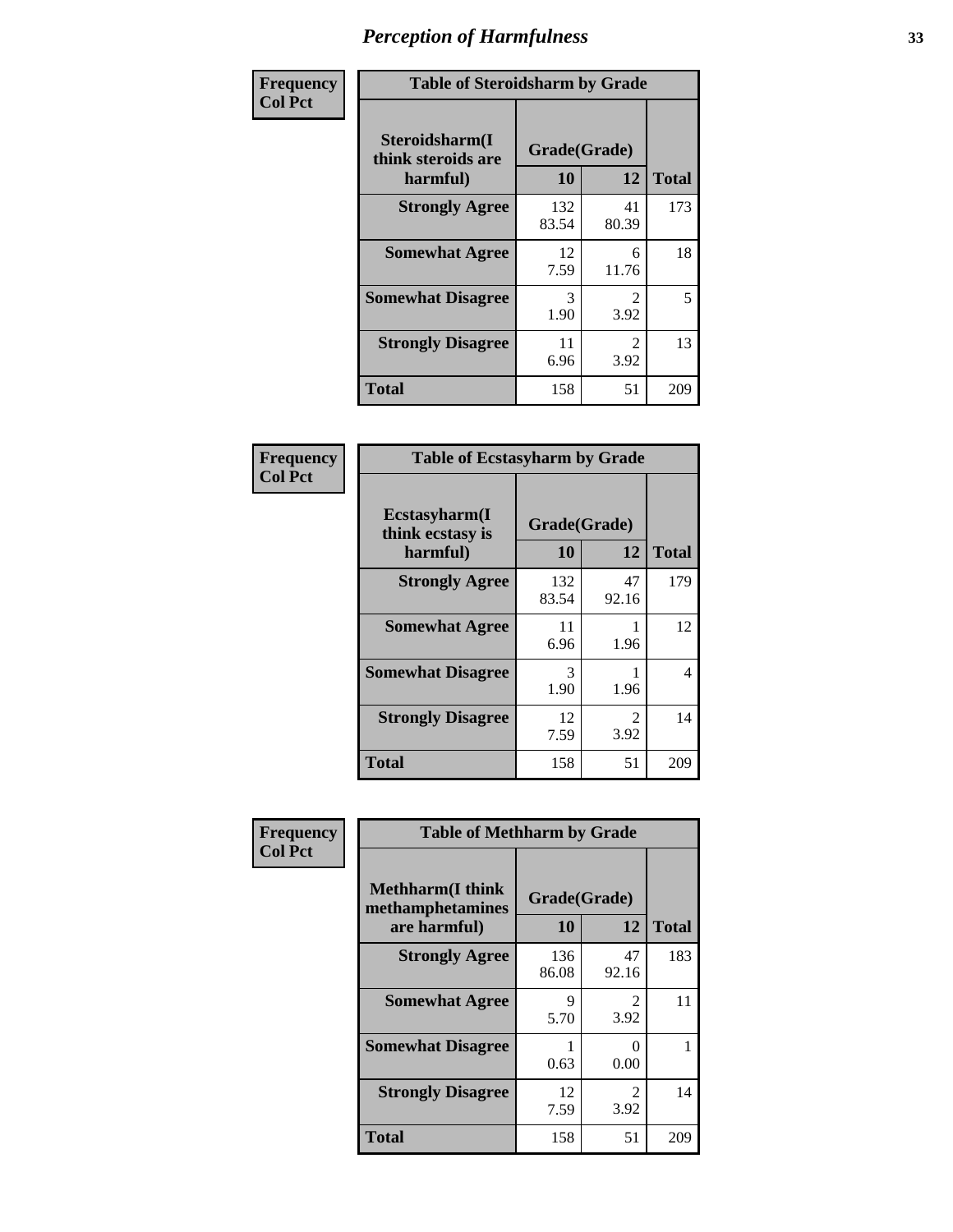| Frequency      | <b>Table of Steroidsharm by Grade</b>            |              |                        |              |
|----------------|--------------------------------------------------|--------------|------------------------|--------------|
| <b>Col Pct</b> | Steroidsharm(I<br>think steroids are<br>harmful) | 10           | Grade(Grade)<br>12     | <b>Total</b> |
|                | <b>Strongly Agree</b>                            | 132<br>83.54 | 41<br>80.39            | 173          |
|                | <b>Somewhat Agree</b>                            | 12<br>7.59   | 6<br>11.76             | 18           |
|                | <b>Somewhat Disagree</b>                         | 3<br>1.90    | $\mathfrak{D}$<br>3.92 | 5            |
|                | <b>Strongly Disagree</b>                         | 11<br>6.96   | $\mathfrak{D}$<br>3.92 | 13           |
|                | <b>Total</b>                                     | 158          | 51                     | 209          |

| <b>Table of Ecstasyharm by Grade</b>          |                    |                        |     |  |  |
|-----------------------------------------------|--------------------|------------------------|-----|--|--|
| Ecstasyharm(I<br>think ecstasy is<br>harmful) | Grade(Grade)<br>10 | <b>Total</b>           |     |  |  |
| <b>Strongly Agree</b>                         | 132<br>83.54       | 47<br>92.16            | 179 |  |  |
| <b>Somewhat Agree</b>                         | 11<br>6.96         | 1.96                   | 12  |  |  |
| <b>Somewhat Disagree</b>                      | 3<br>1.90          | 1.96                   | 4   |  |  |
| <b>Strongly Disagree</b>                      | 12<br>7.59         | $\mathfrak{D}$<br>3.92 | 14  |  |  |
| <b>Total</b>                                  | 158                | 51                     | 209 |  |  |

| Frequency      | <b>Table of Methharm by Grade</b>                            |                    |                        |              |  |
|----------------|--------------------------------------------------------------|--------------------|------------------------|--------------|--|
| <b>Col Pct</b> | <b>Methharm</b> (I think<br>methamphetamines<br>are harmful) | Grade(Grade)<br>10 | 12                     | <b>Total</b> |  |
|                | <b>Strongly Agree</b>                                        | 136<br>86.08       | 47<br>92.16            | 183          |  |
|                | <b>Somewhat Agree</b>                                        | 9<br>5.70          | 2<br>3.92              | 11           |  |
|                | <b>Somewhat Disagree</b>                                     | 0.63               | $\mathbf{0}$<br>0.00   |              |  |
|                | <b>Strongly Disagree</b>                                     | 12<br>7.59         | $\mathfrak{D}$<br>3.92 | 14           |  |
|                | <b>Total</b>                                                 | 158                | 51                     | 209          |  |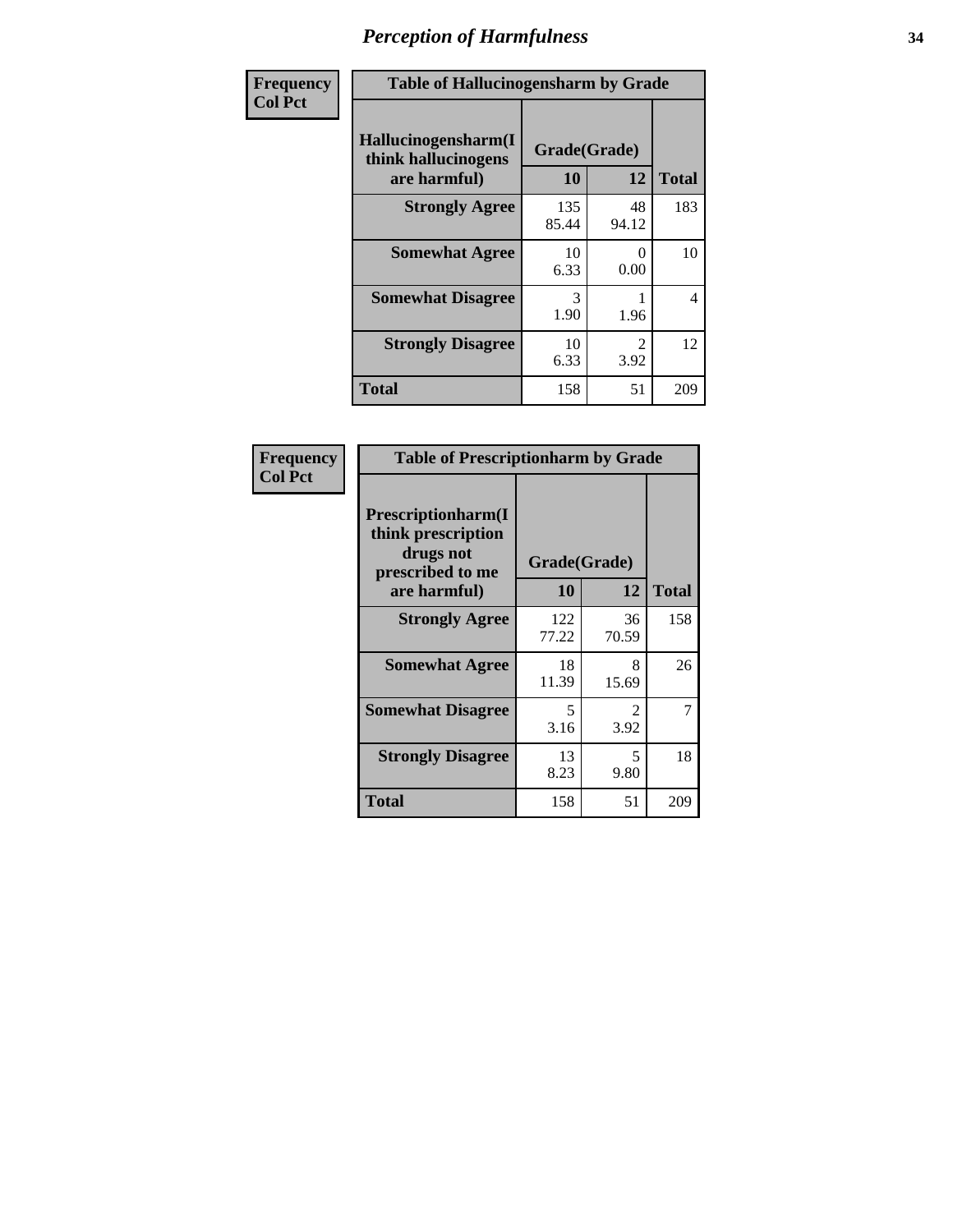| Frequency      | <b>Table of Hallucinogensharm by Grade</b>                 |                    |                       |              |
|----------------|------------------------------------------------------------|--------------------|-----------------------|--------------|
| <b>Col Pct</b> | Hallucinogensharm(I<br>think hallucinogens<br>are harmful) | Grade(Grade)<br>10 | 12                    | <b>Total</b> |
|                | <b>Strongly Agree</b>                                      | 135<br>85.44       | 48<br>94.12           | 183          |
|                | <b>Somewhat Agree</b>                                      | 10<br>6.33         | 0<br>0.00             | 10           |
|                | <b>Somewhat Disagree</b>                                   | 3<br>1.90          | 1.96                  | 4            |
|                | <b>Strongly Disagree</b>                                   | 10<br>6.33         | $\mathcal{L}$<br>3.92 | 12           |
|                | <b>Total</b>                                               | 158                | 51                    | 209          |

| <b>Table of Prescriptionharm by Grade</b>                                         |              |                                     |              |  |
|-----------------------------------------------------------------------------------|--------------|-------------------------------------|--------------|--|
| <b>Prescriptionharm</b> (I<br>think prescription<br>drugs not<br>prescribed to me | Grade(Grade) |                                     |              |  |
| are harmful)                                                                      | 10           | 12                                  | <b>Total</b> |  |
| <b>Strongly Agree</b>                                                             | 122<br>77.22 | 36<br>70.59                         | 158          |  |
| <b>Somewhat Agree</b>                                                             | 18<br>11.39  | 8<br>15.69                          | 26           |  |
| <b>Somewhat Disagree</b>                                                          | 5<br>3.16    | $\mathcal{D}_{\mathcal{L}}$<br>3.92 | 7            |  |
| <b>Strongly Disagree</b>                                                          | 13<br>8.23   | 5<br>9.80                           | 18           |  |
| Total                                                                             | 158          | 51                                  | 209          |  |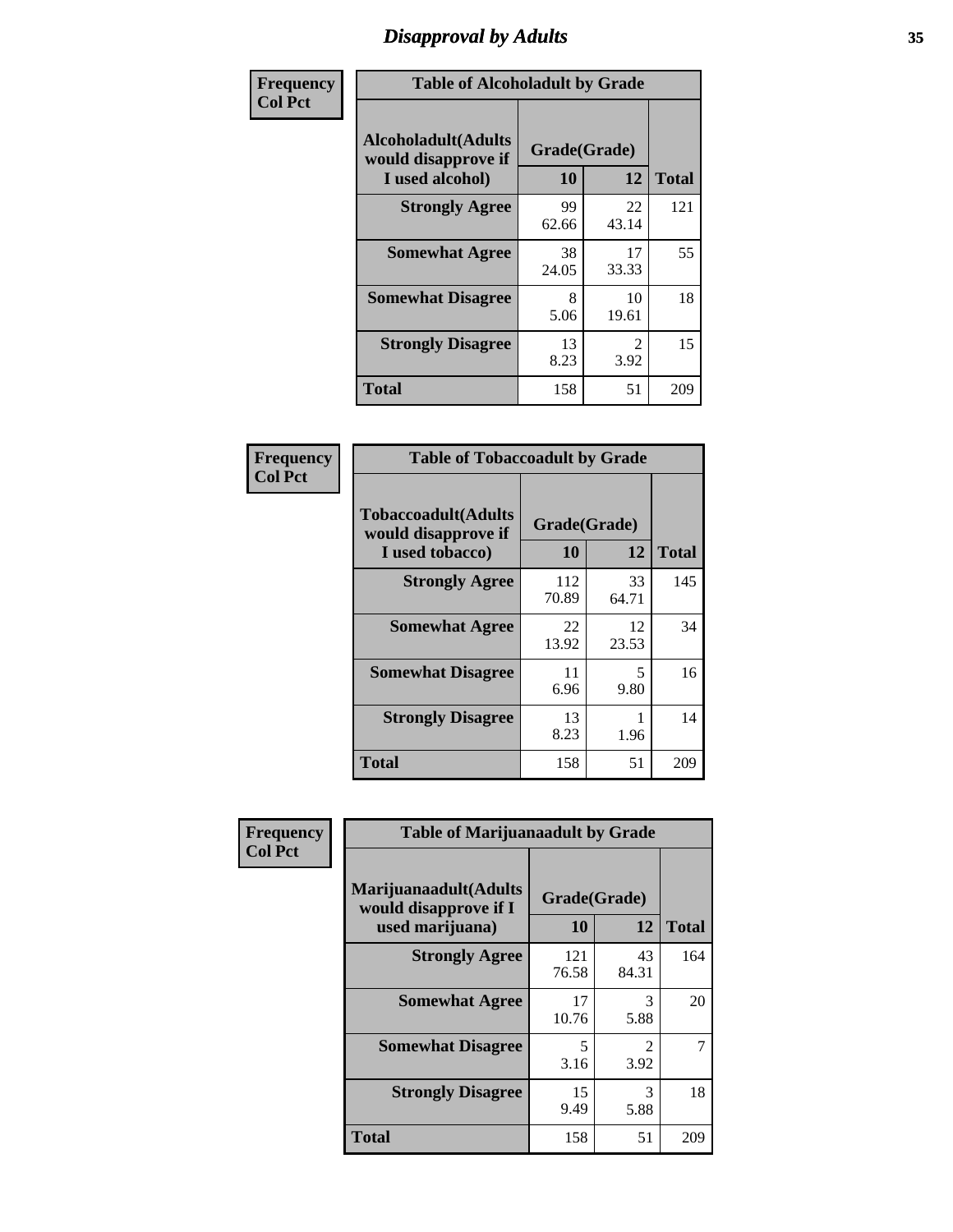# *Disapproval by Adults* **35**

| Frequency      | <b>Table of Alcoholadult by Grade</b>                                 |                    |             |              |  |
|----------------|-----------------------------------------------------------------------|--------------------|-------------|--------------|--|
| <b>Col Pct</b> | <b>Alcoholadult</b> (Adults<br>would disapprove if<br>I used alcohol) | Grade(Grade)<br>10 | 12          | <b>Total</b> |  |
|                | <b>Strongly Agree</b>                                                 | 99<br>62.66        | 22<br>43.14 | 121          |  |
|                | <b>Somewhat Agree</b>                                                 | 38<br>24.05        | 17<br>33.33 | 55           |  |
|                | <b>Somewhat Disagree</b>                                              | 8<br>5.06          | 10<br>19.61 | 18           |  |
|                | <b>Strongly Disagree</b>                                              | 13<br>8.23         | 2<br>3.92   | 15           |  |
|                | <b>Total</b>                                                          | 158                | 51          | 209          |  |

| <b>Table of Tobaccoadult by Grade</b>                                 |                    |             |              |  |
|-----------------------------------------------------------------------|--------------------|-------------|--------------|--|
| <b>Tobaccoadult</b> (Adults<br>would disapprove if<br>I used tobacco) | Grade(Grade)<br>10 | 12          | <b>Total</b> |  |
| <b>Strongly Agree</b>                                                 | 112<br>70.89       | 33<br>64.71 | 145          |  |
| <b>Somewhat Agree</b>                                                 | 22<br>13.92        | 12<br>23.53 | 34           |  |
| <b>Somewhat Disagree</b>                                              | 11<br>6.96         | 5<br>9.80   | 16           |  |
| <b>Strongly Disagree</b>                                              | 13<br>8.23         | 1.96        | 14           |  |
| <b>Total</b>                                                          | 158                | 51          | 209          |  |

| Frequency      | <b>Table of Marijuanaadult by Grade</b>                           |                    |             |              |  |
|----------------|-------------------------------------------------------------------|--------------------|-------------|--------------|--|
| <b>Col Pct</b> | Marijuanaadult(Adults<br>would disapprove if I<br>used marijuana) | Grade(Grade)<br>10 | 12          | <b>Total</b> |  |
|                | <b>Strongly Agree</b>                                             | 121<br>76.58       | 43<br>84.31 | 164          |  |
|                | <b>Somewhat Agree</b>                                             | 17<br>10.76        | 3<br>5.88   | 20           |  |
|                | <b>Somewhat Disagree</b>                                          | 5<br>3.16          | 2<br>3.92   |              |  |
|                | <b>Strongly Disagree</b>                                          | 15<br>9.49         | 3<br>5.88   | 18           |  |
|                | <b>Total</b>                                                      | 158                | 51          | 209          |  |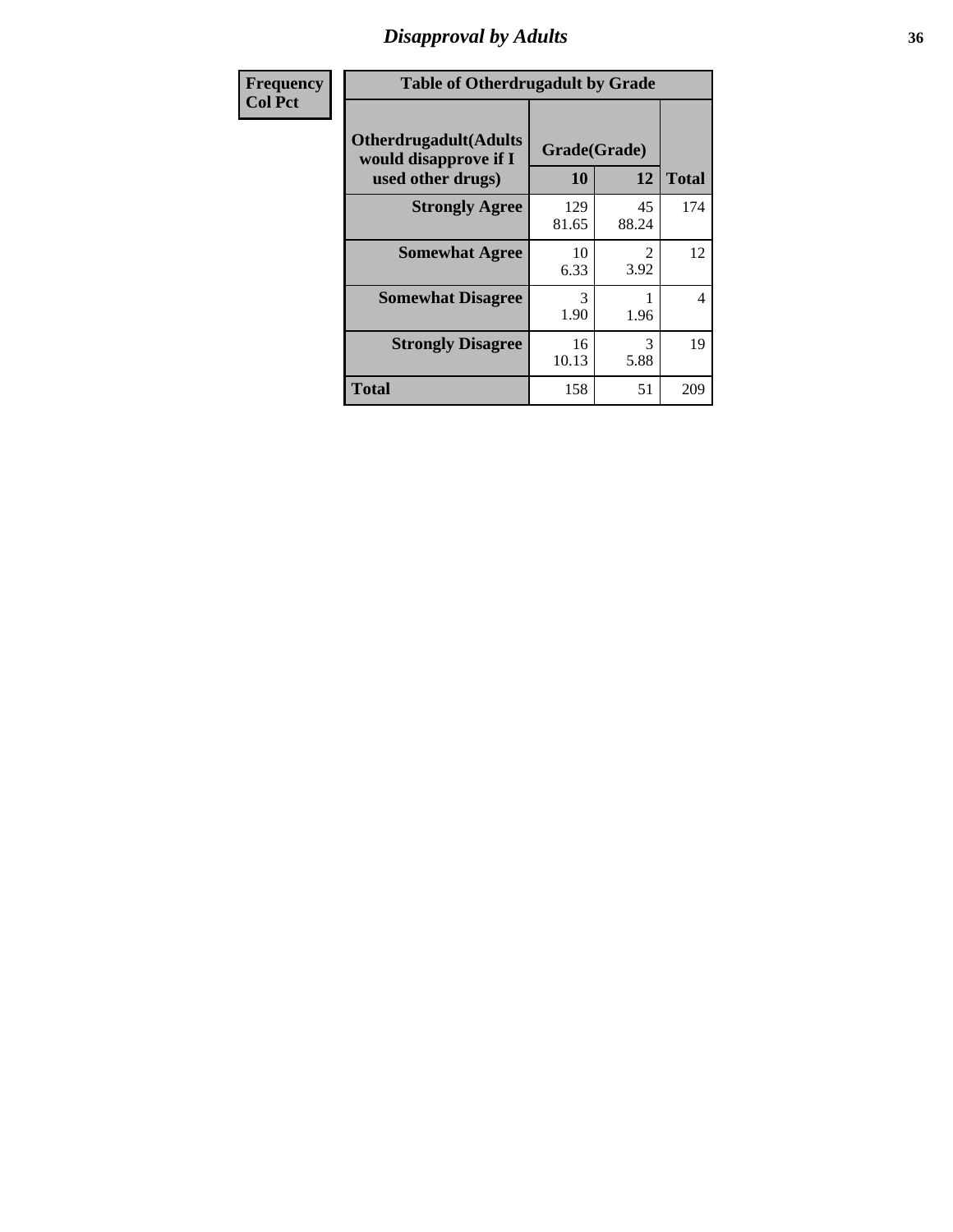# *Disapproval by Adults* **36**

| <b>Frequency</b> | <b>Table of Otherdrugadult by Grade</b>                                     |                    |                                     |              |  |
|------------------|-----------------------------------------------------------------------------|--------------------|-------------------------------------|--------------|--|
| <b>Col Pct</b>   | <b>Otherdrugadult</b> (Adults<br>would disapprove if I<br>used other drugs) | Grade(Grade)<br>10 | 12                                  | <b>Total</b> |  |
|                  | <b>Strongly Agree</b>                                                       | 129<br>81.65       | 45<br>88.24                         | 174          |  |
|                  | <b>Somewhat Agree</b>                                                       | 10<br>6.33         | $\mathcal{D}_{\mathcal{L}}$<br>3.92 | 12           |  |
|                  | <b>Somewhat Disagree</b>                                                    | 3<br>1.90          | 1.96                                | 4            |  |
|                  | <b>Strongly Disagree</b>                                                    | 16<br>10.13        | 3<br>5.88                           | 19           |  |
|                  | <b>Total</b>                                                                | 158                | 51                                  | 209          |  |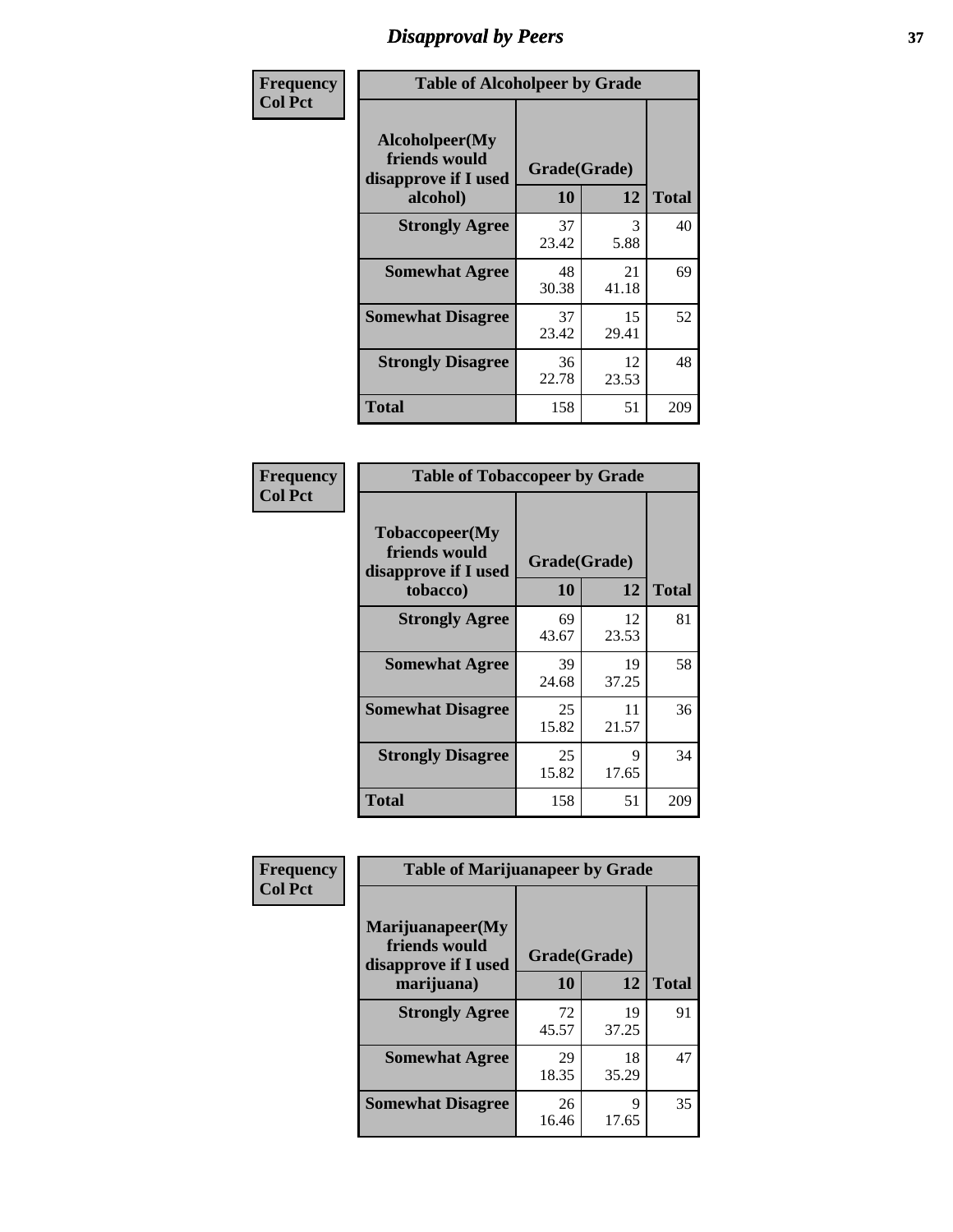## *Disapproval by Peers* **37**

| Frequency      | <b>Table of Alcoholpeer by Grade</b>                    |              |             |              |  |
|----------------|---------------------------------------------------------|--------------|-------------|--------------|--|
| <b>Col Pct</b> | Alcoholpeer(My<br>friends would<br>disapprove if I used | Grade(Grade) |             |              |  |
|                | alcohol)                                                | 10           | 12          | <b>Total</b> |  |
|                | <b>Strongly Agree</b>                                   | 37<br>23.42  | 3<br>5.88   | 40           |  |
|                | <b>Somewhat Agree</b>                                   | 48<br>30.38  | 21<br>41.18 | 69           |  |
|                | <b>Somewhat Disagree</b>                                | 37<br>23.42  | 15<br>29.41 | 52           |  |
|                | <b>Strongly Disagree</b>                                | 36<br>22.78  | 12<br>23.53 | 48           |  |
|                | Total                                                   | 158          | 51          | 209          |  |

| Frequency      | <b>Table of Tobaccopeer by Grade</b>                                |                    |             |              |
|----------------|---------------------------------------------------------------------|--------------------|-------------|--------------|
| <b>Col Pct</b> | Tobaccopeer(My<br>friends would<br>disapprove if I used<br>tobacco) | Grade(Grade)<br>10 | 12          | <b>Total</b> |
|                | <b>Strongly Agree</b>                                               | 69<br>43.67        | 12<br>23.53 | 81           |
|                | <b>Somewhat Agree</b>                                               | 39<br>24.68        | 19<br>37.25 | 58           |
|                | <b>Somewhat Disagree</b>                                            | 25<br>15.82        | 11<br>21.57 | 36           |
|                | <b>Strongly Disagree</b>                                            | 25<br>15.82        | 9<br>17.65  | 34           |
|                | Total                                                               | 158                | 51          | 209          |

| Frequency      | <b>Table of Marijuanapeer by Grade</b>                    |              |             |              |
|----------------|-----------------------------------------------------------|--------------|-------------|--------------|
| <b>Col Pct</b> | Marijuanapeer(My<br>friends would<br>disapprove if I used | Grade(Grade) |             |              |
|                | marijuana)                                                | 10           | 12          | <b>Total</b> |
|                | <b>Strongly Agree</b>                                     | 72<br>45.57  | 19<br>37.25 | 91           |
|                | <b>Somewhat Agree</b>                                     | 29<br>18.35  | 18<br>35.29 | 47           |
|                | <b>Somewhat Disagree</b>                                  | 26<br>16.46  | Q<br>17.65  | 35           |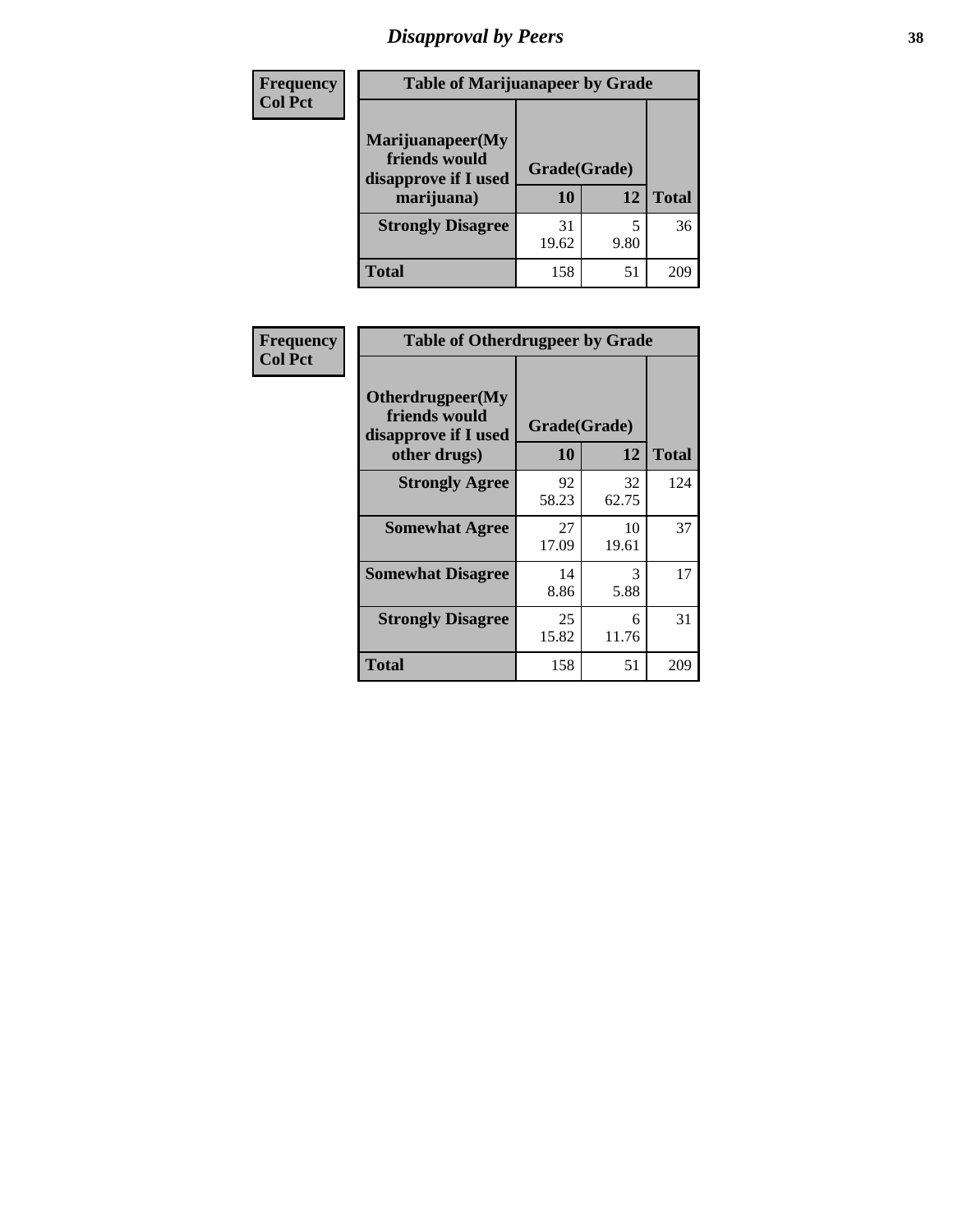# *Disapproval by Peers* **38**

| <b>Frequency</b> | <b>Table of Marijuanapeer by Grade</b>                                  |                    |      |              |  |
|------------------|-------------------------------------------------------------------------|--------------------|------|--------------|--|
| <b>Col Pct</b>   | Marijuanapeer(My<br>friends would<br>disapprove if I used<br>marijuana) | Grade(Grade)<br>10 | 12   | <b>Total</b> |  |
|                  | <b>Strongly Disagree</b>                                                | 31<br>19.62        | 9.80 | 36           |  |
|                  | <b>Total</b>                                                            | 158                | 51   | 209          |  |

| <b>Frequency</b> | <b>Table of Otherdrugpeer by Grade</b>                    |                    |             |              |
|------------------|-----------------------------------------------------------|--------------------|-------------|--------------|
| <b>Col Pct</b>   | Otherdrugpeer(My<br>friends would<br>disapprove if I used | Grade(Grade)<br>10 | 12          | <b>Total</b> |
|                  | other drugs)                                              |                    |             |              |
|                  | <b>Strongly Agree</b>                                     | 92<br>58.23        | 32<br>62.75 | 124          |
|                  | <b>Somewhat Agree</b>                                     | 27<br>17.09        | 10<br>19.61 | 37           |
|                  | <b>Somewhat Disagree</b>                                  | 14<br>8.86         | 3<br>5.88   | 17           |
|                  | <b>Strongly Disagree</b>                                  | 25<br>15.82        | 6<br>11.76  | 31           |
|                  | <b>Total</b>                                              | 158                | 51          | 209          |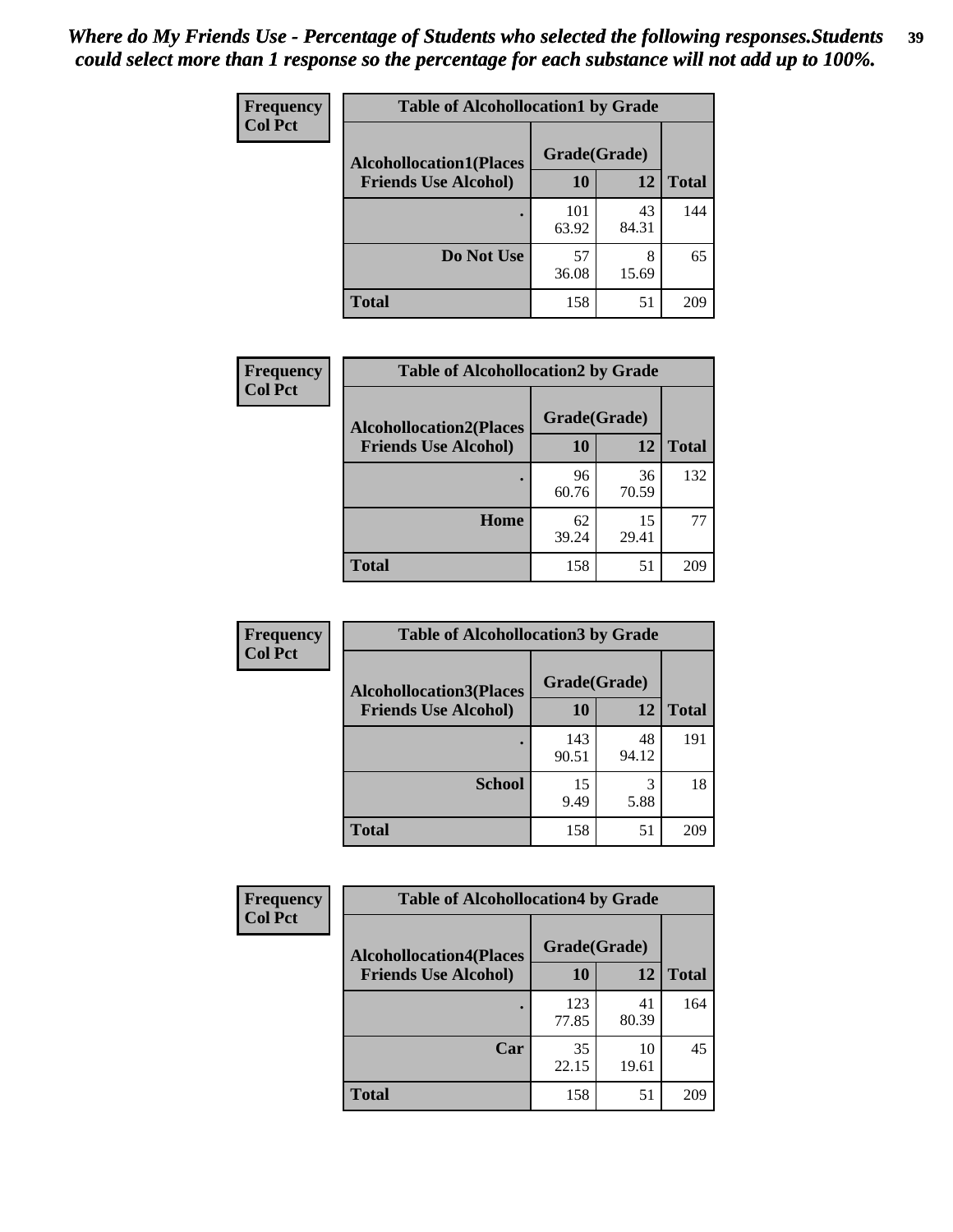| Frequency      | <b>Table of Alcohollocation1 by Grade</b> |              |             |              |
|----------------|-------------------------------------------|--------------|-------------|--------------|
| <b>Col Pct</b> | <b>Alcohollocation1(Places</b>            | Grade(Grade) |             |              |
|                | <b>Friends Use Alcohol)</b>               | 10           | 12          | <b>Total</b> |
|                |                                           | 101<br>63.92 | 43<br>84.31 | 144          |
|                | Do Not Use                                | 57<br>36.08  | 8<br>15.69  | 65           |
|                | <b>Total</b>                              | 158          | 51          | 209          |

| Frequency      | <b>Table of Alcohollocation2 by Grade</b>                     |                    |             |              |
|----------------|---------------------------------------------------------------|--------------------|-------------|--------------|
| <b>Col Pct</b> | <b>Alcohollocation2(Places</b><br><b>Friends Use Alcohol)</b> | Grade(Grade)<br>10 | <b>12</b>   | <b>Total</b> |
|                |                                                               | 96<br>60.76        | 36<br>70.59 | 132          |
|                | Home                                                          | 62<br>39.24        | 15<br>29.41 | 77           |
|                | <b>Total</b>                                                  | 158                | 51          | 209          |

| Frequency<br><b>Col Pct</b> | <b>Table of Alcohollocation 3 by Grade</b>                    |                    |             |              |
|-----------------------------|---------------------------------------------------------------|--------------------|-------------|--------------|
|                             | <b>Alcohollocation3(Places</b><br><b>Friends Use Alcohol)</b> | Grade(Grade)<br>10 | 12          | <b>Total</b> |
|                             |                                                               | 143<br>90.51       | 48<br>94.12 | 191          |
|                             | <b>School</b>                                                 | 15<br>9.49         | 3<br>5.88   | 18           |
|                             | <b>Total</b>                                                  | 158                | 51          | 209          |

| Frequency      | <b>Table of Alcohollocation4 by Grade</b> |              |             |              |  |
|----------------|-------------------------------------------|--------------|-------------|--------------|--|
| <b>Col Pct</b> | <b>Alcohollocation4(Places</b>            | Grade(Grade) |             |              |  |
|                | <b>Friends Use Alcohol)</b>               | 10           | 12          | <b>Total</b> |  |
|                |                                           | 123<br>77.85 | 41<br>80.39 | 164          |  |
|                | Car                                       | 35<br>22.15  | 10<br>19.61 | 45           |  |
|                | <b>Total</b>                              | 158          | 51          | 209          |  |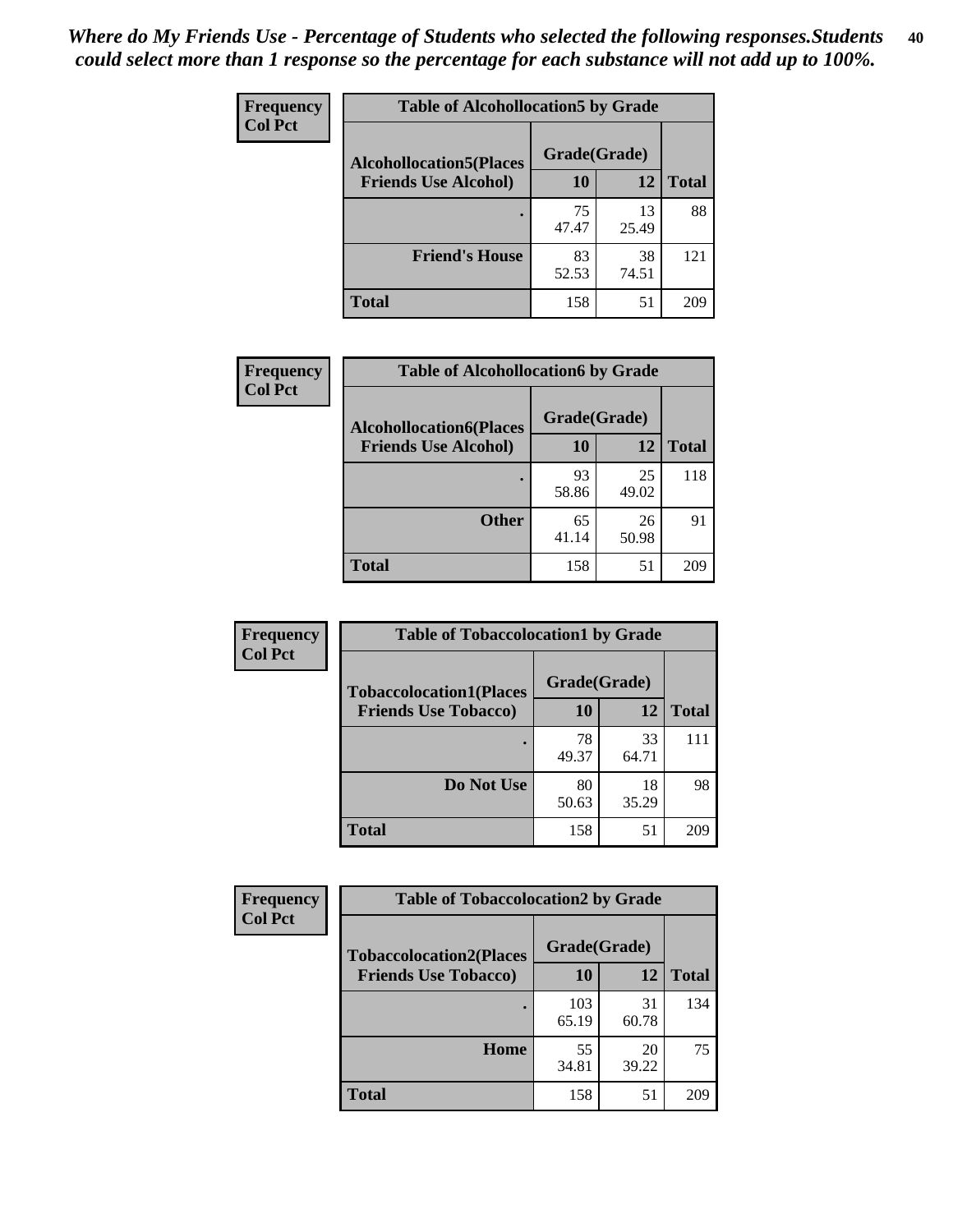| Frequency<br><b>Col Pct</b> | <b>Table of Alcohollocation5 by Grade</b>      |             |             |              |  |
|-----------------------------|------------------------------------------------|-------------|-------------|--------------|--|
|                             | Grade(Grade)<br><b>Alcohollocation5(Places</b> |             |             |              |  |
|                             | <b>Friends Use Alcohol)</b>                    | 10          | 12          | <b>Total</b> |  |
|                             |                                                | 75<br>47.47 | 13<br>25.49 | 88           |  |
|                             | <b>Friend's House</b>                          | 83<br>52.53 | 38<br>74.51 | 121          |  |
|                             | <b>Total</b>                                   | 158         | 51          | 209          |  |

| Frequency      | <b>Table of Alcohollocation6 by Grade</b>                     |                    |             |              |
|----------------|---------------------------------------------------------------|--------------------|-------------|--------------|
| <b>Col Pct</b> | <b>Alcohollocation6(Places</b><br><b>Friends Use Alcohol)</b> | Grade(Grade)<br>10 | 12          | <b>Total</b> |
|                |                                                               | 93<br>58.86        | 25<br>49.02 | 118          |
|                | <b>Other</b>                                                  | 65<br>41.14        | 26<br>50.98 | 91           |
|                | <b>Total</b>                                                  | 158                | 51          | 209          |

| <b>Frequency</b> | <b>Table of Tobaccolocation1 by Grade</b> |              |             |              |
|------------------|-------------------------------------------|--------------|-------------|--------------|
| <b>Col Pct</b>   | <b>Tobaccolocation1(Places</b>            | Grade(Grade) |             |              |
|                  | <b>Friends Use Tobacco)</b>               | 10           | 12          | <b>Total</b> |
|                  |                                           | 78<br>49.37  | 33<br>64.71 | 111          |
|                  | Do Not Use                                | 80<br>50.63  | 18<br>35.29 | 98           |
|                  | <b>Total</b>                              | 158          | 51          | 209          |

| <b>Frequency</b> | <b>Table of Tobaccolocation2 by Grade</b> |              |             |              |
|------------------|-------------------------------------------|--------------|-------------|--------------|
| <b>Col Pct</b>   | <b>Tobaccolocation2(Places</b>            | Grade(Grade) |             |              |
|                  | <b>Friends Use Tobacco)</b>               | 10           | 12          | <b>Total</b> |
|                  |                                           | 103<br>65.19 | 31<br>60.78 | 134          |
|                  | Home                                      | 55<br>34.81  | 20<br>39.22 | 75           |
|                  | <b>Total</b>                              | 158          | 51          | 209          |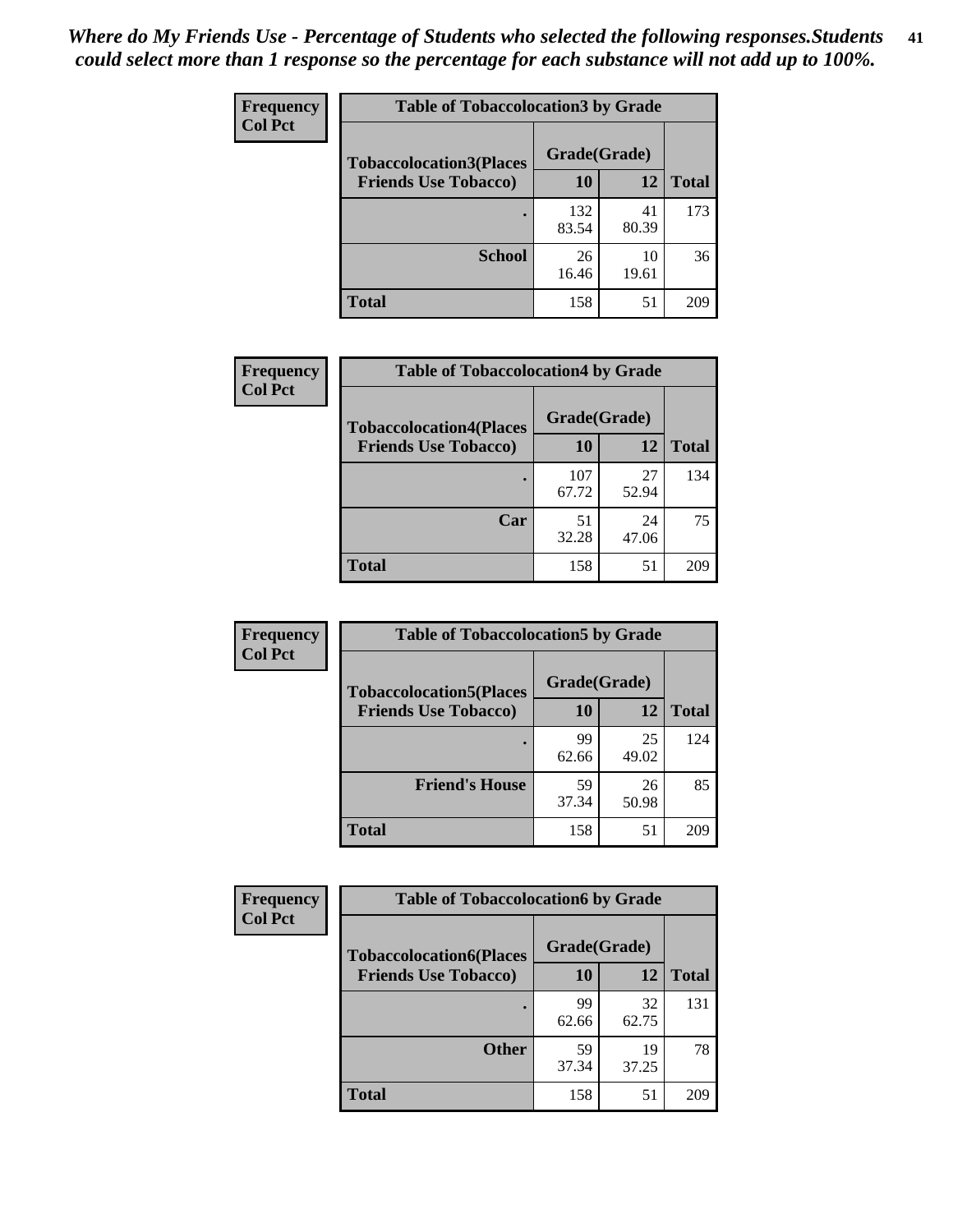| Frequency      | <b>Table of Tobaccolocation 3 by Grade</b> |              |             |              |  |
|----------------|--------------------------------------------|--------------|-------------|--------------|--|
| <b>Col Pct</b> | <b>Tobaccolocation3(Places</b>             | Grade(Grade) |             |              |  |
|                | <b>Friends Use Tobacco)</b>                | 10           | <b>12</b>   | <b>Total</b> |  |
|                |                                            | 132<br>83.54 | 41<br>80.39 | 173          |  |
|                | <b>School</b>                              | 26<br>16.46  | 10<br>19.61 | 36           |  |
|                | <b>Total</b>                               | 158          | 51          | 209          |  |

| Frequency      | <b>Table of Tobaccolocation4 by Grade</b>                     |                    |             |              |
|----------------|---------------------------------------------------------------|--------------------|-------------|--------------|
| <b>Col Pct</b> | <b>Tobaccolocation4(Places</b><br><b>Friends Use Tobacco)</b> | Grade(Grade)<br>10 | 12          | <b>Total</b> |
|                |                                                               |                    |             |              |
|                |                                                               | 107<br>67.72       | 27<br>52.94 | 134          |
|                | Car                                                           | 51<br>32.28        | 24<br>47.06 | 75           |
|                | <b>Total</b>                                                  | 158                | 51          | 209          |

| Frequency      | <b>Table of Tobaccolocation5 by Grade</b>                     |                    |             |              |
|----------------|---------------------------------------------------------------|--------------------|-------------|--------------|
| <b>Col Pct</b> | <b>Tobaccolocation5(Places</b><br><b>Friends Use Tobacco)</b> | Grade(Grade)<br>10 | 12          | <b>Total</b> |
|                |                                                               | 99<br>62.66        | 25<br>49.02 | 124          |
|                | <b>Friend's House</b>                                         | 59<br>37.34        | 26<br>50.98 | 85           |
|                | <b>Total</b>                                                  | 158                | 51          | 209          |

| <b>Frequency</b> | <b>Table of Tobaccolocation6 by Grade</b> |              |             |              |  |
|------------------|-------------------------------------------|--------------|-------------|--------------|--|
| <b>Col Pct</b>   | <b>Tobaccolocation6(Places</b>            | Grade(Grade) |             |              |  |
|                  | <b>Friends Use Tobacco)</b>               | 10           | 12          | <b>Total</b> |  |
|                  |                                           | 99<br>62.66  | 32<br>62.75 | 131          |  |
|                  | <b>Other</b>                              | 59<br>37.34  | 19<br>37.25 | 78           |  |
|                  | <b>Total</b>                              | 158          | 51          | 209          |  |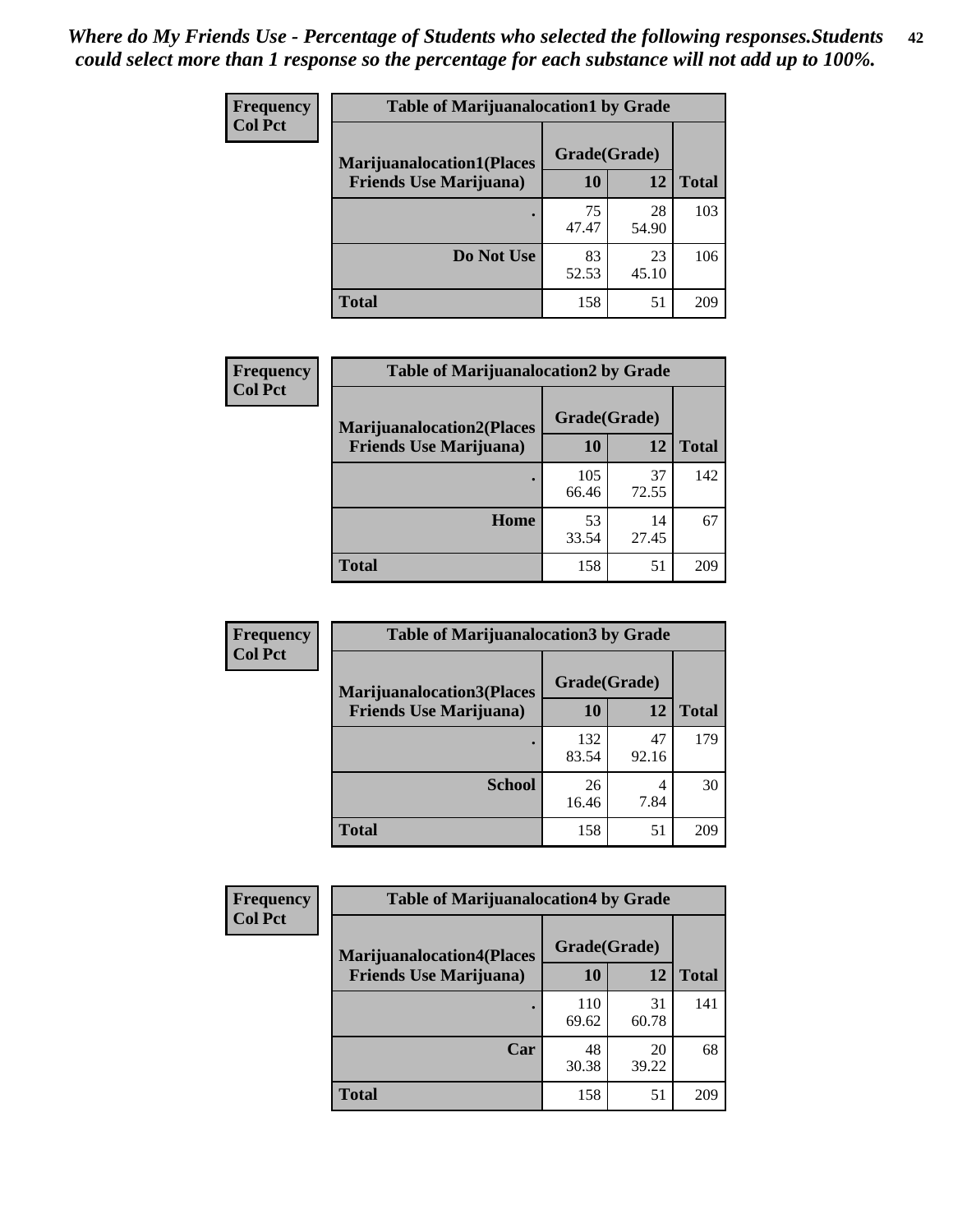| <b>Frequency</b> | <b>Table of Marijuanalocation1 by Grade</b> |              |             |              |
|------------------|---------------------------------------------|--------------|-------------|--------------|
| <b>Col Pct</b>   | <b>Marijuanalocation1(Places</b>            | Grade(Grade) |             |              |
|                  | <b>Friends Use Marijuana</b> )              | 10           | 12          | <b>Total</b> |
|                  |                                             | 75<br>47.47  | 28<br>54.90 | 103          |
|                  | Do Not Use                                  | 83<br>52.53  | 23<br>45.10 | 106          |
|                  | Total                                       | 158          | 51          | 209          |

| <b>Frequency</b> | <b>Table of Marijuanalocation2 by Grade</b>                        |                           |             |              |
|------------------|--------------------------------------------------------------------|---------------------------|-------------|--------------|
| <b>Col Pct</b>   | <b>Marijuanalocation2(Places</b><br><b>Friends Use Marijuana</b> ) | Grade(Grade)<br><b>10</b> | 12          | <b>Total</b> |
|                  |                                                                    | 105<br>66.46              | 37<br>72.55 | 142          |
|                  | Home                                                               | 53<br>33.54               | 14<br>27.45 | 67           |
|                  | <b>Total</b>                                                       | 158                       | 51          | 209          |

| Frequency<br><b>Col Pct</b> | <b>Table of Marijuanalocation3 by Grade</b> |              |             |              |
|-----------------------------|---------------------------------------------|--------------|-------------|--------------|
|                             | <b>Marijuanalocation3</b> (Places           | Grade(Grade) |             |              |
|                             | <b>Friends Use Marijuana</b> )              | 10           | 12          | <b>Total</b> |
|                             |                                             | 132<br>83.54 | 47<br>92.16 | 179          |
|                             | <b>School</b>                               | 26<br>16.46  | 4<br>7.84   | 30           |
|                             | <b>Total</b>                                | 158          | 51          | 209          |

| <b>Frequency</b> | <b>Table of Marijuanalocation4 by Grade</b> |              |             |              |  |
|------------------|---------------------------------------------|--------------|-------------|--------------|--|
| <b>Col Pct</b>   | <b>Marijuanalocation4(Places</b>            | Grade(Grade) |             |              |  |
|                  | <b>Friends Use Marijuana</b> )              | <b>10</b>    | 12          | <b>Total</b> |  |
|                  |                                             | 110<br>69.62 | 31<br>60.78 | 141          |  |
|                  | Car                                         | 48<br>30.38  | 20<br>39.22 | 68           |  |
|                  | <b>Total</b>                                | 158          | 51          | 209          |  |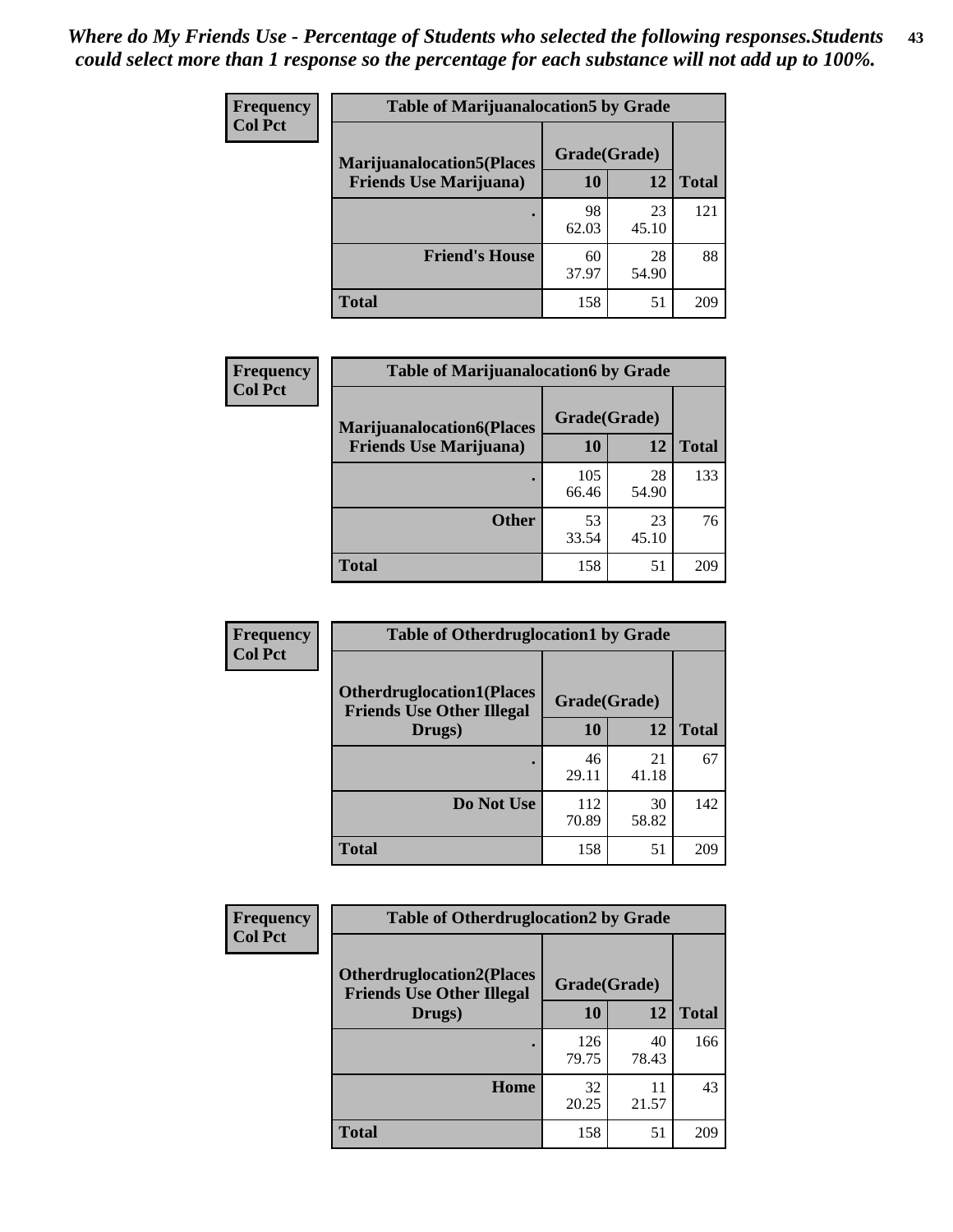| <b>Frequency</b> | <b>Table of Marijuanalocation5 by Grade</b> |              |             |              |
|------------------|---------------------------------------------|--------------|-------------|--------------|
| <b>Col Pct</b>   | <b>Marijuanalocation5</b> (Places           | Grade(Grade) |             |              |
|                  | <b>Friends Use Marijuana</b> )              | 10           | 12          | <b>Total</b> |
|                  |                                             | 98<br>62.03  | 23<br>45.10 | 121          |
|                  | <b>Friend's House</b>                       | 60<br>37.97  | 28<br>54.90 | 88           |
|                  | <b>Total</b>                                | 158          | 51          | 209          |

| <b>Frequency</b> | <b>Table of Marijuanalocation6 by Grade</b>                        |                    |             |              |
|------------------|--------------------------------------------------------------------|--------------------|-------------|--------------|
| <b>Col Pct</b>   | <b>Marijuanalocation6(Places</b><br><b>Friends Use Marijuana</b> ) | Grade(Grade)<br>10 | 12          | <b>Total</b> |
|                  |                                                                    | 105<br>66.46       | 28<br>54.90 | 133          |
|                  | <b>Other</b>                                                       | 53<br>33.54        | 23<br>45.10 | 76           |
|                  | <b>Total</b>                                                       | 158                | 51          | 209          |

| Frequency      | <b>Table of Otherdruglocation1 by Grade</b>                          |              |             |              |
|----------------|----------------------------------------------------------------------|--------------|-------------|--------------|
| <b>Col Pct</b> | <b>Otherdruglocation1(Places</b><br><b>Friends Use Other Illegal</b> | Grade(Grade) |             |              |
|                | Drugs)                                                               | 10           | 12          | <b>Total</b> |
|                |                                                                      | 46<br>29.11  | 21<br>41.18 | 67           |
|                | Do Not Use                                                           | 112<br>70.89 | 30<br>58.82 | 142          |
|                | <b>Total</b>                                                         | 158          | 51          | 209          |

| <b>Frequency</b> | <b>Table of Otherdruglocation2 by Grade</b>                          |              |             |              |
|------------------|----------------------------------------------------------------------|--------------|-------------|--------------|
| <b>Col Pct</b>   | <b>Otherdruglocation2(Places</b><br><b>Friends Use Other Illegal</b> | Grade(Grade) |             |              |
|                  | Drugs)                                                               | 10           | 12          | <b>Total</b> |
|                  |                                                                      | 126<br>79.75 | 40<br>78.43 | 166          |
|                  | <b>Home</b>                                                          | 32<br>20.25  | 11<br>21.57 | 43           |
|                  | <b>Total</b>                                                         | 158          | 51          | 209          |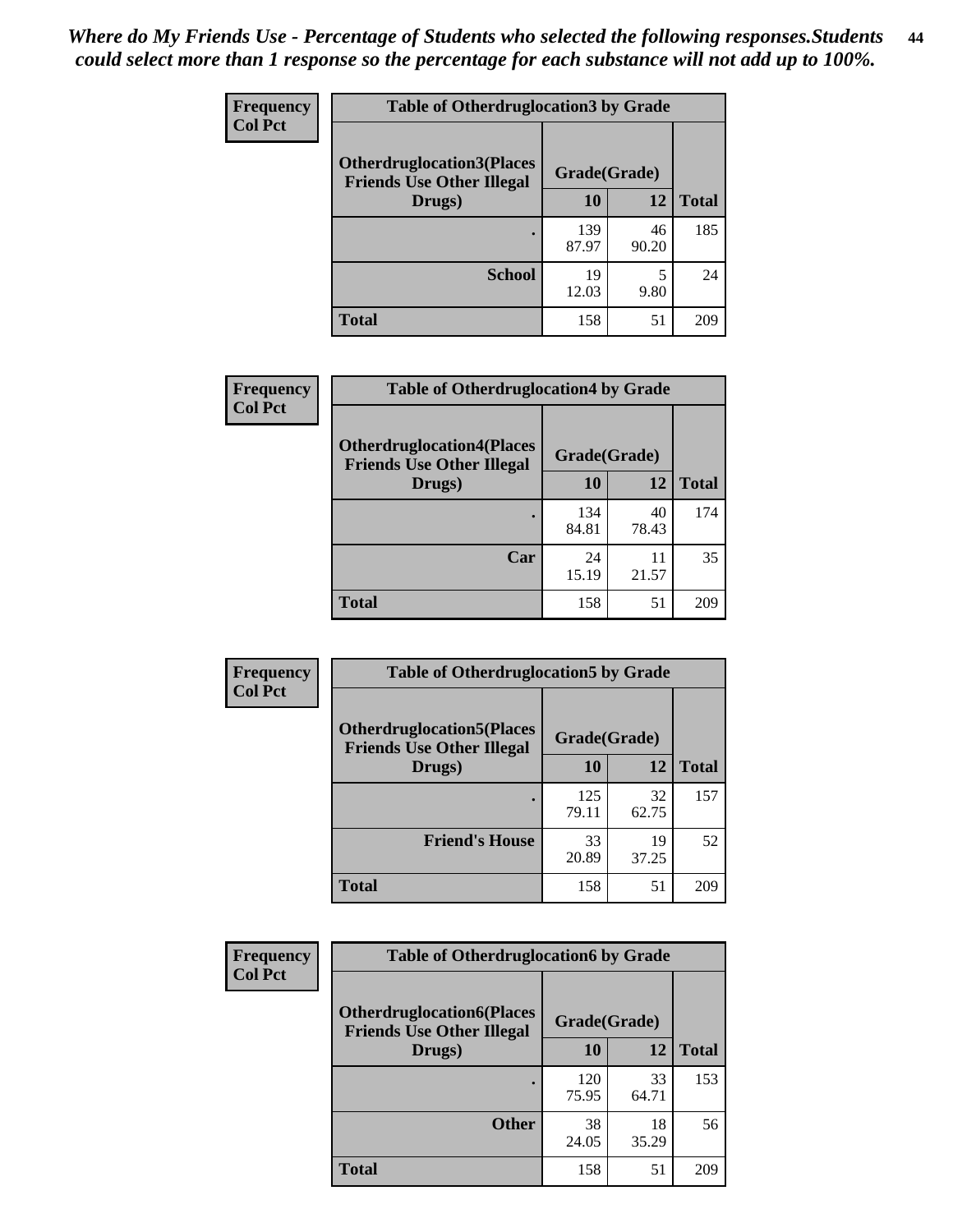| <b>Frequency</b> | <b>Table of Otherdruglocation 3 by Grade</b>                         |              |             |              |
|------------------|----------------------------------------------------------------------|--------------|-------------|--------------|
| <b>Col Pct</b>   | <b>Otherdruglocation3(Places</b><br><b>Friends Use Other Illegal</b> | Grade(Grade) |             |              |
|                  | Drugs)                                                               | <b>10</b>    | 12          | <b>Total</b> |
|                  |                                                                      | 139<br>87.97 | 46<br>90.20 | 185          |
|                  | <b>School</b>                                                        | 19<br>12.03  | 9.80        | 24           |
|                  | <b>Total</b>                                                         | 158          | 51          | 209          |

| <b>Frequency</b> | <b>Table of Otherdruglocation4 by Grade</b>                          |              |             |              |
|------------------|----------------------------------------------------------------------|--------------|-------------|--------------|
| <b>Col Pct</b>   | <b>Otherdruglocation4(Places</b><br><b>Friends Use Other Illegal</b> | Grade(Grade) |             |              |
|                  | Drugs)                                                               | 10           | 12          | <b>Total</b> |
|                  |                                                                      | 134<br>84.81 | 40<br>78.43 | 174          |
|                  | Car                                                                  | 24<br>15.19  | 11<br>21.57 | 35           |
|                  | <b>Total</b>                                                         | 158          | 51          | 209          |

| Frequency      | <b>Table of Otherdruglocation5 by Grade</b>                          |              |             |              |
|----------------|----------------------------------------------------------------------|--------------|-------------|--------------|
| <b>Col Pct</b> | <b>Otherdruglocation5(Places</b><br><b>Friends Use Other Illegal</b> | Grade(Grade) |             |              |
|                | Drugs)                                                               | 10           | 12          | <b>Total</b> |
|                |                                                                      | 125<br>79.11 | 32<br>62.75 | 157          |
|                | <b>Friend's House</b>                                                | 33<br>20.89  | 19<br>37.25 | 52           |
|                | <b>Total</b>                                                         | 158          | 51          | 209          |

| <b>Frequency</b>                                                                       | <b>Table of Otherdruglocation6 by Grade</b> |              |             |              |
|----------------------------------------------------------------------------------------|---------------------------------------------|--------------|-------------|--------------|
| <b>Col Pct</b><br><b>Otherdruglocation6(Places</b><br><b>Friends Use Other Illegal</b> |                                             | Grade(Grade) |             |              |
|                                                                                        | Drugs)                                      | <b>10</b>    | 12          | <b>Total</b> |
|                                                                                        |                                             | 120<br>75.95 | 33<br>64.71 | 153          |
|                                                                                        | <b>Other</b>                                | 38<br>24.05  | 18<br>35.29 | 56           |
|                                                                                        | <b>Total</b>                                | 158          | 51          | 209          |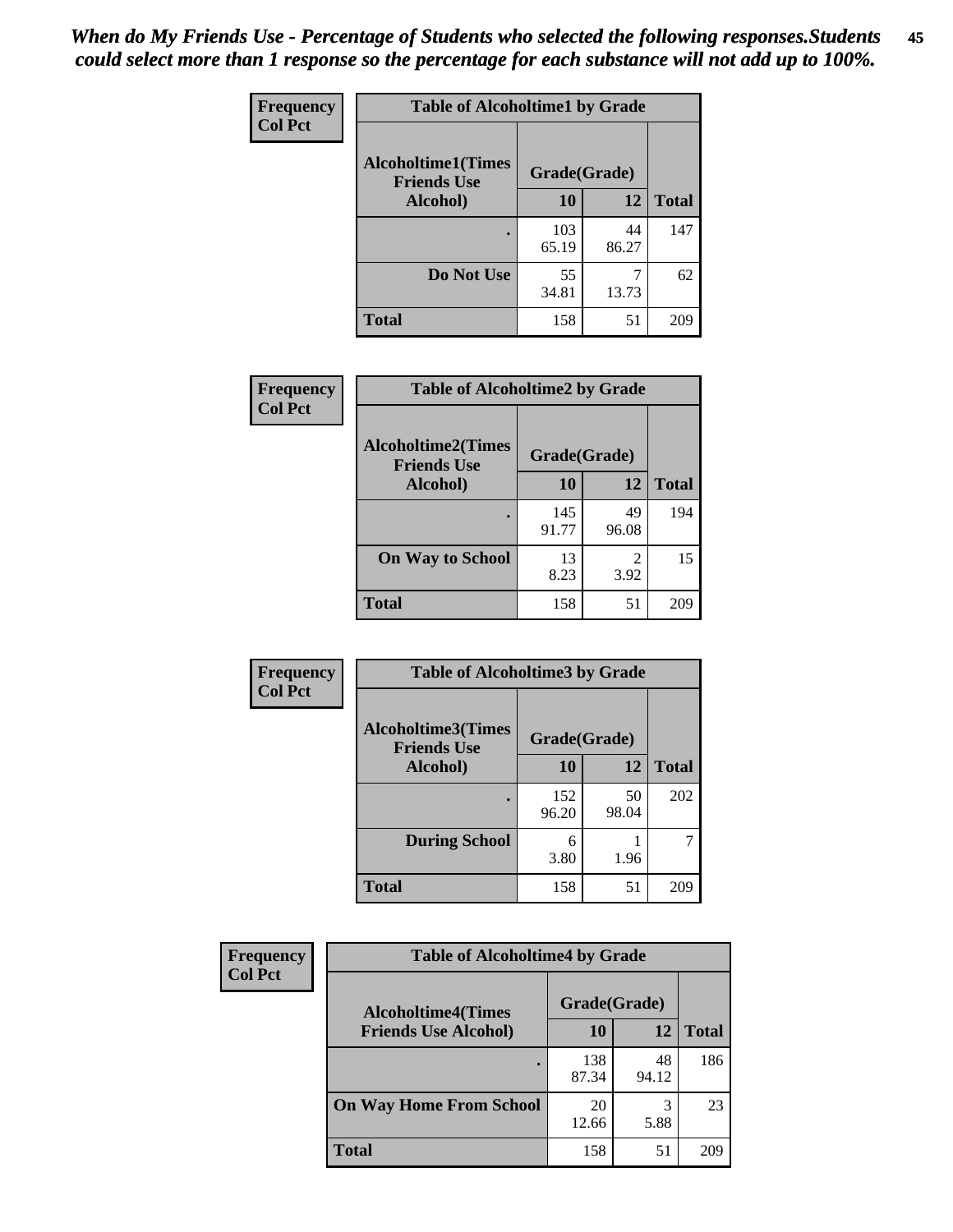| Frequency      | <b>Table of Alcoholtime1 by Grade</b>                           |              |             |              |
|----------------|-----------------------------------------------------------------|--------------|-------------|--------------|
| <b>Col Pct</b> | <b>Alcoholtime1(Times</b><br>Grade(Grade)<br><b>Friends Use</b> |              |             |              |
|                | Alcohol)                                                        | 10           | 12          | <b>Total</b> |
|                |                                                                 | 103<br>65.19 | 44<br>86.27 | 147          |
|                | Do Not Use                                                      | 55<br>34.81  | 13.73       | 62           |
|                | <b>Total</b>                                                    | 158          | 51          | 209          |

| Frequency      | <b>Table of Alcoholtime2 by Grade</b>           |              |             |              |
|----------------|-------------------------------------------------|--------------|-------------|--------------|
| <b>Col Pct</b> | <b>Alcoholtime2(Times</b><br><b>Friends Use</b> | Grade(Grade) |             |              |
|                | Alcohol)                                        | 10           | 12          | <b>Total</b> |
|                |                                                 | 145<br>91.77 | 49<br>96.08 | 194          |
|                | <b>On Way to School</b>                         | 13<br>8.23   | 2<br>3.92   | 15           |
|                | <b>Total</b>                                    | 158          | 51          | 209          |

| Frequency<br><b>Col Pct</b> | <b>Table of Alcoholtime3 by Grade</b>                           |              |             |              |
|-----------------------------|-----------------------------------------------------------------|--------------|-------------|--------------|
|                             | <b>Alcoholtime3(Times</b><br>Grade(Grade)<br><b>Friends Use</b> |              |             |              |
|                             | Alcohol)                                                        | 10           | 12          | <b>Total</b> |
|                             |                                                                 | 152<br>96.20 | 50<br>98.04 | 202          |
|                             | <b>During School</b>                                            | 6<br>3.80    | 1.96        | 7            |
|                             | <b>Total</b>                                                    | 158          | 51          | 209          |

| <b>Frequency</b><br><b>Col Pct</b> | <b>Table of Alcoholtime4 by Grade</b> |              |             |              |
|------------------------------------|---------------------------------------|--------------|-------------|--------------|
|                                    | <b>Alcoholtime4(Times</b>             | Grade(Grade) |             |              |
|                                    | <b>Friends Use Alcohol)</b>           | 10           | 12          | <b>Total</b> |
|                                    |                                       | 138<br>87.34 | 48<br>94.12 | 186          |
|                                    | <b>On Way Home From School</b>        | 20<br>12.66  | 3<br>5.88   | 23           |
|                                    | <b>Total</b>                          | 158          | 51          | 209          |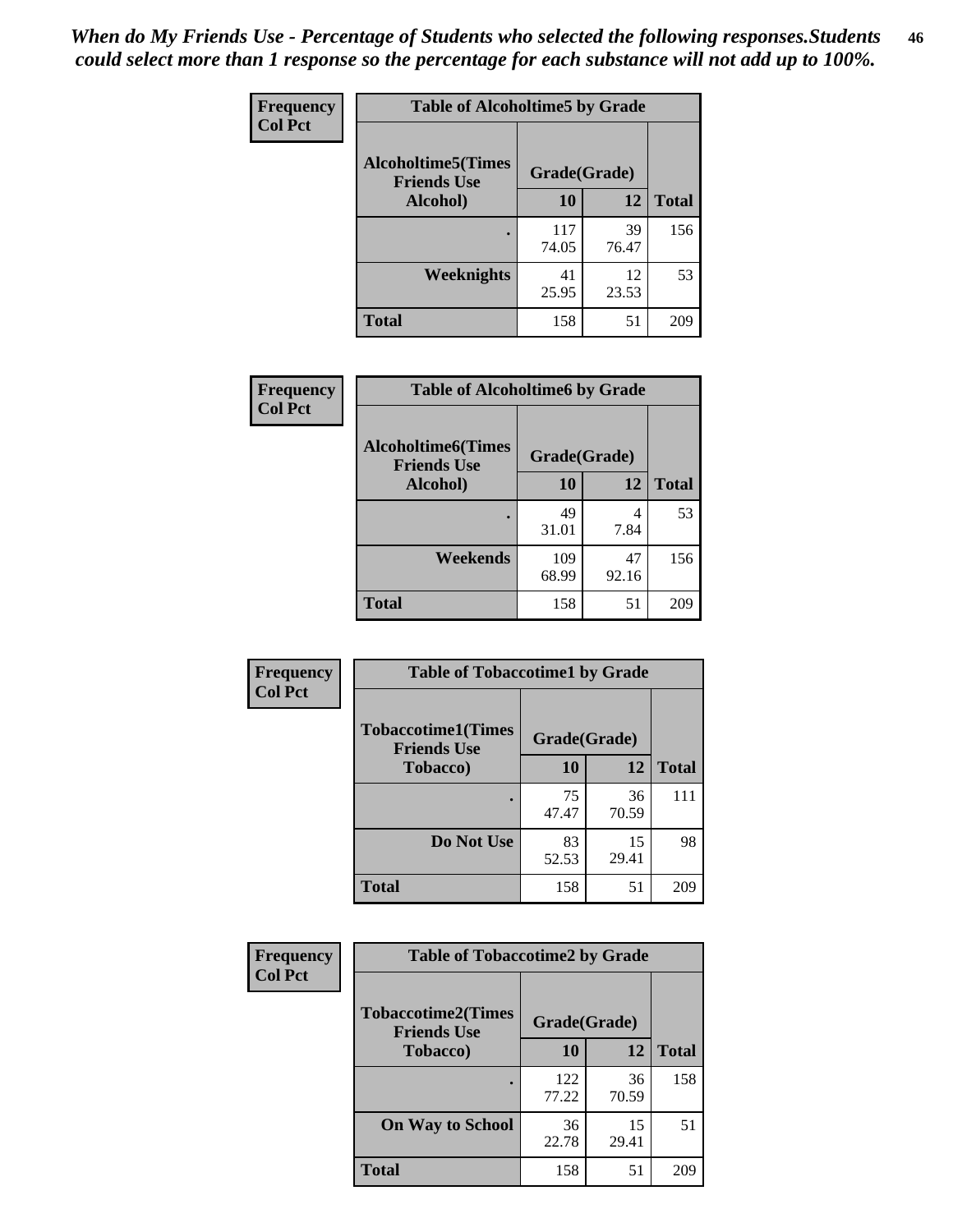*When do My Friends Use - Percentage of Students who selected the following responses.Students could select more than 1 response so the percentage for each substance will not add up to 100%.* **46**

| Frequency      | <b>Table of Alcoholtime5 by Grade</b>           |              |             |              |
|----------------|-------------------------------------------------|--------------|-------------|--------------|
| <b>Col Pct</b> | <b>Alcoholtime5(Times</b><br><b>Friends Use</b> | Grade(Grade) |             |              |
|                | Alcohol)                                        | 10           | 12          | <b>Total</b> |
|                |                                                 | 117<br>74.05 | 39<br>76.47 | 156          |
|                | Weeknights                                      | 41<br>25.95  | 12<br>23.53 | 53           |
|                | <b>Total</b>                                    | 158          | 51          | 209          |

| Frequency      | <b>Table of Alcoholtime6 by Grade</b>           |              |             |              |
|----------------|-------------------------------------------------|--------------|-------------|--------------|
| <b>Col Pct</b> | <b>Alcoholtime6(Times</b><br><b>Friends Use</b> | Grade(Grade) |             |              |
|                | Alcohol)                                        | 10           | 12          | <b>Total</b> |
|                | ٠                                               | 49<br>31.01  | 4<br>7.84   | 53           |
|                | Weekends                                        | 109<br>68.99 | 47<br>92.16 | 156          |
|                | <b>Total</b>                                    | 158          | 51          | 209          |

| Frequency<br><b>Col Pct</b> | <b>Table of Tobaccotime1 by Grade</b>           |              |             |              |
|-----------------------------|-------------------------------------------------|--------------|-------------|--------------|
|                             | <b>Tobaccotime1(Times</b><br><b>Friends Use</b> | Grade(Grade) |             |              |
|                             | <b>Tobacco</b> )                                | <b>10</b>    | 12          | <b>Total</b> |
|                             | ٠                                               | 75<br>47.47  | 36<br>70.59 | 111          |
|                             | Do Not Use                                      | 83<br>52.53  | 15<br>29.41 | 98           |
|                             | <b>Total</b>                                    | 158          | 51          | 209          |

| <b>Frequency</b> | <b>Table of Tobaccotime2 by Grade</b>           |              |             |              |
|------------------|-------------------------------------------------|--------------|-------------|--------------|
| <b>Col Pct</b>   | <b>Tobaccotime2(Times</b><br><b>Friends Use</b> | Grade(Grade) |             |              |
|                  | <b>Tobacco</b> )                                | 10           | 12          | <b>Total</b> |
|                  |                                                 | 122<br>77.22 | 36<br>70.59 | 158          |
|                  | <b>On Way to School</b>                         | 36<br>22.78  | 15<br>29.41 | 51           |
|                  | <b>Total</b>                                    | 158          | 51          | 209          |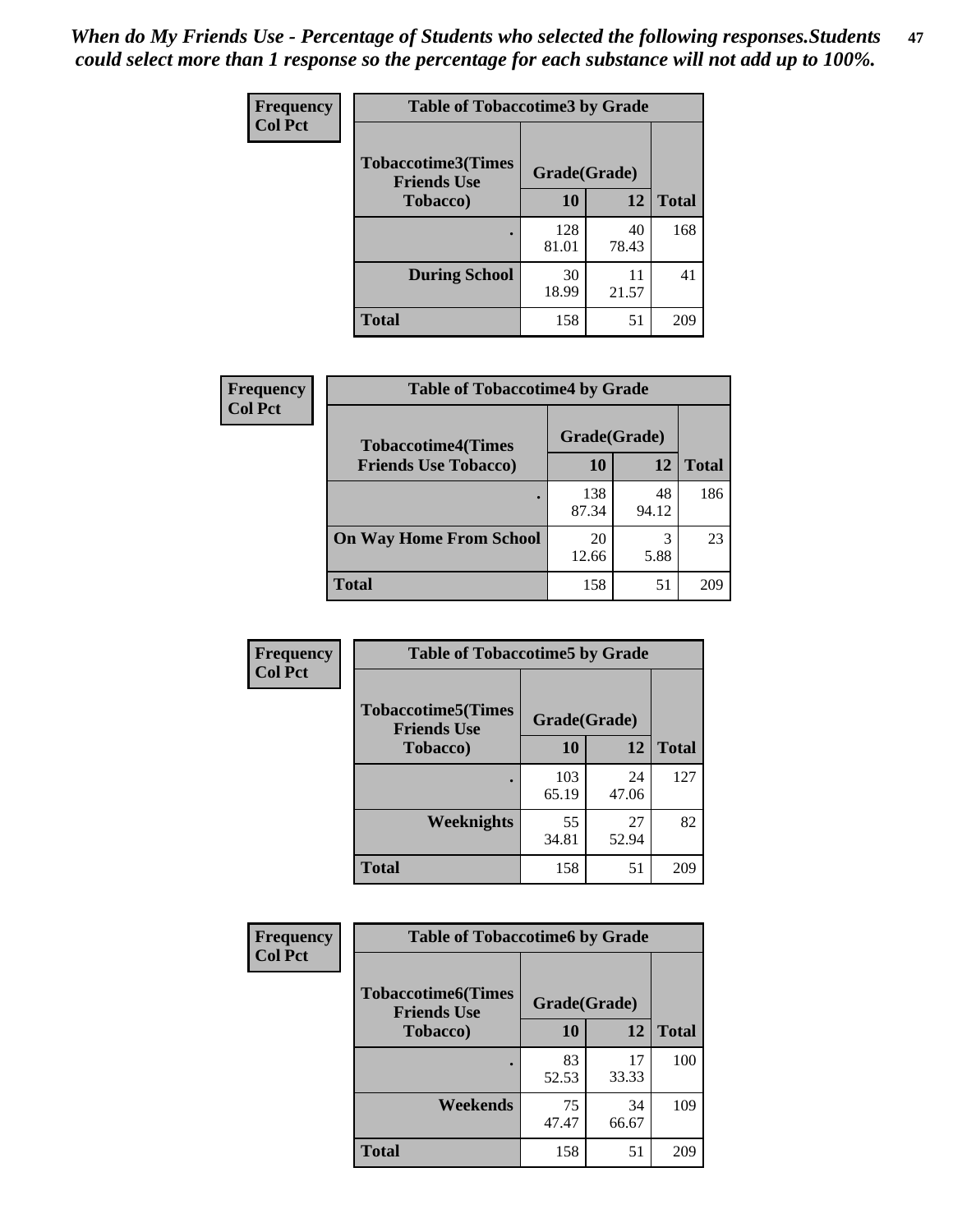*When do My Friends Use - Percentage of Students who selected the following responses.Students could select more than 1 response so the percentage for each substance will not add up to 100%.* **47**

| <b>Frequency</b> | <b>Table of Tobaccotime3 by Grade</b>           |              |             |              |  |
|------------------|-------------------------------------------------|--------------|-------------|--------------|--|
| <b>Col Pct</b>   | <b>Tobaccotime3(Times</b><br><b>Friends Use</b> | Grade(Grade) |             |              |  |
|                  | <b>Tobacco</b> )                                | 10           | 12          | <b>Total</b> |  |
|                  |                                                 | 128<br>81.01 | 40<br>78.43 | 168          |  |
|                  | <b>During School</b>                            | 30<br>18.99  | 11<br>21.57 | 41           |  |
|                  | <b>Total</b>                                    | 158          | 51          | 209          |  |

| <b>Frequency</b><br><b>Col Pct</b> | <b>Table of Tobaccotime4 by Grade</b> |              |             |              |
|------------------------------------|---------------------------------------|--------------|-------------|--------------|
|                                    | <b>Tobaccotime4(Times</b>             | Grade(Grade) |             |              |
|                                    | <b>Friends Use Tobacco)</b>           | 10           | 12          | <b>Total</b> |
|                                    |                                       | 138<br>87.34 | 48<br>94.12 | 186          |
|                                    | <b>On Way Home From School</b>        | 20<br>12.66  | 3<br>5.88   | 23           |
|                                    | <b>Total</b>                          | 158          | 51          | 209          |

| <b>Frequency</b> | <b>Table of Tobaccotime5 by Grade</b>           |              |             |              |
|------------------|-------------------------------------------------|--------------|-------------|--------------|
| <b>Col Pct</b>   | <b>Tobaccotime5(Times</b><br><b>Friends Use</b> | Grade(Grade) |             |              |
|                  | <b>Tobacco</b> )                                | 10           | 12          | <b>Total</b> |
|                  |                                                 | 103<br>65.19 | 24<br>47.06 | 127          |
|                  | Weeknights                                      | 55<br>34.81  | 27<br>52.94 | 82           |
|                  | <b>Total</b>                                    | 158          | 51          | 209          |

| <b>Frequency</b> | <b>Table of Tobaccotime6 by Grade</b>           |              |             |              |
|------------------|-------------------------------------------------|--------------|-------------|--------------|
| <b>Col Pct</b>   | <b>Tobaccotime6(Times</b><br><b>Friends Use</b> | Grade(Grade) |             |              |
|                  | <b>Tobacco</b> )                                | 10           | 12          | <b>Total</b> |
|                  |                                                 | 83<br>52.53  | 17<br>33.33 | 100          |
|                  | Weekends                                        | 75<br>47.47  | 34<br>66.67 | 109          |
|                  | <b>Total</b>                                    | 158          | 51          | 209          |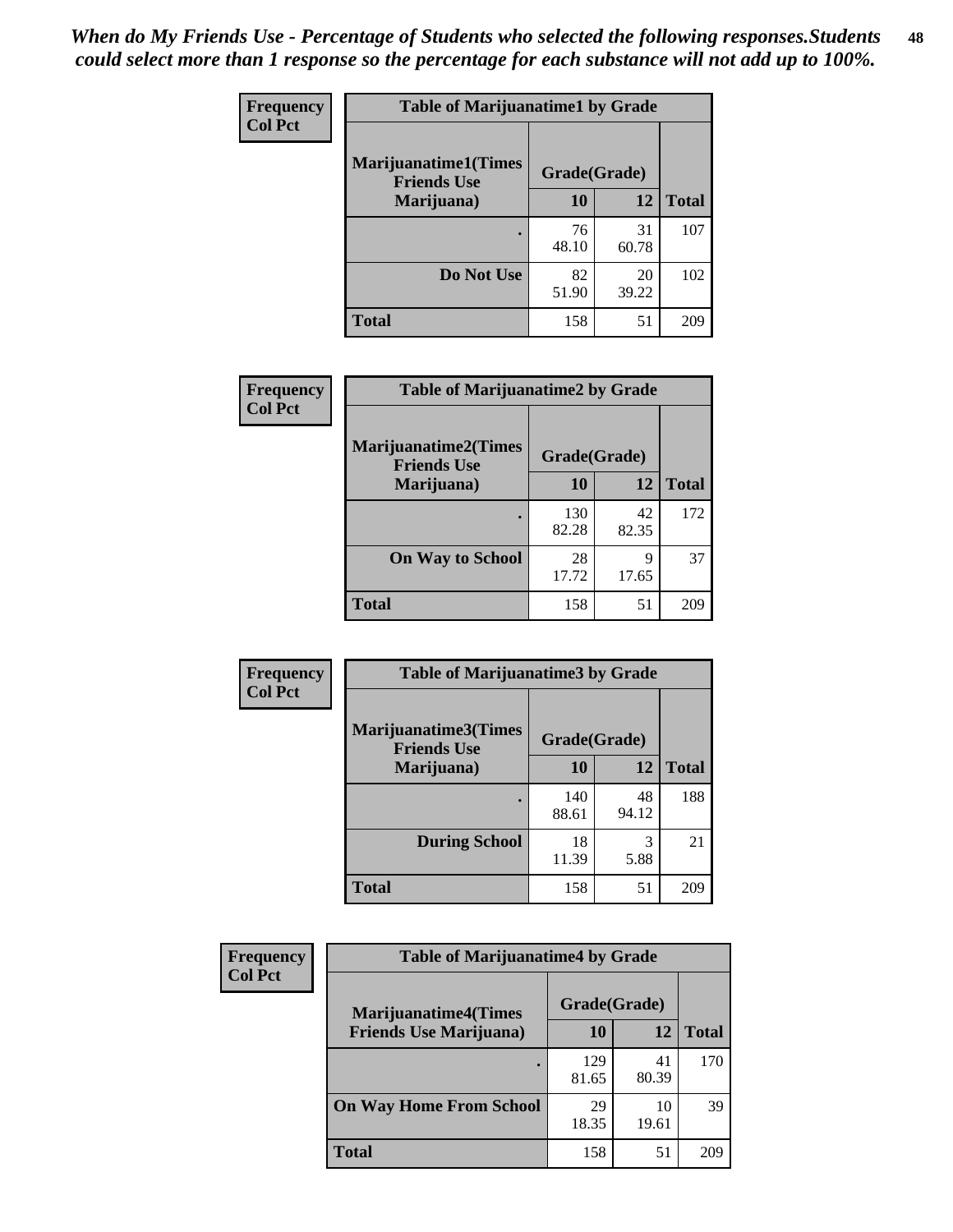| Frequency      | <b>Table of Marijuanatime1 by Grade</b>           |              |             |              |  |
|----------------|---------------------------------------------------|--------------|-------------|--------------|--|
| <b>Col Pct</b> | <b>Marijuanatime1(Times</b><br><b>Friends Use</b> | Grade(Grade) |             |              |  |
|                | Marijuana)                                        | 10           | 12          | <b>Total</b> |  |
|                |                                                   | 76<br>48.10  | 31<br>60.78 | 107          |  |
|                | Do Not Use                                        | 82<br>51.90  | 20<br>39.22 | 102          |  |
|                | <b>Total</b>                                      | 158          | 51          | 209          |  |

| Frequency      | <b>Table of Marijuanatime2 by Grade</b>           |              |             |              |
|----------------|---------------------------------------------------|--------------|-------------|--------------|
| <b>Col Pct</b> | <b>Marijuanatime2(Times</b><br><b>Friends Use</b> | Grade(Grade) |             |              |
|                | Marijuana)                                        | 10           | 12          | <b>Total</b> |
|                |                                                   | 130<br>82.28 | 42<br>82.35 | 172          |
|                | <b>On Way to School</b>                           | 28<br>17.72  | 9<br>17.65  | 37           |
|                | <b>Total</b>                                      | 158          | 51          | 209          |

| Frequency      | <b>Table of Marijuanatime3 by Grade</b>    |              |             |              |
|----------------|--------------------------------------------|--------------|-------------|--------------|
| <b>Col Pct</b> | Marijuanatime3(Times<br><b>Friends Use</b> | Grade(Grade) |             |              |
|                | Marijuana)                                 | 10           | 12          | <b>Total</b> |
|                |                                            | 140<br>88.61 | 48<br>94.12 | 188          |
|                | <b>During School</b>                       | 18<br>11.39  | 3<br>5.88   | 21           |
|                | <b>Total</b>                               | 158          | 51          | 209          |

| <b>Frequency</b><br><b>Col Pct</b> | <b>Table of Marijuanatime4 by Grade</b> |              |             |       |
|------------------------------------|-----------------------------------------|--------------|-------------|-------|
|                                    | <b>Marijuanatime4</b> (Times            | Grade(Grade) |             |       |
|                                    | <b>Friends Use Marijuana</b> )          | 10           | 12          | Total |
|                                    |                                         | 129<br>81.65 | 41<br>80.39 | 170   |
|                                    | <b>On Way Home From School</b>          | 29<br>18.35  | 10<br>19.61 | 39    |
|                                    | <b>Total</b>                            | 158          | 51          | 209   |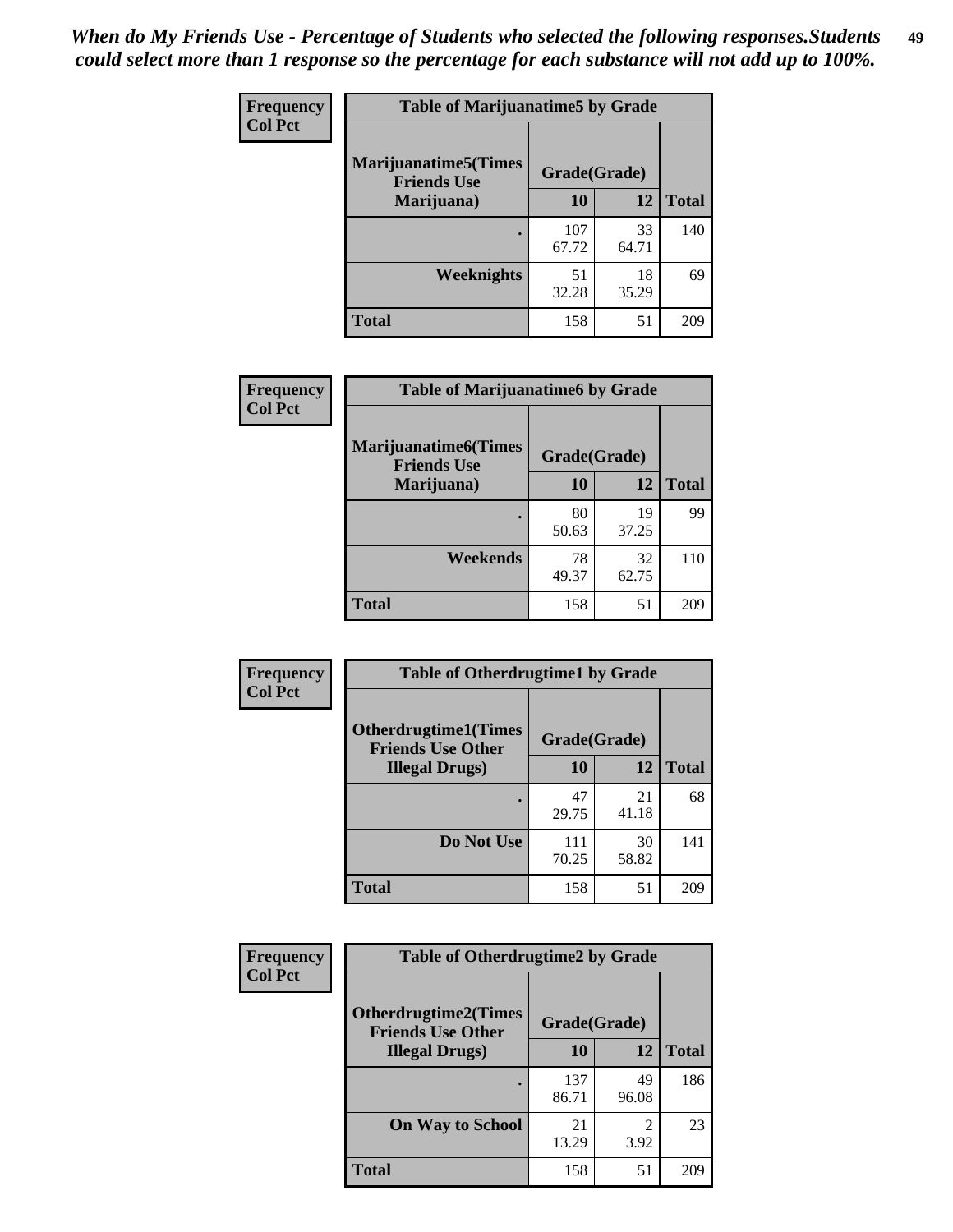| Frequency      | <b>Table of Marijuanatime5 by Grade</b>            |              |             |              |
|----------------|----------------------------------------------------|--------------|-------------|--------------|
| <b>Col Pct</b> | <b>Marijuanatime5</b> (Times<br><b>Friends Use</b> | Grade(Grade) |             |              |
|                | Marijuana)                                         | 10           | 12          | <b>Total</b> |
|                |                                                    | 107<br>67.72 | 33<br>64.71 | 140          |
|                | Weeknights                                         | 51<br>32.28  | 18<br>35.29 | 69           |
|                | <b>Total</b>                                       | 158          | 51          | 209          |

| Frequency      | <b>Table of Marijuanatime6 by Grade</b>            |              |             |              |
|----------------|----------------------------------------------------|--------------|-------------|--------------|
| <b>Col Pct</b> | <b>Marijuanatime6</b> (Times<br><b>Friends Use</b> | Grade(Grade) |             |              |
|                | Marijuana)                                         | 10           | 12          | <b>Total</b> |
|                |                                                    | 80<br>50.63  | 19<br>37.25 | 99           |
|                | Weekends                                           | 78<br>49.37  | 32<br>62.75 | 110          |
|                | <b>Total</b>                                       | 158          | 51          | 209          |

| <b>Frequency</b> | <b>Table of Otherdrugtime1 by Grade</b>                 |              |             |              |
|------------------|---------------------------------------------------------|--------------|-------------|--------------|
| <b>Col Pct</b>   | <b>Otherdrugtime1(Times</b><br><b>Friends Use Other</b> | Grade(Grade) |             |              |
|                  | <b>Illegal Drugs</b> )                                  | 10           | 12          | <b>Total</b> |
|                  |                                                         | 47<br>29.75  | 21<br>41.18 | 68           |
|                  | Do Not Use                                              | 111<br>70.25 | 30<br>58.82 | 141          |
|                  | <b>Total</b>                                            | 158          | 51          | 209          |

| <b>Frequency</b><br><b>Col Pct</b> | <b>Table of Otherdrugtime2 by Grade</b>                                 |              |             |              |  |  |  |
|------------------------------------|-------------------------------------------------------------------------|--------------|-------------|--------------|--|--|--|
|                                    | <b>Otherdrugtime2(Times</b><br>Grade(Grade)<br><b>Friends Use Other</b> |              |             |              |  |  |  |
|                                    | <b>Illegal Drugs</b> )                                                  | 10           | 12          | <b>Total</b> |  |  |  |
|                                    |                                                                         | 137<br>86.71 | 49<br>96.08 | 186          |  |  |  |
|                                    | <b>On Way to School</b>                                                 | 21<br>13.29  | 2<br>3.92   | 23           |  |  |  |
|                                    | <b>Total</b>                                                            | 158          | 51          | 209          |  |  |  |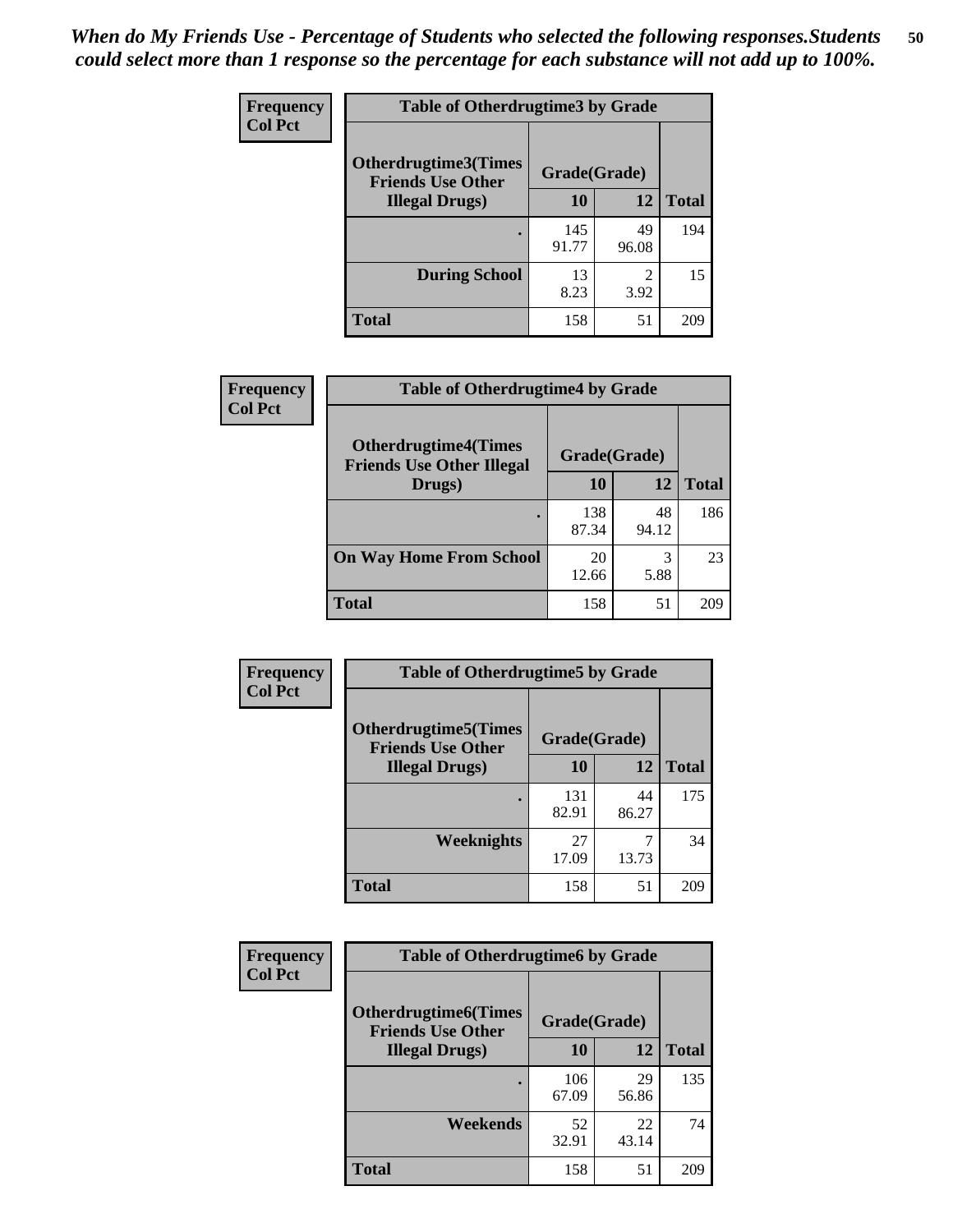| <b>Frequency</b> | <b>Table of Otherdrugtime3 by Grade</b>          |              |                        |              |  |  |
|------------------|--------------------------------------------------|--------------|------------------------|--------------|--|--|
| <b>Col Pct</b>   | Otherdrugtime3(Times<br><b>Friends Use Other</b> | Grade(Grade) |                        |              |  |  |
|                  | <b>Illegal Drugs</b> )                           | 10           | 12                     | <b>Total</b> |  |  |
|                  |                                                  | 145<br>91.77 | 49<br>96.08            | 194          |  |  |
|                  | <b>During School</b>                             | 13<br>8.23   | $\mathfrak{D}$<br>3.92 | 15           |  |  |
|                  | Total                                            | 158          | 51                     | 209          |  |  |

| Frequency      | <b>Table of Otherdrugtime4 by Grade</b>                         |              |             |              |  |  |
|----------------|-----------------------------------------------------------------|--------------|-------------|--------------|--|--|
| <b>Col Pct</b> | <b>Otherdrugtime4(Times</b><br><b>Friends Use Other Illegal</b> | Grade(Grade) |             |              |  |  |
|                | Drugs)                                                          | 10           | 12          | <b>Total</b> |  |  |
|                | $\bullet$                                                       | 138<br>87.34 | 48<br>94.12 | 186          |  |  |
|                | <b>On Way Home From School</b>                                  | 20<br>12.66  | 3<br>5.88   | 23           |  |  |
|                | <b>Total</b>                                                    | 158          | 51          | 209          |  |  |

| <b>Frequency</b> | <b>Table of Otherdrugtime5 by Grade</b>                  |              |             |              |  |  |
|------------------|----------------------------------------------------------|--------------|-------------|--------------|--|--|
| <b>Col Pct</b>   | <b>Otherdrugtime5</b> (Times<br><b>Friends Use Other</b> | Grade(Grade) |             |              |  |  |
|                  | <b>Illegal Drugs)</b>                                    | 10           | 12          | <b>Total</b> |  |  |
|                  |                                                          | 131<br>82.91 | 44<br>86.27 | 175          |  |  |
|                  | Weeknights                                               | 27<br>17.09  | 13.73       | 34           |  |  |
|                  | <b>Total</b>                                             | 158          | 51          | 209          |  |  |

| <b>Frequency</b> | <b>Table of Otherdrugtime6 by Grade</b>                  |              |             |              |  |  |  |
|------------------|----------------------------------------------------------|--------------|-------------|--------------|--|--|--|
| <b>Col Pct</b>   | <b>Otherdrugtime6</b> (Times<br><b>Friends Use Other</b> | Grade(Grade) |             |              |  |  |  |
|                  | <b>Illegal Drugs</b> )                                   | 10           | 12          | <b>Total</b> |  |  |  |
|                  |                                                          | 106<br>67.09 | 29<br>56.86 | 135          |  |  |  |
|                  | Weekends                                                 | 52<br>32.91  | 22<br>43.14 | 74           |  |  |  |
|                  | <b>Total</b>                                             | 158          | 51          | 209          |  |  |  |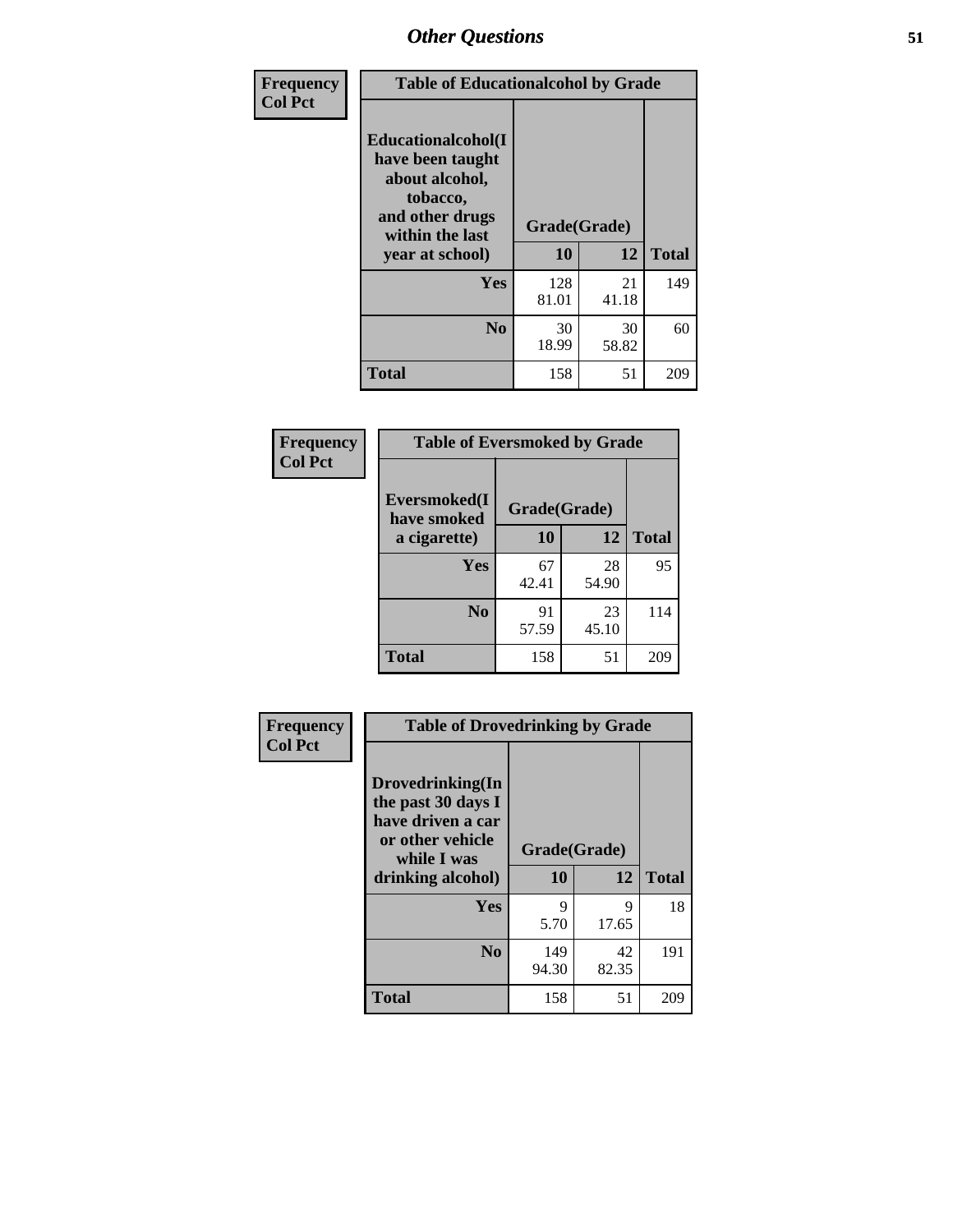| Frequency      | <b>Table of Educationalcohol by Grade</b>                                                                  |              |             |              |  |  |
|----------------|------------------------------------------------------------------------------------------------------------|--------------|-------------|--------------|--|--|
| <b>Col Pct</b> | Educationalcohol(I<br>have been taught<br>about alcohol,<br>tobacco,<br>and other drugs<br>within the last | Grade(Grade) |             |              |  |  |
|                | year at school)                                                                                            | 10           | 12          | <b>Total</b> |  |  |
|                | <b>Yes</b>                                                                                                 | 128<br>81.01 | 21<br>41.18 | 149          |  |  |
|                | N <sub>0</sub>                                                                                             | 30<br>18.99  | 30<br>58.82 | 60           |  |  |
|                | <b>Total</b>                                                                                               | 158          | 51          | 209          |  |  |

| Frequency      | <b>Table of Eversmoked by Grade</b>         |             |             |              |  |  |  |
|----------------|---------------------------------------------|-------------|-------------|--------------|--|--|--|
| <b>Col Pct</b> | Eversmoked(I<br>Grade(Grade)<br>have smoked |             |             |              |  |  |  |
|                | a cigarette)                                | 10          | 12          | <b>Total</b> |  |  |  |
|                | <b>Yes</b>                                  | 67<br>42.41 | 28<br>54.90 | 95           |  |  |  |
|                | N <sub>0</sub>                              | 91<br>57.59 | 23<br>45.10 | 114          |  |  |  |
|                | <b>Total</b>                                | 158         | 51          | 209          |  |  |  |

| Frequency      | <b>Table of Drovedrinking by Grade</b>                                                                              |                    |             |              |
|----------------|---------------------------------------------------------------------------------------------------------------------|--------------------|-------------|--------------|
| <b>Col Pct</b> | Drovedrinking(In<br>the past 30 days I<br>have driven a car<br>or other vehicle<br>while I was<br>drinking alcohol) | Grade(Grade)<br>10 | 12          | <b>Total</b> |
|                | <b>Yes</b>                                                                                                          | 9<br>5.70          | 9<br>17.65  | 18           |
|                | N <sub>0</sub>                                                                                                      | 149<br>94.30       | 42<br>82.35 | 191          |
|                | <b>Total</b>                                                                                                        | 158                | 51          | 209          |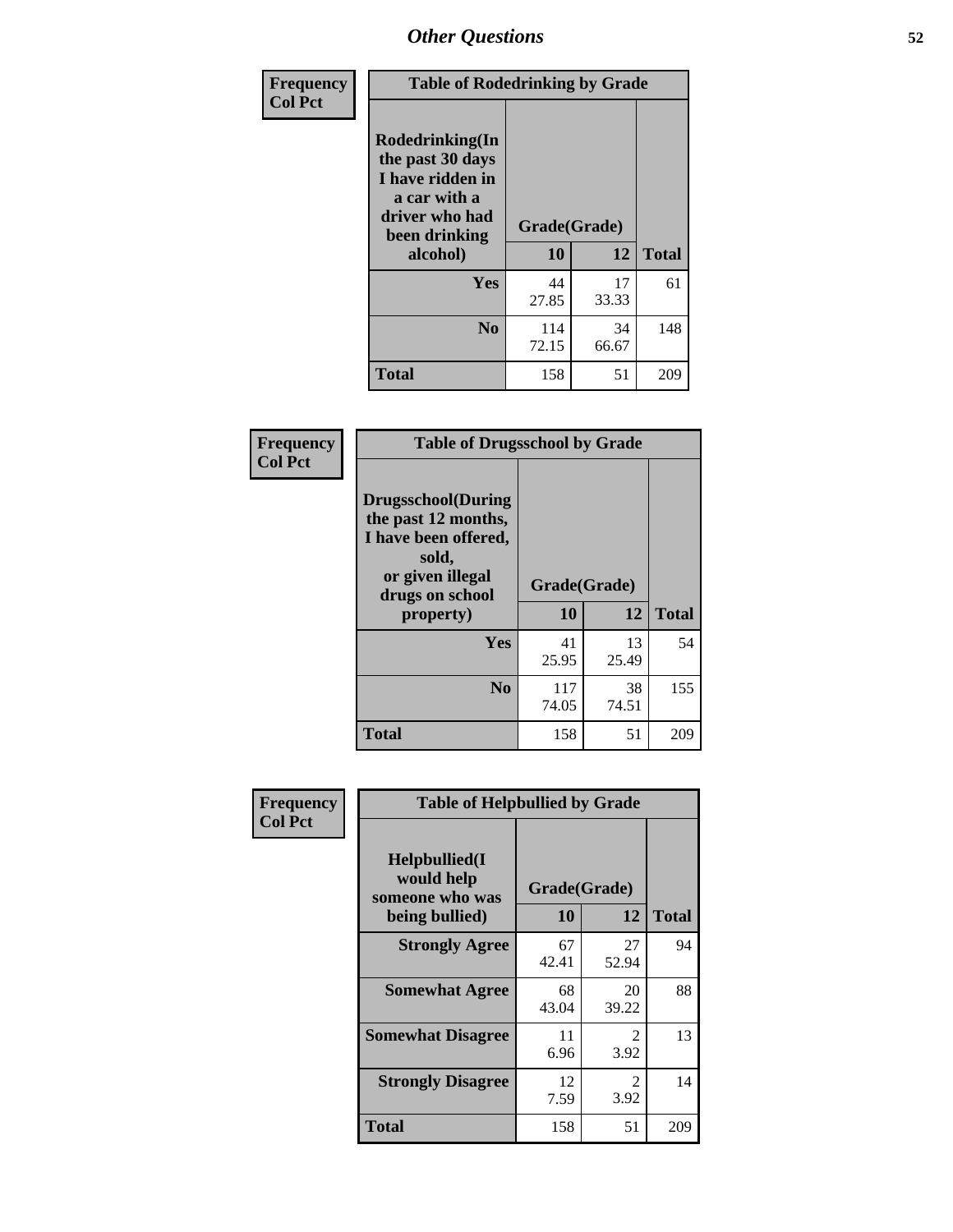| Frequency<br><b>Col Pct</b> | <b>Table of Rodedrinking by Grade</b>                                                                      |              |             |              |  |  |
|-----------------------------|------------------------------------------------------------------------------------------------------------|--------------|-------------|--------------|--|--|
|                             | Rodedrinking(In<br>the past 30 days<br>I have ridden in<br>a car with a<br>driver who had<br>been drinking | Grade(Grade) |             |              |  |  |
|                             | alcohol)                                                                                                   | 10           | 12          | <b>Total</b> |  |  |
|                             | <b>Yes</b>                                                                                                 | 44<br>27.85  | 17<br>33.33 | 61           |  |  |
|                             | N <sub>0</sub>                                                                                             | 114<br>72.15 | 34<br>66.67 | 148          |  |  |
|                             | <b>Total</b>                                                                                               | 158          | 51          | 209          |  |  |

#### **Frequency Col Pct**

| <b>Table of Drugsschool by Grade</b>                                                                                      |              |             |              |  |  |  |  |
|---------------------------------------------------------------------------------------------------------------------------|--------------|-------------|--------------|--|--|--|--|
| <b>Drugsschool</b> (During<br>the past 12 months,<br>I have been offered,<br>sold,<br>or given illegal<br>drugs on school | Grade(Grade) |             |              |  |  |  |  |
| property)                                                                                                                 | 10           | 12          | <b>Total</b> |  |  |  |  |
| Yes                                                                                                                       | 41<br>25.95  | 13<br>25.49 | 54           |  |  |  |  |
| N <sub>0</sub>                                                                                                            | 117<br>74.05 | 38<br>74.51 | 155          |  |  |  |  |
| <b>Total</b>                                                                                                              | 158          | 51          | 209          |  |  |  |  |

| Frequency      | <b>Table of Helpbullied by Grade</b>           |              |             |              |  |  |  |
|----------------|------------------------------------------------|--------------|-------------|--------------|--|--|--|
| <b>Col Pct</b> | Helpbullied(I<br>would help<br>someone who was | Grade(Grade) |             |              |  |  |  |
|                | being bullied)                                 | 10           | 12          | <b>Total</b> |  |  |  |
|                | <b>Strongly Agree</b>                          | 67<br>42.41  | 27<br>52.94 | 94           |  |  |  |
|                | <b>Somewhat Agree</b>                          | 68<br>43.04  | 20<br>39.22 | 88           |  |  |  |
|                | <b>Somewhat Disagree</b>                       | 11<br>6.96   | 2<br>3.92   | 13           |  |  |  |
|                | <b>Strongly Disagree</b>                       | 12<br>7.59   | 2<br>3.92   | 14           |  |  |  |
|                | <b>Total</b>                                   | 158          | 51          | 209          |  |  |  |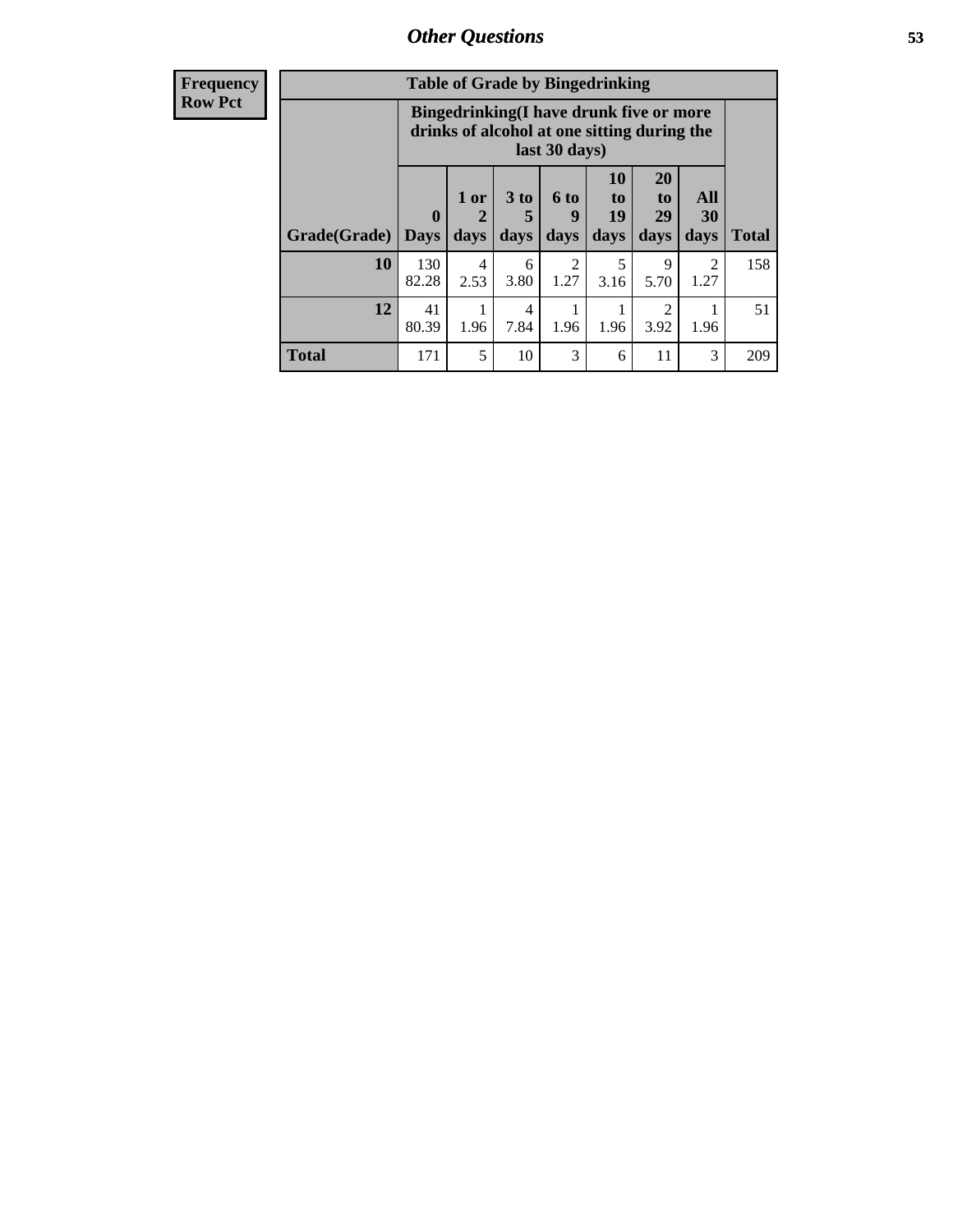| Frequency      | <b>Table of Grade by Bingedrinking</b> |                                                                                                         |                |              |                          |                                  |                               |                        |              |
|----------------|----------------------------------------|---------------------------------------------------------------------------------------------------------|----------------|--------------|--------------------------|----------------------------------|-------------------------------|------------------------|--------------|
| <b>Row Pct</b> |                                        | Bingedrinking(I have drunk five or more<br>drinks of alcohol at one sitting during the<br>last 30 days) |                |              |                          |                                  |                               |                        |              |
|                | Grade(Grade)                           | $\mathbf 0$<br><b>Days</b>                                                                              | $1$ or<br>days | 3 to<br>days | <b>6 to</b><br>9<br>days | 10<br>to<br>19<br>days           | <b>20</b><br>to<br>29<br>days | All<br>30<br>days      | <b>Total</b> |
|                | 10                                     | 130<br>82.28                                                                                            | 4<br>2.53      | 6<br>3.80    | $\overline{2}$<br>1.27   | $\overline{\phantom{1}}$<br>3.16 | 9<br>5.70                     | $\mathfrak{D}$<br>1.27 | 158          |
|                | 12                                     | 41<br>80.39                                                                                             | 1.96           | 4<br>7.84    | 1.96                     | 1.96                             | 2<br>3.92                     | 1.96                   | 51           |
|                | <b>Total</b>                           | 171                                                                                                     | 5              | 10           | 3                        | 6                                | 11                            | 3                      | 209          |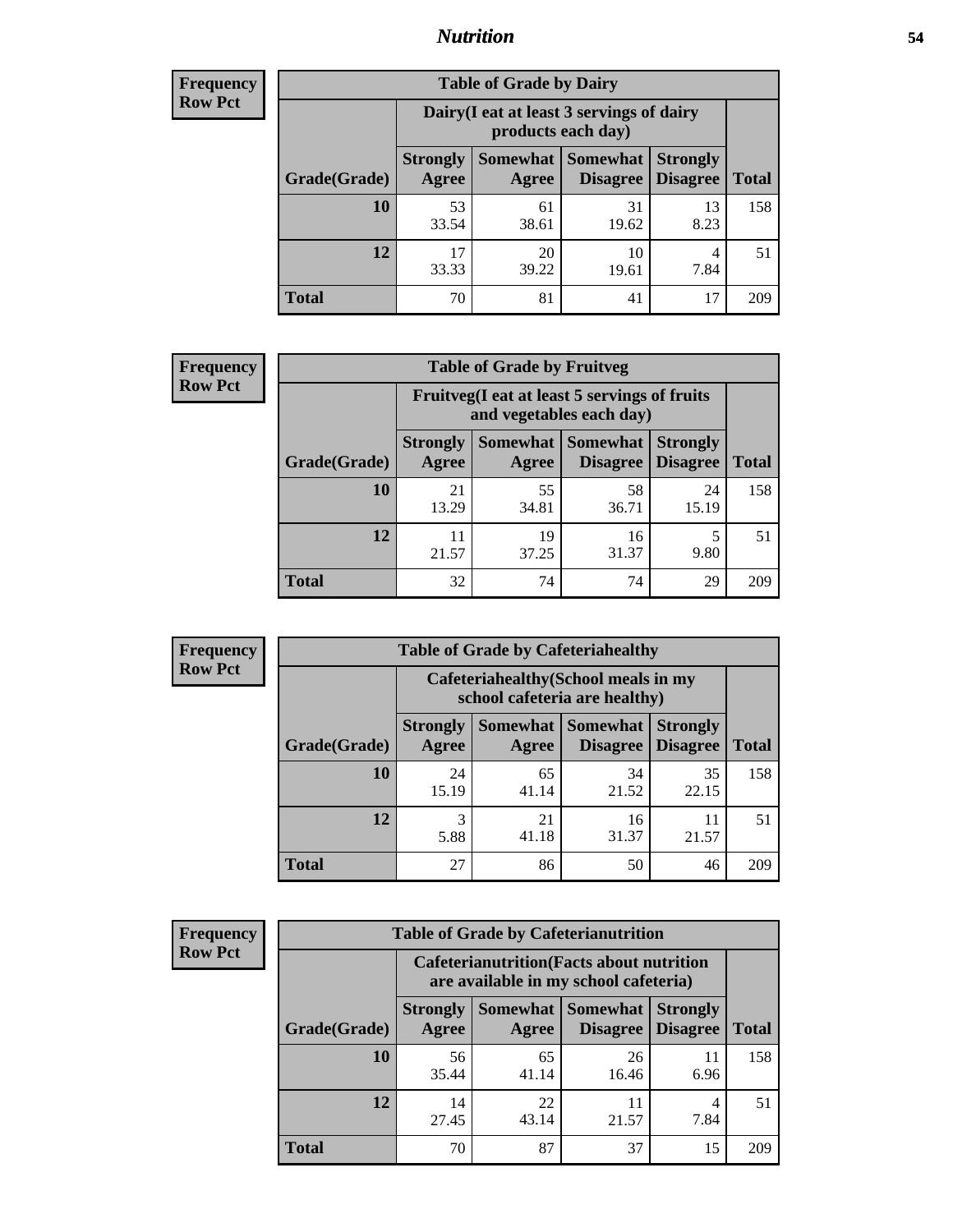#### *Nutrition* **54**

| <b>Frequency</b><br>Row Pct |
|-----------------------------|
|                             |

| <b>Table of Grade by Dairy</b> |                          |                                                                 |                                    |                                    |       |  |
|--------------------------------|--------------------------|-----------------------------------------------------------------|------------------------------------|------------------------------------|-------|--|
|                                |                          | Dairy (I eat at least 3 servings of dairy<br>products each day) |                                    |                                    |       |  |
| Grade(Grade)                   | <b>Strongly</b><br>Agree | <b>Somewhat</b><br>Agree                                        | <b>Somewhat</b><br><b>Disagree</b> | <b>Strongly</b><br><b>Disagree</b> | Total |  |
| 10                             | 53<br>33.54              | 61<br>38.61                                                     | 31<br>19.62                        | 13<br>8.23                         | 158   |  |
| 12                             | 17<br>33.33              | 20<br>39.22                                                     | 10<br>19.61                        | 4<br>7.84                          | 51    |  |
| <b>Total</b>                   | 70                       | 81                                                              | 41                                 | 17                                 | 209   |  |

| <b>Frequency</b> |  |
|------------------|--|
| <b>Row Pct</b>   |  |

| <b>Table of Grade by Fruitveg</b> |                                                                          |             |                                 |                                    |              |  |
|-----------------------------------|--------------------------------------------------------------------------|-------------|---------------------------------|------------------------------------|--------------|--|
|                                   | Fruitveg(I eat at least 5 servings of fruits<br>and vegetables each day) |             |                                 |                                    |              |  |
| Grade(Grade)                      | <b>Strongly</b><br>Agree                                                 | Agree       | Somewhat   Somewhat<br>Disagree | <b>Strongly</b><br><b>Disagree</b> | <b>Total</b> |  |
| 10                                | 21<br>13.29                                                              | 55<br>34.81 | 58<br>36.71                     | 24<br>15.19                        | 158          |  |
| 12                                | 21.57                                                                    | 19<br>37.25 | 16<br>31.37                     | 9.80                               | 51           |  |
| <b>Total</b>                      | 32                                                                       | 74          | 74                              | 29                                 | 209          |  |

**Total**

158

51

**Disagree**

11 21.57

| <b>Frequency</b> | <b>Table of Grade by Cafeteriahealthy</b> |       |                               |                                                                   |  |  |  |
|------------------|-------------------------------------------|-------|-------------------------------|-------------------------------------------------------------------|--|--|--|
| <b>Row Pct</b>   |                                           |       | school cafeteria are healthy) | Cafeteriahealthy (School meals in my                              |  |  |  |
|                  | Grade(Grade)                              | Agree | Agree                         | <b>Strongly   Somewhat   Somewhat   Stron</b><br>Disagree   Disag |  |  |  |
|                  |                                           |       |                               |                                                                   |  |  |  |

|              |                          | school cafeteria are healthy) |                                                     |                 |  |  |  |  |  |
|--------------|--------------------------|-------------------------------|-----------------------------------------------------|-----------------|--|--|--|--|--|
| Grade(Grade) | <b>Strongly</b><br>Agree | Agree                         | Somewhat   Somewhat  <br><b>Disagree</b>   Disagree | <b>Strongly</b> |  |  |  |  |  |
| 10           | 24<br>15.19              | 65<br>41.14                   | 34<br>21.52                                         | 35<br>22.15     |  |  |  |  |  |
| 12           | 5.88                     | 21<br>41.18                   | 16<br>31.37                                         | 11<br>21.57     |  |  |  |  |  |

| <b>Frequency</b> |
|------------------|
| <b>Row Pct</b>   |

| <b>Table of Grade by Cafeterianutrition</b>                                               |                          |                     |                                    |                                    |              |
|-------------------------------------------------------------------------------------------|--------------------------|---------------------|------------------------------------|------------------------------------|--------------|
| <b>Cafeterianutrition</b> (Facts about nutrition<br>are available in my school cafeteria) |                          |                     |                                    |                                    |              |
| Grade(Grade)                                                                              | <b>Strongly</b><br>Agree | Somewhat  <br>Agree | <b>Somewhat</b><br><b>Disagree</b> | <b>Strongly</b><br><b>Disagree</b> | <b>Total</b> |
| 10                                                                                        | 56<br>35.44              | 65<br>41.14         | 26<br>16.46                        | 11<br>6.96                         | 158          |
| 12                                                                                        | 14<br>27.45              | 22<br>43.14         | 11<br>21.57                        | 4<br>7.84                          | 51           |
| <b>Total</b>                                                                              | 70                       | 87                  | 37                                 | 15                                 | 209          |

**Total** 27 86 50 46 209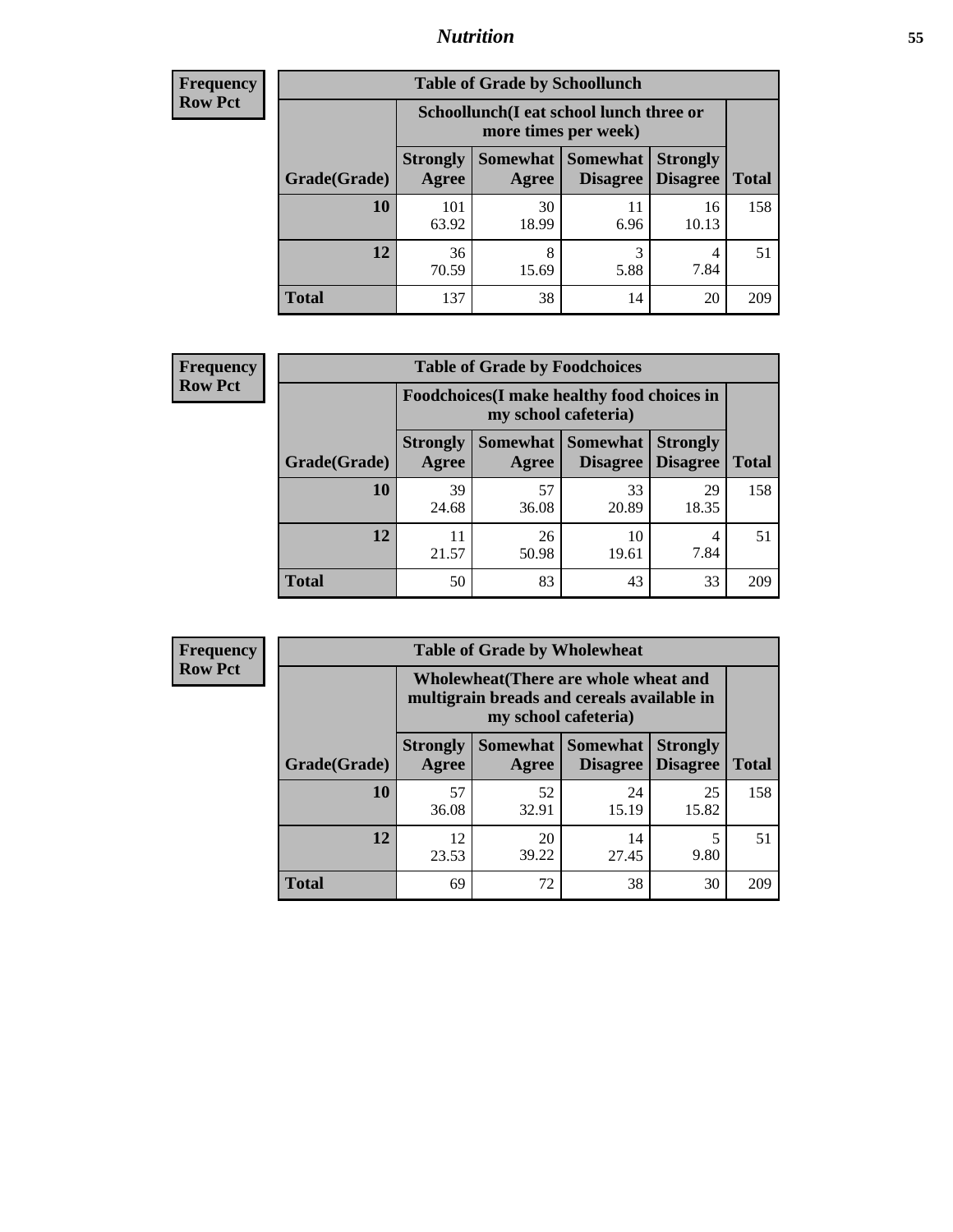### *Nutrition* **55**

| <b>Frequency</b> |
|------------------|
| Row Pct          |

| <b>Table of Grade by Schoollunch</b> |                          |                                                                 |                             |                                    |              |  |  |
|--------------------------------------|--------------------------|-----------------------------------------------------------------|-----------------------------|------------------------------------|--------------|--|--|
|                                      |                          | Schoollunch(I eat school lunch three or<br>more times per week) |                             |                                    |              |  |  |
| Grade(Grade)                         | <b>Strongly</b><br>Agree | Somewhat  <br>Agree                                             | <b>Somewhat</b><br>Disagree | <b>Strongly</b><br><b>Disagree</b> | <b>Total</b> |  |  |
| 10                                   | 101<br>63.92             | 30<br>18.99                                                     | 11<br>6.96                  | 16<br>10.13                        | 158          |  |  |
| 12                                   | 36<br>70.59              | 8<br>15.69                                                      | 3<br>5.88                   | 4<br>7.84                          | 51           |  |  |
| <b>Total</b>                         | 137                      | 38                                                              | 14                          | 20                                 | 209          |  |  |

| <b>Frequency</b> |  |
|------------------|--|
| <b>Row Pct</b>   |  |

| <b>Table of Grade by Foodchoices</b>                                |                          |             |                                      |                                    |              |
|---------------------------------------------------------------------|--------------------------|-------------|--------------------------------------|------------------------------------|--------------|
| Foodchoices (I make healthy food choices in<br>my school cafeteria) |                          |             |                                      |                                    |              |
| Grade(Grade)                                                        | <b>Strongly</b><br>Agree | Agree       | Somewhat Somewhat<br><b>Disagree</b> | <b>Strongly</b><br><b>Disagree</b> | <b>Total</b> |
| 10                                                                  | 39<br>24.68              | 57<br>36.08 | 33<br>20.89                          | 29<br>18.35                        | 158          |
| 12                                                                  | 11<br>21.57              | 26<br>50.98 | 10<br>19.61                          | 4<br>7.84                          | 51           |
| Total                                                               | 50                       | 83          | 43                                   | 33                                 | 209          |

| Frequency      | <b>Table of Grade by Wholewheat</b> |                                                                                                             |             |                                   |                                    |              |
|----------------|-------------------------------------|-------------------------------------------------------------------------------------------------------------|-------------|-----------------------------------|------------------------------------|--------------|
| <b>Row Pct</b> |                                     | Wholewheat (There are whole wheat and<br>multigrain breads and cereals available in<br>my school cafeteria) |             |                                   |                                    |              |
|                | Grade(Grade)                        | <b>Strongly</b><br>Agree                                                                                    | Agree       | Somewhat   Somewhat  <br>Disagree | <b>Strongly</b><br><b>Disagree</b> | <b>Total</b> |
|                | 10                                  | 57<br>36.08                                                                                                 | 52<br>32.91 | 24<br>15.19                       | 25<br>15.82                        | 158          |
|                | 12                                  | 12<br>23.53                                                                                                 | 20<br>39.22 | 14<br>27.45                       | 9.80                               | 51           |
|                | <b>Total</b>                        | 69                                                                                                          | 72          | 38                                | 30                                 | 209          |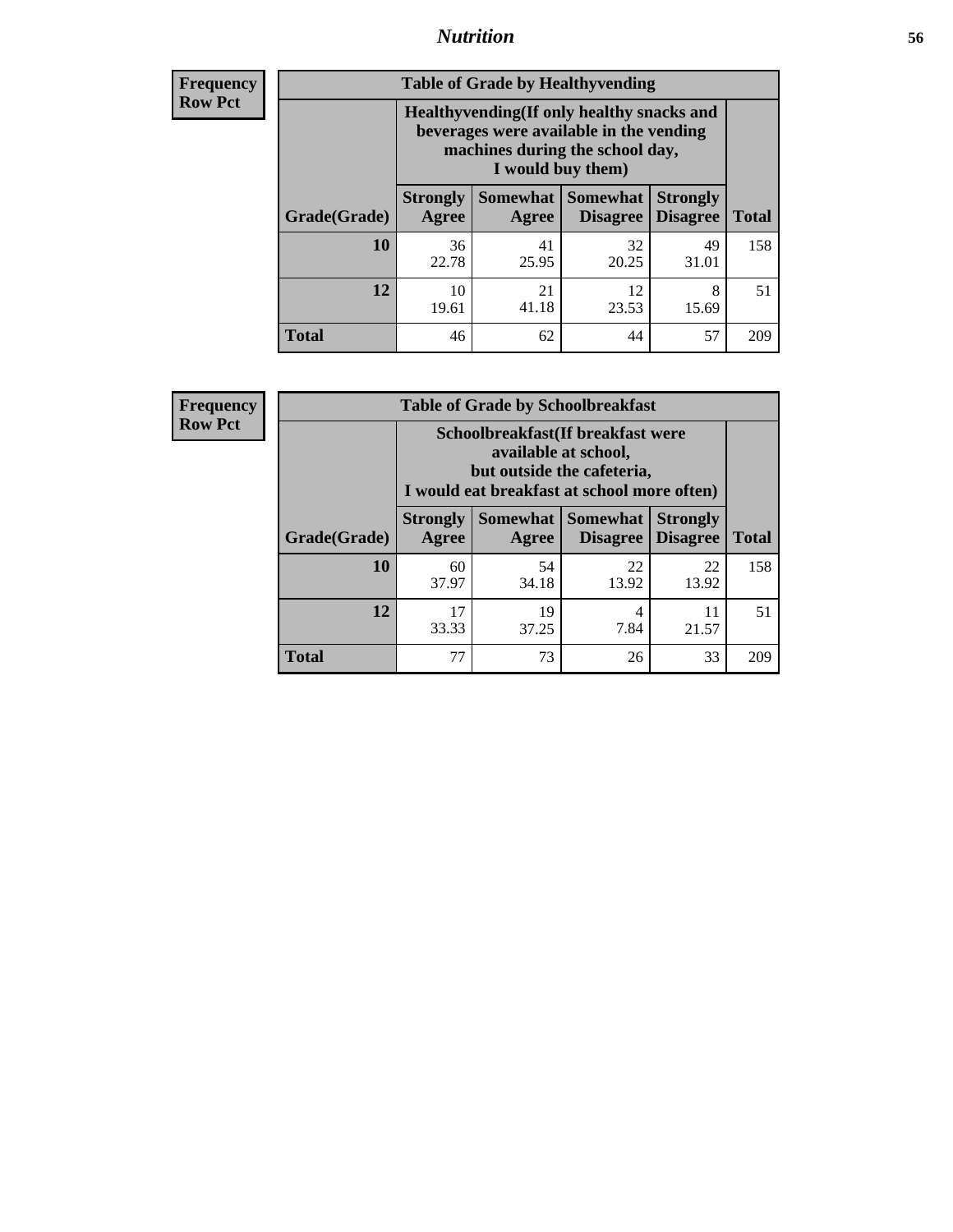### *Nutrition* **56**

**Frequency Row Pct**

| <b>Table of Grade by Healthyvending</b> |                                                                                                                                               |             |                                        |                                    |              |  |
|-----------------------------------------|-----------------------------------------------------------------------------------------------------------------------------------------------|-------------|----------------------------------------|------------------------------------|--------------|--|
|                                         | Healthyvending (If only healthy snacks and<br>beverages were available in the vending<br>machines during the school day,<br>I would buy them) |             |                                        |                                    |              |  |
| Grade(Grade)                            | <b>Strongly</b><br>Agree                                                                                                                      | Agree       | Somewhat   Somewhat<br><b>Disagree</b> | <b>Strongly</b><br><b>Disagree</b> | <b>Total</b> |  |
| 10                                      | 36<br>22.78                                                                                                                                   | 41<br>25.95 | 32<br>20.25                            | 49<br>31.01                        | 158          |  |
| 12                                      | 10<br>19.61                                                                                                                                   | 21<br>41.18 | 12<br>23.53                            | 8<br>15.69                         | 51           |  |
| <b>Total</b>                            | 46                                                                                                                                            | 62          | 44                                     | 57                                 | 209          |  |

**Frequency Row Pct**

| <b>Table of Grade by Schoolbreakfast</b> |                                                                                                                                        |             |                     |                                        |              |  |
|------------------------------------------|----------------------------------------------------------------------------------------------------------------------------------------|-------------|---------------------|----------------------------------------|--------------|--|
|                                          | Schoolbreakfast(If breakfast were<br>available at school,<br>but outside the cafeteria,<br>I would eat breakfast at school more often) |             |                     |                                        |              |  |
| Grade(Grade)                             | <b>Strongly</b><br>Agree                                                                                                               | Agree       | Somewhat   Somewhat | <b>Strongly</b><br>Disagree   Disagree | <b>Total</b> |  |
| <b>10</b>                                | 60<br>37.97                                                                                                                            | 54<br>34.18 | 22<br>13.92         | 22<br>13.92                            | 158          |  |
| 12                                       | 17<br>33.33                                                                                                                            | 19<br>37.25 | 4<br>7.84           | 11<br>21.57                            | 51           |  |
| <b>Total</b>                             | 77                                                                                                                                     | 73          | 26                  | 33                                     | 209          |  |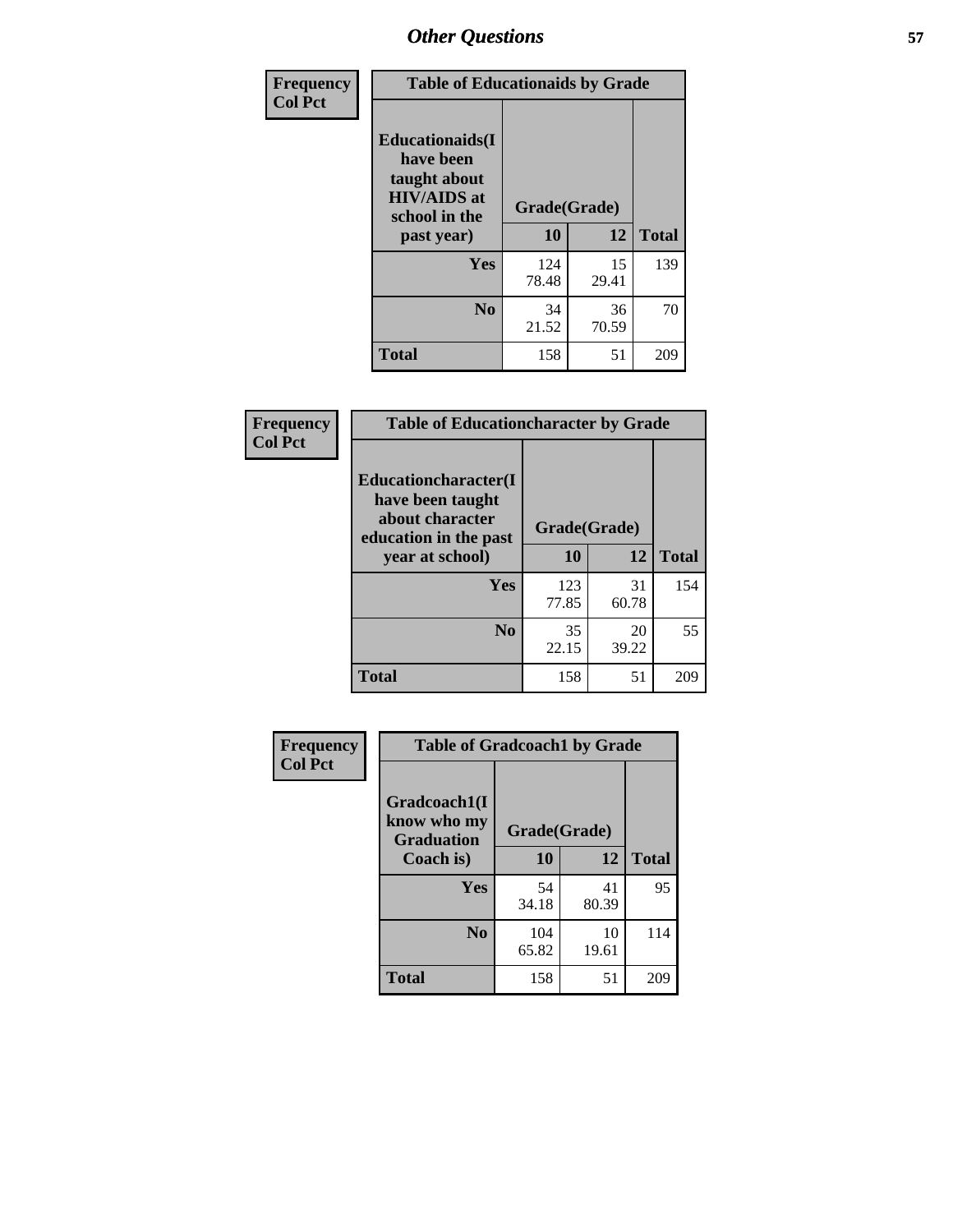| Frequency<br><b>Col Pct</b> | <b>Table of Educationaids by Grade</b>                                                                    |                    |             |              |
|-----------------------------|-----------------------------------------------------------------------------------------------------------|--------------------|-------------|--------------|
|                             | <b>Educationaids</b> (I<br>have been<br>taught about<br><b>HIV/AIDS</b> at<br>school in the<br>past year) | Grade(Grade)<br>10 | 12          | <b>Total</b> |
|                             | Yes                                                                                                       | 124<br>78.48       | 15<br>29.41 | 139          |
|                             | N <sub>0</sub>                                                                                            | 34<br>21.52        | 36<br>70.59 | 70           |
|                             | <b>Total</b>                                                                                              | 158                | 51          | 209          |

| Frequency      |                                          | <b>Table of Educationcharacter by Grade</b> |             |              |  |
|----------------|------------------------------------------|---------------------------------------------|-------------|--------------|--|
| <b>Col Pct</b> | Educationcharacter(I<br>have been taught |                                             |             |              |  |
|                | about character<br>education in the past | Grade(Grade)                                |             |              |  |
|                | year at school)                          | 10                                          | 12          | <b>Total</b> |  |
|                | Yes                                      | 123<br>77.85                                | 31<br>60.78 | 154          |  |
|                | N <sub>0</sub>                           | 35<br>22.15                                 | 20<br>39.22 | 55           |  |
|                | <b>Total</b>                             | 158                                         | 51          | 209          |  |

| Frequency      | <b>Table of Gradcoach1 by Grade</b> |              |       |              |
|----------------|-------------------------------------|--------------|-------|--------------|
| <b>Col Pct</b> | Gradcoach1(I<br>know who my         |              |       |              |
|                | <b>Graduation</b>                   | Grade(Grade) |       |              |
|                | Coach is)                           | 10           | 12    | <b>Total</b> |
|                | Yes                                 | 54           | 41    | 95           |
|                |                                     | 34.18        | 80.39 |              |
|                | N <sub>0</sub>                      | 104          | 10    | 114          |
|                |                                     | 65.82        | 19.61 |              |
|                | <b>Total</b>                        | 158          | 51    | 209          |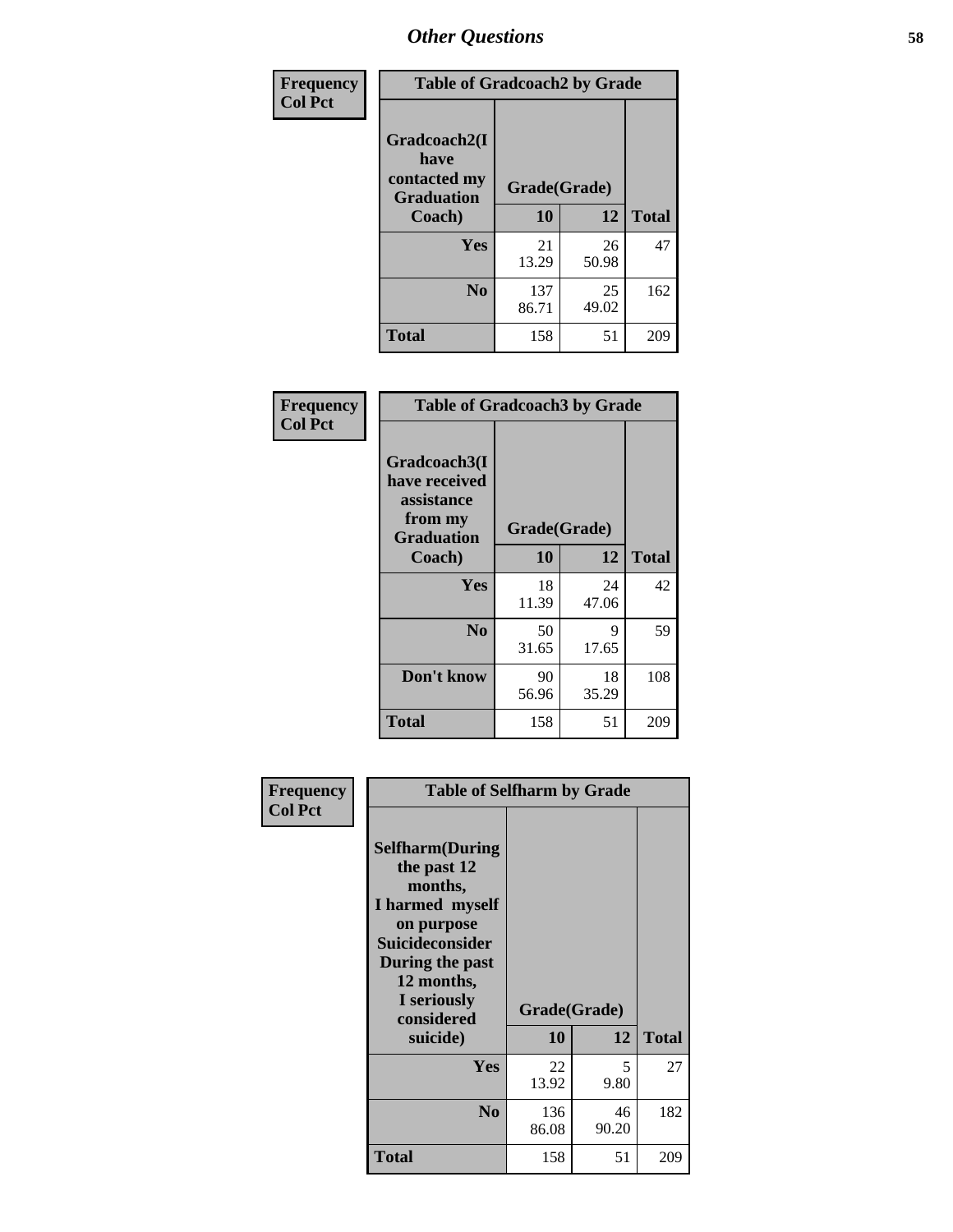| Frequency      | <b>Table of Gradcoach2 by Grade</b> |              |             |              |
|----------------|-------------------------------------|--------------|-------------|--------------|
| <b>Col Pct</b> | Gradcoach2(I<br>have                |              |             |              |
|                | contacted my<br><b>Graduation</b>   | Grade(Grade) |             |              |
|                | Coach)                              | 10           | 12          | <b>Total</b> |
|                | Yes                                 | 21<br>13.29  | 26<br>50.98 | 47           |
|                | N <sub>0</sub>                      | 137<br>86.71 | 25<br>49.02 | 162          |
|                | <b>Total</b>                        | 158          | 51          | 209          |

| <b>Frequency</b><br><b>Col Pct</b> | <b>Table of Gradcoach3 by Grade</b>                                         |              |             |              |
|------------------------------------|-----------------------------------------------------------------------------|--------------|-------------|--------------|
|                                    | Gradcoach3(I<br>have received<br>assistance<br>from my<br><b>Graduation</b> | Grade(Grade) |             |              |
|                                    | Coach)                                                                      | 10           | 12          | <b>Total</b> |
|                                    | Yes                                                                         | 18<br>11.39  | 24<br>47.06 | 42           |
|                                    | N <sub>0</sub>                                                              | 50<br>31.65  | 9<br>17.65  | 59           |
|                                    | Don't know                                                                  | 90<br>56.96  | 18<br>35.29 | 108          |
|                                    | <b>Total</b>                                                                | 158          | 51          | 209          |

| Frequency      | <b>Table of Selfharm by Grade</b>                                                                                                                                                      |                    |             |              |
|----------------|----------------------------------------------------------------------------------------------------------------------------------------------------------------------------------------|--------------------|-------------|--------------|
| <b>Col Pct</b> | <b>Selfharm</b> (During<br>the past 12<br>months,<br>I harmed myself<br>on purpose<br><b>Suicideconsider</b><br>During the past<br>12 months,<br>I seriously<br>considered<br>suicide) | Grade(Grade)<br>10 | 12          | <b>Total</b> |
|                | Yes                                                                                                                                                                                    | 22<br>13.92        | 5<br>9.80   | 27           |
|                | N <sub>0</sub>                                                                                                                                                                         | 136<br>86.08       | 46<br>90.20 | 182          |
|                | Total                                                                                                                                                                                  | 158                | 51          | 209          |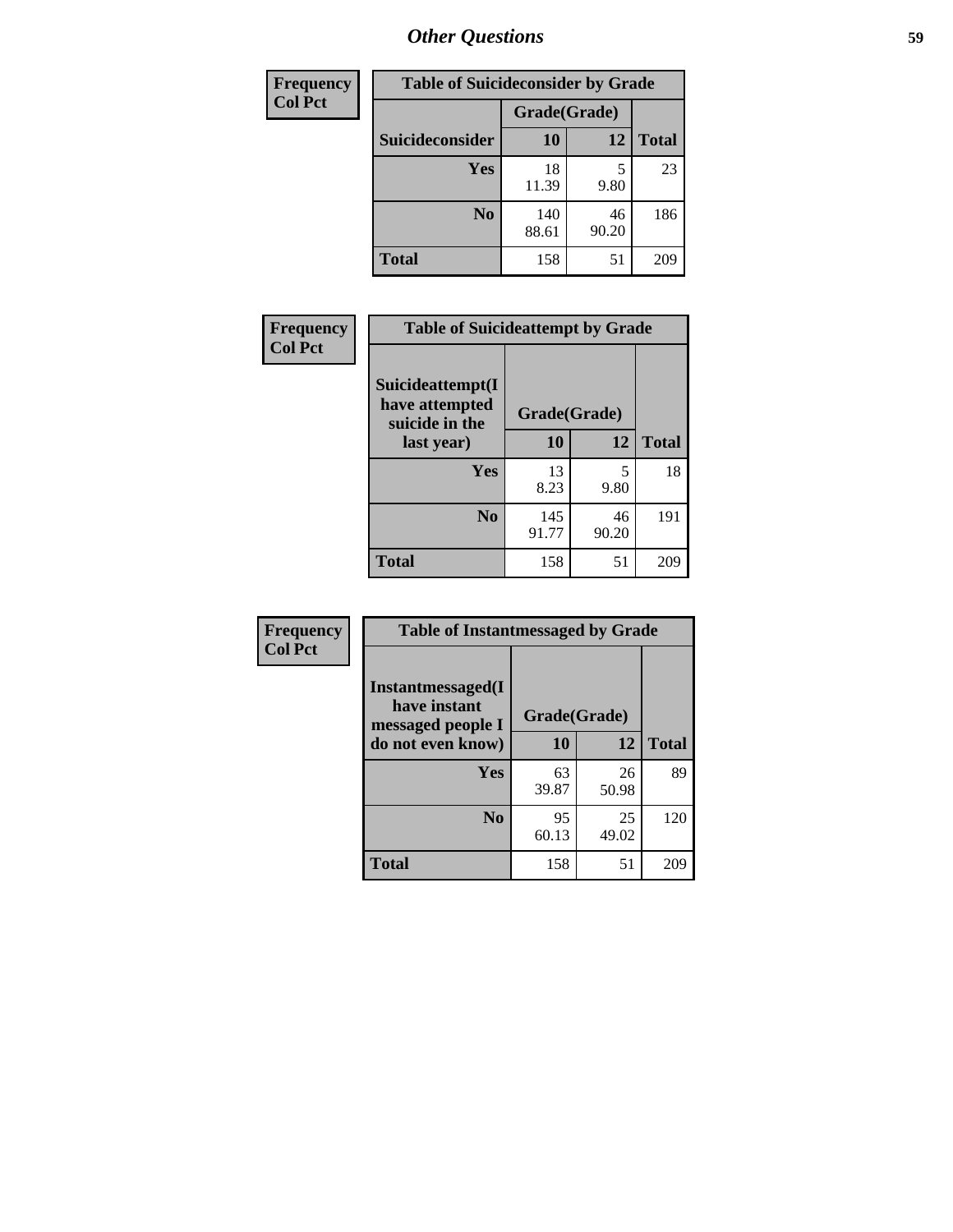| <b>Frequency</b> | <b>Table of Suicideconsider by Grade</b> |              |             |              |
|------------------|------------------------------------------|--------------|-------------|--------------|
| <b>Col Pct</b>   |                                          | Grade(Grade) |             |              |
|                  | Suicideconsider                          | <b>10</b>    | 12          | <b>Total</b> |
|                  | Yes                                      | 18<br>11.39  | 9.80        | 23           |
|                  | N <sub>0</sub>                           | 140<br>88.61 | 46<br>90.20 | 186          |
|                  | <b>Total</b>                             | 158          | 51          | 209          |

| Frequency      | <b>Table of Suicideattempt by Grade</b>              |              |             |              |
|----------------|------------------------------------------------------|--------------|-------------|--------------|
| <b>Col Pct</b> | Suicideattempt(I<br>have attempted<br>suicide in the | Grade(Grade) |             |              |
|                | last year)                                           | 10           | 12          | <b>Total</b> |
|                | Yes                                                  | 13<br>8.23   | 5<br>9.80   | 18           |
|                | $\bf No$                                             | 145<br>91.77 | 46<br>90.20 | 191          |
|                | <b>Total</b>                                         | 158          | 51          | 209          |

| Frequency      | <b>Table of Instantmessaged by Grade</b>               |              |             |              |
|----------------|--------------------------------------------------------|--------------|-------------|--------------|
| <b>Col Pct</b> | Instantmessaged(I<br>have instant<br>messaged people I | Grade(Grade) |             |              |
|                | do not even know)                                      | 10           | 12          | <b>Total</b> |
|                | Yes                                                    | 63<br>39.87  | 26<br>50.98 | 89           |
|                | N <sub>0</sub>                                         | 95<br>60.13  | 25<br>49.02 | 120          |
|                | <b>Total</b>                                           | 158          | 51          | 209          |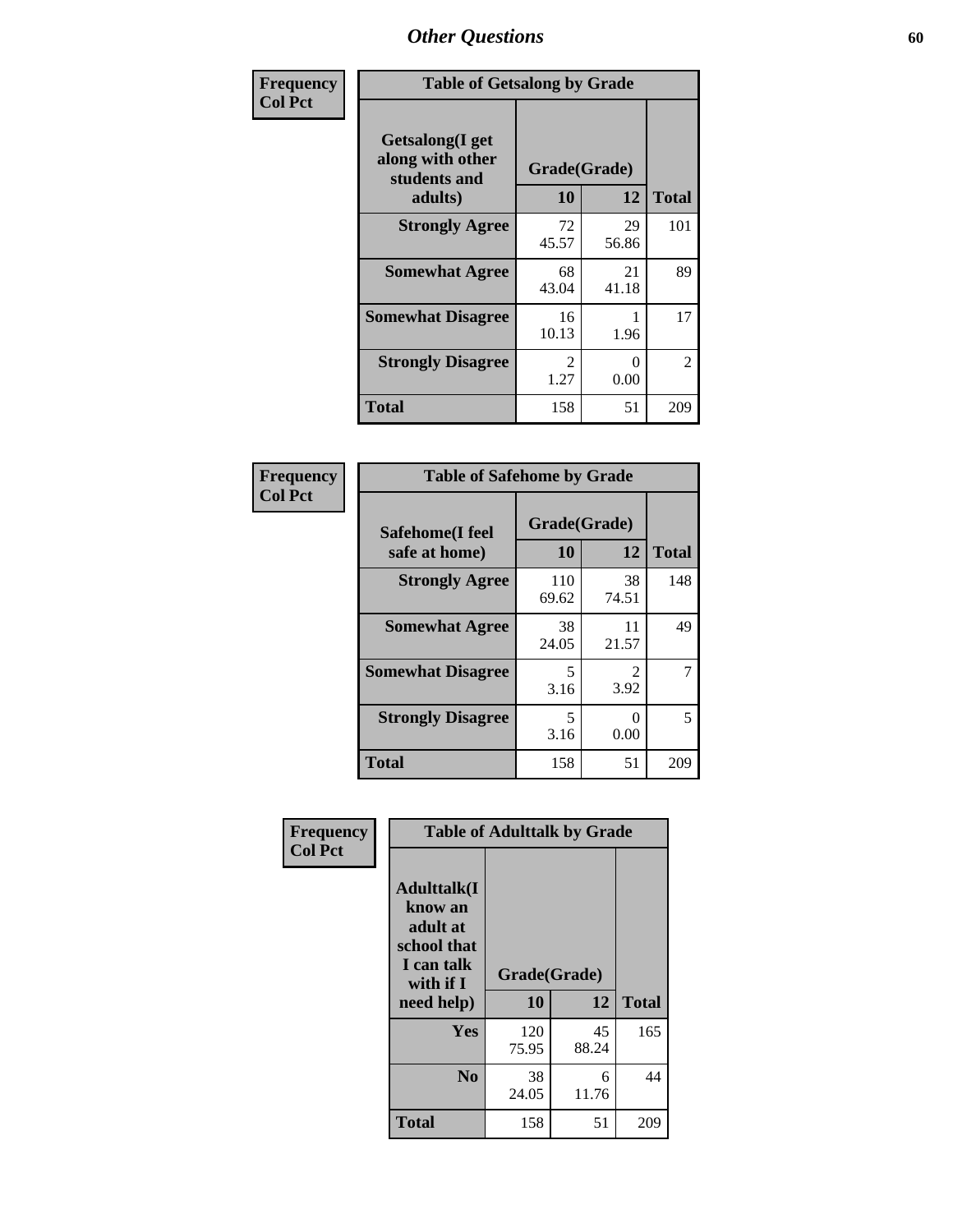| Frequency      | <b>Table of Getsalong by Grade</b>                          |                       |                  |                |  |  |  |
|----------------|-------------------------------------------------------------|-----------------------|------------------|----------------|--|--|--|
| <b>Col Pct</b> | <b>Getsalong</b> (I get<br>along with other<br>students and | Grade(Grade)          |                  |                |  |  |  |
|                | adults)                                                     | 10                    | 12               | <b>Total</b>   |  |  |  |
|                | <b>Strongly Agree</b>                                       | 72<br>45.57           | 29<br>56.86      | 101            |  |  |  |
|                | <b>Somewhat Agree</b>                                       | 68<br>43.04           | 21<br>41.18      | 89             |  |  |  |
|                | <b>Somewhat Disagree</b>                                    | 16<br>10.13           | 1.96             | 17             |  |  |  |
|                | <b>Strongly Disagree</b>                                    | $\mathcal{L}$<br>1.27 | $\Omega$<br>0.00 | $\overline{c}$ |  |  |  |
|                | <b>Total</b>                                                | 158                   | 51               | 209            |  |  |  |

| Frequency      | <b>Table of Safehome by Grade</b> |                    |             |              |  |  |  |
|----------------|-----------------------------------|--------------------|-------------|--------------|--|--|--|
| <b>Col Pct</b> | Safehome(I feel<br>safe at home)  | Grade(Grade)<br>10 | 12          | <b>Total</b> |  |  |  |
|                | <b>Strongly Agree</b>             | 110<br>69.62       | 38<br>74.51 | 148          |  |  |  |
|                | <b>Somewhat Agree</b>             | 38<br>24.05        | 11<br>21.57 | 49           |  |  |  |
|                | <b>Somewhat Disagree</b>          | 5<br>3.16          | 3.92        | 7            |  |  |  |
|                | <b>Strongly Disagree</b>          | 5<br>3.16          | 0<br>0.00   | 5            |  |  |  |
|                | <b>Total</b>                      | 158                | 51          | 209          |  |  |  |

| Frequency      | <b>Table of Adulttalk by Grade</b>                                                                 |                    |             |              |  |  |  |
|----------------|----------------------------------------------------------------------------------------------------|--------------------|-------------|--------------|--|--|--|
| <b>Col Pct</b> | <b>Adulttalk</b> (I<br>know an<br>adult at<br>school that<br>I can talk<br>with if I<br>need help) | Grade(Grade)<br>10 | 12          | <b>Total</b> |  |  |  |
|                |                                                                                                    |                    |             |              |  |  |  |
|                | Yes                                                                                                | 120<br>75.95       | 45<br>88.24 | 165          |  |  |  |
|                | N <sub>0</sub>                                                                                     | 38<br>24.05        | 6<br>11.76  | 44           |  |  |  |
|                | <b>Total</b>                                                                                       | 158                | 51          | 209          |  |  |  |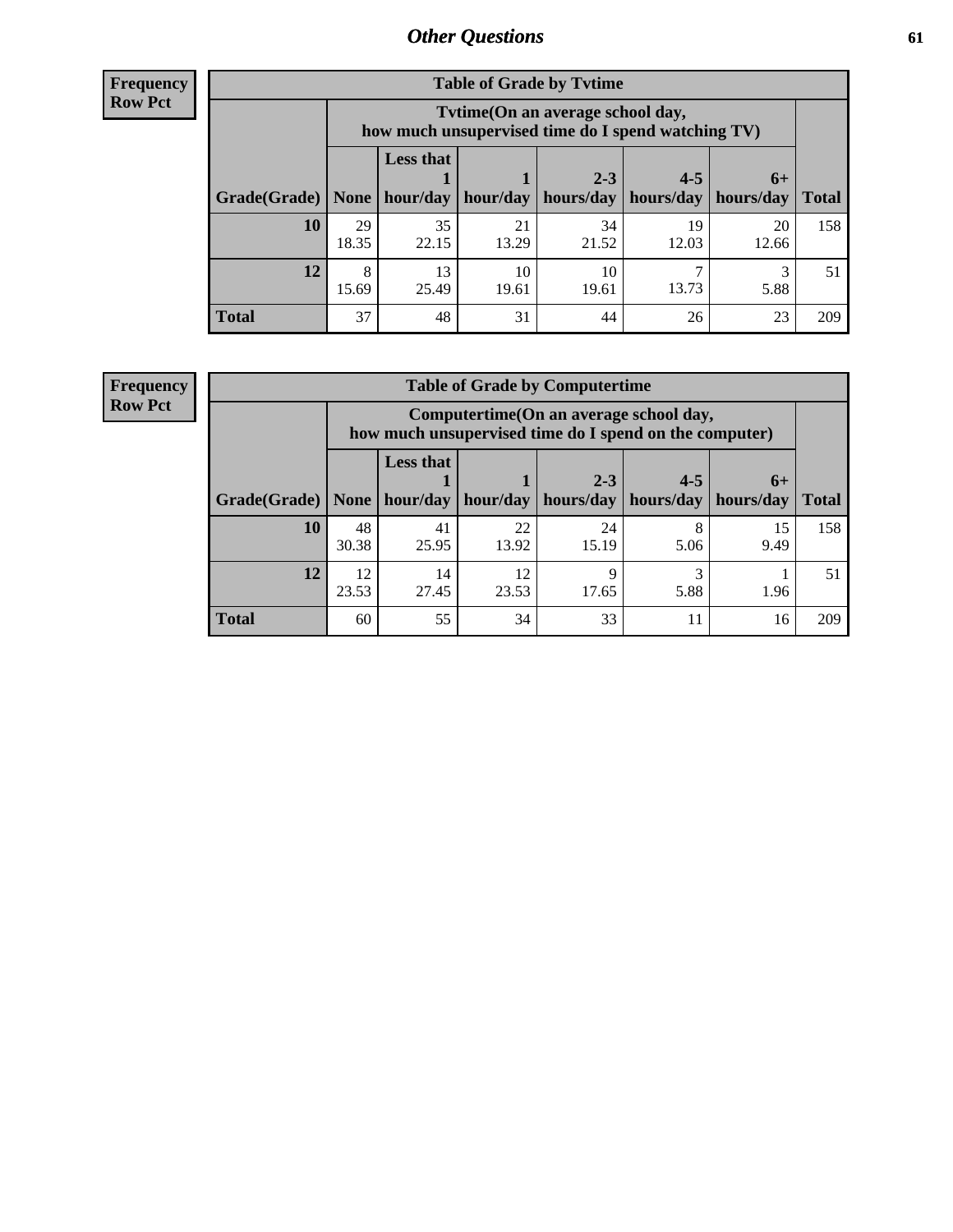**Frequency Row Pct**

| <b>Table of Grade by Tvtime</b> |             |                                                                                         |                     |             |                       |             |              |  |  |  |
|---------------------------------|-------------|-----------------------------------------------------------------------------------------|---------------------|-------------|-----------------------|-------------|--------------|--|--|--|
|                                 |             | Tytime (On an average school day,<br>how much unsupervised time do I spend watching TV) |                     |             |                       |             |              |  |  |  |
|                                 |             | <b>Less that</b>                                                                        |                     | $2 - 3$     | $4 - 5$               | $6+$        |              |  |  |  |
| Grade(Grade)   None             |             |                                                                                         | hour/day   hour/day | hours/day   | hours/day   hours/day |             | <b>Total</b> |  |  |  |
| 10                              | 29<br>18.35 | 35<br>22.15                                                                             | 21<br>13.29         | 34<br>21.52 | 19<br>12.03           | 20<br>12.66 | 158          |  |  |  |
| 12                              | 8<br>15.69  | 13<br>25.49                                                                             | 10<br>19.61         | 10<br>19.61 | 13.73                 | 5.88        | 51           |  |  |  |
| <b>Total</b>                    | 37          | 48                                                                                      | 31                  | 44          | 26                    | 23          | 209          |  |  |  |

**Frequency Row Pct**

| <b>Table of Grade by Computertime</b> |             |                                                                                                   |             |                      |                      |                   |              |  |  |
|---------------------------------------|-------------|---------------------------------------------------------------------------------------------------|-------------|----------------------|----------------------|-------------------|--------------|--|--|
|                                       |             | Computertime (On an average school day,<br>how much unsupervised time do I spend on the computer) |             |                      |                      |                   |              |  |  |
| Grade(Grade)                          | None        | <b>Less that</b><br>hour/day                                                                      | hour/day    | $2 - 3$<br>hours/day | $4 - 5$<br>hours/day | $6+$<br>hours/day | <b>Total</b> |  |  |
| 10                                    | 48<br>30.38 | 41<br>25.95                                                                                       | 22<br>13.92 | 24<br>15.19          | 8<br>5.06            | 15<br>9.49        | 158          |  |  |
| 12                                    | 12<br>23.53 | 14<br>27.45                                                                                       | 12<br>23.53 | Q<br>17.65           | 3<br>5.88            | 1.96              | 51           |  |  |
| <b>Total</b>                          | 60          | 55                                                                                                | 34          | 33                   | 11                   | 16                | 209          |  |  |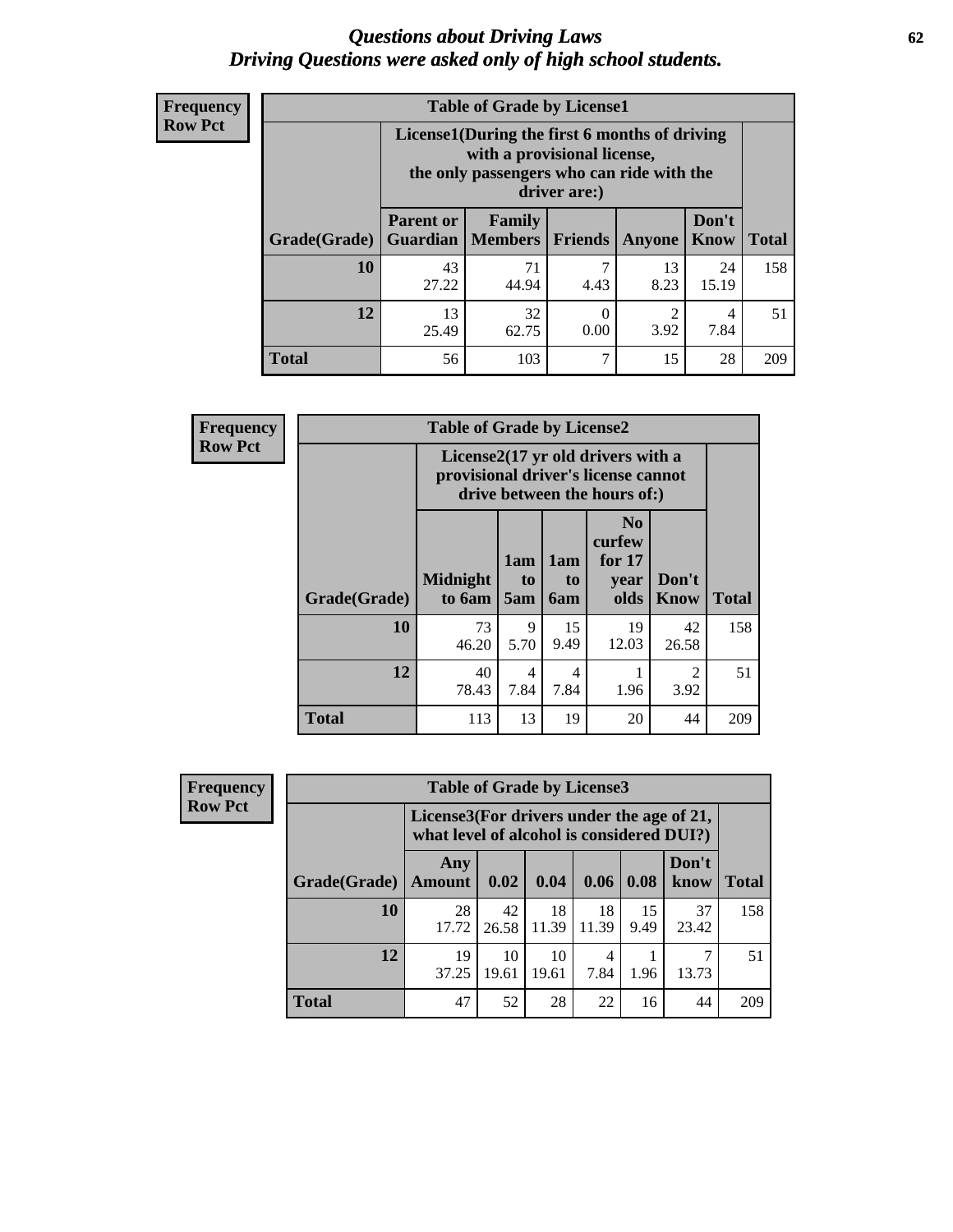#### *Questions about Driving Laws* **62** *Driving Questions were asked only of high school students.*

| <b>Frequency</b> |
|------------------|
| <b>Row Pct</b>   |

| <b>Table of Grade by License1</b> |                                     |                                                                                                                                           |                |            |               |              |  |  |  |  |
|-----------------------------------|-------------------------------------|-------------------------------------------------------------------------------------------------------------------------------------------|----------------|------------|---------------|--------------|--|--|--|--|
|                                   |                                     | License1(During the first 6 months of driving<br>with a provisional license,<br>the only passengers who can ride with the<br>driver are:) |                |            |               |              |  |  |  |  |
| Grade(Grade)                      | <b>Parent or</b><br><b>Guardian</b> | Family<br><b>Members</b>                                                                                                                  | <b>Friends</b> | Anyone     | Don't<br>Know | <b>Total</b> |  |  |  |  |
| 10                                | 43<br>27.22                         | 71<br>44.94                                                                                                                               | 7<br>4.43      | 13<br>8.23 | 24<br>15.19   | 158          |  |  |  |  |
| 12                                | 13<br>25.49                         | 32<br>2<br>$\theta$<br>4<br>3.92<br>0.00<br>7.84<br>62.75                                                                                 |                |            |               |              |  |  |  |  |
| <b>Total</b>                      | 56                                  | 103                                                                                                                                       | 7              | 15         | 28            | 209          |  |  |  |  |

| <b>Frequency</b> |              | <b>Table of Grade by License2</b>                                                                        |                  |                                     |                                                      |                        |              |
|------------------|--------------|----------------------------------------------------------------------------------------------------------|------------------|-------------------------------------|------------------------------------------------------|------------------------|--------------|
| <b>Row Pct</b>   |              | License2(17 yr old drivers with a<br>provisional driver's license cannot<br>drive between the hours of:) |                  |                                     |                                                      |                        |              |
|                  | Grade(Grade) | <b>Midnight</b><br>to 6am                                                                                | 1am<br>to<br>5am | 1am<br>t <sub>0</sub><br><b>6am</b> | N <sub>0</sub><br>curfew<br>for $17$<br>year<br>olds | Don't<br><b>Know</b>   | <b>Total</b> |
|                  | 10           | 73<br>46.20                                                                                              | 9<br>5.70        | 15<br>9.49                          | 19<br>12.03                                          | 42<br>26.58            | 158          |
|                  | 12           | 40<br>78.43                                                                                              | 4<br>7.84        | 4<br>7.84                           | 1.96                                                 | $\overline{c}$<br>3.92 | 51           |
|                  | <b>Total</b> | 113                                                                                                      | 13               | 19                                  | 20                                                   | 44                     | 209          |

| Frequency      |                                                                                        | <b>Table of Grade by License3</b> |             |             |             |            |               |              |
|----------------|----------------------------------------------------------------------------------------|-----------------------------------|-------------|-------------|-------------|------------|---------------|--------------|
| <b>Row Pct</b> | License3(For drivers under the age of 21,<br>what level of alcohol is considered DUI?) |                                   |             |             |             |            |               |              |
|                | Grade(Grade)                                                                           | Any<br><b>Amount</b>              | 0.02        | 0.04        | 0.06        | 0.08       | Don't<br>know | <b>Total</b> |
|                | <b>10</b>                                                                              | 28<br>17.72                       | 42<br>26.58 | 18<br>11.39 | 18<br>11.39 | 15<br>9.49 | 37<br>23.42   | 158          |
|                | 12                                                                                     | 19<br>37.25                       | 10<br>19.61 | 10<br>19.61 | 4<br>7.84   | 1.96       | 7<br>13.73    | 51           |
|                | <b>Total</b>                                                                           | 47                                | 52          | 28          | 22          | 16         | 44            | 209          |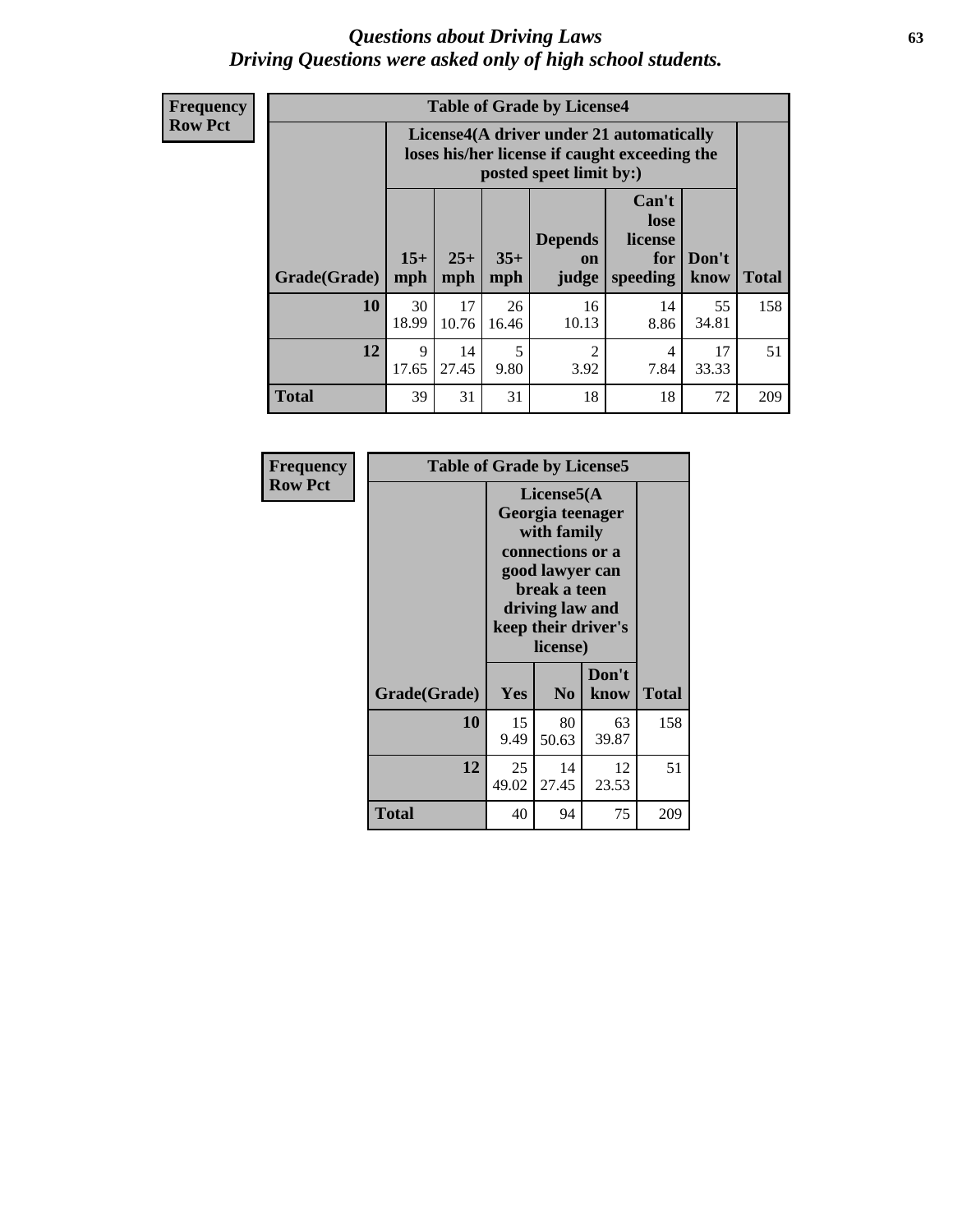#### *Questions about Driving Laws* **63** *Driving Questions were asked only of high school students.*

**Frequency Row Pct**

| <b>Table of Grade by License4</b> |              |                                                                                                                                               |             |             |            |             |     |  |
|-----------------------------------|--------------|-----------------------------------------------------------------------------------------------------------------------------------------------|-------------|-------------|------------|-------------|-----|--|
|                                   |              | License4(A driver under 21 automatically<br>loses his/her license if caught exceeding the<br>posted speet limit by:)                          |             |             |            |             |     |  |
| Grade(Grade)                      | $15+$<br>mph | Can't<br>lose<br><b>Depends</b><br>license<br>$25+$<br>$35+$<br>Don't<br>for<br>on<br>mph<br><b>Total</b><br>speeding<br>know<br>mph<br>judge |             |             |            |             |     |  |
| 10                                | 30<br>18.99  | 17<br>10.76                                                                                                                                   | 26<br>16.46 | 16<br>10.13 | 14<br>8.86 | 55<br>34.81 | 158 |  |
| 12                                | 9<br>17.65   | 5<br>14<br>2<br>17<br>4<br>27.45<br>9.80<br>3.92<br>7.84<br>33.33                                                                             |             |             |            |             |     |  |
| <b>Total</b>                      | 39           | 31                                                                                                                                            | 31          | 18          | 18         | 72          | 209 |  |

| Frequency<br><b>Row Pct</b> | <b>Table of Grade by License5</b> |             |                                                                                                                                                             |               |       |  |
|-----------------------------|-----------------------------------|-------------|-------------------------------------------------------------------------------------------------------------------------------------------------------------|---------------|-------|--|
|                             |                                   |             | License5(A)<br>Georgia teenager<br>with family<br>connections or a<br>good lawyer can<br>break a teen<br>driving law and<br>keep their driver's<br>license) |               |       |  |
|                             | Grade(Grade)                      | <b>Yes</b>  | N <sub>0</sub>                                                                                                                                              | Don't<br>know | Total |  |
|                             | 10                                | 15<br>9.49  | 80<br>50.63                                                                                                                                                 | 63<br>39.87   | 158   |  |
|                             | 12                                | 25<br>49.02 | 14<br>27.45                                                                                                                                                 | 12<br>23.53   | 51    |  |
|                             | <b>Total</b>                      | 40          | 94                                                                                                                                                          | 75            | 209   |  |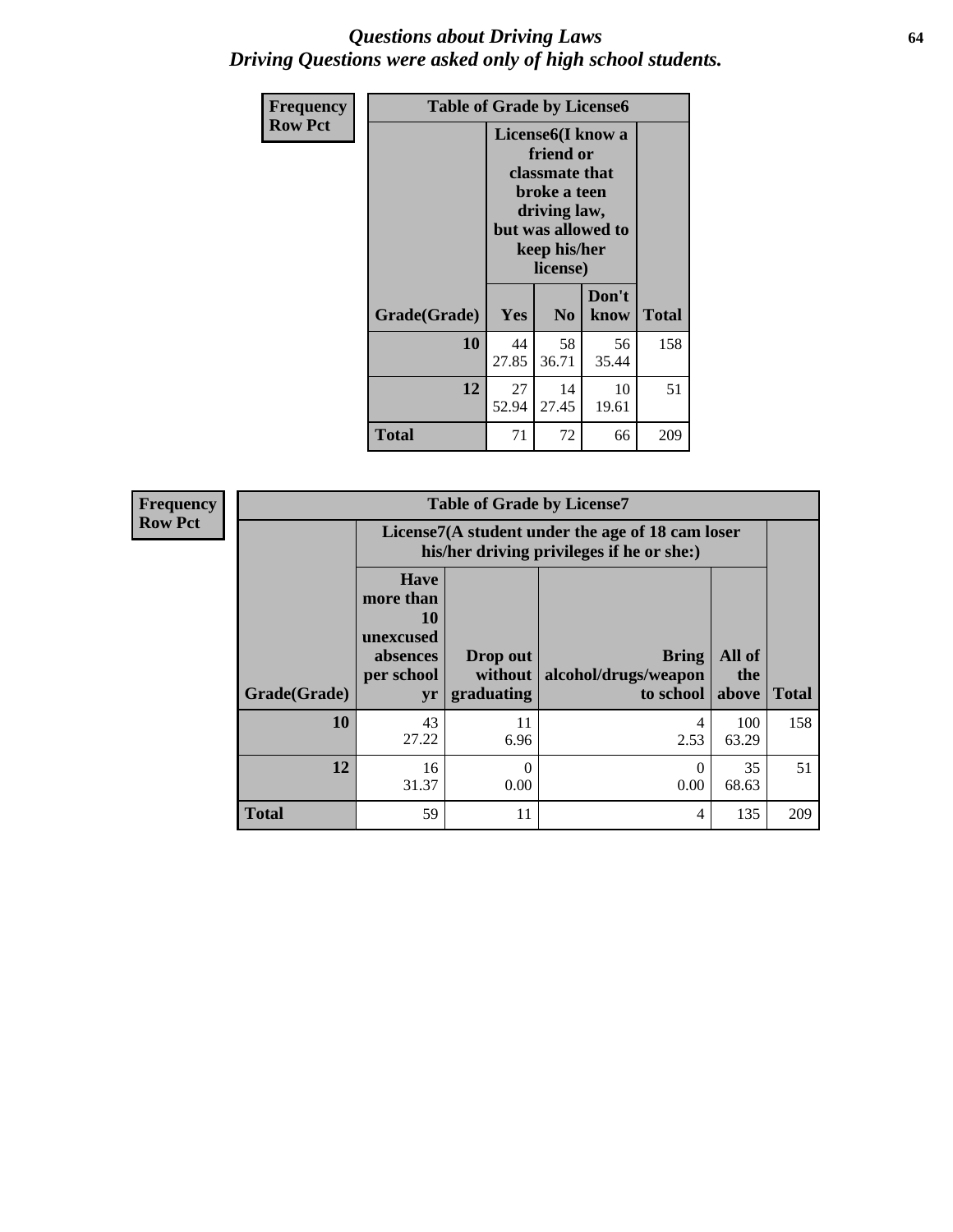#### *Questions about Driving Laws* **64** *Driving Questions were asked only of high school students.*

| <b>Frequency</b> | <b>Table of Grade by License6</b> |                                                                                                                                                 |                |               |              |
|------------------|-----------------------------------|-------------------------------------------------------------------------------------------------------------------------------------------------|----------------|---------------|--------------|
| <b>Row Pct</b>   |                                   | License <sub>6</sub> (I know a<br>friend or<br>classmate that<br>broke a teen<br>driving law,<br>but was allowed to<br>keep his/her<br>license) |                |               |              |
|                  | Grade(Grade)                      | Yes                                                                                                                                             | N <sub>0</sub> | Don't<br>know | <b>Total</b> |
|                  | 10                                | 44<br>27.85                                                                                                                                     | 58<br>36.71    | 56<br>35.44   | 158          |
|                  | 12                                | 27<br>14<br>10<br>52.94<br>27.45<br>19.61                                                                                                       |                |               | 51           |
|                  | <b>Total</b>                      | 71                                                                                                                                              | 72             | 66            | 209          |

| <b>Frequency</b> |              |                                                                             | <b>Table of Grade by License7</b>                                                             |                                                   |                        |              |  |
|------------------|--------------|-----------------------------------------------------------------------------|-----------------------------------------------------------------------------------------------|---------------------------------------------------|------------------------|--------------|--|
| <b>Row Pct</b>   |              |                                                                             | License7(A student under the age of 18 cam loser<br>his/her driving privileges if he or she:) |                                                   |                        |              |  |
|                  | Grade(Grade) | <b>Have</b><br>more than<br>10<br>unexcused<br>absences<br>per school<br>yr | Drop out<br>without  <br>graduating                                                           | <b>Bring</b><br>alcohol/drugs/weapon<br>to school | All of<br>the<br>above | <b>Total</b> |  |
|                  | 10           | 43<br>27.22                                                                 | 11<br>6.96                                                                                    | 4<br>2.53                                         | 100<br>63.29           | 158          |  |
|                  | 12           | 16<br>31.37                                                                 | $\theta$<br>0.00                                                                              | 0<br>0.00                                         | 35<br>68.63            | 51           |  |
|                  | <b>Total</b> | 59                                                                          | 11                                                                                            | 4                                                 | 135                    | 209          |  |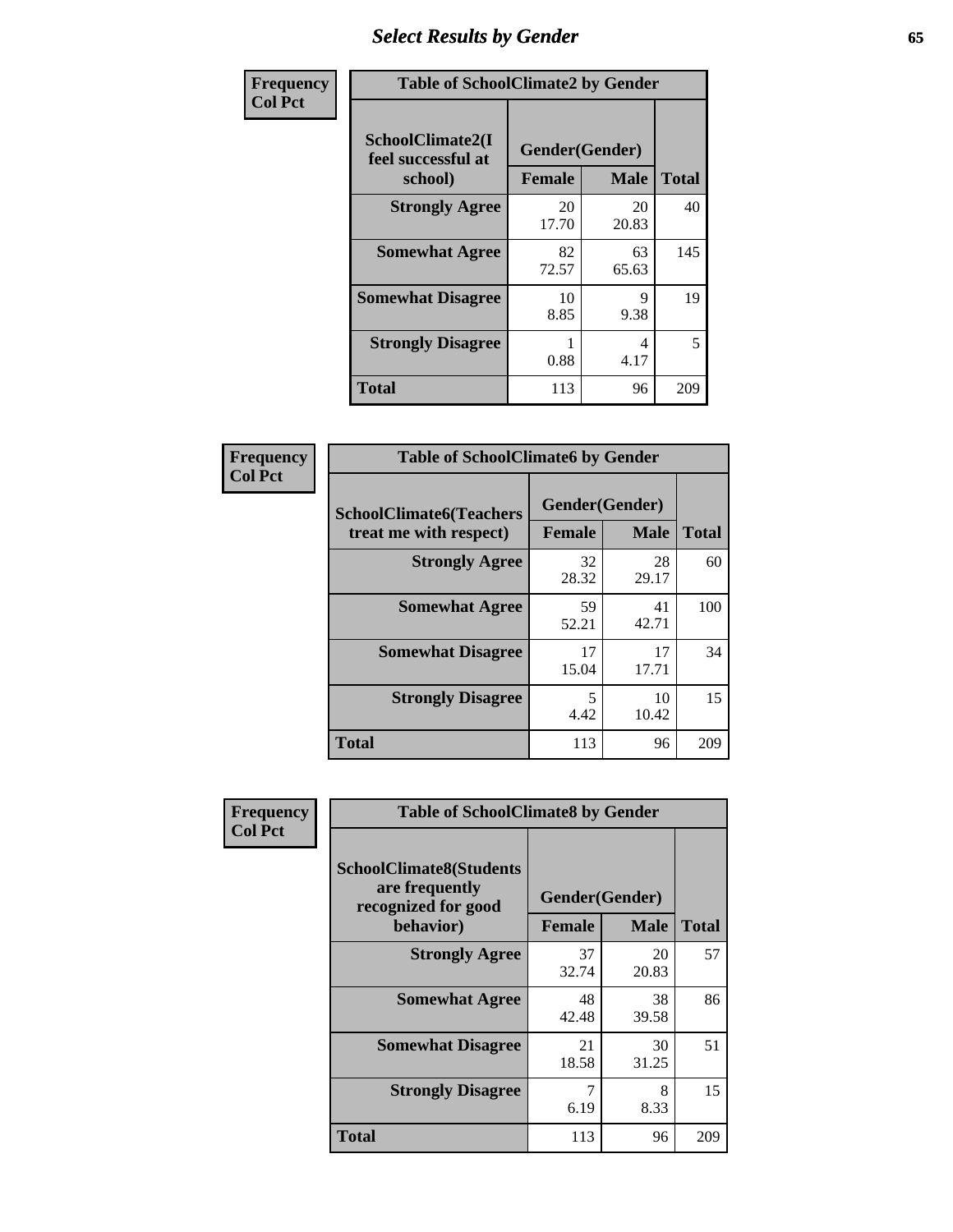## *Select Results by Gender* **65**

| Frequency      | <b>Table of SchoolClimate2 by Gender</b>          |                                 |             |              |
|----------------|---------------------------------------------------|---------------------------------|-------------|--------------|
| <b>Col Pct</b> | SchoolClimate2(I<br>feel successful at<br>school) | Gender(Gender)<br><b>Female</b> | <b>Male</b> | <b>Total</b> |
|                | <b>Strongly Agree</b>                             | 20<br>17.70                     | 20<br>20.83 | 40           |
|                | <b>Somewhat Agree</b>                             | 82<br>72.57                     | 63<br>65.63 | 145          |
|                | <b>Somewhat Disagree</b>                          | 10<br>8.85                      | 9<br>9.38   | 19           |
|                | <b>Strongly Disagree</b>                          | 0.88                            | 4<br>4.17   | 5            |
|                | <b>Total</b>                                      | 113                             | 96          | 209          |

| Frequency      | <b>Table of SchoolClimate6 by Gender</b>                 |               |                               |              |  |
|----------------|----------------------------------------------------------|---------------|-------------------------------|--------------|--|
| <b>Col Pct</b> | <b>SchoolClimate6(Teachers</b><br>treat me with respect) | <b>Female</b> | Gender(Gender)<br><b>Male</b> | <b>Total</b> |  |
|                | <b>Strongly Agree</b>                                    | 32<br>28.32   | 28<br>29.17                   | 60           |  |
|                | <b>Somewhat Agree</b>                                    | 59<br>52.21   | 41<br>42.71                   | 100          |  |
|                | <b>Somewhat Disagree</b>                                 | 17<br>15.04   | 17<br>17.71                   | 34           |  |
|                | <b>Strongly Disagree</b>                                 | 5<br>4.42     | 10<br>10.42                   | 15           |  |
|                | <b>Total</b>                                             | 113           | 96                            | 209          |  |

| <b>Frequency</b> | <b>Table of SchoolClimate8 by Gender</b>                                             |                                 |                            |     |
|------------------|--------------------------------------------------------------------------------------|---------------------------------|----------------------------|-----|
| <b>Col Pct</b>   | <b>SchoolClimate8(Students</b><br>are frequently<br>recognized for good<br>behavior) | Gender(Gender)<br><b>Female</b> | <b>Total</b>               |     |
|                  | <b>Strongly Agree</b>                                                                | 37<br>32.74                     | <b>Male</b><br>20<br>20.83 | 57  |
|                  | <b>Somewhat Agree</b>                                                                | 48<br>42.48                     | 38<br>39.58                | 86  |
|                  | <b>Somewhat Disagree</b>                                                             | 21<br>18.58                     | 30<br>31.25                | 51  |
|                  | <b>Strongly Disagree</b>                                                             | 7<br>6.19                       | 8<br>8.33                  | 15  |
|                  | Total                                                                                | 113                             | 96                         | 209 |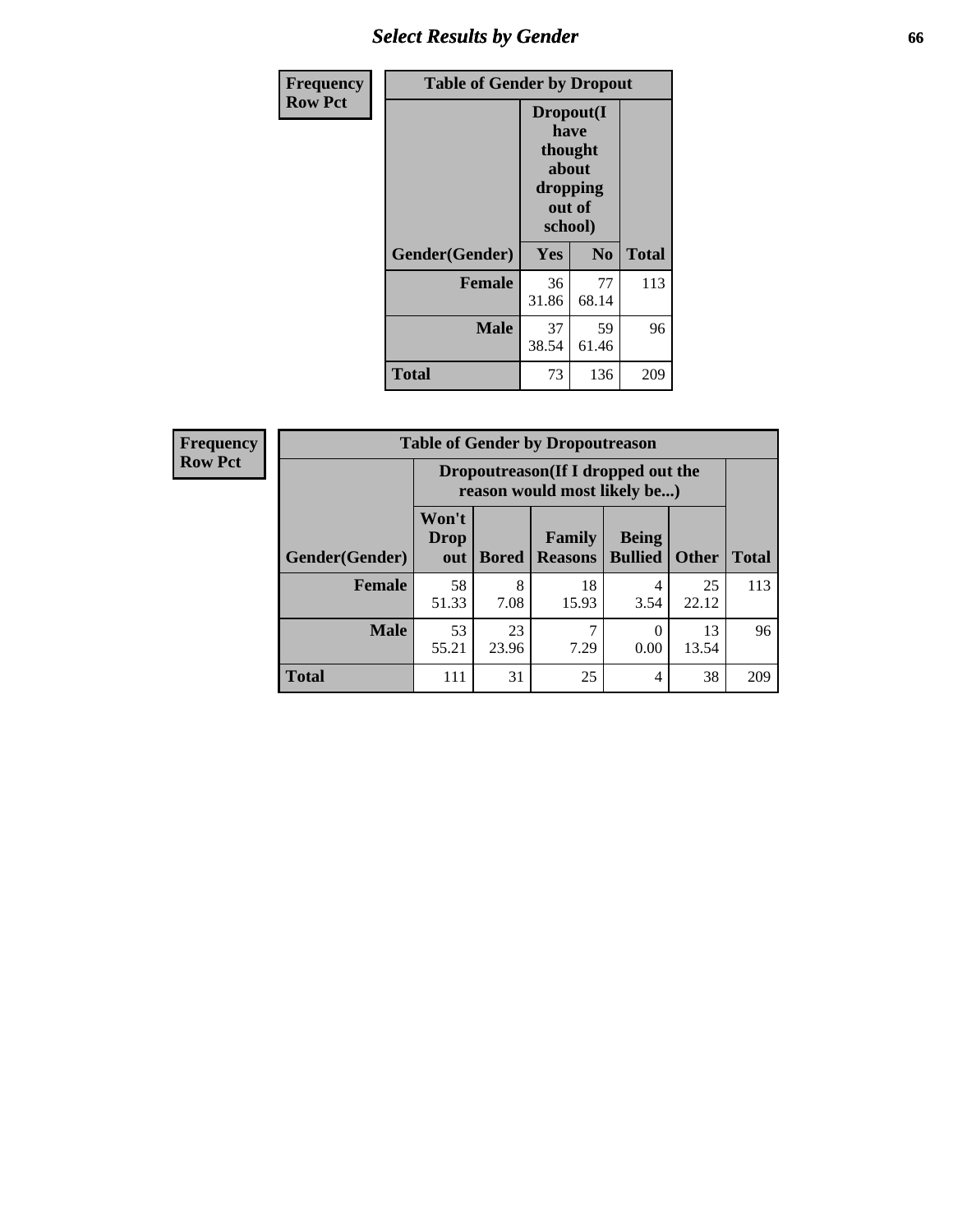## *Select Results by Gender* **66**

| <b>Frequency</b> | <b>Table of Gender by Dropout</b> |                                                                        |                |              |
|------------------|-----------------------------------|------------------------------------------------------------------------|----------------|--------------|
| <b>Row Pct</b>   |                                   | Dropout(I<br>have<br>thought<br>about<br>dropping<br>out of<br>school) |                |              |
|                  | Gender(Gender)                    | Yes                                                                    | N <sub>0</sub> | <b>Total</b> |
|                  | <b>Female</b>                     | 36<br>31.86                                                            | 77<br>68.14    | 113          |
|                  | <b>Male</b>                       | 37<br>38.54                                                            | 59<br>61.46    | 96           |
|                  | <b>Total</b>                      | 73                                                                     | 136            | 209          |

| <b>Frequency</b> |                        | <b>Table of Gender by Dropoutreason</b>                             |              |                          |                                |              |              |
|------------------|------------------------|---------------------------------------------------------------------|--------------|--------------------------|--------------------------------|--------------|--------------|
| <b>Row Pct</b>   |                        | Dropoutreason (If I dropped out the<br>reason would most likely be) |              |                          |                                |              |              |
|                  | <b>Gender</b> (Gender) | Won't<br><b>Drop</b><br>out                                         | <b>Bored</b> | Family<br><b>Reasons</b> | <b>Being</b><br><b>Bullied</b> | <b>Other</b> | <b>Total</b> |
|                  | <b>Female</b>          | 58<br>51.33                                                         | 8<br>7.08    | 18<br>15.93              | 4<br>3.54                      | 25<br>22.12  | 113          |
|                  | <b>Male</b>            | 53<br>55.21                                                         | 23<br>23.96  | 7.29                     | 0.00                           | 13<br>13.54  | 96           |
|                  | <b>Total</b>           | 111                                                                 | 31           | 25                       | 4                              | 38           | 209          |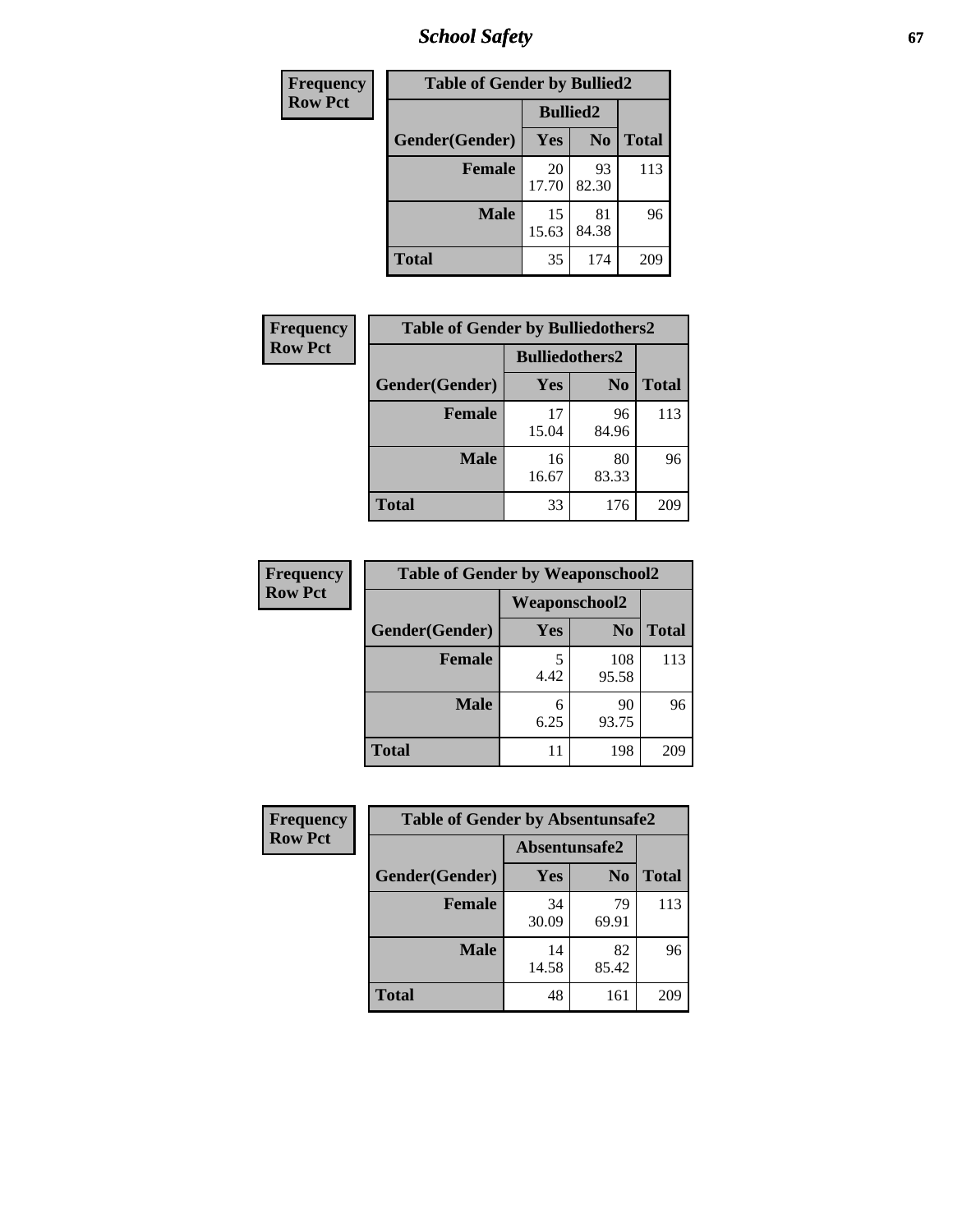*School Safety* **67**

| Frequency      | <b>Table of Gender by Bullied2</b> |                 |                |              |
|----------------|------------------------------------|-----------------|----------------|--------------|
| <b>Row Pct</b> |                                    | <b>Bullied2</b> |                |              |
|                | Gender(Gender)                     | <b>Yes</b>      | N <sub>0</sub> | <b>Total</b> |
|                | <b>Female</b>                      | 20<br>17.70     | 93<br>82.30    | 113          |
|                | <b>Male</b>                        | 15<br>15.63     | 81<br>84.38    | 96           |
|                | <b>Total</b>                       | 35              | 174            | 209          |

| Frequency      | <b>Table of Gender by Bulliedothers2</b> |                       |                |              |
|----------------|------------------------------------------|-----------------------|----------------|--------------|
| <b>Row Pct</b> |                                          | <b>Bulliedothers2</b> |                |              |
|                | Gender(Gender)                           | <b>Yes</b>            | N <sub>0</sub> | <b>Total</b> |
|                | <b>Female</b>                            | 17<br>15.04           | 96<br>84.96    | 113          |
|                | <b>Male</b>                              | 16<br>16.67           | 80<br>83.33    | 96           |
|                | <b>Total</b>                             | 33                    | 176            | 209          |

| Frequency      | <b>Table of Gender by Weaponschool2</b> |                      |                |              |
|----------------|-----------------------------------------|----------------------|----------------|--------------|
| <b>Row Pct</b> |                                         | <b>Weaponschool2</b> |                |              |
|                | Gender(Gender)                          | Yes                  | N <sub>0</sub> | <b>Total</b> |
|                | <b>Female</b>                           | 4.42                 | 108<br>95.58   | 113          |
|                | <b>Male</b>                             | 6<br>6.25            | 90<br>93.75    | 96           |
|                | <b>Total</b>                            | 11                   | 198            | 209          |

| <b>Frequency</b> | <b>Table of Gender by Absentunsafe2</b> |               |                |              |
|------------------|-----------------------------------------|---------------|----------------|--------------|
| <b>Row Pct</b>   |                                         | Absentunsafe2 |                |              |
|                  | Gender(Gender)                          | Yes           | N <sub>0</sub> | <b>Total</b> |
|                  | <b>Female</b>                           | 34<br>30.09   | 79<br>69.91    | 113          |
|                  | <b>Male</b>                             | 14<br>14.58   | 82<br>85.42    | 96           |
|                  | <b>Total</b>                            | 48            | 161            | 209          |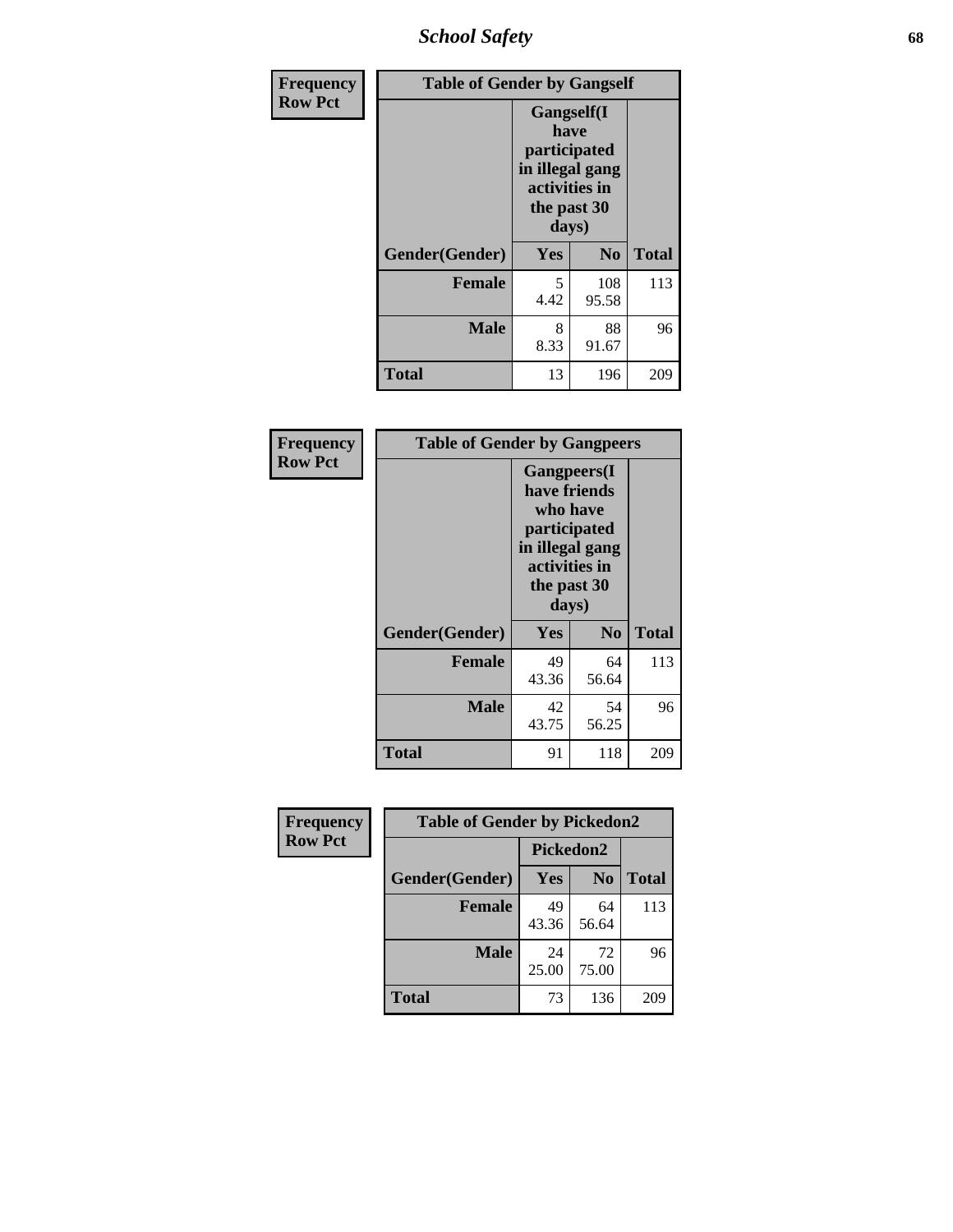*School Safety* **68**

| Frequency      | <b>Table of Gender by Gangself</b> |                                                                                                        |                |              |
|----------------|------------------------------------|--------------------------------------------------------------------------------------------------------|----------------|--------------|
| <b>Row Pct</b> |                                    | <b>Gangself</b> (I<br>have<br>participated<br>in illegal gang<br>activities in<br>the past 30<br>days) |                |              |
|                | Gender(Gender)                     | Yes                                                                                                    | N <sub>0</sub> | <b>Total</b> |
|                | <b>Female</b>                      | 5<br>4.42                                                                                              | 108<br>95.58   | 113          |
|                | <b>Male</b>                        | 8<br>8.33                                                                                              | 88<br>91.67    | 96           |
|                | <b>Total</b>                       | 13                                                                                                     | 196            | 209          |

| Frequency      | <b>Table of Gender by Gangpeers</b>                                                                                         |             |                |              |
|----------------|-----------------------------------------------------------------------------------------------------------------------------|-------------|----------------|--------------|
| <b>Row Pct</b> | <b>Gangpeers</b> (I<br>have friends<br>who have<br>participated<br>in illegal gang<br>activities in<br>the past 30<br>days) |             |                |              |
|                | Gender(Gender)                                                                                                              | Yes         | N <sub>0</sub> | <b>Total</b> |
|                | <b>Female</b>                                                                                                               | 49<br>43.36 | 64<br>56.64    | 113          |
|                | <b>Male</b>                                                                                                                 | 42<br>43.75 | 54<br>56.25    | 96           |
|                | Total                                                                                                                       | 91          | 118            | 209          |

| Frequency      | <b>Table of Gender by Pickedon2</b> |             |                |              |
|----------------|-------------------------------------|-------------|----------------|--------------|
| <b>Row Pct</b> |                                     | Pickedon2   |                |              |
|                | Gender(Gender)                      | Yes         | N <sub>0</sub> | <b>Total</b> |
|                | <b>Female</b>                       | 49<br>43.36 | 64<br>56.64    | 113          |
|                | <b>Male</b>                         | 24<br>25.00 | 72<br>75.00    | 96           |
|                | <b>Total</b>                        | 73          | 136            | 209          |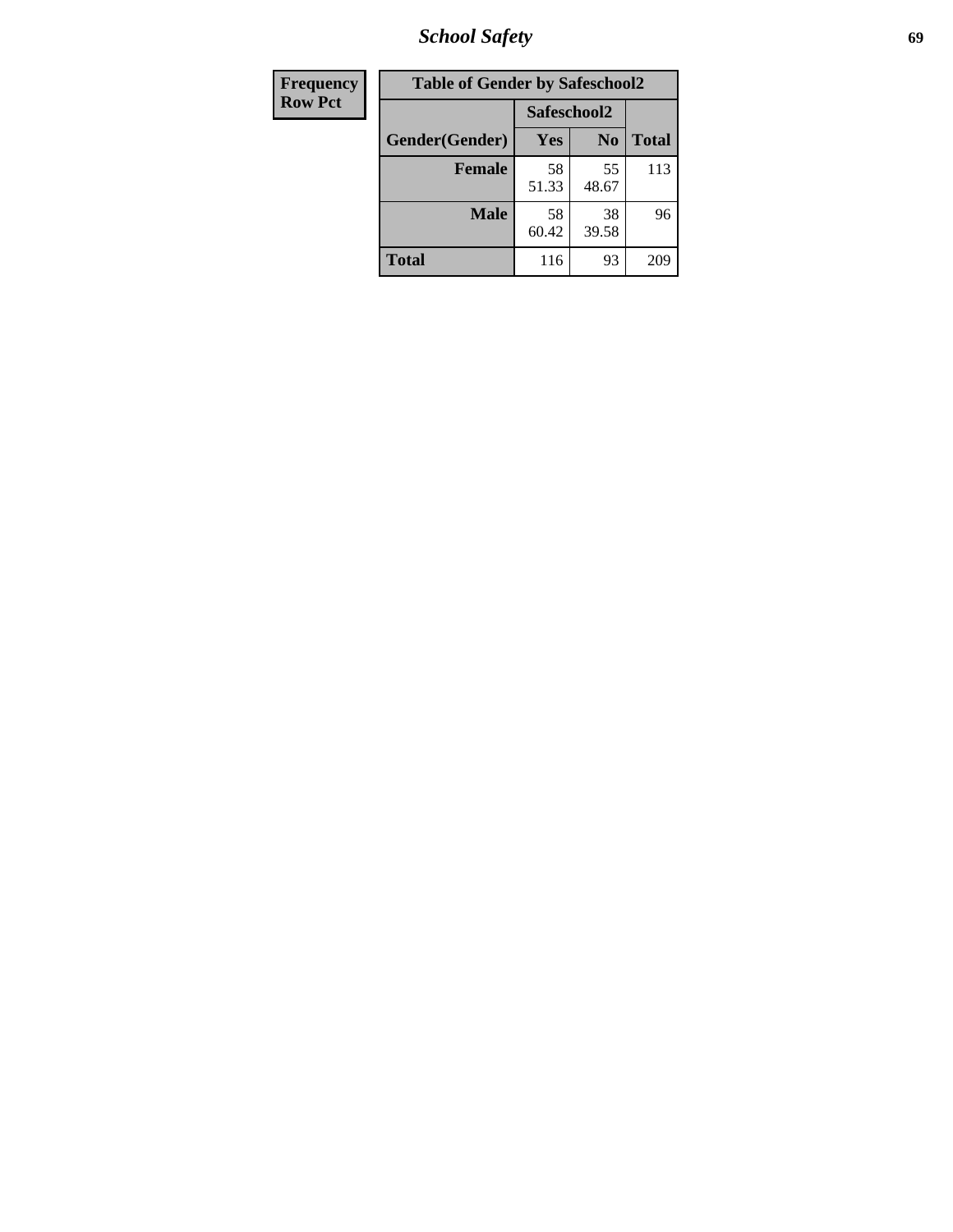*School Safety* **69**

| Frequency      | <b>Table of Gender by Safeschool2</b> |             |                |              |
|----------------|---------------------------------------|-------------|----------------|--------------|
| <b>Row Pct</b> |                                       | Safeschool2 |                |              |
|                | Gender(Gender)                        | <b>Yes</b>  | N <sub>0</sub> | <b>Total</b> |
|                | <b>Female</b>                         | 58<br>51.33 | 55<br>48.67    | 113          |
|                | <b>Male</b>                           | 58<br>60.42 | 38<br>39.58    | 96           |
|                | <b>Total</b>                          | 116         | 93             | 209          |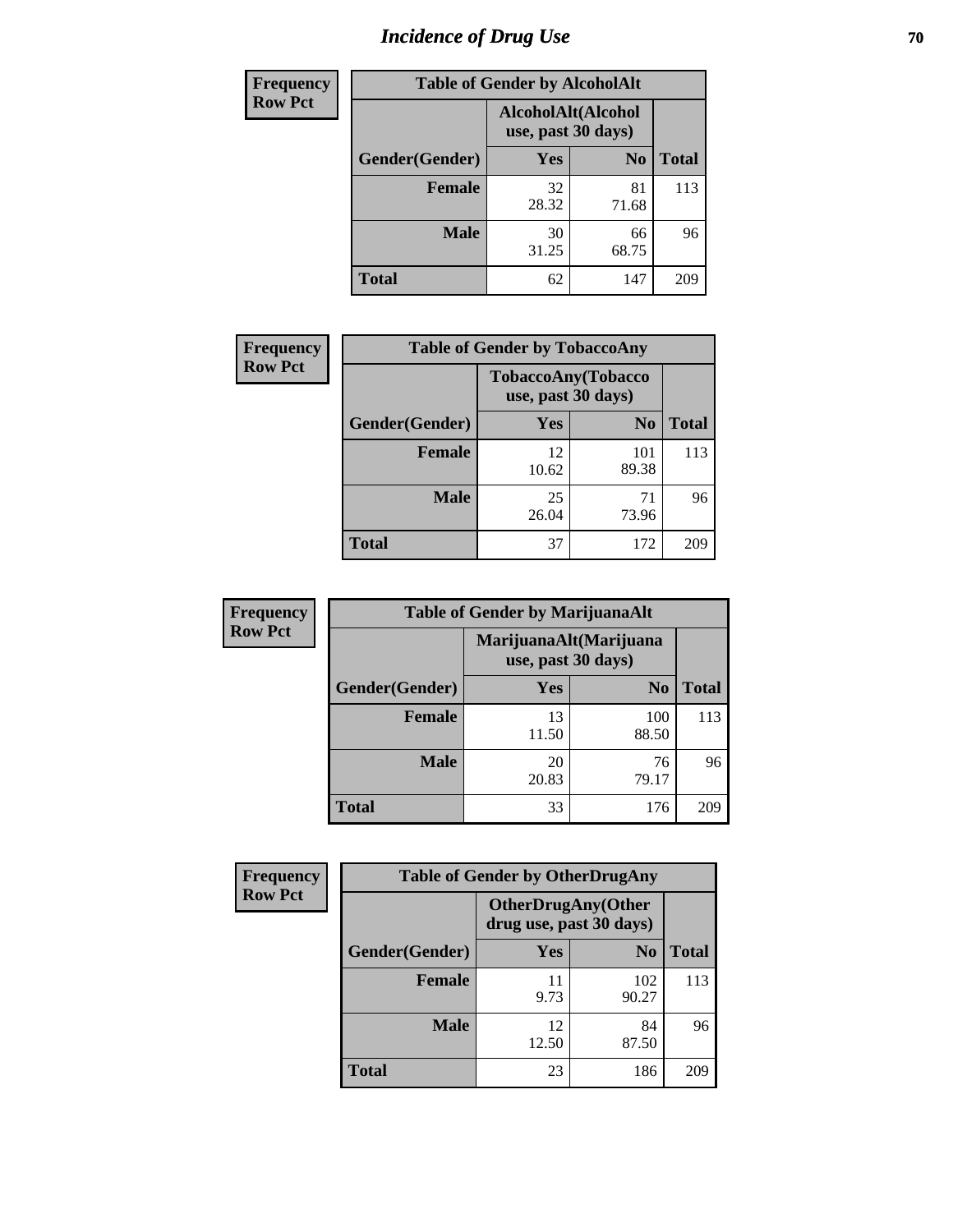# *Incidence of Drug Use* **70**

| <b>Frequency</b> | <b>Table of Gender by AlcoholAlt</b> |                                          |                |              |  |
|------------------|--------------------------------------|------------------------------------------|----------------|--------------|--|
| <b>Row Pct</b>   |                                      | AlcoholAlt(Alcohol<br>use, past 30 days) |                |              |  |
|                  | Gender(Gender)                       | Yes                                      | N <sub>0</sub> | <b>Total</b> |  |
|                  | <b>Female</b>                        | 32<br>28.32                              | 81<br>71.68    | 113          |  |
|                  | <b>Male</b>                          | 30<br>31.25                              | 66<br>68.75    | 96           |  |
|                  | <b>Total</b>                         | 62                                       | 147            | 209          |  |

| Frequency      | <b>Table of Gender by TobaccoAny</b> |                                          |                |              |  |
|----------------|--------------------------------------|------------------------------------------|----------------|--------------|--|
| <b>Row Pct</b> |                                      | TobaccoAny(Tobacco<br>use, past 30 days) |                |              |  |
|                | Gender(Gender)                       | Yes                                      | N <sub>0</sub> | <b>Total</b> |  |
|                | <b>Female</b>                        | 12<br>10.62                              | 101<br>89.38   | 113          |  |
|                | <b>Male</b>                          | 25<br>26.04                              | 71<br>73.96    | 96           |  |
|                | Total                                | 37                                       | 172            | 209          |  |

| <b>Frequency</b> | <b>Table of Gender by MarijuanaAlt</b> |                                              |                |              |
|------------------|----------------------------------------|----------------------------------------------|----------------|--------------|
| <b>Row Pct</b>   |                                        | MarijuanaAlt(Marijuana<br>use, past 30 days) |                |              |
|                  | Gender(Gender)                         | <b>Yes</b>                                   | N <sub>0</sub> | <b>Total</b> |
|                  | Female                                 | 13<br>11.50                                  | 100<br>88.50   | 113          |
|                  | <b>Male</b>                            | 20<br>20.83                                  | 76<br>79.17    | 96           |
|                  | <b>Total</b>                           | 33                                           | 176            | 209          |

| <b>Frequency</b> | <b>Table of Gender by OtherDrugAny</b> |                                                      |                |              |
|------------------|----------------------------------------|------------------------------------------------------|----------------|--------------|
| <b>Row Pct</b>   |                                        | <b>OtherDrugAny(Other</b><br>drug use, past 30 days) |                |              |
|                  | Gender(Gender)                         | <b>Yes</b>                                           | N <sub>0</sub> | <b>Total</b> |
|                  | <b>Female</b>                          | 11<br>9.73                                           | 102<br>90.27   | 113          |
|                  | <b>Male</b>                            | 12<br>12.50                                          | 84<br>87.50    | 96           |
|                  | <b>Total</b>                           | 23                                                   | 186            | 209          |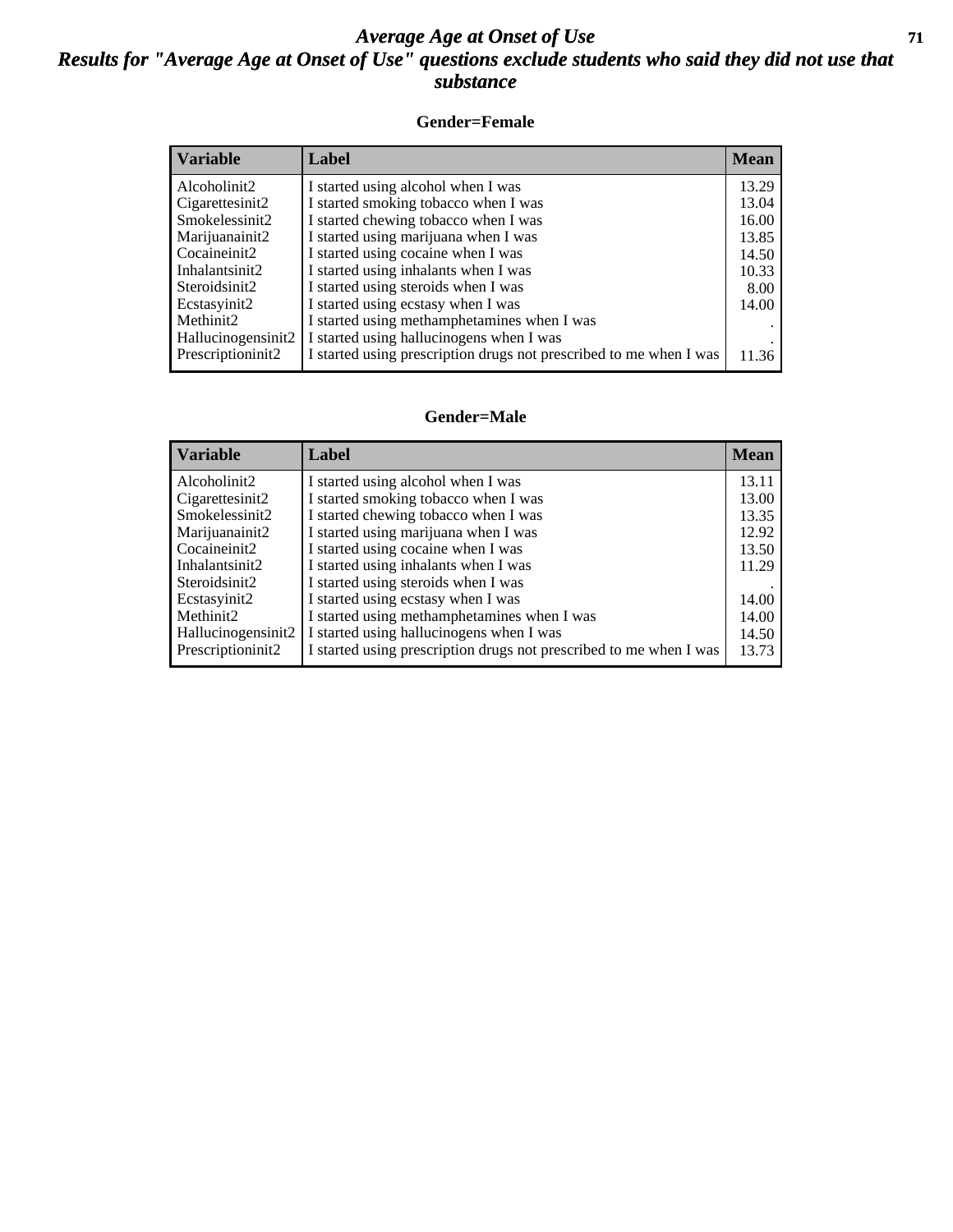#### *Average Age at Onset of Use* **71** *Results for "Average Age at Onset of Use" questions exclude students who said they did not use that substance*

#### **Gender=Female**

| <b>Variable</b>    | <b>Label</b>                                                       | <b>Mean</b> |
|--------------------|--------------------------------------------------------------------|-------------|
| Alcoholinit2       | I started using alcohol when I was                                 | 13.29       |
| Cigarettesinit2    | I started smoking tobacco when I was                               | 13.04       |
| Smokelessinit2     | I started chewing tobacco when I was                               | 16.00       |
| Marijuanainit2     | I started using marijuana when I was                               | 13.85       |
| Cocaineinit2       | I started using cocaine when I was                                 | 14.50       |
| Inhalantsinit2     | I started using inhalants when I was                               | 10.33       |
| Steroidsinit2      | I started using steroids when I was                                | 8.00        |
| Ecstasyinit2       | I started using ecstasy when I was                                 | 14.00       |
| Methinit2          | I started using methamphetamines when I was                        |             |
| Hallucinogensinit2 | I started using hallucinogens when I was                           |             |
| Prescription in t2 | I started using prescription drugs not prescribed to me when I was | 11.36       |

#### **Gender=Male**

| <b>Variable</b>                 | Label                                                              | <b>Mean</b> |
|---------------------------------|--------------------------------------------------------------------|-------------|
| Alcoholinit2                    | I started using alcohol when I was                                 | 13.11       |
| Cigarettesinit2                 | I started smoking tobacco when I was                               | 13.00       |
| Smokelessinit2                  | I started chewing tobacco when I was                               | 13.35       |
| Marijuanainit2                  | I started using marijuana when I was                               | 12.92       |
| Cocaineinit2                    | I started using cocaine when I was                                 | 13.50       |
| Inhalantsinit2                  | I started using inhalants when I was                               | 11.29       |
| Steroidsinit2                   | I started using steroids when I was                                |             |
| Ecstasyinit2                    | I started using ecstasy when I was                                 | 14.00       |
| Methinit2                       | I started using methamphetamines when I was                        | 14.00       |
| Hallucinogensinit2              | I started using hallucinogens when I was                           | 14.50       |
| Prescription in it <sub>2</sub> | I started using prescription drugs not prescribed to me when I was | 13.73       |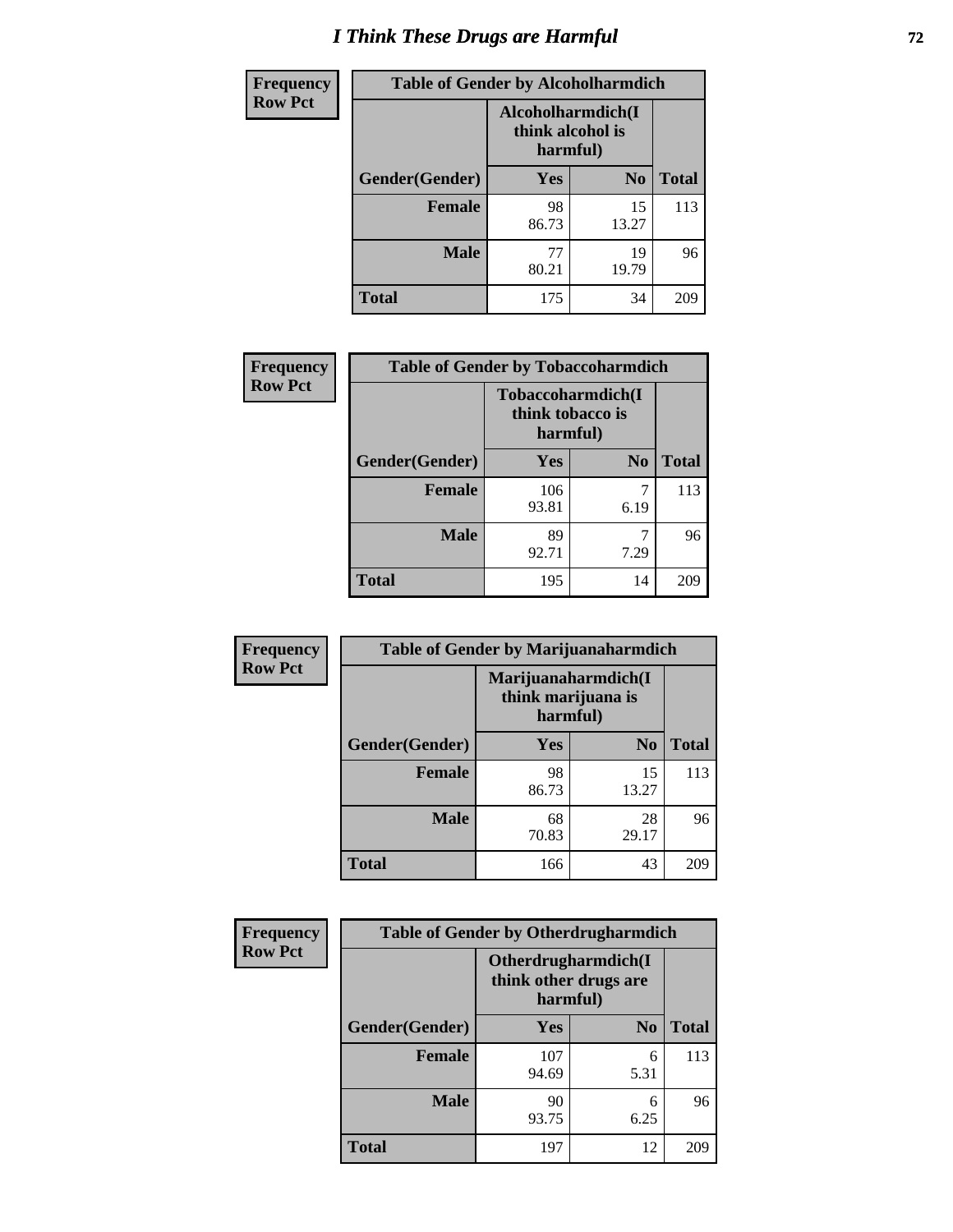# *I Think These Drugs are Harmful* **72**

| <b>Frequency</b> | <b>Table of Gender by Alcoholharmdich</b> |                                                   |                |              |
|------------------|-------------------------------------------|---------------------------------------------------|----------------|--------------|
| <b>Row Pct</b>   |                                           | Alcoholharmdich(I<br>think alcohol is<br>harmful) |                |              |
|                  | Gender(Gender)                            | Yes                                               | N <sub>0</sub> | <b>Total</b> |
|                  | <b>Female</b>                             | 98<br>86.73                                       | 15<br>13.27    | 113          |
|                  | <b>Male</b>                               | 77<br>80.21                                       | 19<br>19.79    | 96           |
|                  | <b>Total</b>                              | 175                                               | 34             | 209          |

| Frequency      | <b>Table of Gender by Tobaccoharmdich</b> |                              |                   |              |
|----------------|-------------------------------------------|------------------------------|-------------------|--------------|
| <b>Row Pct</b> |                                           | think tobacco is<br>harmful) | Tobaccoharmdich(I |              |
|                | Gender(Gender)                            | Yes                          | N <sub>0</sub>    | <b>Total</b> |
|                | <b>Female</b>                             | 106<br>93.81                 | 7<br>6.19         | 113          |
|                | <b>Male</b>                               | 89<br>92.71                  | 7.29              | 96           |
|                | Total                                     | 195                          | 14                |              |

| Frequency      | <b>Table of Gender by Marijuanaharmdich</b> |                                                       |                |              |  |
|----------------|---------------------------------------------|-------------------------------------------------------|----------------|--------------|--|
| <b>Row Pct</b> |                                             | Marijuanaharmdich(I<br>think marijuana is<br>harmful) |                |              |  |
|                | Gender(Gender)                              | <b>Yes</b>                                            | N <sub>0</sub> | <b>Total</b> |  |
|                | <b>Female</b>                               | 98<br>86.73                                           | 15<br>13.27    | 113          |  |
|                | <b>Male</b>                                 | 68<br>70.83                                           | 28<br>29.17    | 96           |  |
|                | <b>Total</b>                                | 166                                                   | 43             | 209          |  |

| Frequency      | <b>Table of Gender by Otherdrugharmdich</b> |                                                          |                |              |  |
|----------------|---------------------------------------------|----------------------------------------------------------|----------------|--------------|--|
| <b>Row Pct</b> |                                             | Otherdrugharmdich(I<br>think other drugs are<br>harmful) |                |              |  |
|                | Gender(Gender)                              | <b>Yes</b>                                               | N <sub>0</sub> | <b>Total</b> |  |
|                | <b>Female</b>                               | 107<br>94.69                                             | 6<br>5.31      | 113          |  |
|                | <b>Male</b>                                 | 90<br>93.75                                              | 6<br>6.25      | 96           |  |
|                | <b>Total</b>                                | 197                                                      | 12             | 209          |  |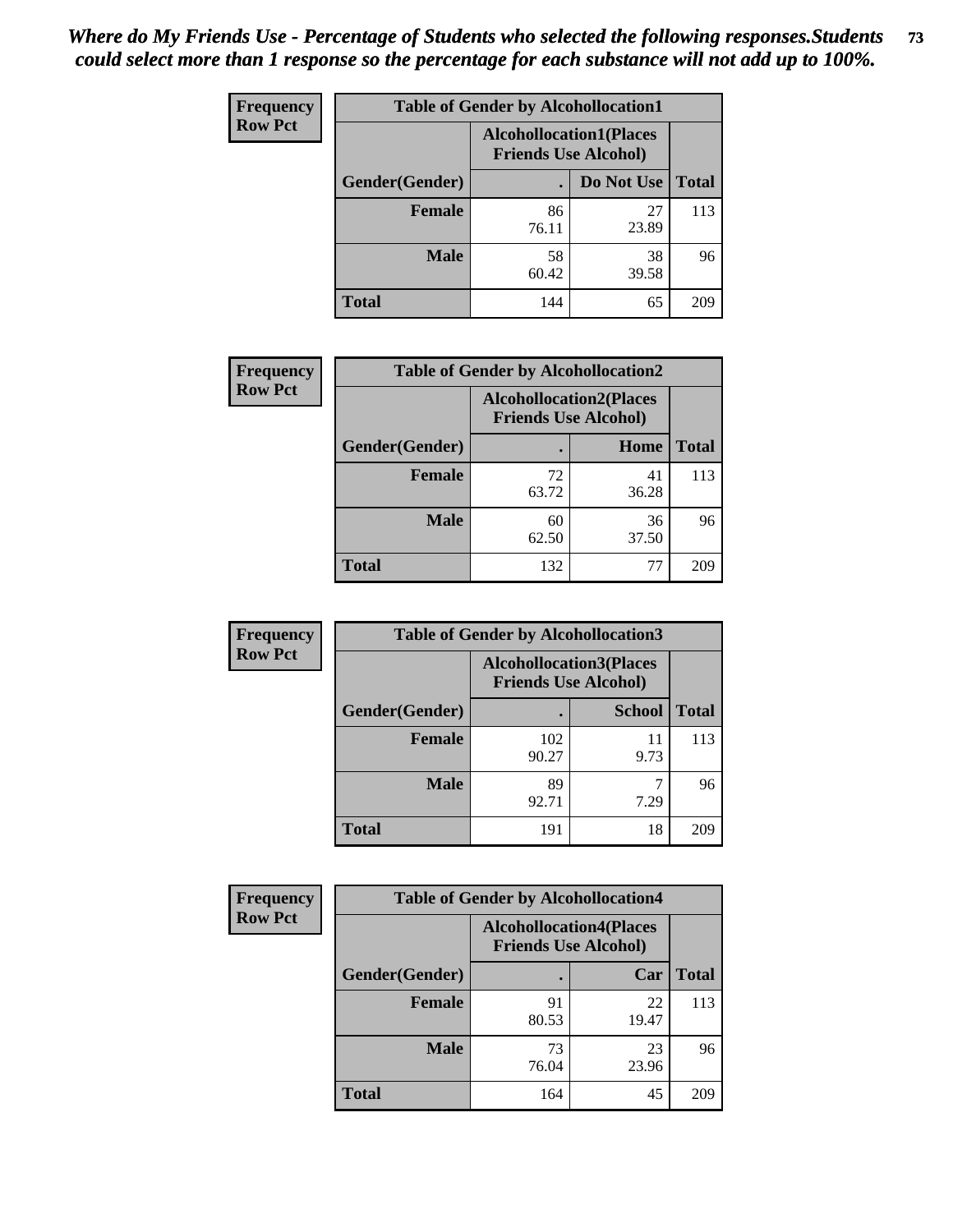| <b>Frequency</b> | <b>Table of Gender by Alcohollocation1</b> |                                                               |             |              |
|------------------|--------------------------------------------|---------------------------------------------------------------|-------------|--------------|
| <b>Row Pct</b>   |                                            | <b>Alcohollocation1(Places</b><br><b>Friends Use Alcohol)</b> |             |              |
|                  | Gender(Gender)                             |                                                               | Do Not Use  | <b>Total</b> |
|                  | <b>Female</b>                              | 86<br>76.11                                                   | 27<br>23.89 | 113          |
|                  | <b>Male</b>                                | 58<br>60.42                                                   | 38<br>39.58 | 96           |
|                  | <b>Total</b>                               | 144                                                           | 65          | 209          |

| <b>Frequency</b> | <b>Table of Gender by Alcohollocation2</b> |                                |                             |              |
|------------------|--------------------------------------------|--------------------------------|-----------------------------|--------------|
| <b>Row Pct</b>   |                                            | <b>Alcohollocation2(Places</b> | <b>Friends Use Alcohol)</b> |              |
|                  | Gender(Gender)                             |                                | Home                        | <b>Total</b> |
|                  | <b>Female</b>                              | 72<br>63.72                    | 41<br>36.28                 | 113          |
|                  | <b>Male</b>                                | 60<br>62.50                    | 36<br>37.50                 | 96           |
|                  | <b>Total</b>                               | 132                            | 77                          | 209          |

| Frequency      | <b>Table of Gender by Alcohollocation3</b> |                                                               |               |              |
|----------------|--------------------------------------------|---------------------------------------------------------------|---------------|--------------|
| <b>Row Pct</b> |                                            | <b>Alcohollocation3(Places</b><br><b>Friends Use Alcohol)</b> |               |              |
|                | Gender(Gender)                             |                                                               | <b>School</b> | <b>Total</b> |
|                | <b>Female</b>                              | 102<br>90.27                                                  | 11<br>9.73    | 113          |
|                | <b>Male</b>                                | 89<br>92.71                                                   | 7.29          | 96           |
|                | <b>Total</b>                               | 191                                                           | 18            | 209          |

| <b>Frequency</b> | <b>Table of Gender by Alcohollocation4</b> |                                                               |             |              |
|------------------|--------------------------------------------|---------------------------------------------------------------|-------------|--------------|
| <b>Row Pct</b>   |                                            | <b>Alcohollocation4(Places</b><br><b>Friends Use Alcohol)</b> |             |              |
|                  | <b>Gender</b> (Gender)                     |                                                               | Car         | <b>Total</b> |
|                  | <b>Female</b>                              | 91<br>80.53                                                   | 22<br>19.47 | 113          |
|                  | <b>Male</b>                                | 73<br>76.04                                                   | 23<br>23.96 | 96           |
|                  | <b>Total</b>                               | 164                                                           | 45          | 209          |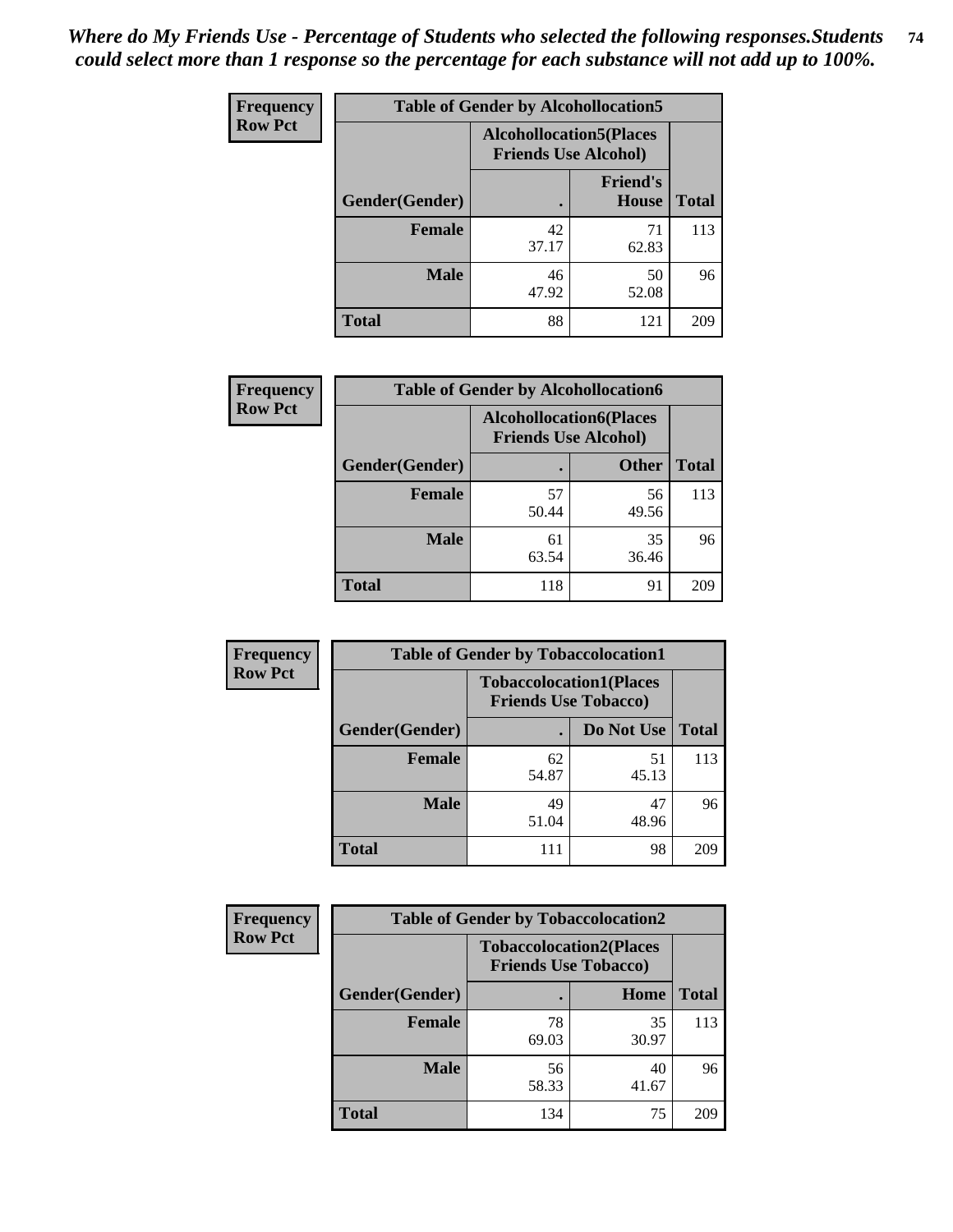| <b>Frequency</b> | <b>Table of Gender by Alcohollocation5</b> |                                                               |                                 |              |
|------------------|--------------------------------------------|---------------------------------------------------------------|---------------------------------|--------------|
| <b>Row Pct</b>   |                                            | <b>Alcohollocation5(Places</b><br><b>Friends Use Alcohol)</b> |                                 |              |
|                  | Gender(Gender)                             |                                                               | <b>Friend's</b><br><b>House</b> | <b>Total</b> |
|                  | Female                                     | 42<br>37.17                                                   | 71<br>62.83                     | 113          |
|                  | <b>Male</b>                                | 46<br>47.92                                                   | 50<br>52.08                     | 96           |
|                  | <b>Total</b>                               | 88                                                            | 121                             | 209          |

| <b>Frequency</b> | <b>Table of Gender by Alcohollocation6</b> |                                                               |              |              |
|------------------|--------------------------------------------|---------------------------------------------------------------|--------------|--------------|
| <b>Row Pct</b>   |                                            | <b>Alcohollocation6(Places</b><br><b>Friends Use Alcohol)</b> |              |              |
|                  | Gender(Gender)                             |                                                               | <b>Other</b> | <b>Total</b> |
|                  | <b>Female</b>                              | 57<br>50.44                                                   | 56<br>49.56  | 113          |
|                  | <b>Male</b>                                | 61<br>63.54                                                   | 35<br>36.46  | 96           |
|                  | <b>Total</b>                               | 118                                                           | 91           | 209          |

| Frequency      | <b>Table of Gender by Tobaccolocation1</b> |                                                               |             |              |  |
|----------------|--------------------------------------------|---------------------------------------------------------------|-------------|--------------|--|
| <b>Row Pct</b> |                                            | <b>Tobaccolocation1(Places</b><br><b>Friends Use Tobacco)</b> |             |              |  |
|                | Gender(Gender)                             |                                                               | Do Not Use  | <b>Total</b> |  |
|                | Female                                     | 62<br>54.87                                                   | 51<br>45.13 | 113          |  |
|                | <b>Male</b>                                | 49<br>51.04                                                   | 47<br>48.96 | 96           |  |
|                | <b>Total</b>                               | 111                                                           | 98          | 209          |  |

| <b>Frequency</b> | <b>Table of Gender by Tobaccolocation2</b> |                                                               |             |              |
|------------------|--------------------------------------------|---------------------------------------------------------------|-------------|--------------|
| <b>Row Pct</b>   |                                            | <b>Tobaccolocation2(Places</b><br><b>Friends Use Tobacco)</b> |             |              |
|                  | Gender(Gender)                             |                                                               | Home        | <b>Total</b> |
|                  | Female                                     | 78<br>69.03                                                   | 35<br>30.97 | 113          |
|                  | <b>Male</b>                                | 56<br>58.33                                                   | 40<br>41.67 | 96           |
|                  | <b>Total</b>                               | 134                                                           | 75          | 209          |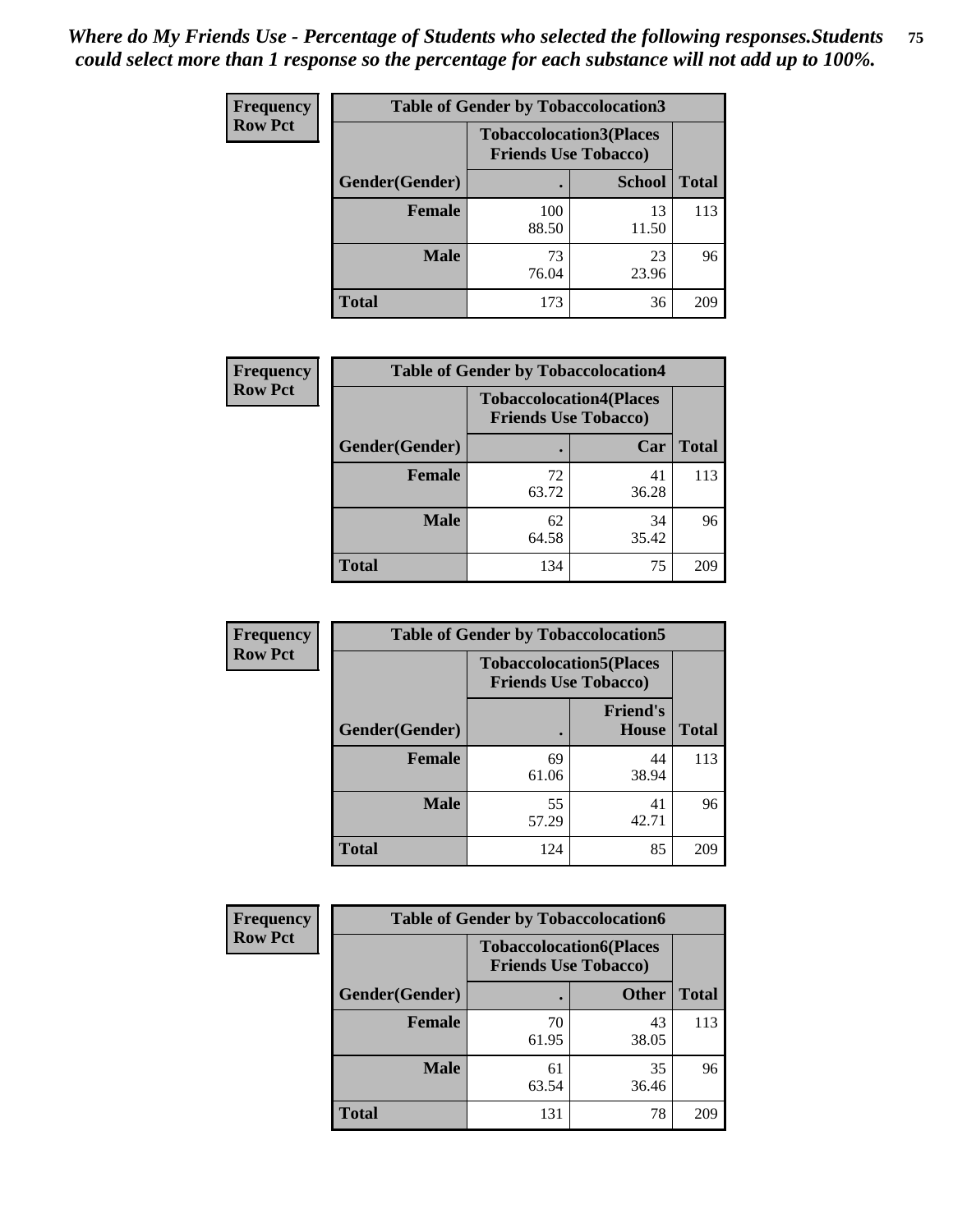| <b>Frequency</b> | <b>Table of Gender by Tobaccolocation3</b> |                             |                                |              |
|------------------|--------------------------------------------|-----------------------------|--------------------------------|--------------|
| <b>Row Pct</b>   |                                            | <b>Friends Use Tobacco)</b> | <b>Tobaccolocation3(Places</b> |              |
|                  | Gender(Gender)                             |                             | <b>School</b>                  | <b>Total</b> |
|                  | Female                                     | 100<br>88.50                | 13<br>11.50                    | 113          |
|                  | <b>Male</b>                                | 73<br>76.04                 | 23<br>23.96                    | 96           |
|                  | <b>Total</b>                               | 173                         | 36                             | 209          |

| <b>Frequency</b> | <b>Table of Gender by Tobaccolocation4</b> |                             |                                |              |
|------------------|--------------------------------------------|-----------------------------|--------------------------------|--------------|
| <b>Row Pct</b>   |                                            | <b>Friends Use Tobacco)</b> | <b>Tobaccolocation4(Places</b> |              |
|                  | Gender(Gender)                             |                             | Car                            | <b>Total</b> |
|                  | <b>Female</b>                              | 72<br>63.72                 | 41<br>36.28                    | 113          |
|                  | <b>Male</b>                                | 62<br>64.58                 | 34<br>35.42                    | 96           |
|                  | <b>Total</b>                               | 134                         | 75                             | 209          |

| <b>Frequency</b> | <b>Table of Gender by Tobaccolocation5</b> |                             |                                 |              |
|------------------|--------------------------------------------|-----------------------------|---------------------------------|--------------|
| <b>Row Pct</b>   |                                            | <b>Friends Use Tobacco)</b> | <b>Tobaccolocation5(Places</b>  |              |
|                  | Gender(Gender)                             |                             | <b>Friend's</b><br><b>House</b> | <b>Total</b> |
|                  | <b>Female</b>                              | 69<br>61.06                 | 44<br>38.94                     | 113          |
|                  | <b>Male</b>                                | 55<br>57.29                 | 41<br>42.71                     | 96           |
|                  | <b>Total</b>                               | 124                         | 85                              | 209          |

| <b>Frequency</b> | <b>Table of Gender by Tobaccolocation6</b> |                                                               |              |              |
|------------------|--------------------------------------------|---------------------------------------------------------------|--------------|--------------|
| <b>Row Pct</b>   |                                            | <b>Tobaccolocation6(Places</b><br><b>Friends Use Tobacco)</b> |              |              |
|                  | Gender(Gender)                             |                                                               | <b>Other</b> | <b>Total</b> |
|                  | Female                                     | 70<br>61.95                                                   | 43<br>38.05  | 113          |
|                  | <b>Male</b>                                | 61<br>63.54                                                   | 35<br>36.46  | 96           |
|                  | <b>Total</b>                               | 131                                                           | 78           | 209          |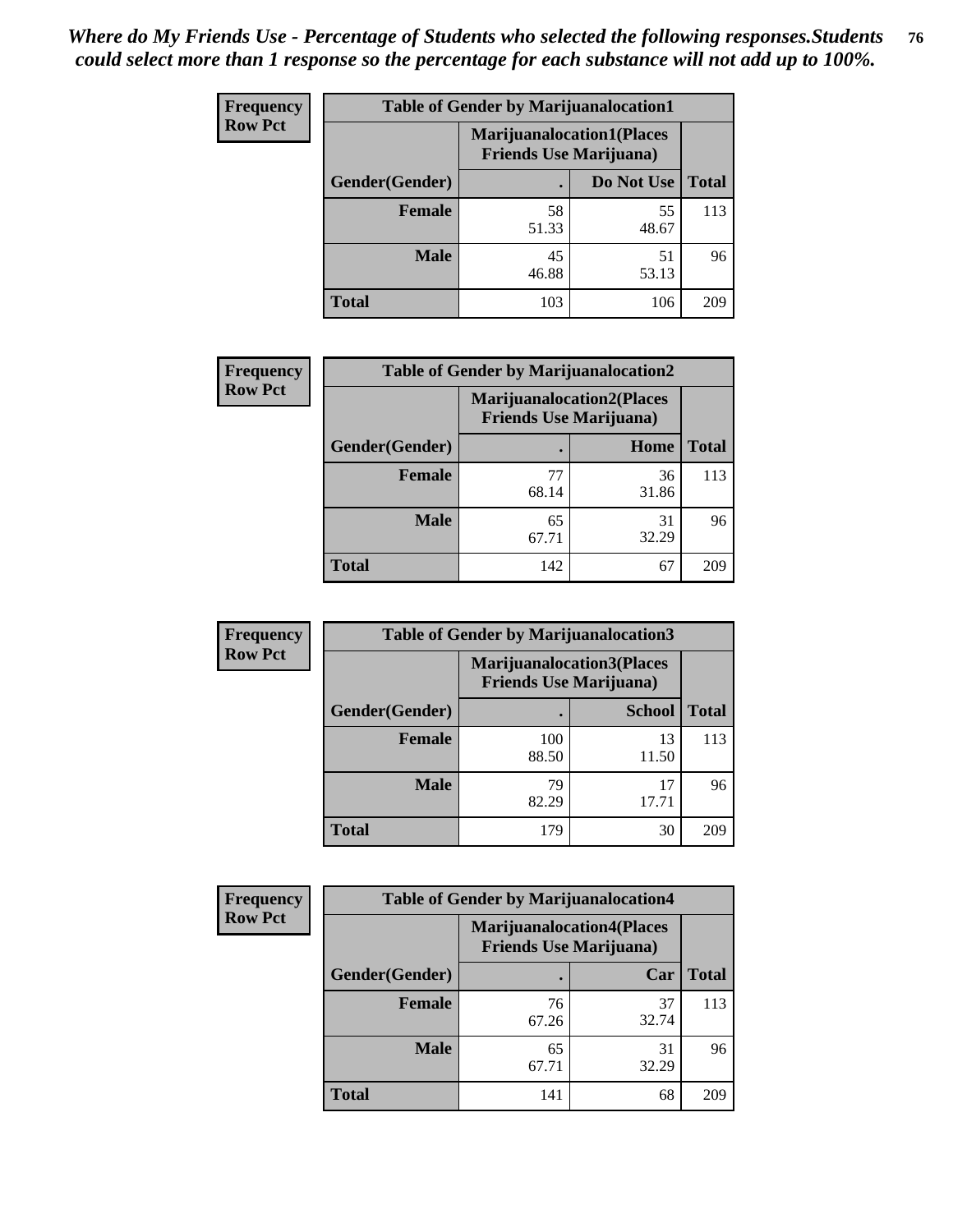| <b>Frequency</b> | <b>Table of Gender by Marijuanalocation1</b> |                                                                    |             |              |
|------------------|----------------------------------------------|--------------------------------------------------------------------|-------------|--------------|
| <b>Row Pct</b>   |                                              | <b>Marijuanalocation1(Places</b><br><b>Friends Use Marijuana</b> ) |             |              |
|                  | Gender(Gender)                               |                                                                    | Do Not Use  | <b>Total</b> |
|                  | <b>Female</b>                                | 58<br>51.33                                                        | 55<br>48.67 | 113          |
|                  | <b>Male</b>                                  | 45<br>46.88                                                        | 51<br>53.13 | 96           |
|                  | <b>Total</b>                                 | 103                                                                | 106         | 209          |

| <b>Frequency</b> | <b>Table of Gender by Marijuanalocation2</b> |                                                                    |             |              |
|------------------|----------------------------------------------|--------------------------------------------------------------------|-------------|--------------|
| <b>Row Pct</b>   |                                              | <b>Marijuanalocation2(Places</b><br><b>Friends Use Marijuana</b> ) |             |              |
|                  | Gender(Gender)                               |                                                                    | Home        | <b>Total</b> |
|                  | <b>Female</b>                                | 77<br>68.14                                                        | 36<br>31.86 | 113          |
|                  | <b>Male</b>                                  | 65<br>67.71                                                        | 31<br>32.29 | 96           |
|                  | <b>Total</b>                                 | 142                                                                | 67          | 209          |

| <b>Frequency</b> |                | <b>Table of Gender by Marijuanalocation3</b> |                                                                    |              |
|------------------|----------------|----------------------------------------------|--------------------------------------------------------------------|--------------|
| <b>Row Pct</b>   |                |                                              | <b>Marijuanalocation3(Places</b><br><b>Friends Use Marijuana</b> ) |              |
|                  | Gender(Gender) |                                              | <b>School</b>                                                      | <b>Total</b> |
|                  | Female         | 100<br>88.50                                 | 13<br>11.50                                                        | 113          |
|                  | <b>Male</b>    | 79<br>82.29                                  | 17<br>17.71                                                        | 96           |
|                  | <b>Total</b>   | 179                                          | 30                                                                 | 209          |

| <b>Frequency</b> | <b>Table of Gender by Marijuanalocation4</b> |                                                                    |             |              |
|------------------|----------------------------------------------|--------------------------------------------------------------------|-------------|--------------|
| <b>Row Pct</b>   |                                              | <b>Marijuanalocation4(Places</b><br><b>Friends Use Marijuana</b> ) |             |              |
|                  | Gender(Gender)                               |                                                                    | Car         | <b>Total</b> |
|                  | <b>Female</b>                                | 76<br>67.26                                                        | 37<br>32.74 | 113          |
|                  | <b>Male</b>                                  | 65<br>67.71                                                        | 31<br>32.29 | 96           |
|                  | <b>Total</b>                                 | 141                                                                | 68          | 209          |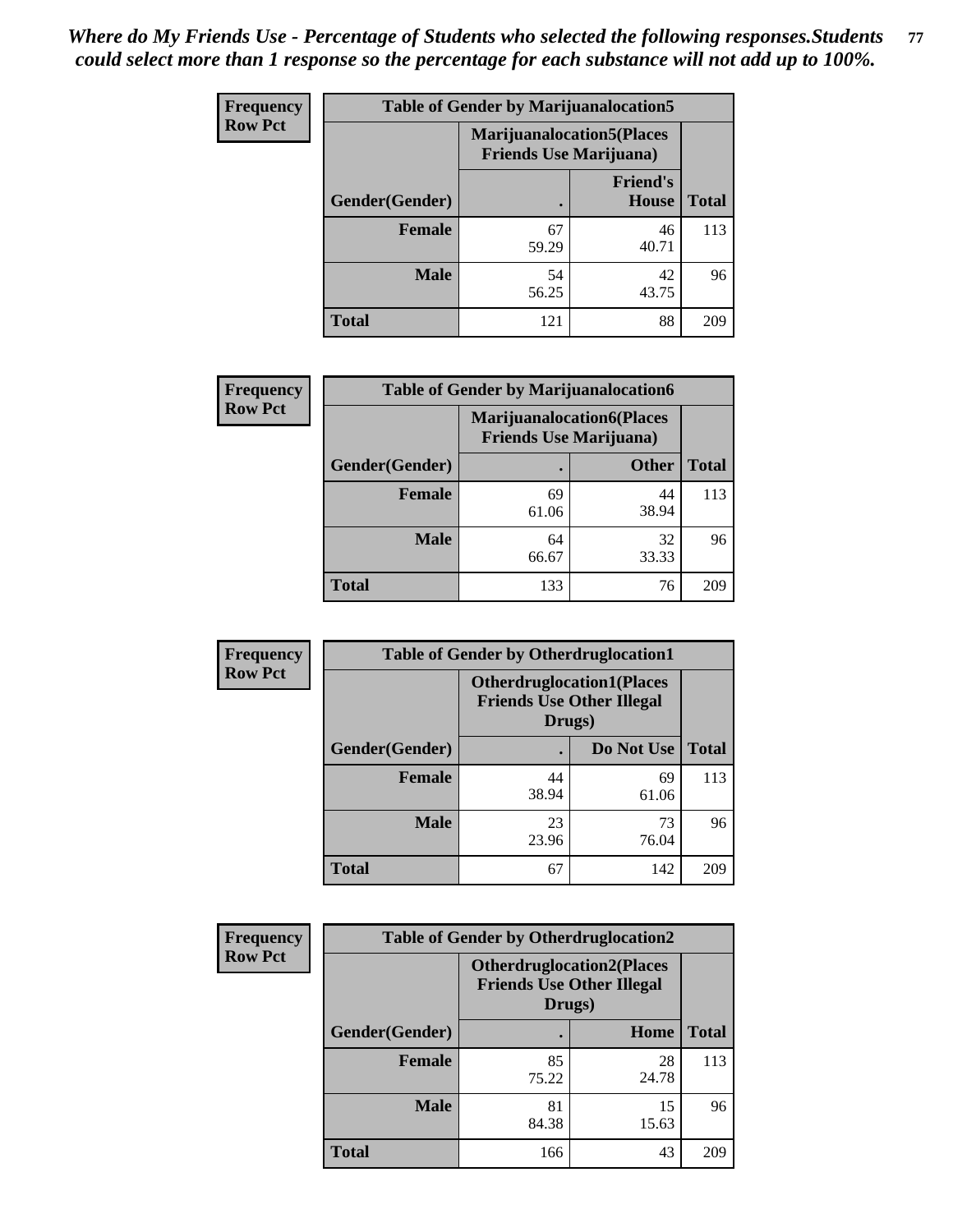| <b>Frequency</b> | <b>Table of Gender by Marijuanalocation5</b> |                                                                    |                          |              |
|------------------|----------------------------------------------|--------------------------------------------------------------------|--------------------------|--------------|
| <b>Row Pct</b>   |                                              | <b>Marijuanalocation5(Places</b><br><b>Friends Use Marijuana</b> ) |                          |              |
|                  | Gender(Gender)                               |                                                                    | <b>Friend's</b><br>House | <b>Total</b> |
|                  | <b>Female</b>                                | 67<br>59.29                                                        | 46<br>40.71              | 113          |
|                  | <b>Male</b>                                  | 54<br>56.25                                                        | 42<br>43.75              | 96           |
|                  | <b>Total</b>                                 | 121                                                                | 88                       | 209          |

| <b>Frequency</b> | <b>Table of Gender by Marijuanalocation6</b> |                                |                                  |              |
|------------------|----------------------------------------------|--------------------------------|----------------------------------|--------------|
| <b>Row Pct</b>   |                                              | <b>Friends Use Marijuana</b> ) | <b>Marijuanalocation6(Places</b> |              |
|                  | <b>Gender</b> (Gender)                       |                                | <b>Other</b>                     | <b>Total</b> |
|                  | <b>Female</b>                                | 69<br>61.06                    | 44<br>38.94                      | 113          |
|                  | <b>Male</b>                                  | 64<br>66.67                    | 32<br>33.33                      | 96           |
|                  | <b>Total</b>                                 | 133                            | 76                               | 209          |

| <b>Frequency</b> | <b>Table of Gender by Otherdruglocation1</b> |                                            |                                  |              |
|------------------|----------------------------------------------|--------------------------------------------|----------------------------------|--------------|
| <b>Row Pct</b>   |                                              | <b>Friends Use Other Illegal</b><br>Drugs) | <b>Otherdruglocation1(Places</b> |              |
|                  | Gender(Gender)                               |                                            | Do Not Use                       | <b>Total</b> |
|                  | Female                                       | 44<br>38.94                                | 69<br>61.06                      | 113          |
|                  | <b>Male</b>                                  | 23<br>23.96                                | 73<br>76.04                      | 96           |
|                  | <b>Total</b>                                 | 67                                         | 142                              | 209          |

| <b>Frequency</b> | <b>Table of Gender by Otherdruglocation2</b> |                                            |                                   |              |
|------------------|----------------------------------------------|--------------------------------------------|-----------------------------------|--------------|
| <b>Row Pct</b>   |                                              | <b>Friends Use Other Illegal</b><br>Drugs) | <b>Otherdruglocation2(Places)</b> |              |
|                  | Gender(Gender)                               |                                            | Home                              | <b>Total</b> |
|                  | Female                                       | 85<br>75.22                                | 28<br>24.78                       | 113          |
|                  | <b>Male</b>                                  | 81<br>84.38                                | 15<br>15.63                       | 96           |
|                  | <b>Total</b>                                 | 166                                        | 43                                | 209          |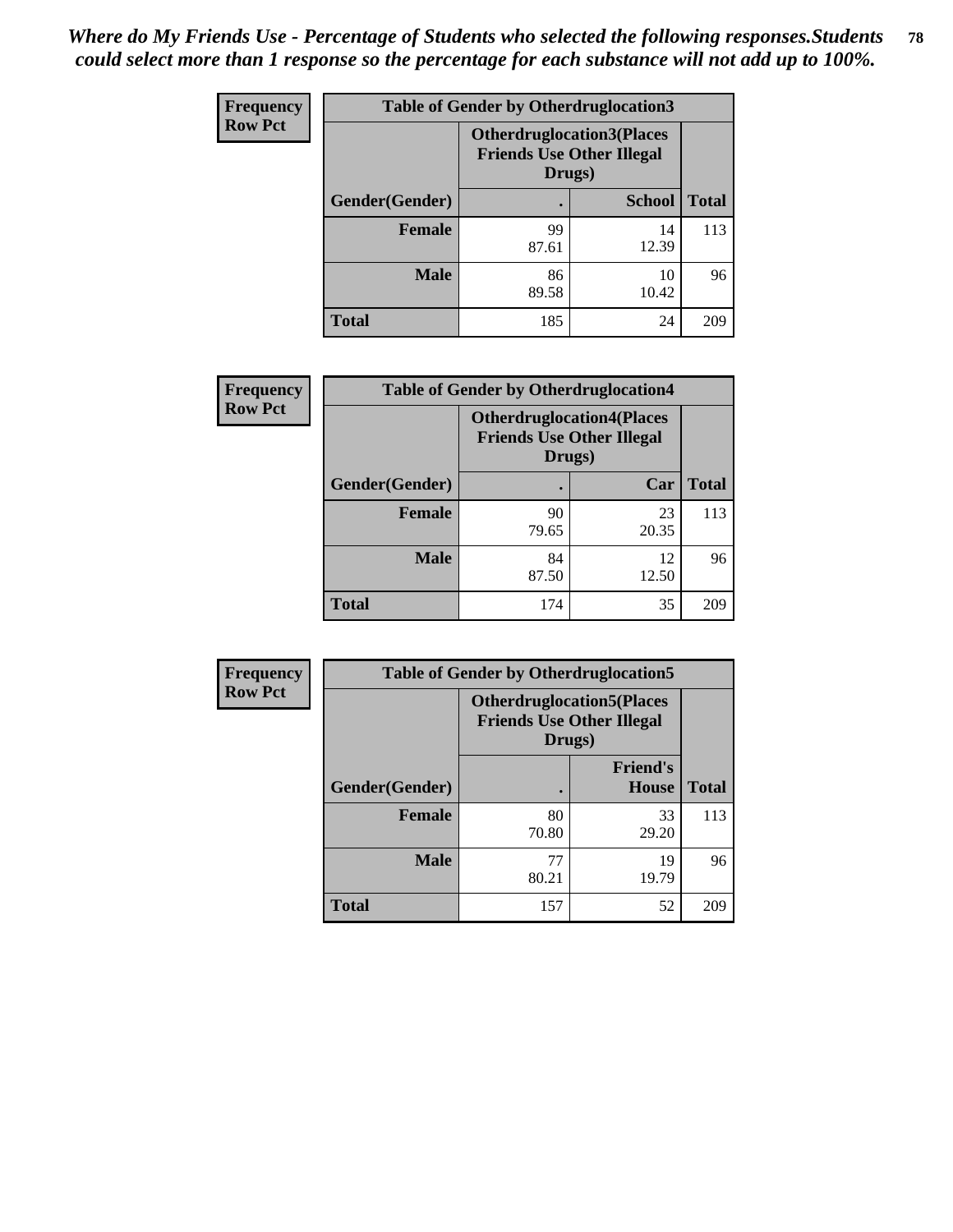| Frequency      | <b>Table of Gender by Otherdruglocation3</b> |                                                                                |               |              |
|----------------|----------------------------------------------|--------------------------------------------------------------------------------|---------------|--------------|
| <b>Row Pct</b> |                                              | <b>Otherdruglocation3(Places</b><br><b>Friends Use Other Illegal</b><br>Drugs) |               |              |
|                | Gender(Gender)                               |                                                                                | <b>School</b> | <b>Total</b> |
|                | Female                                       | 99<br>87.61                                                                    | 14<br>12.39   | 113          |
|                | <b>Male</b>                                  | 86<br>89.58                                                                    | 10<br>10.42   | 96           |
|                | <b>Total</b>                                 | 185                                                                            | 24            | 209          |

| Frequency      | <b>Table of Gender by Otherdruglocation4</b> |                                                                                |             |              |
|----------------|----------------------------------------------|--------------------------------------------------------------------------------|-------------|--------------|
| <b>Row Pct</b> |                                              | <b>Otherdruglocation4(Places</b><br><b>Friends Use Other Illegal</b><br>Drugs) |             |              |
|                | Gender(Gender)                               |                                                                                | Car         | <b>Total</b> |
|                | Female                                       | 90<br>79.65                                                                    | 23<br>20.35 | 113          |
|                | <b>Male</b>                                  | 84<br>87.50                                                                    | 12<br>12.50 | 96           |
|                | <b>Total</b>                                 | 174                                                                            | 35          | 209          |

| Frequency      | <b>Table of Gender by Otherdruglocation5</b> |                                            |                                  |              |
|----------------|----------------------------------------------|--------------------------------------------|----------------------------------|--------------|
| <b>Row Pct</b> |                                              | <b>Friends Use Other Illegal</b><br>Drugs) | <b>Otherdruglocation5(Places</b> |              |
|                | Gender(Gender)                               |                                            | <b>Friend's</b><br><b>House</b>  | <b>Total</b> |
|                | <b>Female</b>                                | 80<br>70.80                                | 33<br>29.20                      | 113          |
|                | <b>Male</b>                                  | 77<br>80.21                                | 19<br>19.79                      | 96           |
|                | <b>Total</b>                                 | 157                                        | 52                               | 209          |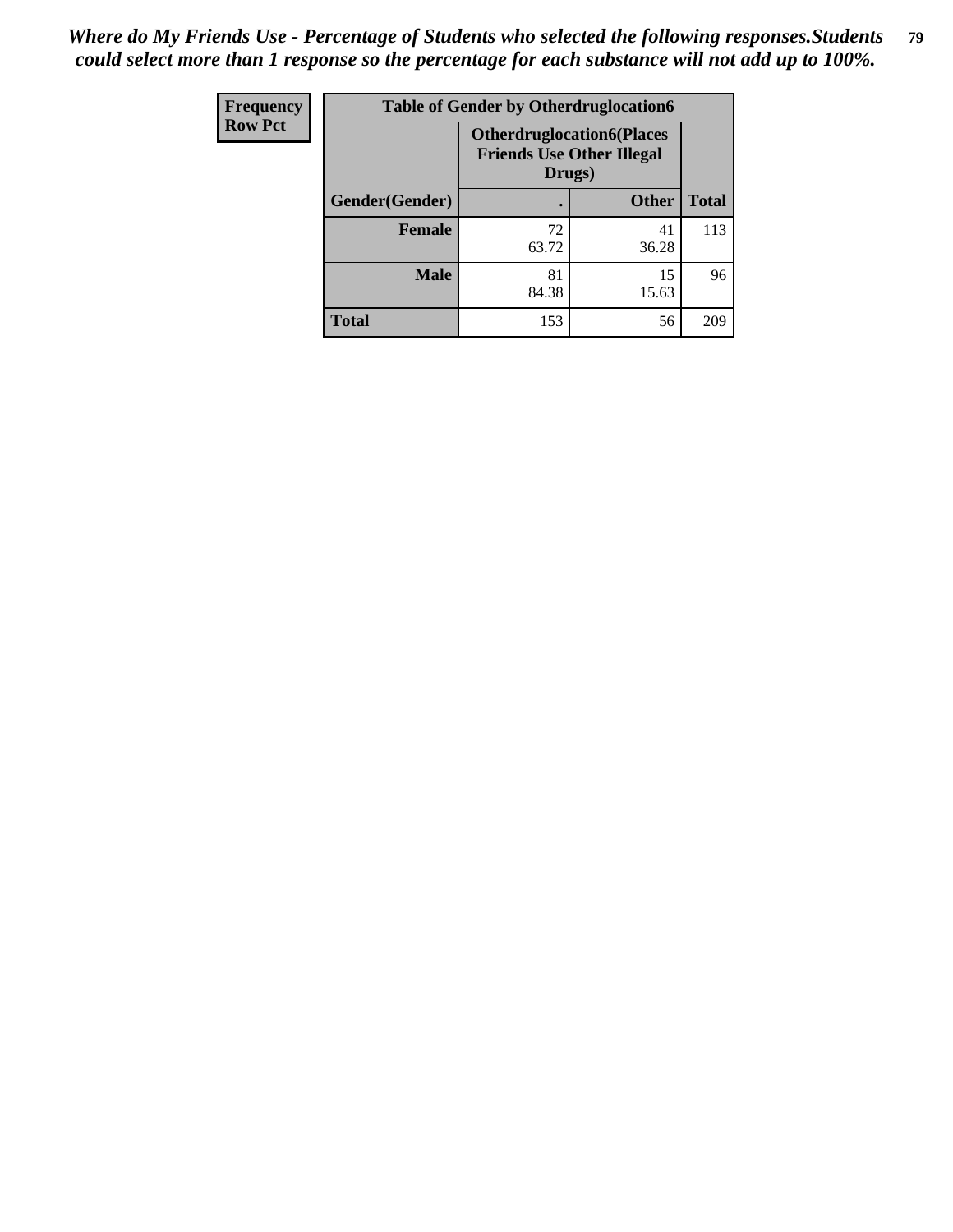| Frequency      | <b>Table of Gender by Otherdruglocation6</b> |                                                                                |              |              |
|----------------|----------------------------------------------|--------------------------------------------------------------------------------|--------------|--------------|
| <b>Row Pct</b> |                                              | <b>Otherdruglocation6(Places</b><br><b>Friends Use Other Illegal</b><br>Drugs) |              |              |
|                | Gender(Gender)                               |                                                                                | <b>Other</b> | <b>Total</b> |
|                | Female                                       | 72<br>63.72                                                                    | 41<br>36.28  | 113          |
|                | <b>Male</b>                                  | 81<br>84.38                                                                    | 15<br>15.63  | 96           |
|                | <b>Total</b>                                 | 153                                                                            | 56           | 209          |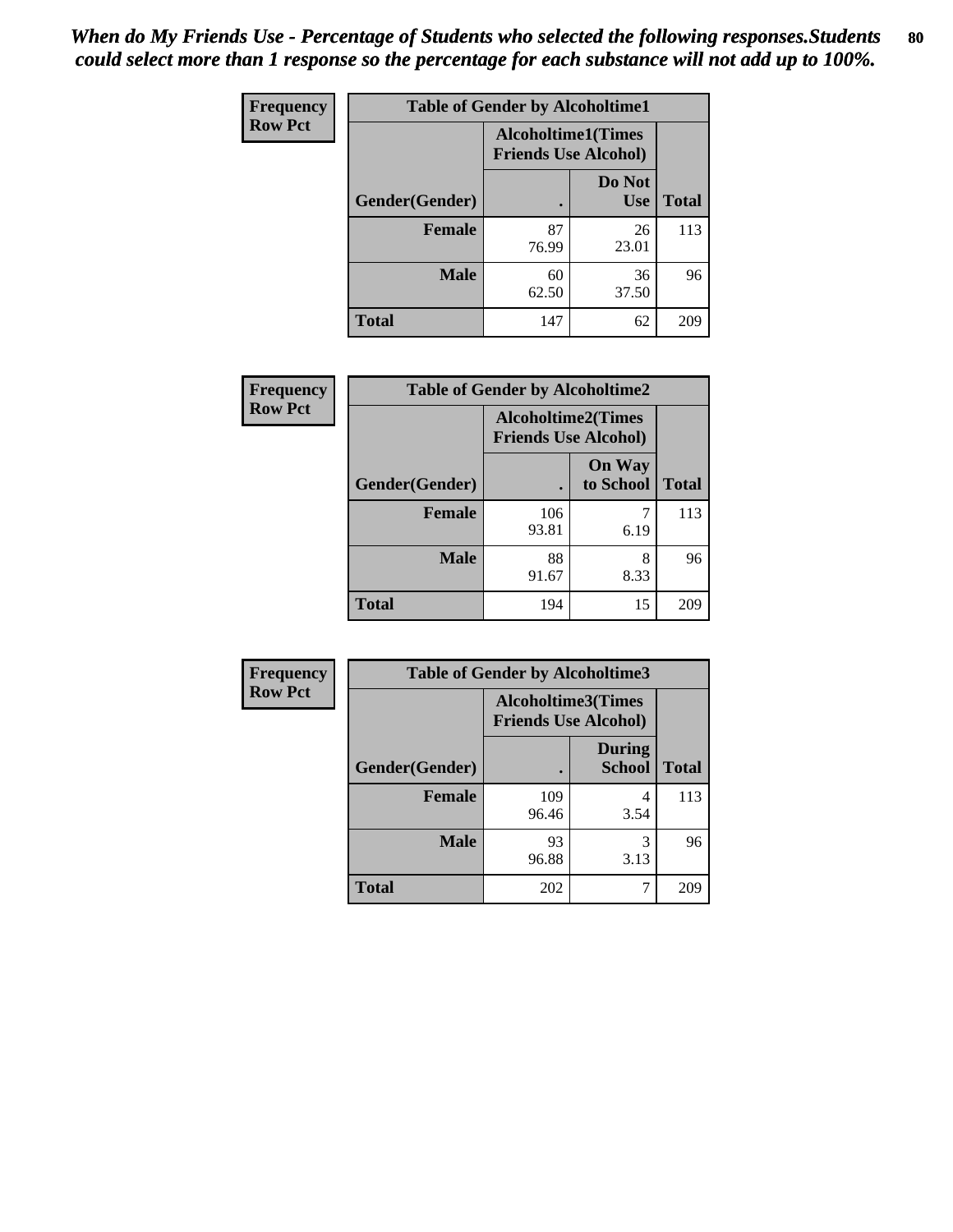| <b>Frequency</b> | <b>Table of Gender by Alcoholtime1</b> |                                                          |                      |              |
|------------------|----------------------------------------|----------------------------------------------------------|----------------------|--------------|
| <b>Row Pct</b>   |                                        | <b>Alcoholtime1(Times</b><br><b>Friends Use Alcohol)</b> |                      |              |
|                  | Gender(Gender)                         | $\bullet$                                                | Do Not<br><b>Use</b> | <b>Total</b> |
|                  | <b>Female</b>                          | 87<br>76.99                                              | 26<br>23.01          | 113          |
|                  | <b>Male</b>                            | 60<br>62.50                                              | 36<br>37.50          | 96           |
|                  | <b>Total</b>                           | 147                                                      | 62                   | 209          |

| <b>Frequency</b> | <b>Table of Gender by Alcoholtime2</b> |                                                          |                            |              |
|------------------|----------------------------------------|----------------------------------------------------------|----------------------------|--------------|
| <b>Row Pct</b>   |                                        | <b>Alcoholtime2(Times</b><br><b>Friends Use Alcohol)</b> |                            |              |
|                  | Gender(Gender)                         |                                                          | <b>On Way</b><br>to School | <b>Total</b> |
|                  | <b>Female</b>                          | 106<br>93.81                                             | 6.19                       | 113          |
|                  | <b>Male</b>                            | 88<br>91.67                                              | 8<br>8.33                  | 96           |
|                  | <b>Total</b>                           | 194                                                      | 15                         | 209          |

| Frequency      | <b>Table of Gender by Alcoholtime3</b> |                                                          |                                |              |
|----------------|----------------------------------------|----------------------------------------------------------|--------------------------------|--------------|
| <b>Row Pct</b> |                                        | <b>Alcoholtime3(Times</b><br><b>Friends Use Alcohol)</b> |                                |              |
|                | Gender(Gender)                         |                                                          | <b>During</b><br><b>School</b> | <b>Total</b> |
|                | Female                                 | 109<br>96.46                                             | 4<br>3.54                      | 113          |
|                | <b>Male</b>                            | 93<br>96.88                                              | 3<br>3.13                      | 96           |
|                | <b>Total</b>                           | 202                                                      | 7                              | 209          |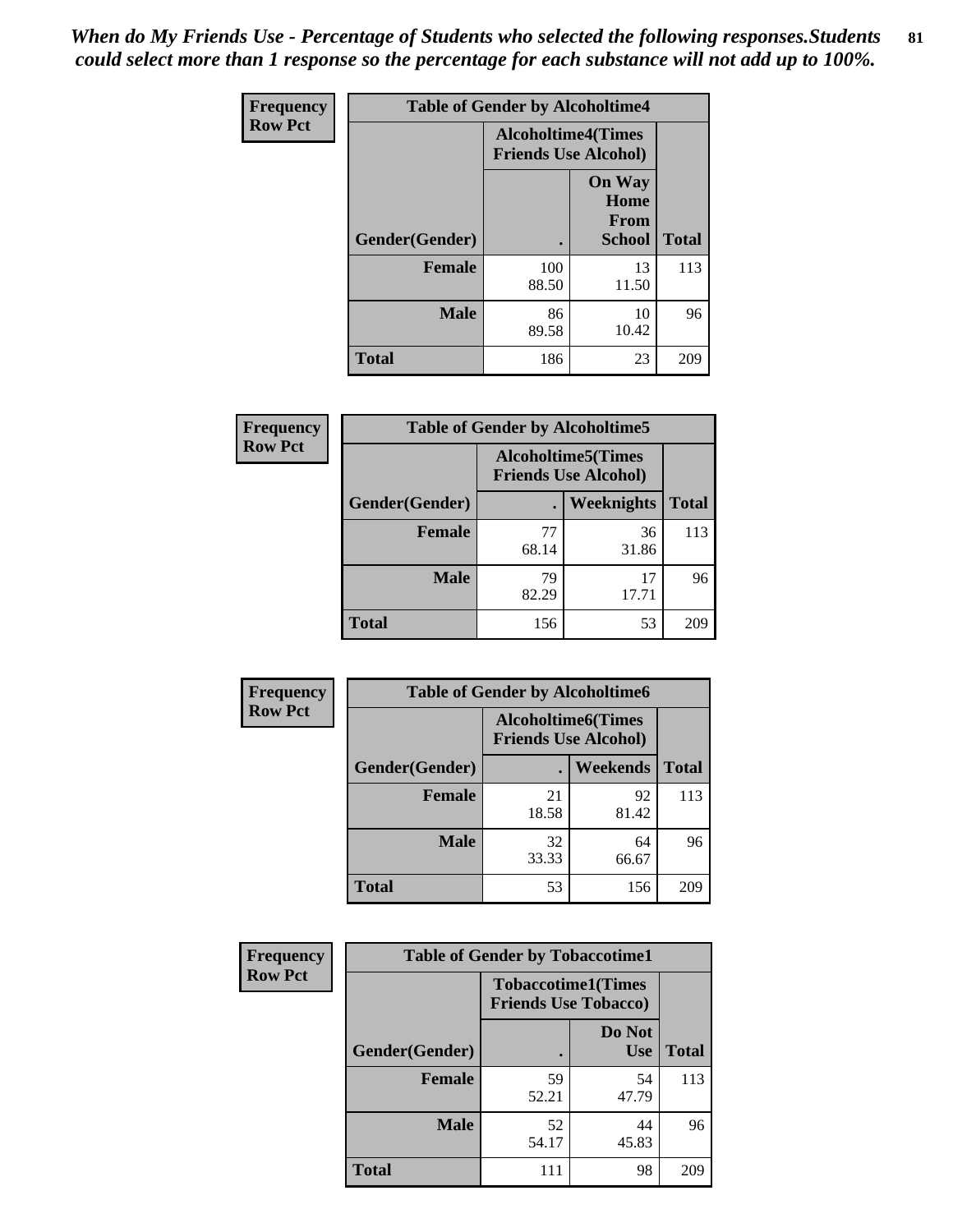*When do My Friends Use - Percentage of Students who selected the following responses.Students could select more than 1 response so the percentage for each substance will not add up to 100%.* **81**

| <b>Frequency</b> | <b>Table of Gender by Alcoholtime4</b> |                                                          |                                                       |              |
|------------------|----------------------------------------|----------------------------------------------------------|-------------------------------------------------------|--------------|
| <b>Row Pct</b>   |                                        | <b>Alcoholtime4(Times</b><br><b>Friends Use Alcohol)</b> |                                                       |              |
|                  | <b>Gender</b> (Gender)                 |                                                          | <b>On Way</b><br>Home<br><b>From</b><br><b>School</b> | <b>Total</b> |
|                  | <b>Female</b>                          | 100<br>88.50                                             | 13<br>11.50                                           | 113          |
|                  | <b>Male</b>                            | 86<br>89.58                                              | 10<br>10.42                                           | 96           |
|                  | <b>Total</b>                           | 186                                                      | 23                                                    | 209          |

| <b>Frequency</b> | <b>Table of Gender by Alcoholtime5</b> |                                                           |                   |              |
|------------------|----------------------------------------|-----------------------------------------------------------|-------------------|--------------|
| <b>Row Pct</b>   |                                        | <b>Alcoholtime5</b> (Times<br><b>Friends Use Alcohol)</b> |                   |              |
|                  | Gender(Gender)                         |                                                           | <b>Weeknights</b> | <b>Total</b> |
|                  | <b>Female</b>                          | 77<br>68.14                                               | 36<br>31.86       | 113          |
|                  | <b>Male</b>                            | 79<br>82.29                                               | 17<br>17.71       | 96           |
|                  | <b>Total</b>                           | 156                                                       | 53                | 209          |

| <b>Frequency</b> | <b>Table of Gender by Alcoholtime6</b> |             |                                                           |              |
|------------------|----------------------------------------|-------------|-----------------------------------------------------------|--------------|
| <b>Row Pct</b>   |                                        |             | <b>Alcoholtime6</b> (Times<br><b>Friends Use Alcohol)</b> |              |
|                  | Gender(Gender)                         |             | <b>Weekends</b>                                           | <b>Total</b> |
|                  | <b>Female</b>                          | 21<br>18.58 | 92<br>81.42                                               | 113          |
|                  | <b>Male</b>                            | 32<br>33.33 | 64<br>66.67                                               | 96           |
|                  | <b>Total</b>                           | 53          | 156                                                       | 209          |

| Frequency      | <b>Table of Gender by Tobaccotime1</b> |                                                          |                      |              |
|----------------|----------------------------------------|----------------------------------------------------------|----------------------|--------------|
| <b>Row Pct</b> |                                        | <b>Tobaccotime1(Times</b><br><b>Friends Use Tobacco)</b> |                      |              |
|                | Gender(Gender)                         |                                                          | Do Not<br><b>Use</b> | <b>Total</b> |
|                | Female                                 | 59<br>52.21                                              | 54<br>47.79          | 113          |
|                | <b>Male</b>                            | 52<br>54.17                                              | 44<br>45.83          | 96           |
|                | <b>Total</b>                           | 111                                                      | 98                   | 209          |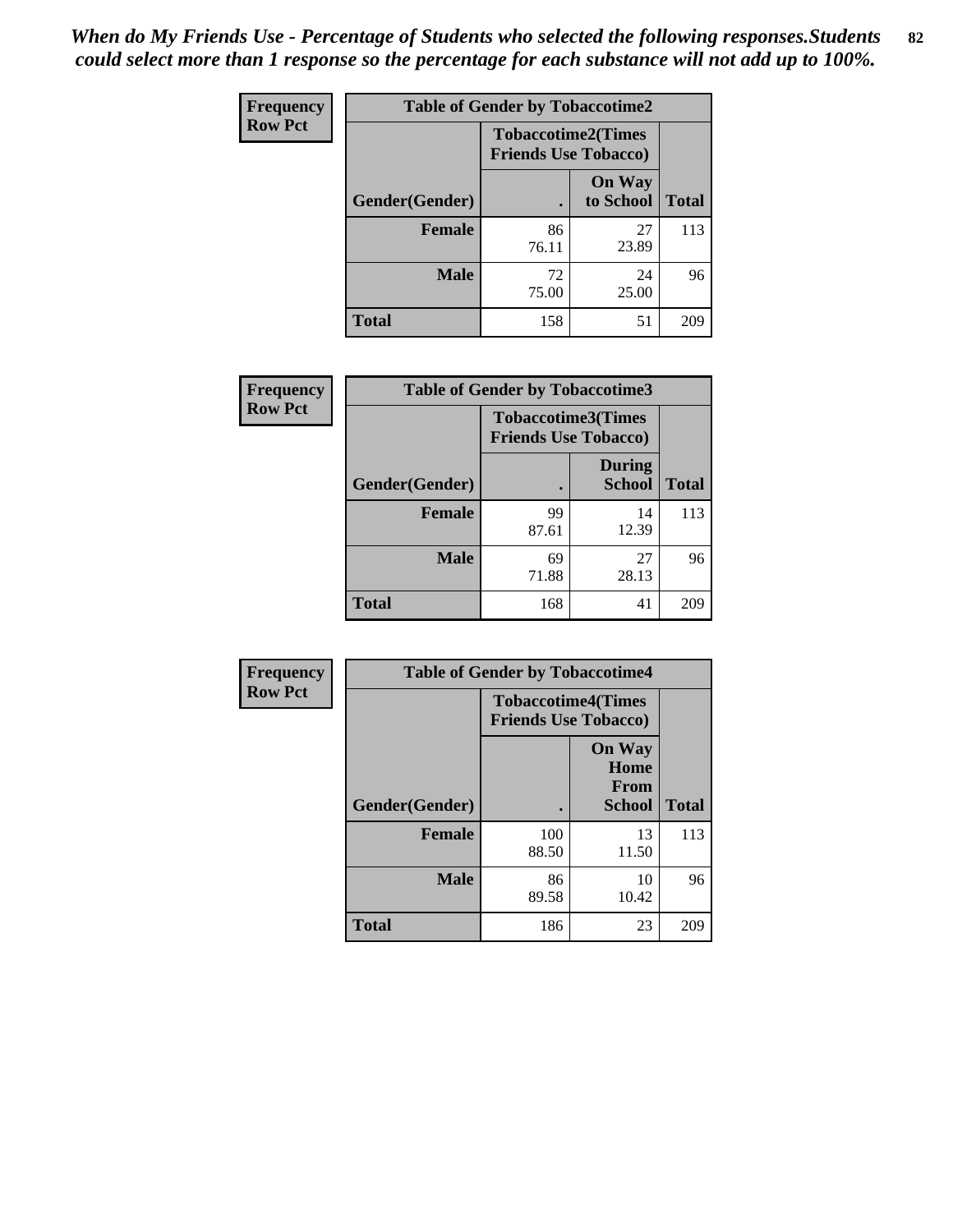| <b>Frequency</b> | <b>Table of Gender by Tobaccotime2</b> |                             |                            |              |
|------------------|----------------------------------------|-----------------------------|----------------------------|--------------|
| <b>Row Pct</b>   |                                        | <b>Friends Use Tobacco)</b> | <b>Tobaccotime2(Times</b>  |              |
|                  | Gender(Gender)                         |                             | <b>On Way</b><br>to School | <b>Total</b> |
|                  | <b>Female</b>                          | 86<br>76.11                 | 27<br>23.89                | 113          |
|                  | <b>Male</b>                            | 72<br>75.00                 | 24<br>25.00                | 96           |
|                  | <b>Total</b>                           | 158                         | 51                         | 209          |

| Frequency      | <b>Table of Gender by Tobaccotime3</b> |                                                          |                                |              |
|----------------|----------------------------------------|----------------------------------------------------------|--------------------------------|--------------|
| <b>Row Pct</b> |                                        | <b>Tobaccotime3(Times</b><br><b>Friends Use Tobacco)</b> |                                |              |
|                | Gender(Gender)                         |                                                          | <b>During</b><br><b>School</b> | <b>Total</b> |
|                | Female                                 | 99<br>87.61                                              | 14<br>12.39                    | 113          |
|                | <b>Male</b>                            | 69<br>71.88                                              | 27<br>28.13                    | 96           |
|                | <b>Total</b>                           | 168                                                      | 41                             | 209          |

| <b>Frequency</b> | <b>Table of Gender by Tobaccotime4</b> |                                                          |                                                |              |
|------------------|----------------------------------------|----------------------------------------------------------|------------------------------------------------|--------------|
| <b>Row Pct</b>   |                                        | <b>Tobaccotime4(Times</b><br><b>Friends Use Tobacco)</b> |                                                |              |
|                  | Gender(Gender)                         |                                                          | <b>On Way</b><br>Home<br>From<br><b>School</b> | <b>Total</b> |
|                  | <b>Female</b>                          | 100<br>88.50                                             | 13<br>11.50                                    | 113          |
|                  | <b>Male</b>                            | 86<br>89.58                                              | 10<br>10.42                                    | 96           |
|                  | <b>Total</b>                           | 186                                                      | 23                                             | 209          |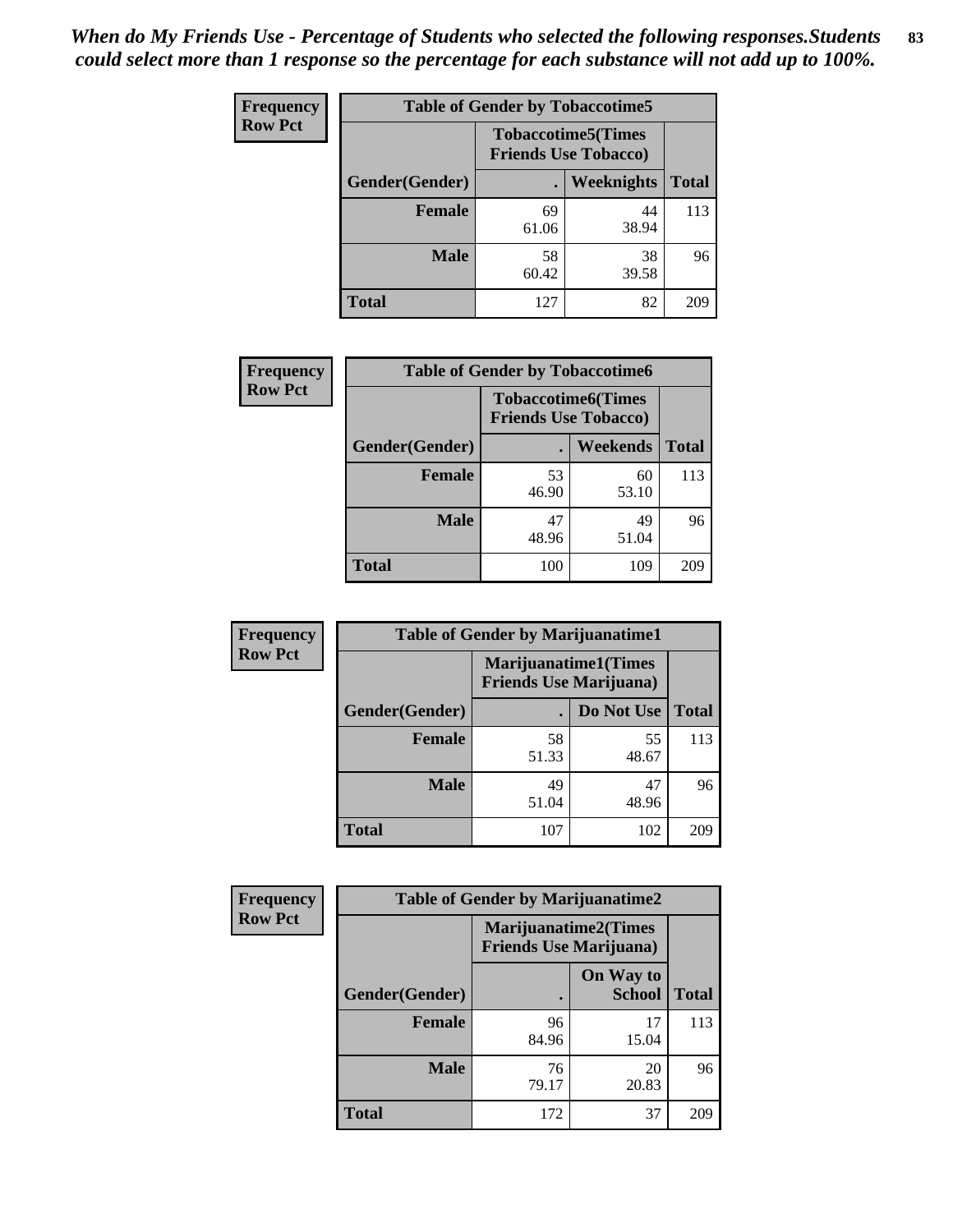| Frequency      | <b>Table of Gender by Tobaccotime5</b> |             |                                                          |              |  |
|----------------|----------------------------------------|-------------|----------------------------------------------------------|--------------|--|
| <b>Row Pct</b> |                                        |             | <b>Tobaccotime5(Times</b><br><b>Friends Use Tobacco)</b> |              |  |
|                | Gender(Gender)                         |             | Weeknights                                               | <b>Total</b> |  |
|                | <b>Female</b>                          | 69<br>61.06 | 44<br>38.94                                              | 113          |  |
|                | <b>Male</b>                            | 58<br>60.42 | 38<br>39.58                                              | 96           |  |
|                | <b>Total</b>                           | 127         | 82                                                       | 209          |  |

| Frequency      |                | <b>Table of Gender by Tobaccotime6</b>                   |             |              |
|----------------|----------------|----------------------------------------------------------|-------------|--------------|
| <b>Row Pct</b> |                | <b>Tobaccotime6(Times</b><br><b>Friends Use Tobacco)</b> |             |              |
|                | Gender(Gender) |                                                          | Weekends    | <b>Total</b> |
|                | Female         | 53<br>46.90                                              | 60<br>53.10 | 113          |
|                | <b>Male</b>    | 47<br>48.96                                              | 49<br>51.04 | 96           |
|                | <b>Total</b>   | 100                                                      | 109         | 209          |

| <b>Frequency</b> |                | <b>Table of Gender by Marijuanatime1</b>                      |             |              |  |
|------------------|----------------|---------------------------------------------------------------|-------------|--------------|--|
| <b>Row Pct</b>   |                | <b>Marijuanatime1(Times</b><br><b>Friends Use Marijuana</b> ) |             |              |  |
|                  | Gender(Gender) |                                                               | Do Not Use  | <b>Total</b> |  |
|                  | <b>Female</b>  | 58<br>51.33                                                   | 55<br>48.67 | 113          |  |
|                  | <b>Male</b>    | 49<br>51.04                                                   | 47<br>48.96 | 96           |  |
|                  | <b>Total</b>   | 107                                                           | 102         | 209          |  |

| <b>Frequency</b> | <b>Table of Gender by Marijuanatime2</b> |                                                        |                            |              |
|------------------|------------------------------------------|--------------------------------------------------------|----------------------------|--------------|
| <b>Row Pct</b>   |                                          | Marijuanatime2(Times<br><b>Friends Use Marijuana</b> ) |                            |              |
|                  | Gender(Gender)                           |                                                        | On Way to<br><b>School</b> | <b>Total</b> |
|                  | <b>Female</b>                            | 96<br>84.96                                            | 17<br>15.04                | 113          |
|                  | <b>Male</b>                              | 76<br>79.17                                            | 20<br>20.83                | 96           |
|                  | <b>Total</b>                             | 172                                                    | 37                         | 209          |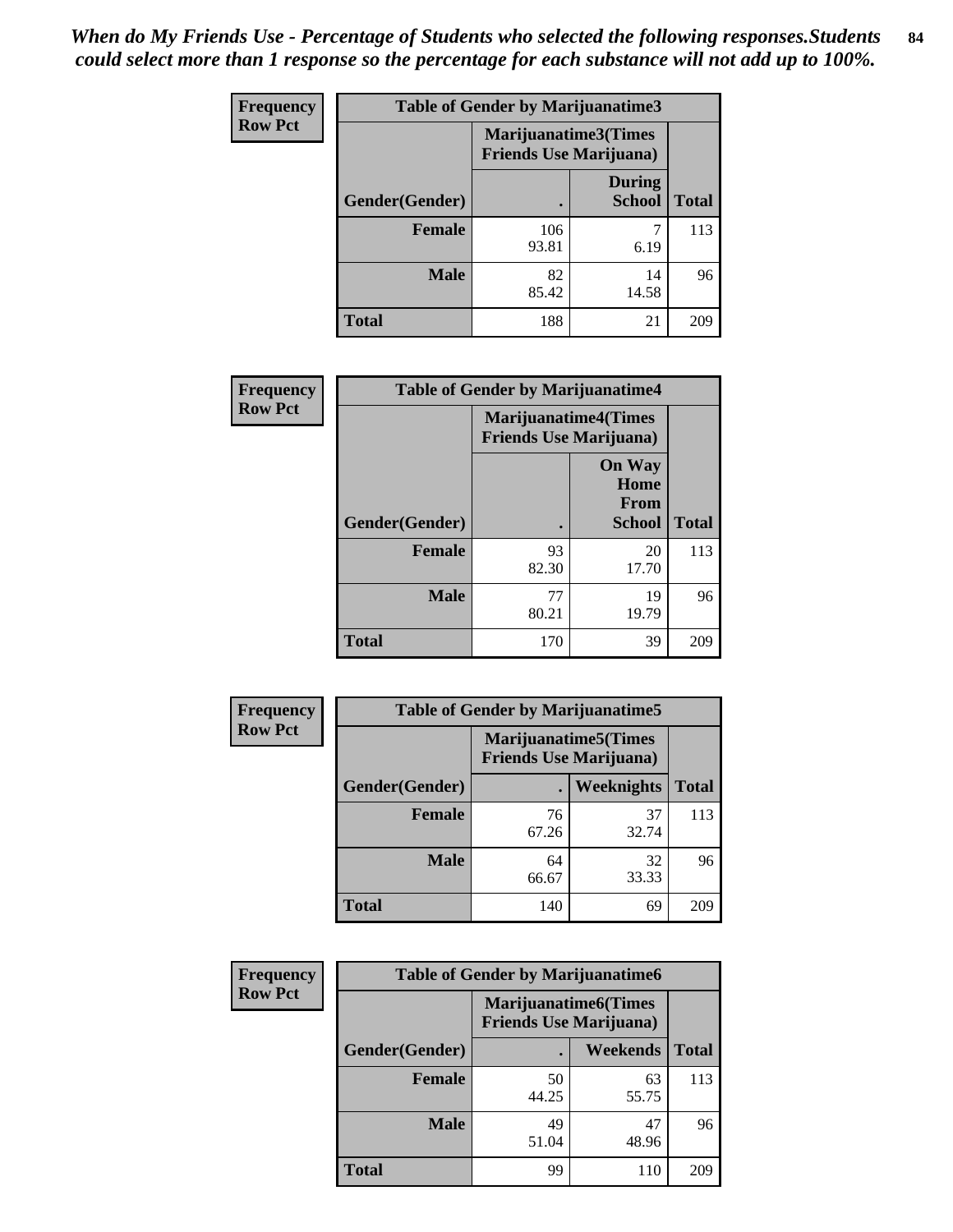| Frequency      | <b>Table of Gender by Marijuanatime3</b> |                                                        |                                |              |
|----------------|------------------------------------------|--------------------------------------------------------|--------------------------------|--------------|
| <b>Row Pct</b> |                                          | Marijuanatime3(Times<br><b>Friends Use Marijuana</b> ) |                                |              |
|                | Gender(Gender)                           |                                                        | <b>During</b><br><b>School</b> | <b>Total</b> |
|                | <b>Female</b>                            | 106<br>93.81                                           | 6.19                           | 113          |
|                | <b>Male</b>                              | 82<br>85.42                                            | 14<br>14.58                    | 96           |
|                | <b>Total</b>                             | 188                                                    | 21                             | 209          |

| Frequency      | <b>Table of Gender by Marijuanatime4</b> |                                                                |                                                |              |
|----------------|------------------------------------------|----------------------------------------------------------------|------------------------------------------------|--------------|
| <b>Row Pct</b> |                                          | <b>Marijuanatime4</b> (Times<br><b>Friends Use Marijuana</b> ) |                                                |              |
|                | Gender(Gender)                           |                                                                | <b>On Way</b><br>Home<br>From<br><b>School</b> | <b>Total</b> |
|                | <b>Female</b>                            | 93<br>82.30                                                    | 20<br>17.70                                    | 113          |
|                | <b>Male</b>                              | 77<br>80.21                                                    | 19<br>19.79                                    | 96           |
|                | <b>Total</b>                             | 170                                                            | 39                                             | 209          |

| <b>Frequency</b> | <b>Table of Gender by Marijuanatime5</b> |             |                                                                |              |
|------------------|------------------------------------------|-------------|----------------------------------------------------------------|--------------|
| <b>Row Pct</b>   |                                          |             | <b>Marijuanatime5</b> (Times<br><b>Friends Use Marijuana</b> ) |              |
|                  | Gender(Gender)                           | ٠           | Weeknights                                                     | <b>Total</b> |
|                  | <b>Female</b>                            | 76<br>67.26 | 37<br>32.74                                                    | 113          |
|                  | <b>Male</b>                              | 64<br>66.67 | 32<br>33.33                                                    | 96           |
|                  | <b>Total</b>                             | 140         | 69                                                             | 209          |

| <b>Frequency</b> | <b>Table of Gender by Marijuanatime6</b> |                                                               |                 |              |
|------------------|------------------------------------------|---------------------------------------------------------------|-----------------|--------------|
| <b>Row Pct</b>   |                                          | <b>Marijuanatime6(Times</b><br><b>Friends Use Marijuana</b> ) |                 |              |
|                  | Gender(Gender)                           |                                                               | <b>Weekends</b> | <b>Total</b> |
|                  | Female                                   | 50<br>44.25                                                   | 63<br>55.75     | 113          |
|                  | <b>Male</b>                              | 49<br>51.04                                                   | 47<br>48.96     | 96           |
|                  | <b>Total</b>                             | 99                                                            | 110             | 209          |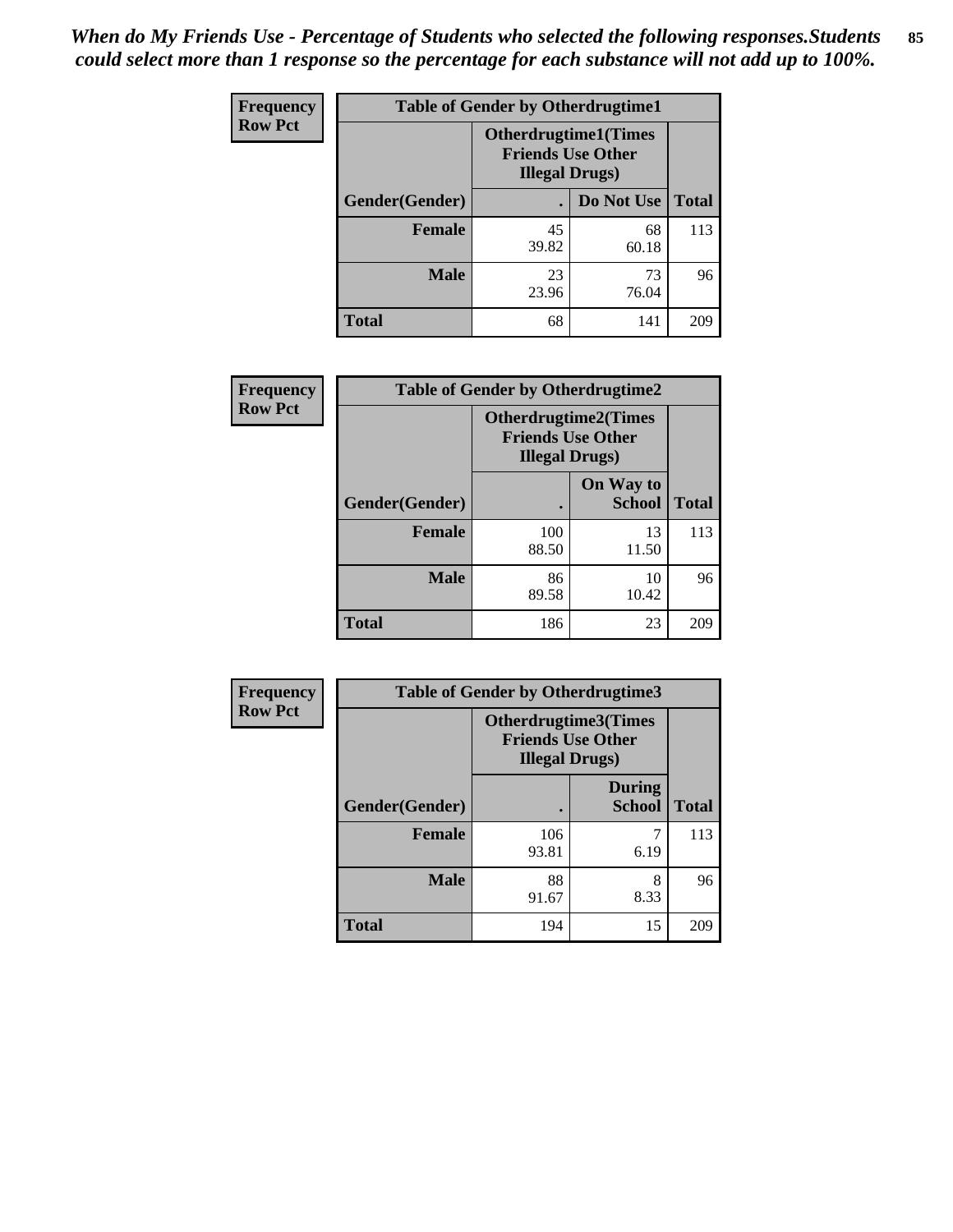*When do My Friends Use - Percentage of Students who selected the following responses.Students could select more than 1 response so the percentage for each substance will not add up to 100%.* **85**

| <b>Frequency</b> | <b>Table of Gender by Otherdrugtime1</b> |                                                    |                             |              |
|------------------|------------------------------------------|----------------------------------------------------|-----------------------------|--------------|
| <b>Row Pct</b>   |                                          | <b>Friends Use Other</b><br><b>Illegal Drugs</b> ) | <b>Otherdrugtime1(Times</b> |              |
|                  | Gender(Gender)                           |                                                    | Do Not Use                  | <b>Total</b> |
|                  | <b>Female</b>                            | 45<br>39.82                                        | 68<br>60.18                 | 113          |
|                  | <b>Male</b>                              | 23<br>23.96                                        | 73<br>76.04                 | 96           |
|                  | <b>Total</b>                             | 68                                                 | 141                         | 209          |

| Frequency      | <b>Table of Gender by Otherdrugtime2</b> |                                                    |                             |              |
|----------------|------------------------------------------|----------------------------------------------------|-----------------------------|--------------|
| <b>Row Pct</b> |                                          | <b>Friends Use Other</b><br><b>Illegal Drugs</b> ) | <b>Otherdrugtime2(Times</b> |              |
|                | Gender(Gender)                           |                                                    | On Way to<br><b>School</b>  | <b>Total</b> |
|                | <b>Female</b>                            | 100<br>88.50                                       | 13<br>11.50                 | 113          |
|                | <b>Male</b>                              | 86<br>89.58                                        | 10<br>10.42                 | 96           |
|                | <b>Total</b>                             | 186                                                | 23                          | 209          |

| Frequency      |                | <b>Table of Gender by Otherdrugtime3</b>                                          |                                |              |  |
|----------------|----------------|-----------------------------------------------------------------------------------|--------------------------------|--------------|--|
| <b>Row Pct</b> |                | <b>Otherdrugtime3(Times</b><br><b>Friends Use Other</b><br><b>Illegal Drugs</b> ) |                                |              |  |
|                | Gender(Gender) |                                                                                   | <b>During</b><br><b>School</b> | <b>Total</b> |  |
|                | <b>Female</b>  | 106<br>93.81                                                                      | 7<br>6.19                      | 113          |  |
|                | <b>Male</b>    | 88<br>91.67                                                                       | 8<br>8.33                      | 96           |  |
|                | <b>Total</b>   | 194                                                                               | 15                             | 209          |  |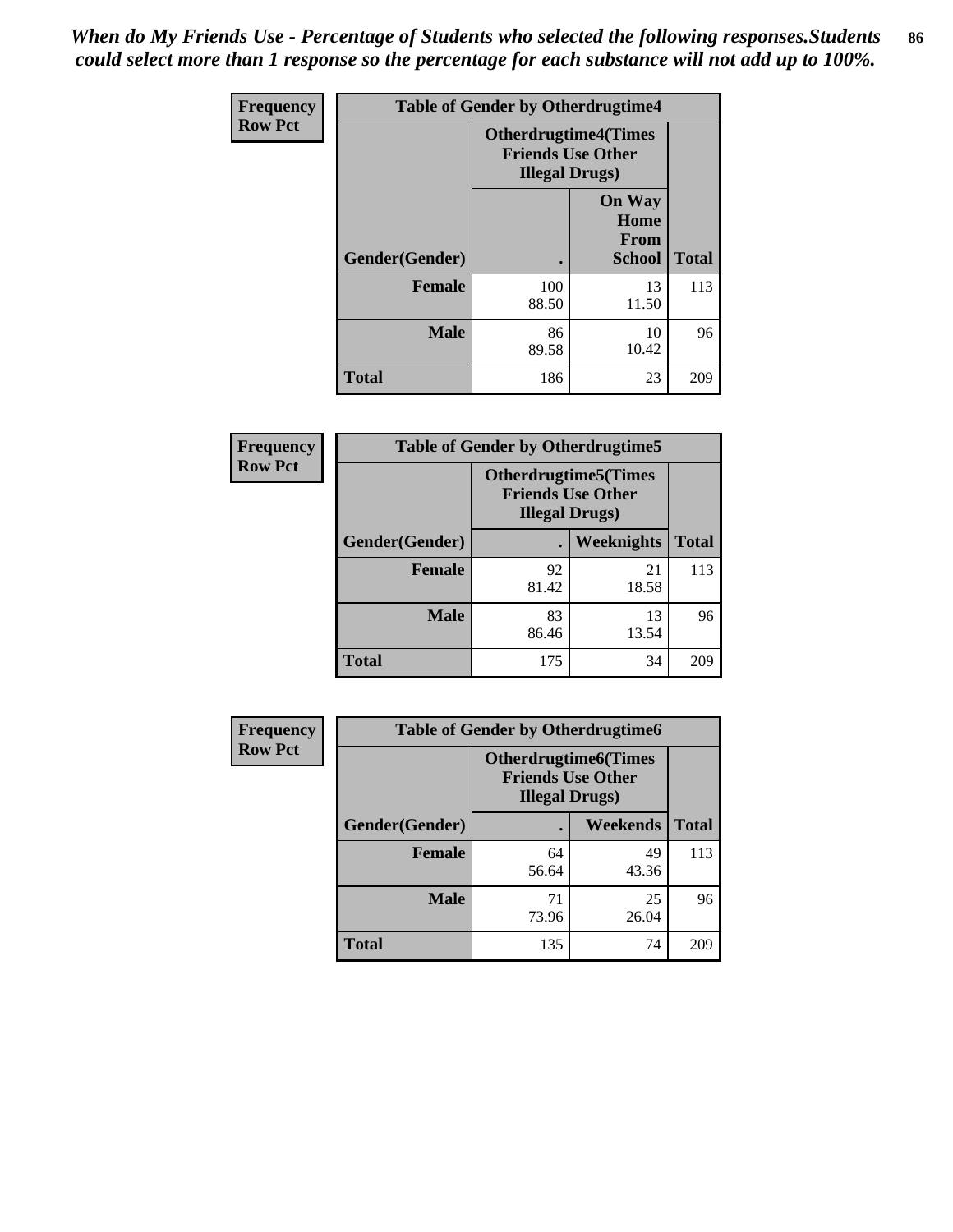*When do My Friends Use - Percentage of Students who selected the following responses.Students could select more than 1 response so the percentage for each substance will not add up to 100%.* **86**

| <b>Frequency</b> | <b>Table of Gender by Otherdrugtime4</b> |                                                    |                                                       |              |
|------------------|------------------------------------------|----------------------------------------------------|-------------------------------------------------------|--------------|
| <b>Row Pct</b>   |                                          | <b>Friends Use Other</b><br><b>Illegal Drugs</b> ) | <b>Otherdrugtime4(Times</b>                           |              |
|                  | Gender(Gender)                           |                                                    | <b>On Way</b><br>Home<br><b>From</b><br><b>School</b> | <b>Total</b> |
|                  | <b>Female</b>                            | 100<br>88.50                                       | 13<br>11.50                                           | 113          |
|                  | <b>Male</b>                              | 86<br>89.58                                        | 10<br>10.42                                           | 96           |
|                  | <b>Total</b>                             | 186                                                | 23                                                    | 209          |

| Frequency      | <b>Table of Gender by Otherdrugtime5</b> |                                                                                    |                   |              |
|----------------|------------------------------------------|------------------------------------------------------------------------------------|-------------------|--------------|
| <b>Row Pct</b> |                                          | <b>Otherdrugtime5</b> (Times<br><b>Friends Use Other</b><br><b>Illegal Drugs</b> ) |                   |              |
|                | Gender(Gender)                           |                                                                                    | <b>Weeknights</b> | <b>Total</b> |
|                | <b>Female</b>                            | 92<br>81.42                                                                        | 21<br>18.58       | 113          |
|                | <b>Male</b>                              | 83<br>86.46                                                                        | 13<br>13.54       | 96           |
|                | <b>Total</b>                             | 175                                                                                | 34                | 209          |

| Frequency      | <b>Table of Gender by Otherdrugtime6</b> |                                                                                   |             |              |
|----------------|------------------------------------------|-----------------------------------------------------------------------------------|-------------|--------------|
| <b>Row Pct</b> |                                          | <b>Otherdrugtime6(Times</b><br><b>Friends Use Other</b><br><b>Illegal Drugs</b> ) |             |              |
|                | Gender(Gender)                           |                                                                                   | Weekends    | <b>Total</b> |
|                | <b>Female</b>                            | 64<br>56.64                                                                       | 49<br>43.36 | 113          |
|                | <b>Male</b>                              | 71<br>73.96                                                                       | 25<br>26.04 | 96           |
|                | <b>Total</b>                             | 135                                                                               | 74          | 209          |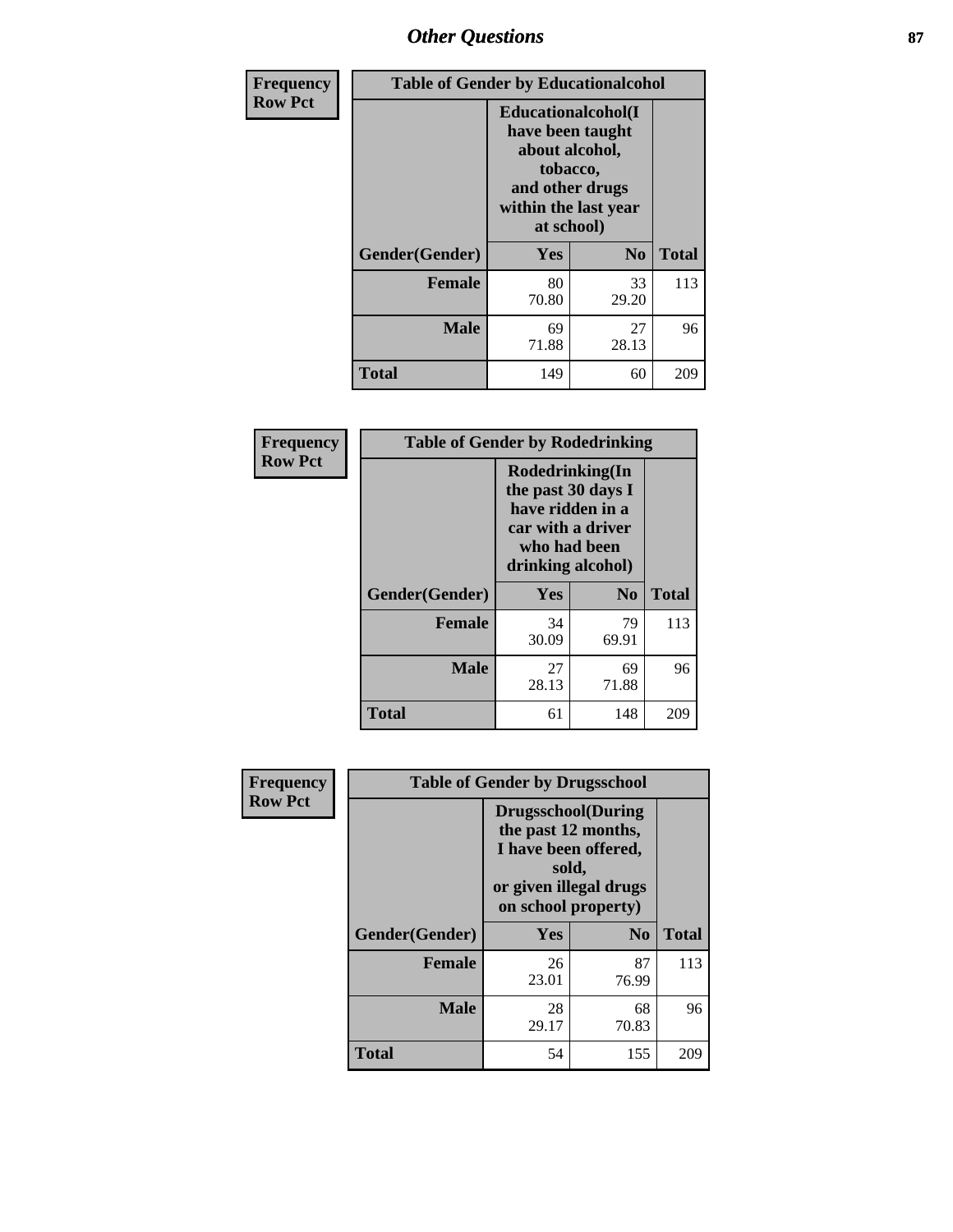# *Other Questions* **87**

| Frequency      | <b>Table of Gender by Educationalcohol</b> |                                                                                                                               |                |              |  |
|----------------|--------------------------------------------|-------------------------------------------------------------------------------------------------------------------------------|----------------|--------------|--|
| <b>Row Pct</b> |                                            | Educationalcohol(I<br>have been taught<br>about alcohol,<br>tobacco,<br>and other drugs<br>within the last year<br>at school) |                |              |  |
|                | Gender(Gender)                             | Yes                                                                                                                           | N <sub>0</sub> | <b>Total</b> |  |
|                | <b>Female</b>                              | 80<br>70.80                                                                                                                   | 33<br>29.20    | 113          |  |
|                | <b>Male</b>                                | 69<br>71.88                                                                                                                   | 27<br>28.13    | 96           |  |
|                | <b>Total</b>                               | 149                                                                                                                           | 60             | 209          |  |

| Frequency      | <b>Table of Gender by Rodedrinking</b> |                                                                                                                     |             |              |  |
|----------------|----------------------------------------|---------------------------------------------------------------------------------------------------------------------|-------------|--------------|--|
| <b>Row Pct</b> |                                        | Rodedrinking(In<br>the past 30 days I<br>have ridden in a<br>car with a driver<br>who had been<br>drinking alcohol) |             |              |  |
|                | Gender(Gender)                         | Yes                                                                                                                 | $\bf No$    | <b>Total</b> |  |
|                | <b>Female</b>                          | 34<br>30.09                                                                                                         | 79<br>69.91 | 113          |  |
|                | <b>Male</b>                            | 27<br>28.13                                                                                                         | 69<br>71.88 | 96           |  |
|                | <b>Total</b>                           | 61                                                                                                                  | 148         | 209          |  |

| Frequency      | <b>Table of Gender by Drugsschool</b> |                                                                                                                                     |                |              |  |
|----------------|---------------------------------------|-------------------------------------------------------------------------------------------------------------------------------------|----------------|--------------|--|
| <b>Row Pct</b> |                                       | <b>Drugsschool</b> (During<br>the past 12 months,<br>I have been offered,<br>sold,<br>or given illegal drugs<br>on school property) |                |              |  |
|                | Gender(Gender)                        | <b>Yes</b>                                                                                                                          | N <sub>0</sub> | <b>Total</b> |  |
|                | <b>Female</b>                         | 26<br>23.01                                                                                                                         | 87<br>76.99    | 113          |  |
|                | <b>Male</b>                           | 28<br>29.17                                                                                                                         | 68<br>70.83    | 96           |  |
|                | <b>Total</b>                          | 54                                                                                                                                  | 155            | 209          |  |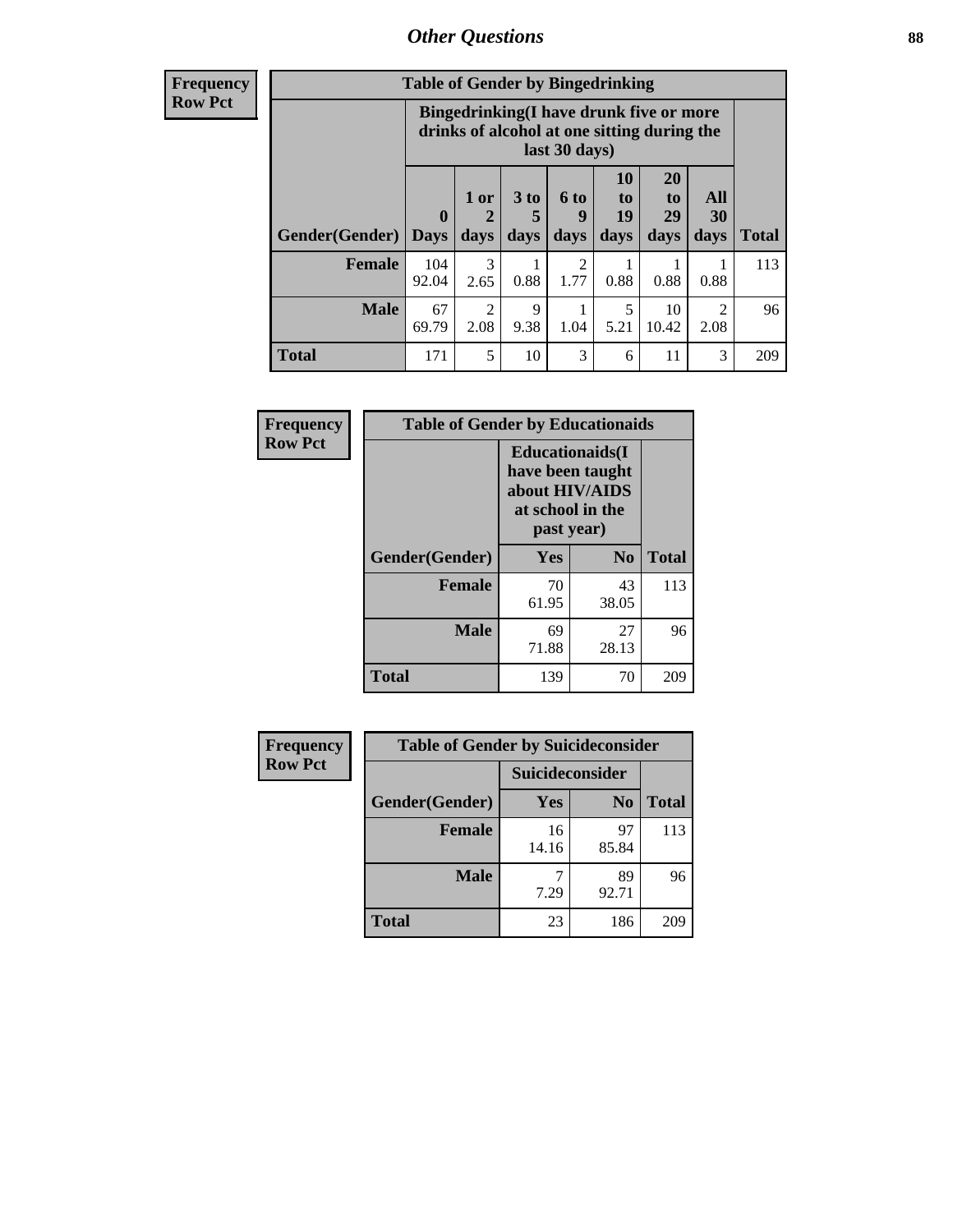# *Other Questions* **88**

**Frequency Row Pct**

| <b>Table of Gender by Bingedrinking</b> |                            |                                                                                                         |                   |                          |                          |                               |                                     |              |
|-----------------------------------------|----------------------------|---------------------------------------------------------------------------------------------------------|-------------------|--------------------------|--------------------------|-------------------------------|-------------------------------------|--------------|
|                                         |                            | Bingedrinking(I have drunk five or more<br>drinks of alcohol at one sitting during the<br>last 30 days) |                   |                          |                          |                               |                                     |              |
| <b>Gender</b> (Gender)                  | $\mathbf 0$<br><b>Davs</b> | 1 or<br>days                                                                                            | 3 to<br>5<br>days | <b>6 to</b><br>9<br>days | 10<br>to -<br>19<br>days | <b>20</b><br>to<br>29<br>days | All<br>30<br>days                   | <b>Total</b> |
| <b>Female</b>                           | 104<br>92.04               | 3<br>2.65                                                                                               | 0.88              | 2<br>1.77                | 0.88                     | 0.88                          | 0.88                                | 113          |
|                                         |                            |                                                                                                         |                   |                          |                          |                               |                                     |              |
| <b>Male</b>                             | 67<br>69.79                | $\mathfrak{D}$<br>2.08                                                                                  | 9<br>9.38         | 1.04                     | 5<br>5.21                | 10<br>10.42                   | $\mathcal{D}_{\mathcal{L}}$<br>2.08 | 96           |

| Frequency      | <b>Table of Gender by Educationaids</b> |                                                                                                 |                |              |  |
|----------------|-----------------------------------------|-------------------------------------------------------------------------------------------------|----------------|--------------|--|
| <b>Row Pct</b> |                                         | <b>Educationaids</b> (I<br>have been taught<br>about HIV/AIDS<br>at school in the<br>past year) |                |              |  |
|                | Gender(Gender)                          | Yes                                                                                             | N <sub>0</sub> | <b>Total</b> |  |
|                | <b>Female</b>                           | 70<br>61.95                                                                                     | 43<br>38.05    | 113          |  |
|                | <b>Male</b>                             | 69<br>71.88                                                                                     | 27<br>28.13    | 96           |  |
|                | <b>Total</b>                            | 139                                                                                             | 70             | 209          |  |

| <b>Frequency</b> | <b>Table of Gender by Suicideconsider</b> |                        |                |              |  |
|------------------|-------------------------------------------|------------------------|----------------|--------------|--|
| <b>Row Pct</b>   |                                           | <b>Suicideconsider</b> |                |              |  |
|                  | Gender(Gender)                            | Yes                    | N <sub>0</sub> | <b>Total</b> |  |
|                  | Female                                    | 16<br>14.16            | 97<br>85.84    | 113          |  |
|                  | <b>Male</b>                               | 7.29                   | 89<br>92.71    | 96           |  |
|                  | <b>Total</b>                              | 23                     | 186            | 209          |  |